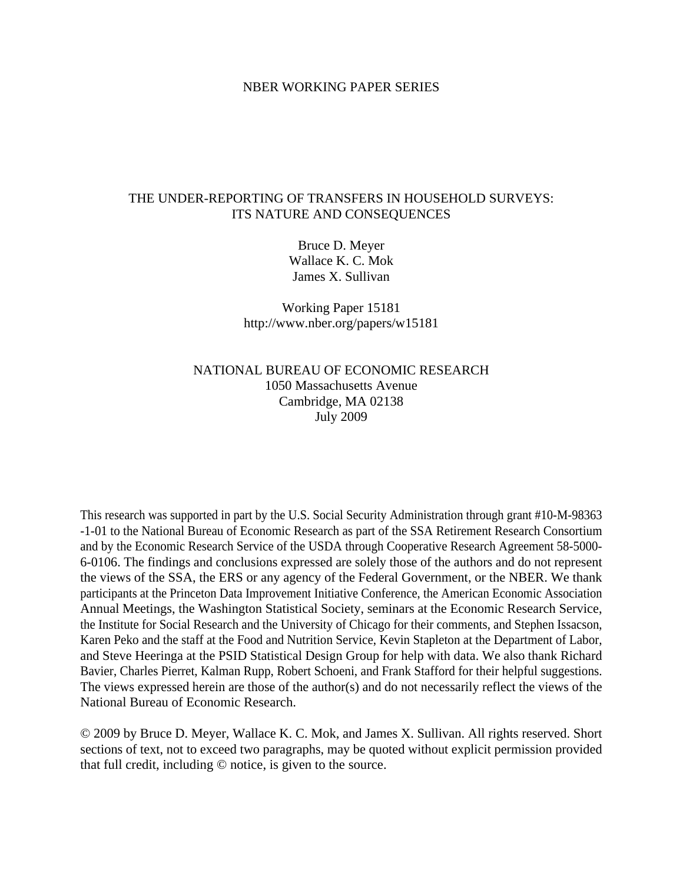#### NBER WORKING PAPER SERIES

# THE UNDER-REPORTING OF TRANSFERS IN HOUSEHOLD SURVEYS: ITS NATURE AND CONSEQUENCES

Bruce D. Meyer Wallace K. C. Mok James X. Sullivan

Working Paper 15181 http://www.nber.org/papers/w15181

# NATIONAL BUREAU OF ECONOMIC RESEARCH 1050 Massachusetts Avenue Cambridge, MA 02138 July 2009

This research was supported in part by the U.S. Social Security Administration through grant #10-M-98363 -1-01 to the National Bureau of Economic Research as part of the SSA Retirement Research Consortium and by the Economic Research Service of the USDA through Cooperative Research Agreement 58-5000- 6-0106. The findings and conclusions expressed are solely those of the authors and do not represent the views of the SSA, the ERS or any agency of the Federal Government, or the NBER. We thank participants at the Princeton Data Improvement Initiative Conference, the American Economic Association Annual Meetings, the Washington Statistical Society, seminars at the Economic Research Service, the Institute for Social Research and the University of Chicago for their comments, and Stephen Issacson, Karen Peko and the staff at the Food and Nutrition Service, Kevin Stapleton at the Department of Labor, and Steve Heeringa at the PSID Statistical Design Group for help with data. We also thank Richard Bavier, Charles Pierret, Kalman Rupp, Robert Schoeni, and Frank Stafford for their helpful suggestions. The views expressed herein are those of the author(s) and do not necessarily reflect the views of the National Bureau of Economic Research.

© 2009 by Bruce D. Meyer, Wallace K. C. Mok, and James X. Sullivan. All rights reserved. Short sections of text, not to exceed two paragraphs, may be quoted without explicit permission provided that full credit, including © notice, is given to the source.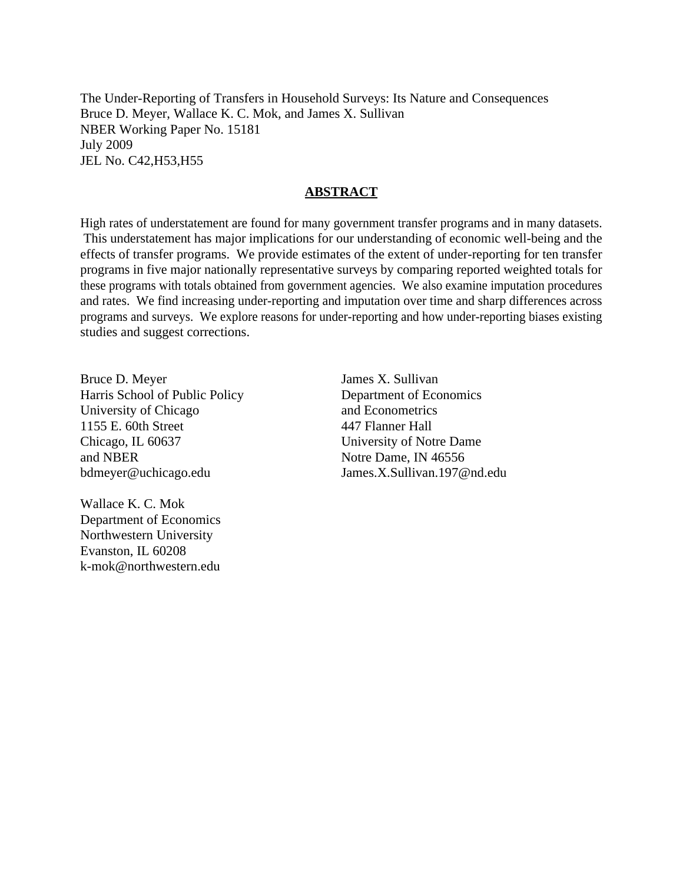The Under-Reporting of Transfers in Household Surveys: Its Nature and Consequences Bruce D. Meyer, Wallace K. C. Mok, and James X. Sullivan NBER Working Paper No. 15181 July 2009 JEL No. C42,H53,H55

# **ABSTRACT**

High rates of understatement are found for many government transfer programs and in many datasets. This understatement has major implications for our understanding of economic well-being and the effects of transfer programs. We provide estimates of the extent of under-reporting for ten transfer programs in five major nationally representative surveys by comparing reported weighted totals for these programs with totals obtained from government agencies. We also examine imputation procedures and rates. We find increasing under-reporting and imputation over time and sharp differences across programs and surveys. We explore reasons for under-reporting and how under-reporting biases existing studies and suggest corrections.

Bruce D. Meyer Harris School of Public Policy University of Chicago 1155 E. 60th Street Chicago, IL 60637 and NBER bdmeyer@uchicago.edu

Wallace K. C. Mok Department of Economics Northwestern University Evanston, IL 60208 k-mok@northwestern.edu

James X. Sullivan Department of Economics and Econometrics 447 Flanner Hall University of Notre Dame Notre Dame, IN 46556 James.X.Sullivan.197@nd.edu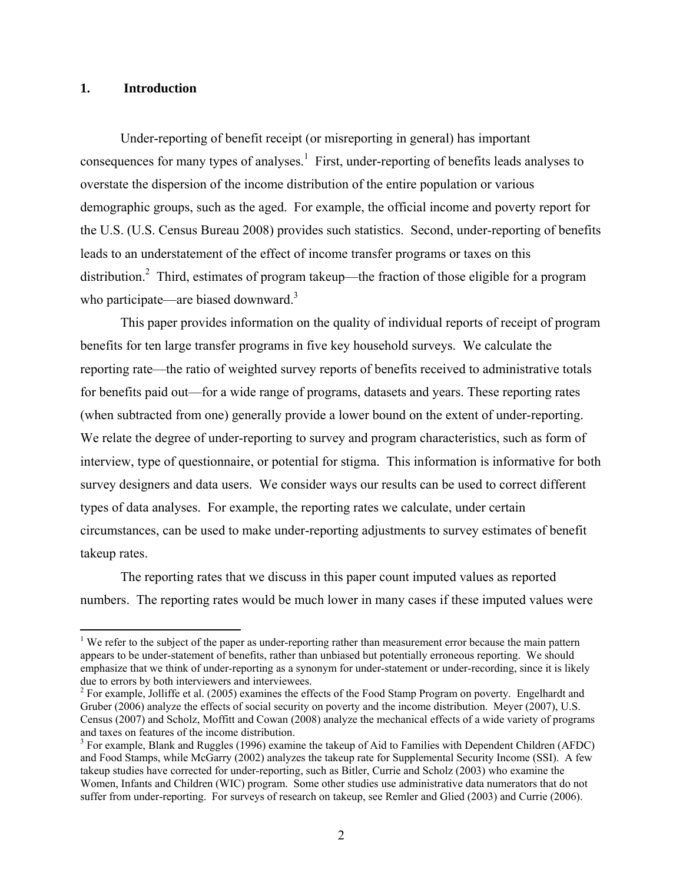# **1. Introduction**

 $\overline{a}$ 

Under-reporting of benefit receipt (or misreporting in general) has important consequences for many types of analyses.<sup>1</sup> First, under-reporting of benefits leads analyses to overstate the dispersion of the income distribution of the entire population or various demographic groups, such as the aged. For example, the official income and poverty report for the U.S. (U.S. Census Bureau 2008) provides such statistics. Second, under-reporting of benefits leads to an understatement of the effect of income transfer programs or taxes on this distribution.<sup>2</sup> Third, estimates of program takeup—the fraction of those eligible for a program who participate—are biased downward.<sup>3</sup>

 This paper provides information on the quality of individual reports of receipt of program benefits for ten large transfer programs in five key household surveys. We calculate the reporting rate—the ratio of weighted survey reports of benefits received to administrative totals for benefits paid out—for a wide range of programs, datasets and years. These reporting rates (when subtracted from one) generally provide a lower bound on the extent of under-reporting. We relate the degree of under-reporting to survey and program characteristics, such as form of interview, type of questionnaire, or potential for stigma. This information is informative for both survey designers and data users. We consider ways our results can be used to correct different types of data analyses. For example, the reporting rates we calculate, under certain circumstances, can be used to make under-reporting adjustments to survey estimates of benefit takeup rates.

 The reporting rates that we discuss in this paper count imputed values as reported numbers. The reporting rates would be much lower in many cases if these imputed values were

<sup>&</sup>lt;sup>1</sup> We refer to the subject of the paper as under-reporting rather than measurement error because the main pattern appears to be under-statement of benefits, rather than unbiased but potentially erroneous reporting. We should emphasize that we think of under-reporting as a synonym for under-statement or under-recording, since it is likely due to errors by both interviewers and interviewees.

<sup>&</sup>lt;sup>2</sup> For example, Jolliffe et al. (2005) examines the effects of the Food Stamp Program on poverty. Engelhardt and Gruber (2006) analyze the effects of social security on poverty and the income distribution. Meyer (2007), U.S. Census (2007) and Scholz, Moffitt and Cowan (2008) analyze the mechanical effects of a wide variety of programs and taxes on features of the income distribution.

 $3$  For example, Blank and Ruggles (1996) examine the takeup of Aid to Families with Dependent Children (AFDC) and Food Stamps, while McGarry (2002) analyzes the takeup rate for Supplemental Security Income (SSI). A few takeup studies have corrected for under-reporting, such as Bitler, Currie and Scholz (2003) who examine the Women, Infants and Children (WIC) program. Some other studies use administrative data numerators that do not suffer from under-reporting. For surveys of research on takeup, see Remler and Glied (2003) and Currie (2006).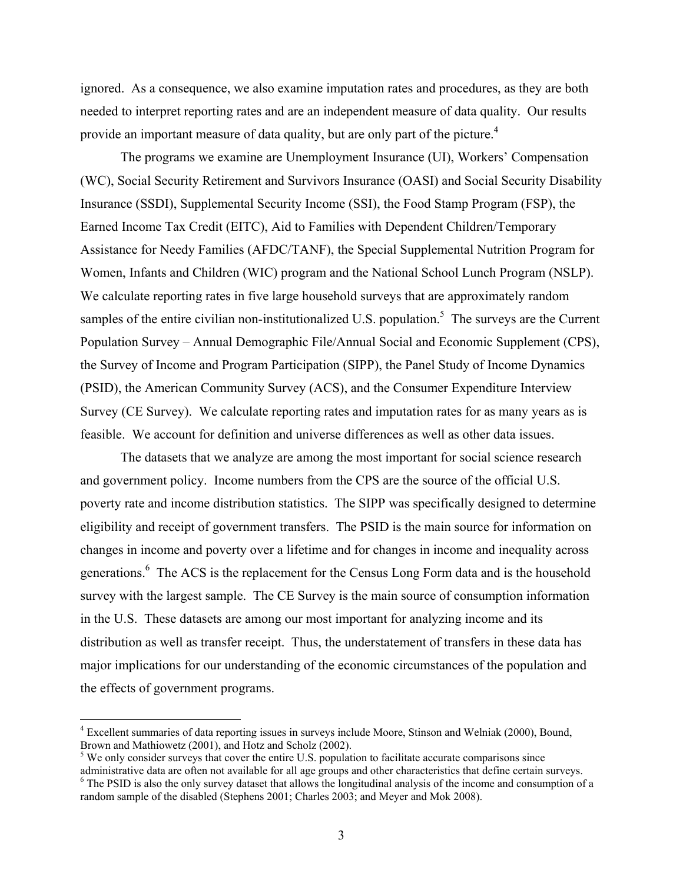ignored. As a consequence, we also examine imputation rates and procedures, as they are both needed to interpret reporting rates and are an independent measure of data quality. Our results provide an important measure of data quality, but are only part of the picture.<sup>4</sup>

 The programs we examine are Unemployment Insurance (UI), Workers' Compensation (WC), Social Security Retirement and Survivors Insurance (OASI) and Social Security Disability Insurance (SSDI), Supplemental Security Income (SSI), the Food Stamp Program (FSP), the Earned Income Tax Credit (EITC), Aid to Families with Dependent Children/Temporary Assistance for Needy Families (AFDC/TANF), the Special Supplemental Nutrition Program for Women, Infants and Children (WIC) program and the National School Lunch Program (NSLP). We calculate reporting rates in five large household surveys that are approximately random samples of the entire civilian non-institutionalized U.S. population.<sup>5</sup> The surveys are the Current Population Survey – Annual Demographic File/Annual Social and Economic Supplement (CPS), the Survey of Income and Program Participation (SIPP), the Panel Study of Income Dynamics (PSID), the American Community Survey (ACS), and the Consumer Expenditure Interview Survey (CE Survey). We calculate reporting rates and imputation rates for as many years as is feasible. We account for definition and universe differences as well as other data issues.

 The datasets that we analyze are among the most important for social science research and government policy. Income numbers from the CPS are the source of the official U.S. poverty rate and income distribution statistics. The SIPP was specifically designed to determine eligibility and receipt of government transfers. The PSID is the main source for information on changes in income and poverty over a lifetime and for changes in income and inequality across generations.<sup>6</sup> The ACS is the replacement for the Census Long Form data and is the household survey with the largest sample. The CE Survey is the main source of consumption information in the U.S. These datasets are among our most important for analyzing income and its distribution as well as transfer receipt. Thus, the understatement of transfers in these data has major implications for our understanding of the economic circumstances of the population and the effects of government programs.

<sup>&</sup>lt;sup>4</sup> Excellent summaries of data reporting issues in surveys include Moore, Stinson and Welniak (2000), Bound, Brown and Mathiowetz (2001), and Hotz and Scholz (2002).

 $<sup>5</sup>$  We only consider surveys that cover the entire U.S. population to facilitate accurate comparisons since</sup> administrative data are often not available for all age groups and other characteristics that define certain surveys. 6 <sup>6</sup> The PSID is also the only survey dataset that allows the longitudinal analysis of the income and consumption of a random sample of the disabled (Stephens 2001; Charles 2003; and Meyer and Mok 2008).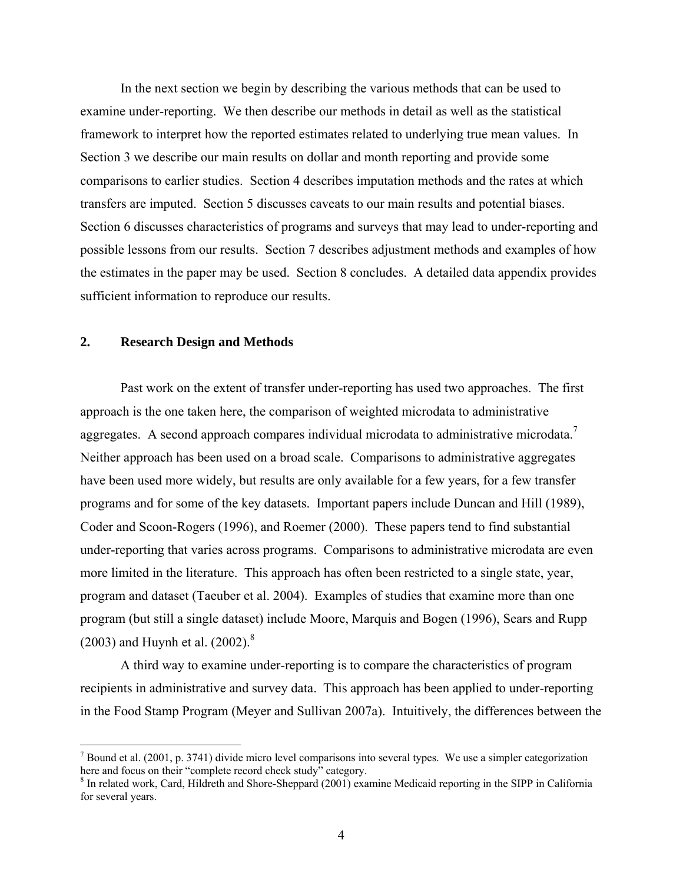In the next section we begin by describing the various methods that can be used to examine under-reporting. We then describe our methods in detail as well as the statistical framework to interpret how the reported estimates related to underlying true mean values. In Section 3 we describe our main results on dollar and month reporting and provide some comparisons to earlier studies. Section 4 describes imputation methods and the rates at which transfers are imputed. Section 5 discusses caveats to our main results and potential biases. Section 6 discusses characteristics of programs and surveys that may lead to under-reporting and possible lessons from our results. Section 7 describes adjustment methods and examples of how the estimates in the paper may be used. Section 8 concludes. A detailed data appendix provides sufficient information to reproduce our results.

# **2. Research Design and Methods**

<u>.</u>

Past work on the extent of transfer under-reporting has used two approaches. The first approach is the one taken here, the comparison of weighted microdata to administrative aggregates. A second approach compares individual microdata to administrative microdata.<sup>7</sup> Neither approach has been used on a broad scale. Comparisons to administrative aggregates have been used more widely, but results are only available for a few years, for a few transfer programs and for some of the key datasets. Important papers include Duncan and Hill (1989), Coder and Scoon-Rogers (1996), and Roemer (2000). These papers tend to find substantial under-reporting that varies across programs. Comparisons to administrative microdata are even more limited in the literature. This approach has often been restricted to a single state, year, program and dataset (Taeuber et al. 2004). Examples of studies that examine more than one program (but still a single dataset) include Moore, Marquis and Bogen (1996), Sears and Rupp (2003) and Huynh et al.  $(2002)^8$ 

A third way to examine under-reporting is to compare the characteristics of program recipients in administrative and survey data. This approach has been applied to under-reporting in the Food Stamp Program (Meyer and Sullivan 2007a). Intuitively, the differences between the

 $^7$  Bound et al. (2001, p. 3741) divide micro level comparisons into several types. We use a simpler categorization here and focus on their "complete record check study" category.

<sup>&</sup>lt;sup>8</sup> In related work, Card, Hildreth and Shore-Sheppard (2001) examine Medicaid reporting in the SIPP in California for several years.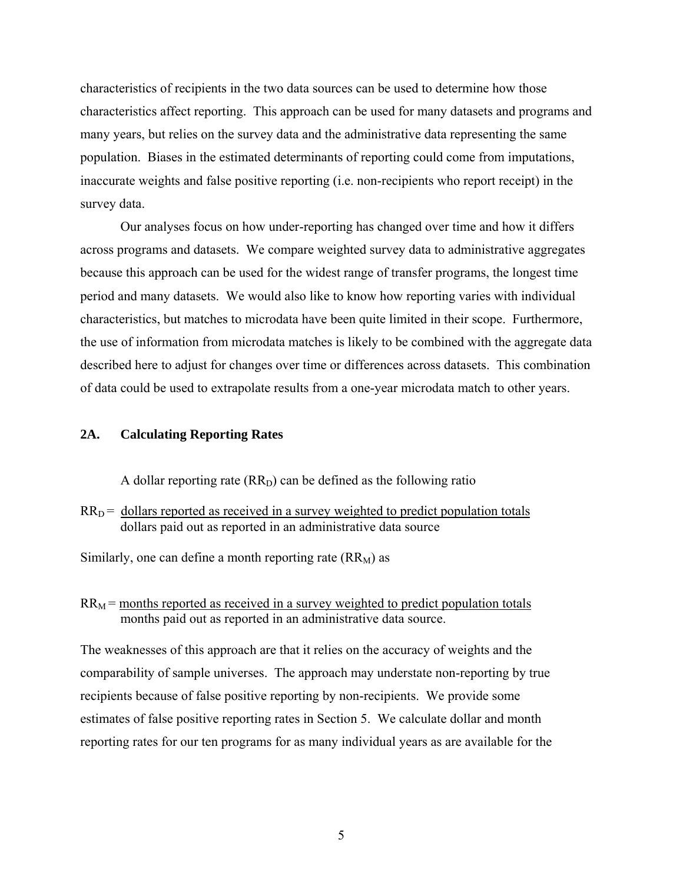characteristics of recipients in the two data sources can be used to determine how those characteristics affect reporting. This approach can be used for many datasets and programs and many years, but relies on the survey data and the administrative data representing the same population. Biases in the estimated determinants of reporting could come from imputations, inaccurate weights and false positive reporting (i.e. non-recipients who report receipt) in the survey data.

Our analyses focus on how under-reporting has changed over time and how it differs across programs and datasets. We compare weighted survey data to administrative aggregates because this approach can be used for the widest range of transfer programs, the longest time period and many datasets. We would also like to know how reporting varies with individual characteristics, but matches to microdata have been quite limited in their scope. Furthermore, the use of information from microdata matches is likely to be combined with the aggregate data described here to adjust for changes over time or differences across datasets. This combination of data could be used to extrapolate results from a one-year microdata match to other years.

# **2A. Calculating Reporting Rates**

A dollar reporting rate  $(RR_D)$  can be defined as the following ratio

 $RR<sub>D</sub>$  = dollars reported as received in a survey weighted to predict population totals dollars paid out as reported in an administrative data source

Similarly, one can define a month reporting rate  $(RR_M)$  as

 $RR_M$  = months reported as received in a survey weighted to predict population totals months paid out as reported in an administrative data source.

The weaknesses of this approach are that it relies on the accuracy of weights and the comparability of sample universes. The approach may understate non-reporting by true recipients because of false positive reporting by non-recipients. We provide some estimates of false positive reporting rates in Section 5. We calculate dollar and month reporting rates for our ten programs for as many individual years as are available for the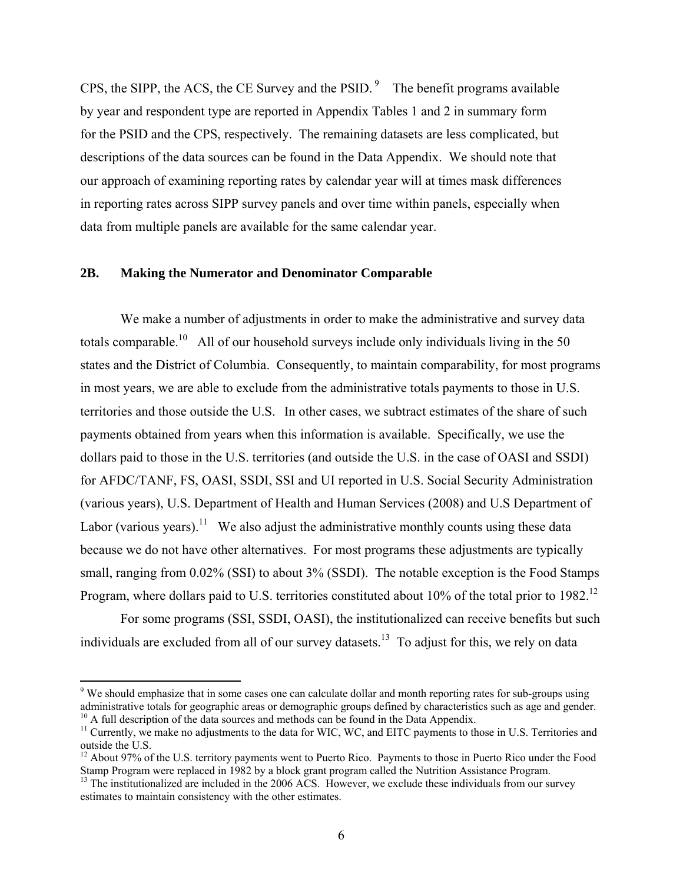CPS, the SIPP, the ACS, the CE Survey and the PSID.<sup>9</sup> The benefit programs available by year and respondent type are reported in Appendix Tables 1 and 2 in summary form for the PSID and the CPS, respectively. The remaining datasets are less complicated, but descriptions of the data sources can be found in the Data Appendix. We should note that our approach of examining reporting rates by calendar year will at times mask differences in reporting rates across SIPP survey panels and over time within panels, especially when data from multiple panels are available for the same calendar year.

### **2B. Making the Numerator and Denominator Comparable**

 $\overline{a}$ 

 We make a number of adjustments in order to make the administrative and survey data totals comparable.<sup>10</sup> All of our household surveys include only individuals living in the 50 states and the District of Columbia. Consequently, to maintain comparability, for most programs in most years, we are able to exclude from the administrative totals payments to those in U.S. territories and those outside the U.S. In other cases, we subtract estimates of the share of such payments obtained from years when this information is available. Specifically, we use the dollars paid to those in the U.S. territories (and outside the U.S. in the case of OASI and SSDI) for AFDC/TANF, FS, OASI, SSDI, SSI and UI reported in U.S. Social Security Administration (various years), U.S. Department of Health and Human Services (2008) and U.S Department of Labor (various years).<sup>11</sup> We also adjust the administrative monthly counts using these data because we do not have other alternatives. For most programs these adjustments are typically small, ranging from  $0.02\%$  (SSI) to about 3% (SSDI). The notable exception is the Food Stamps Program, where dollars paid to U.S. territories constituted about 10% of the total prior to 1982.<sup>12</sup>

For some programs (SSI, SSDI, OASI), the institutionalized can receive benefits but such individuals are excluded from all of our survey datasets.<sup>13</sup> To adjust for this, we rely on data

<sup>&</sup>lt;sup>9</sup> We should emphasize that in some cases one can calculate dollar and month reporting rates for sub-groups using administrative totals for geographic areas or demographic groups defined by characteristics such as age and gender.  $10$  A full description of the data sources and methods can be found in the Data Appendix.

<sup>&</sup>lt;sup>11</sup> Currently, we make no adjustments to the data for WIC, WC, and EITC payments to those in U.S. Territories and outside the U.S.

<sup>&</sup>lt;sup>12</sup> About 97% of the U.S. territory payments went to Puerto Rico. Payments to those in Puerto Rico under the Food Stamp Program were replaced in 1982 by a block grant program called the Nutrition Assistance Program.

<sup>&</sup>lt;sup>13</sup> The institutionalized are included in the 2006 ACS. However, we exclude these individuals from our survey estimates to maintain consistency with the other estimates.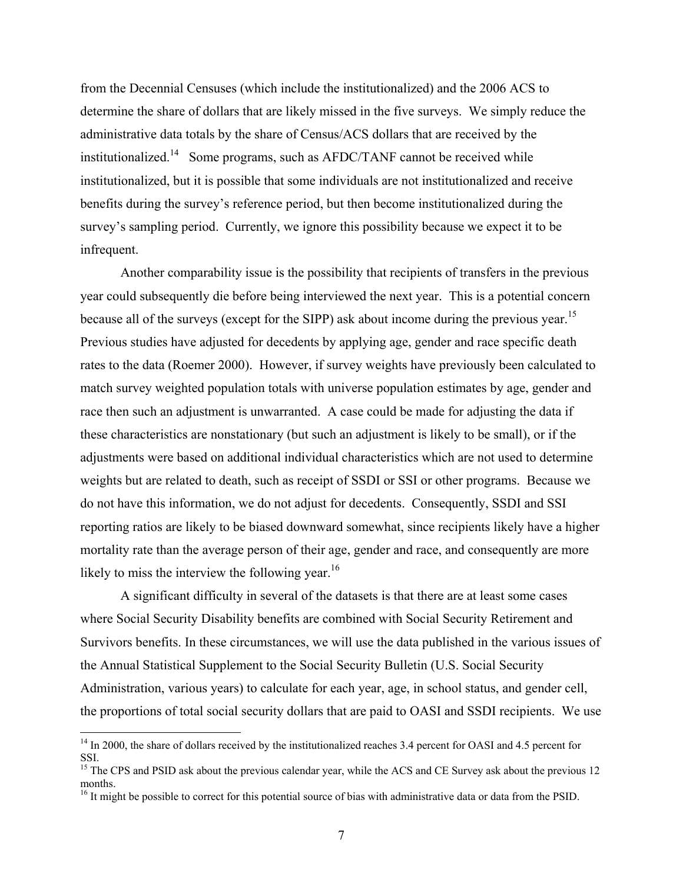from the Decennial Censuses (which include the institutionalized) and the 2006 ACS to determine the share of dollars that are likely missed in the five surveys. We simply reduce the administrative data totals by the share of Census/ACS dollars that are received by the institutionalized.<sup>14</sup> Some programs, such as AFDC/TANF cannot be received while institutionalized, but it is possible that some individuals are not institutionalized and receive benefits during the survey's reference period, but then become institutionalized during the survey's sampling period. Currently, we ignore this possibility because we expect it to be infrequent.

 Another comparability issue is the possibility that recipients of transfers in the previous year could subsequently die before being interviewed the next year. This is a potential concern because all of the surveys (except for the SIPP) ask about income during the previous year.<sup>15</sup> Previous studies have adjusted for decedents by applying age, gender and race specific death rates to the data (Roemer 2000). However, if survey weights have previously been calculated to match survey weighted population totals with universe population estimates by age, gender and race then such an adjustment is unwarranted. A case could be made for adjusting the data if these characteristics are nonstationary (but such an adjustment is likely to be small), or if the adjustments were based on additional individual characteristics which are not used to determine weights but are related to death, such as receipt of SSDI or SSI or other programs. Because we do not have this information, we do not adjust for decedents. Consequently, SSDI and SSI reporting ratios are likely to be biased downward somewhat, since recipients likely have a higher mortality rate than the average person of their age, gender and race, and consequently are more likely to miss the interview the following year.<sup>16</sup>

A significant difficulty in several of the datasets is that there are at least some cases where Social Security Disability benefits are combined with Social Security Retirement and Survivors benefits. In these circumstances, we will use the data published in the various issues of the Annual Statistical Supplement to the Social Security Bulletin (U.S. Social Security Administration, various years) to calculate for each year, age, in school status, and gender cell, the proportions of total social security dollars that are paid to OASI and SSDI recipients. We use

<sup>&</sup>lt;sup>14</sup> In 2000, the share of dollars received by the institutionalized reaches 3.4 percent for OASI and 4.5 percent for SSI.

<sup>&</sup>lt;sup>15</sup> The CPS and PSID ask about the previous calendar year, while the ACS and CE Survey ask about the previous 12 months.

<sup>&</sup>lt;sup>16</sup> It might be possible to correct for this potential source of bias with administrative data or data from the PSID.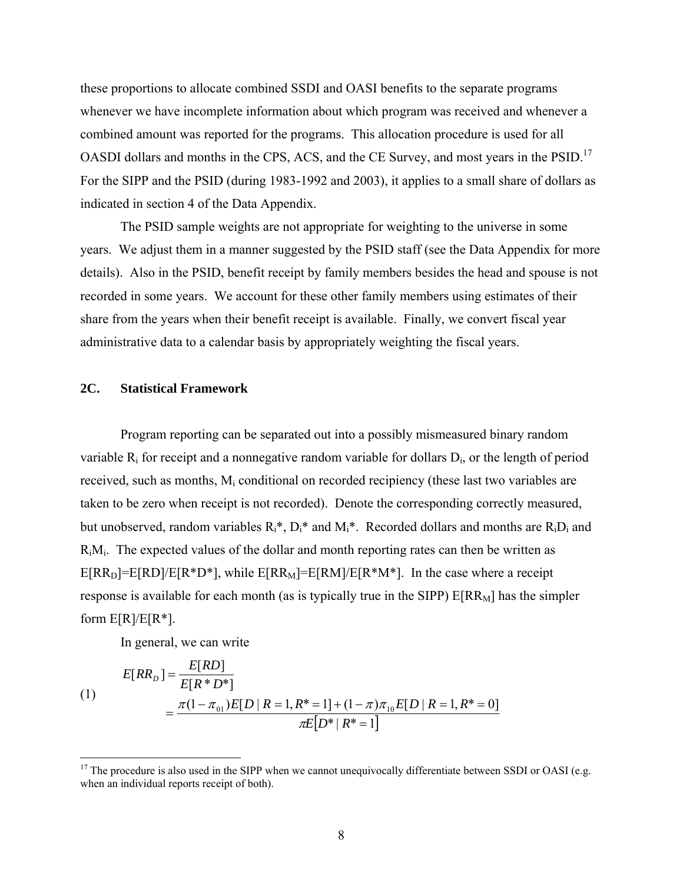these proportions to allocate combined SSDI and OASI benefits to the separate programs whenever we have incomplete information about which program was received and whenever a combined amount was reported for the programs. This allocation procedure is used for all OASDI dollars and months in the CPS, ACS, and the CE Survey, and most years in the PSID.<sup>17</sup> For the SIPP and the PSID (during 1983-1992 and 2003), it applies to a small share of dollars as indicated in section 4 of the Data Appendix.

The PSID sample weights are not appropriate for weighting to the universe in some years. We adjust them in a manner suggested by the PSID staff (see the Data Appendix for more details). Also in the PSID, benefit receipt by family members besides the head and spouse is not recorded in some years. We account for these other family members using estimates of their share from the years when their benefit receipt is available. Finally, we convert fiscal year administrative data to a calendar basis by appropriately weighting the fiscal years.

# **2C. Statistical Framework**

 Program reporting can be separated out into a possibly mismeasured binary random variable  $R_i$  for receipt and a nonnegative random variable for dollars  $D_i$ , or the length of period received, such as months, M<sub>i</sub> conditional on recorded recipiency (these last two variables are taken to be zero when receipt is not recorded). Denote the corresponding correctly measured, but unobserved, random variables  $R_i^*$ ,  $D_i^*$  and  $M_i^*$ . Recorded dollars and months are  $R_iD_i$  and  $R_iM_i$ . The expected values of the dollar and month reporting rates can then be written as  $E[RR_D]=E[RD]/E[R*D*]$ , while  $E[RR_M]=E[RM]/E[R*M*]$ . In the case where a receipt response is available for each month (as is typically true in the SIPP)  $E[RR_M]$  has the simpler form  $E[R]/E[R^*]$ .

In general, we can write

(1)  
\n
$$
E[RR_D] = \frac{E[RD]}{E[R*D*]} = \frac{\pi(1-\pi_{01})E[D|R=1,R^*=1] + (1-\pi)\pi_{10}E[D|R=1,R^*=0]}{\pi E[D^*|R^*=1]}
$$

 $17$  The procedure is also used in the SIPP when we cannot unequivocally differentiate between SSDI or OASI (e.g. when an individual reports receipt of both).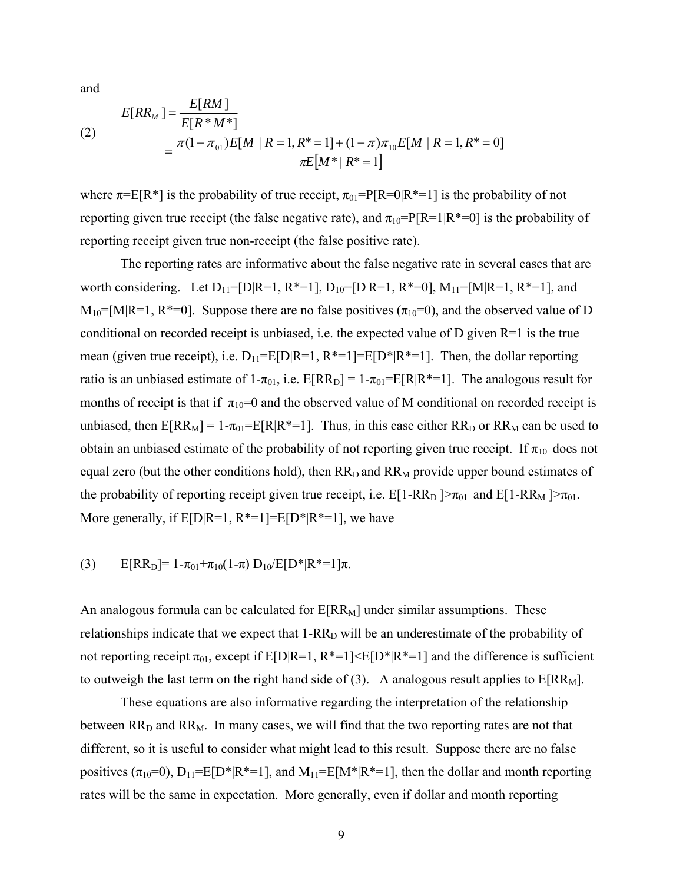and

(2)  

$$
E[RR_M] = \frac{E[RM]}{E[R*M^*]} = \frac{\pi(1-\pi_{01})E[M | R=1, R^*=1] + (1-\pi)\pi_{10}E[M | R=1, R^*=0]}{\pi E[M^* | R^*=1]}
$$

where  $\pi = E[R^*]$  is the probability of true receipt,  $\pi_{01} = P[R=0|R^*=1]$  is the probability of not reporting given true receipt (the false negative rate), and  $\pi_{10}=P[R=1|R^*=0]$  is the probability of reporting receipt given true non-receipt (the false positive rate).

 The reporting rates are informative about the false negative rate in several cases that are worth considering. Let  $D_{11}=[D|R=1, R^*=1]$ ,  $D_{10}=[D|R=1, R^*=0]$ ,  $M_{11}=[M|R=1, R^*=1]$ , and  $M_{10}$ =[M|R=1, R<sup>\*</sup>=0]. Suppose there are no false positives ( $\pi_{10}$ =0), and the observed value of D conditional on recorded receipt is unbiased, i.e. the expected value of D given  $R=1$  is the true mean (given true receipt), i.e.  $D_{11} = E[D|R=1, R^{*}=1] = E[D^{*}|R^{*}=1]$ . Then, the dollar reporting ratio is an unbiased estimate of  $1-\pi_{01}$ , i.e.  $E[RR_D] = 1-\pi_{01} = E[R|R^* = 1]$ . The analogous result for months of receipt is that if  $\pi_{10}=0$  and the observed value of M conditional on recorded receipt is unbiased, then  $E[RR_M] = 1-\pi_{01} = E[R|R^* = 1]$ . Thus, in this case either  $RR_D$  or  $RR_M$  can be used to obtain an unbiased estimate of the probability of not reporting given true receipt. If  $\pi_{10}$  does not equal zero (but the other conditions hold), then  $RR<sub>D</sub>$  and  $RR<sub>M</sub>$  provide upper bound estimates of the probability of reporting receipt given true receipt, i.e.  $E[1-RR_D] > \pi_{01}$  and  $E[1-RR_M] > \pi_{01}$ . More generally, if  $E[D|R=1, R^*=1] = E[D^*|R^*=1]$ , we have

(3) 
$$
E[RR_D] = 1 - \pi_{01} + \pi_{10}(1 - \pi) D_{10}/E[D^*|R^*=1]\pi.
$$

An analogous formula can be calculated for  $E[RR_M]$  under similar assumptions. These relationships indicate that we expect that  $1-RR<sub>D</sub>$  will be an underestimate of the probability of not reporting receipt  $\pi_{01}$ , except if E[D|R=1, R\*=1]<E[D\*|R\*=1] and the difference is sufficient to outweigh the last term on the right hand side of (3). A analogous result applies to  $E[RR_M]$ .

 These equations are also informative regarding the interpretation of the relationship between  $RR<sub>D</sub>$  and  $RR<sub>M</sub>$ . In many cases, we will find that the two reporting rates are not that different, so it is useful to consider what might lead to this result. Suppose there are no false positives  $(\pi_{10}=0)$ ,  $D_{11}=E[D^*|R^*=1]$ , and  $M_{11}=E[M^*|R^*=1]$ , then the dollar and month reporting rates will be the same in expectation. More generally, even if dollar and month reporting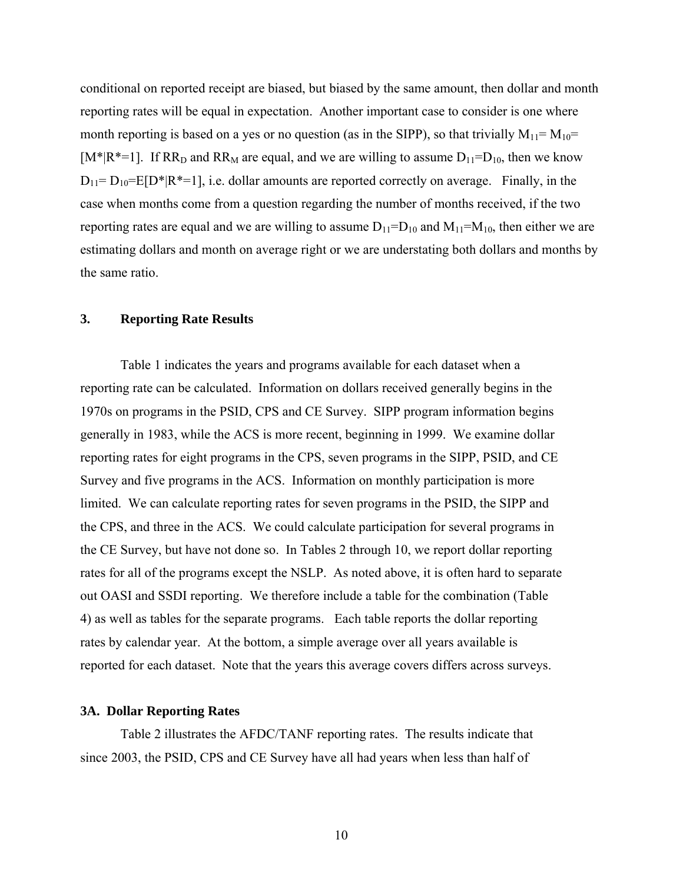conditional on reported receipt are biased, but biased by the same amount, then dollar and month reporting rates will be equal in expectation. Another important case to consider is one where month reporting is based on a yes or no question (as in the SIPP), so that trivially  $M_{11} = M_{10} =$ [ $M^*$ |R<sup>\*</sup>=1]. If RR<sub>D</sub> and RR<sub>M</sub> are equal, and we are willing to assume  $D_{11}=D_{10}$ , then we know  $D_{11}=D_{10}=E[D^*|R^*=1]$ , i.e. dollar amounts are reported correctly on average. Finally, in the case when months come from a question regarding the number of months received, if the two reporting rates are equal and we are willing to assume  $D_{11}=D_{10}$  and  $M_{11}=M_{10}$ , then either we are estimating dollars and month on average right or we are understating both dollars and months by the same ratio.

## **3. Reporting Rate Results**

 Table 1 indicates the years and programs available for each dataset when a reporting rate can be calculated. Information on dollars received generally begins in the 1970s on programs in the PSID, CPS and CE Survey. SIPP program information begins generally in 1983, while the ACS is more recent, beginning in 1999. We examine dollar reporting rates for eight programs in the CPS, seven programs in the SIPP, PSID, and CE Survey and five programs in the ACS. Information on monthly participation is more limited. We can calculate reporting rates for seven programs in the PSID, the SIPP and the CPS, and three in the ACS. We could calculate participation for several programs in the CE Survey, but have not done so. In Tables 2 through 10, we report dollar reporting rates for all of the programs except the NSLP. As noted above, it is often hard to separate out OASI and SSDI reporting. We therefore include a table for the combination (Table 4) as well as tables for the separate programs. Each table reports the dollar reporting rates by calendar year. At the bottom, a simple average over all years available is reported for each dataset. Note that the years this average covers differs across surveys.

# **3A. Dollar Reporting Rates**

 Table 2 illustrates the AFDC/TANF reporting rates. The results indicate that since 2003, the PSID, CPS and CE Survey have all had years when less than half of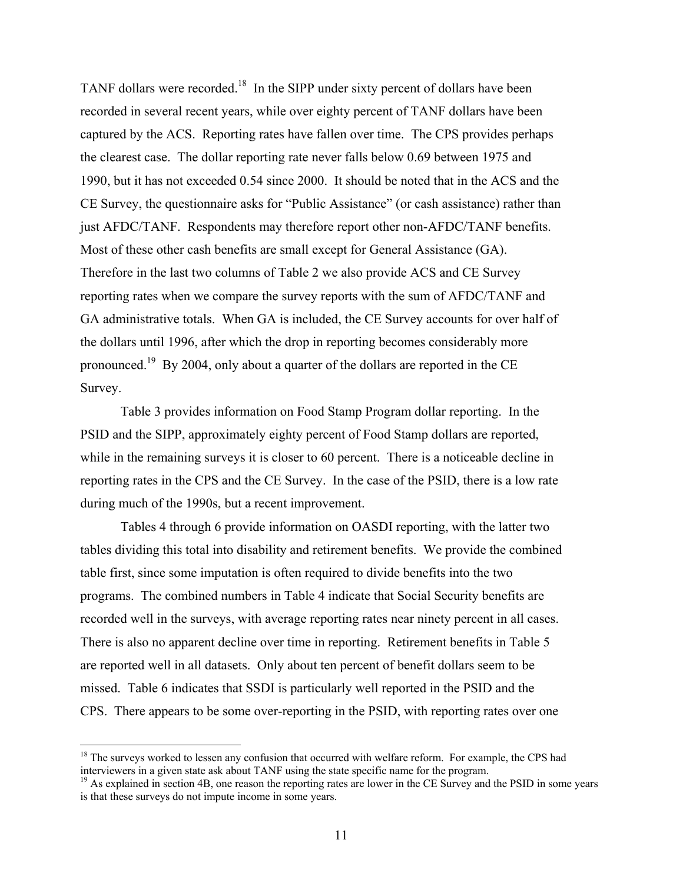TANF dollars were recorded.<sup>18</sup> In the SIPP under sixty percent of dollars have been recorded in several recent years, while over eighty percent of TANF dollars have been captured by the ACS. Reporting rates have fallen over time. The CPS provides perhaps the clearest case. The dollar reporting rate never falls below 0.69 between 1975 and 1990, but it has not exceeded 0.54 since 2000. It should be noted that in the ACS and the CE Survey, the questionnaire asks for "Public Assistance" (or cash assistance) rather than just AFDC/TANF. Respondents may therefore report other non-AFDC/TANF benefits. Most of these other cash benefits are small except for General Assistance (GA). Therefore in the last two columns of Table 2 we also provide ACS and CE Survey reporting rates when we compare the survey reports with the sum of AFDC/TANF and GA administrative totals. When GA is included, the CE Survey accounts for over half of the dollars until 1996, after which the drop in reporting becomes considerably more pronounced.19 By 2004, only about a quarter of the dollars are reported in the CE Survey.

 Table 3 provides information on Food Stamp Program dollar reporting. In the PSID and the SIPP, approximately eighty percent of Food Stamp dollars are reported, while in the remaining surveys it is closer to 60 percent. There is a noticeable decline in reporting rates in the CPS and the CE Survey. In the case of the PSID, there is a low rate during much of the 1990s, but a recent improvement.

 Tables 4 through 6 provide information on OASDI reporting, with the latter two tables dividing this total into disability and retirement benefits. We provide the combined table first, since some imputation is often required to divide benefits into the two programs. The combined numbers in Table 4 indicate that Social Security benefits are recorded well in the surveys, with average reporting rates near ninety percent in all cases. There is also no apparent decline over time in reporting. Retirement benefits in Table 5 are reported well in all datasets. Only about ten percent of benefit dollars seem to be missed. Table 6 indicates that SSDI is particularly well reported in the PSID and the CPS. There appears to be some over-reporting in the PSID, with reporting rates over one

 $18$  The surveys worked to lessen any confusion that occurred with welfare reform. For example, the CPS had interviewers in a given state ask about TANF using the state specific name for the program.

 $19$  As explained in section 4B, one reason the reporting rates are lower in the CE Survey and the PSID in some years is that these surveys do not impute income in some years.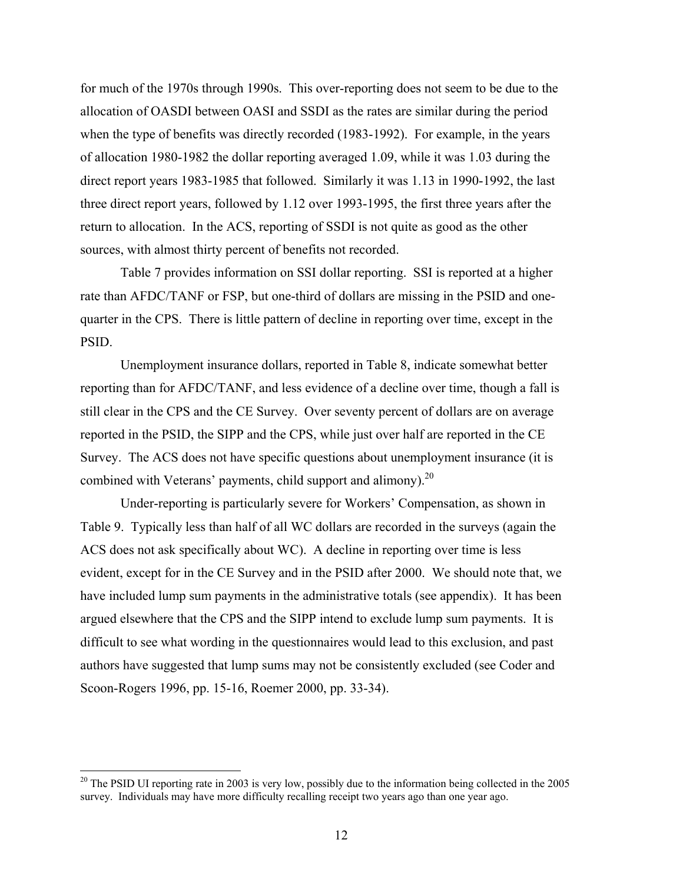for much of the 1970s through 1990s. This over-reporting does not seem to be due to the allocation of OASDI between OASI and SSDI as the rates are similar during the period when the type of benefits was directly recorded (1983-1992). For example, in the years of allocation 1980-1982 the dollar reporting averaged 1.09, while it was 1.03 during the direct report years 1983-1985 that followed. Similarly it was 1.13 in 1990-1992, the last three direct report years, followed by 1.12 over 1993-1995, the first three years after the return to allocation. In the ACS, reporting of SSDI is not quite as good as the other sources, with almost thirty percent of benefits not recorded.

 Table 7 provides information on SSI dollar reporting. SSI is reported at a higher rate than AFDC/TANF or FSP, but one-third of dollars are missing in the PSID and onequarter in the CPS. There is little pattern of decline in reporting over time, except in the PSID.

 Unemployment insurance dollars, reported in Table 8, indicate somewhat better reporting than for AFDC/TANF, and less evidence of a decline over time, though a fall is still clear in the CPS and the CE Survey. Over seventy percent of dollars are on average reported in the PSID, the SIPP and the CPS, while just over half are reported in the CE Survey. The ACS does not have specific questions about unemployment insurance (it is combined with Veterans' payments, child support and alimony).<sup>20</sup>

 Under-reporting is particularly severe for Workers' Compensation, as shown in Table 9. Typically less than half of all WC dollars are recorded in the surveys (again the ACS does not ask specifically about WC). A decline in reporting over time is less evident, except for in the CE Survey and in the PSID after 2000. We should note that, we have included lump sum payments in the administrative totals (see appendix). It has been argued elsewhere that the CPS and the SIPP intend to exclude lump sum payments. It is difficult to see what wording in the questionnaires would lead to this exclusion, and past authors have suggested that lump sums may not be consistently excluded (see Coder and Scoon-Rogers 1996, pp. 15-16, Roemer 2000, pp. 33-34).

 $20$  The PSID UI reporting rate in 2003 is very low, possibly due to the information being collected in the 2005 survey. Individuals may have more difficulty recalling receipt two years ago than one year ago.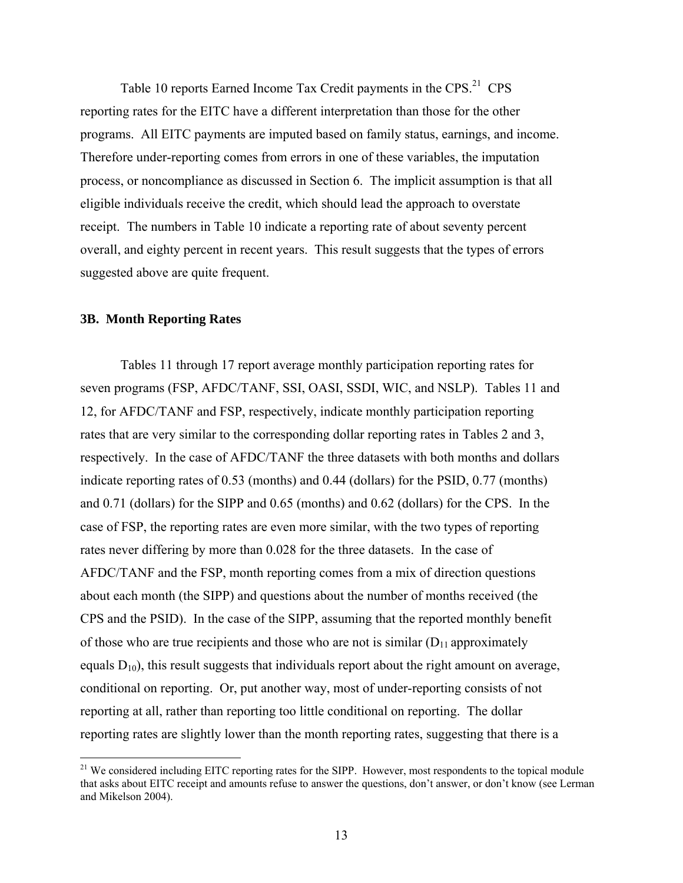Table 10 reports Earned Income Tax Credit payments in the CPS.<sup>21</sup> CPS reporting rates for the EITC have a different interpretation than those for the other programs. All EITC payments are imputed based on family status, earnings, and income. Therefore under-reporting comes from errors in one of these variables, the imputation process, or noncompliance as discussed in Section 6. The implicit assumption is that all eligible individuals receive the credit, which should lead the approach to overstate receipt. The numbers in Table 10 indicate a reporting rate of about seventy percent overall, and eighty percent in recent years. This result suggests that the types of errors suggested above are quite frequent.

## **3B. Month Reporting Rates**

 $\overline{a}$ 

 Tables 11 through 17 report average monthly participation reporting rates for seven programs (FSP, AFDC/TANF, SSI, OASI, SSDI, WIC, and NSLP). Tables 11 and 12, for AFDC/TANF and FSP, respectively, indicate monthly participation reporting rates that are very similar to the corresponding dollar reporting rates in Tables 2 and 3, respectively. In the case of AFDC/TANF the three datasets with both months and dollars indicate reporting rates of 0.53 (months) and 0.44 (dollars) for the PSID, 0.77 (months) and 0.71 (dollars) for the SIPP and 0.65 (months) and 0.62 (dollars) for the CPS. In the case of FSP, the reporting rates are even more similar, with the two types of reporting rates never differing by more than 0.028 for the three datasets. In the case of AFDC/TANF and the FSP, month reporting comes from a mix of direction questions about each month (the SIPP) and questions about the number of months received (the CPS and the PSID). In the case of the SIPP, assuming that the reported monthly benefit of those who are true recipients and those who are not is similar  $(D_{11}$  approximately equals  $D_{10}$ , this result suggests that individuals report about the right amount on average, conditional on reporting. Or, put another way, most of under-reporting consists of not reporting at all, rather than reporting too little conditional on reporting. The dollar reporting rates are slightly lower than the month reporting rates, suggesting that there is a

<sup>&</sup>lt;sup>21</sup> We considered including EITC reporting rates for the SIPP. However, most respondents to the topical module that asks about EITC receipt and amounts refuse to answer the questions, don't answer, or don't know (see Lerman and Mikelson 2004).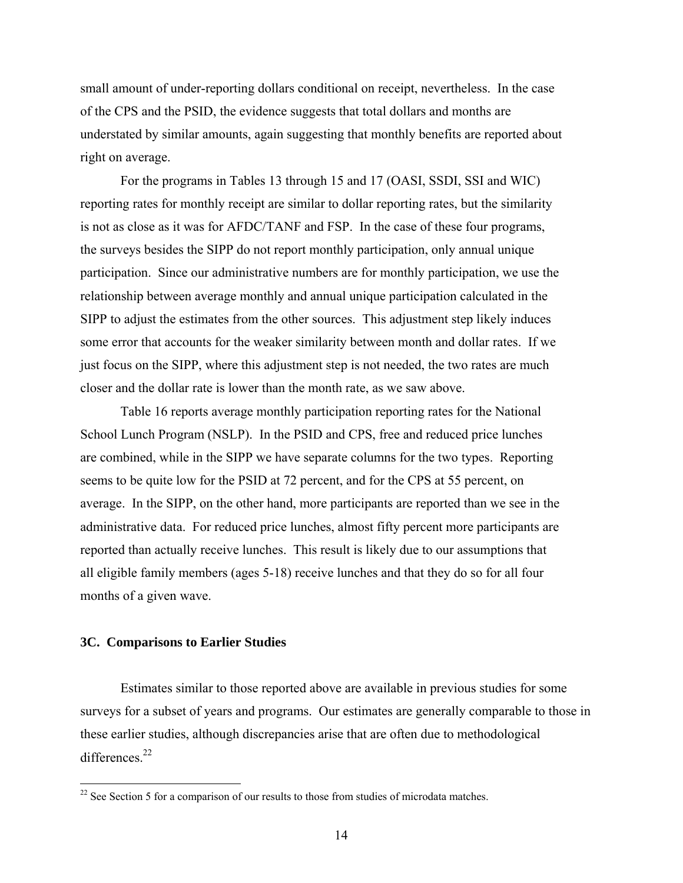small amount of under-reporting dollars conditional on receipt, nevertheless. In the case of the CPS and the PSID, the evidence suggests that total dollars and months are understated by similar amounts, again suggesting that monthly benefits are reported about right on average.

 For the programs in Tables 13 through 15 and 17 (OASI, SSDI, SSI and WIC) reporting rates for monthly receipt are similar to dollar reporting rates, but the similarity is not as close as it was for AFDC/TANF and FSP. In the case of these four programs, the surveys besides the SIPP do not report monthly participation, only annual unique participation. Since our administrative numbers are for monthly participation, we use the relationship between average monthly and annual unique participation calculated in the SIPP to adjust the estimates from the other sources. This adjustment step likely induces some error that accounts for the weaker similarity between month and dollar rates. If we just focus on the SIPP, where this adjustment step is not needed, the two rates are much closer and the dollar rate is lower than the month rate, as we saw above.

 Table 16 reports average monthly participation reporting rates for the National School Lunch Program (NSLP). In the PSID and CPS, free and reduced price lunches are combined, while in the SIPP we have separate columns for the two types. Reporting seems to be quite low for the PSID at 72 percent, and for the CPS at 55 percent, on average. In the SIPP, on the other hand, more participants are reported than we see in the administrative data. For reduced price lunches, almost fifty percent more participants are reported than actually receive lunches. This result is likely due to our assumptions that all eligible family members (ages 5-18) receive lunches and that they do so for all four months of a given wave.

### **3C. Comparisons to Earlier Studies**

 $\overline{a}$ 

Estimates similar to those reported above are available in previous studies for some surveys for a subset of years and programs. Our estimates are generally comparable to those in these earlier studies, although discrepancies arise that are often due to methodological differences $^{22}$ 

 $22$  See Section 5 for a comparison of our results to those from studies of microdata matches.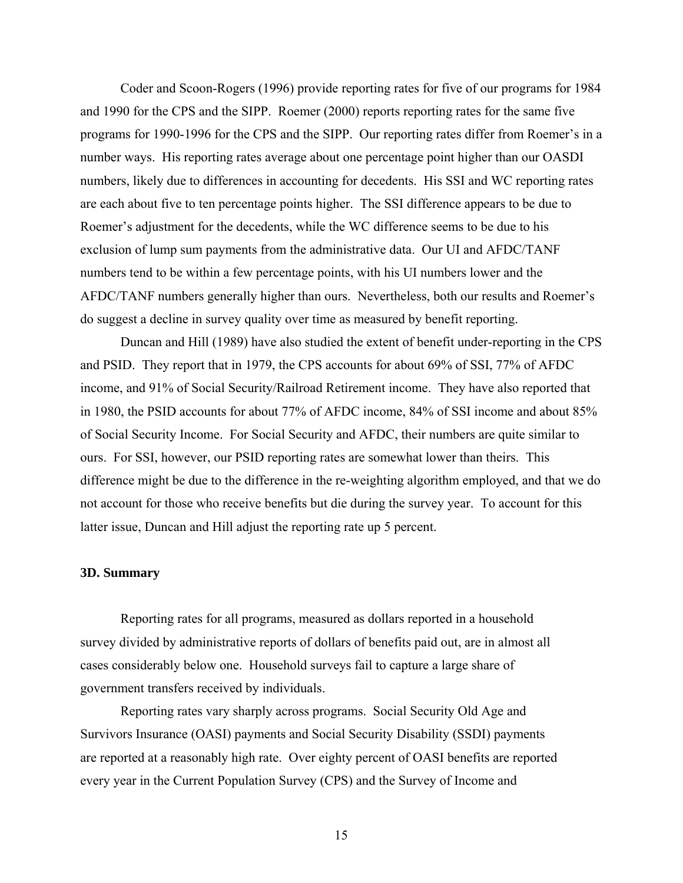Coder and Scoon-Rogers (1996) provide reporting rates for five of our programs for 1984 and 1990 for the CPS and the SIPP. Roemer (2000) reports reporting rates for the same five programs for 1990-1996 for the CPS and the SIPP. Our reporting rates differ from Roemer's in a number ways. His reporting rates average about one percentage point higher than our OASDI numbers, likely due to differences in accounting for decedents. His SSI and WC reporting rates are each about five to ten percentage points higher. The SSI difference appears to be due to Roemer's adjustment for the decedents, while the WC difference seems to be due to his exclusion of lump sum payments from the administrative data. Our UI and AFDC/TANF numbers tend to be within a few percentage points, with his UI numbers lower and the AFDC/TANF numbers generally higher than ours. Nevertheless, both our results and Roemer's do suggest a decline in survey quality over time as measured by benefit reporting.

Duncan and Hill (1989) have also studied the extent of benefit under-reporting in the CPS and PSID. They report that in 1979, the CPS accounts for about 69% of SSI, 77% of AFDC income, and 91% of Social Security/Railroad Retirement income. They have also reported that in 1980, the PSID accounts for about 77% of AFDC income, 84% of SSI income and about 85% of Social Security Income. For Social Security and AFDC, their numbers are quite similar to ours. For SSI, however, our PSID reporting rates are somewhat lower than theirs. This difference might be due to the difference in the re-weighting algorithm employed, and that we do not account for those who receive benefits but die during the survey year. To account for this latter issue, Duncan and Hill adjust the reporting rate up 5 percent.

## **3D. Summary**

 Reporting rates for all programs, measured as dollars reported in a household survey divided by administrative reports of dollars of benefits paid out, are in almost all cases considerably below one. Household surveys fail to capture a large share of government transfers received by individuals.

 Reporting rates vary sharply across programs. Social Security Old Age and Survivors Insurance (OASI) payments and Social Security Disability (SSDI) payments are reported at a reasonably high rate. Over eighty percent of OASI benefits are reported every year in the Current Population Survey (CPS) and the Survey of Income and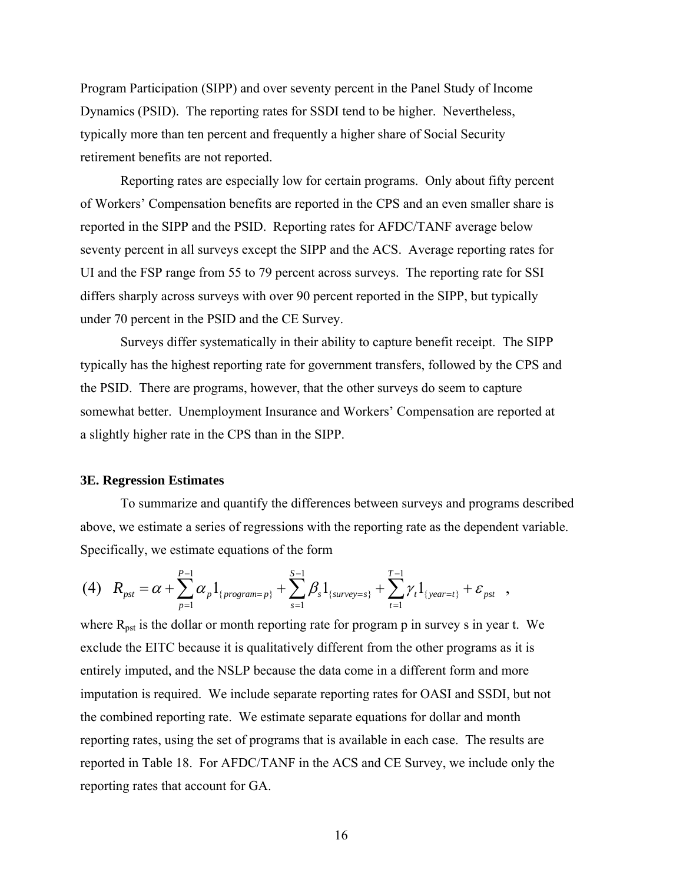Program Participation (SIPP) and over seventy percent in the Panel Study of Income Dynamics (PSID). The reporting rates for SSDI tend to be higher. Nevertheless, typically more than ten percent and frequently a higher share of Social Security retirement benefits are not reported.

 Reporting rates are especially low for certain programs. Only about fifty percent of Workers' Compensation benefits are reported in the CPS and an even smaller share is reported in the SIPP and the PSID. Reporting rates for AFDC/TANF average below seventy percent in all surveys except the SIPP and the ACS. Average reporting rates for UI and the FSP range from 55 to 79 percent across surveys. The reporting rate for SSI differs sharply across surveys with over 90 percent reported in the SIPP, but typically under 70 percent in the PSID and the CE Survey.

 Surveys differ systematically in their ability to capture benefit receipt. The SIPP typically has the highest reporting rate for government transfers, followed by the CPS and the PSID. There are programs, however, that the other surveys do seem to capture somewhat better. Unemployment Insurance and Workers' Compensation are reported at a slightly higher rate in the CPS than in the SIPP.

### **3E. Regression Estimates**

To summarize and quantify the differences between surveys and programs described above, we estimate a series of regressions with the reporting rate as the dependent variable. Specifically, we estimate equations of the form

$$
(4) \quad R_{pst} = \alpha + \sum_{p=1}^{P-1} \alpha_p 1_{\{program=p\}} + \sum_{s=1}^{S-1} \beta_s 1_{\{survey=s\}} + \sum_{t=1}^{T-1} \gamma_t 1_{\{year=t\}} + \varepsilon_{pst} \quad ,
$$

where  $R_{\text{pst}}$  is the dollar or month reporting rate for program p in survey s in year t. We exclude the EITC because it is qualitatively different from the other programs as it is entirely imputed, and the NSLP because the data come in a different form and more imputation is required. We include separate reporting rates for OASI and SSDI, but not the combined reporting rate. We estimate separate equations for dollar and month reporting rates, using the set of programs that is available in each case. The results are reported in Table 18. For AFDC/TANF in the ACS and CE Survey, we include only the reporting rates that account for GA.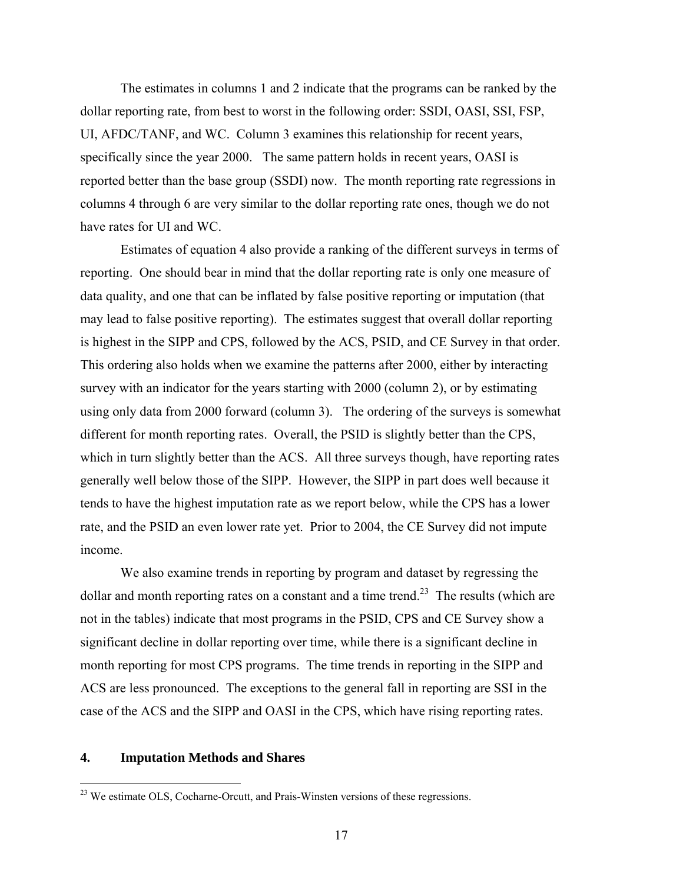The estimates in columns 1 and 2 indicate that the programs can be ranked by the dollar reporting rate, from best to worst in the following order: SSDI, OASI, SSI, FSP, UI, AFDC/TANF, and WC. Column 3 examines this relationship for recent years, specifically since the year 2000. The same pattern holds in recent years, OASI is reported better than the base group (SSDI) now. The month reporting rate regressions in columns 4 through 6 are very similar to the dollar reporting rate ones, though we do not have rates for UI and WC.

 Estimates of equation 4 also provide a ranking of the different surveys in terms of reporting. One should bear in mind that the dollar reporting rate is only one measure of data quality, and one that can be inflated by false positive reporting or imputation (that may lead to false positive reporting). The estimates suggest that overall dollar reporting is highest in the SIPP and CPS, followed by the ACS, PSID, and CE Survey in that order. This ordering also holds when we examine the patterns after 2000, either by interacting survey with an indicator for the years starting with 2000 (column 2), or by estimating using only data from 2000 forward (column 3). The ordering of the surveys is somewhat different for month reporting rates. Overall, the PSID is slightly better than the CPS, which in turn slightly better than the ACS. All three surveys though, have reporting rates generally well below those of the SIPP. However, the SIPP in part does well because it tends to have the highest imputation rate as we report below, while the CPS has a lower rate, and the PSID an even lower rate yet. Prior to 2004, the CE Survey did not impute income.

 We also examine trends in reporting by program and dataset by regressing the dollar and month reporting rates on a constant and a time trend.<sup>23</sup> The results (which are not in the tables) indicate that most programs in the PSID, CPS and CE Survey show a significant decline in dollar reporting over time, while there is a significant decline in month reporting for most CPS programs. The time trends in reporting in the SIPP and ACS are less pronounced. The exceptions to the general fall in reporting are SSI in the case of the ACS and the SIPP and OASI in the CPS, which have rising reporting rates.

### **4. Imputation Methods and Shares**

<sup>&</sup>lt;sup>23</sup> We estimate OLS, Cocharne-Orcutt, and Prais-Winsten versions of these regressions.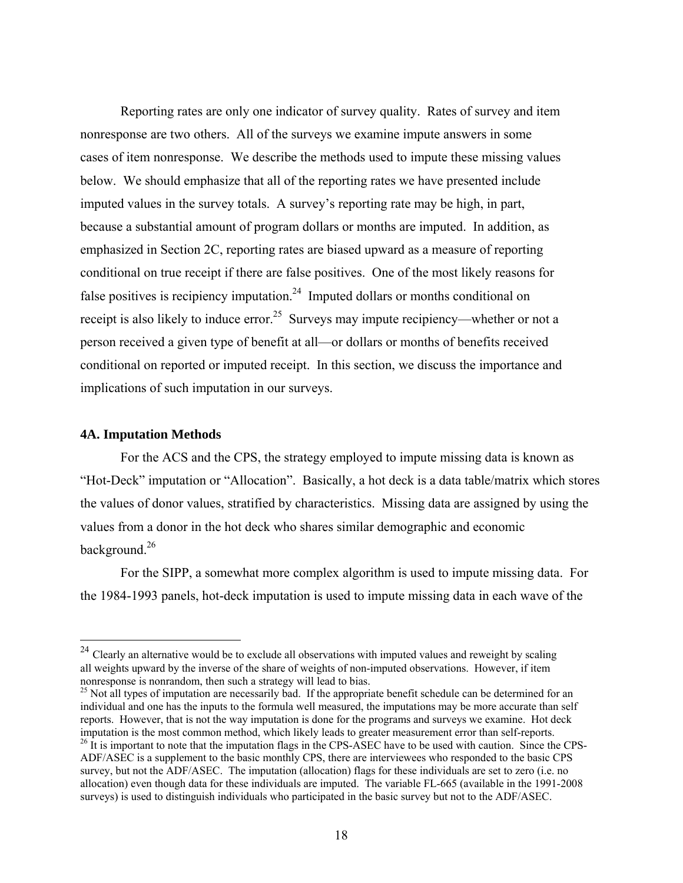Reporting rates are only one indicator of survey quality. Rates of survey and item nonresponse are two others. All of the surveys we examine impute answers in some cases of item nonresponse. We describe the methods used to impute these missing values below. We should emphasize that all of the reporting rates we have presented include imputed values in the survey totals. A survey's reporting rate may be high, in part, because a substantial amount of program dollars or months are imputed. In addition, as emphasized in Section 2C, reporting rates are biased upward as a measure of reporting conditional on true receipt if there are false positives. One of the most likely reasons for false positives is recipiency imputation.<sup>24</sup> Imputed dollars or months conditional on receipt is also likely to induce error.<sup>25</sup> Surveys may impute recipiency—whether or not a person received a given type of benefit at all—or dollars or months of benefits received conditional on reported or imputed receipt. In this section, we discuss the importance and implications of such imputation in our surveys.

### **4A. Imputation Methods**

 $\overline{a}$ 

For the ACS and the CPS, the strategy employed to impute missing data is known as "Hot-Deck" imputation or "Allocation". Basically, a hot deck is a data table/matrix which stores the values of donor values, stratified by characteristics. Missing data are assigned by using the values from a donor in the hot deck who shares similar demographic and economic background.26

For the SIPP, a somewhat more complex algorithm is used to impute missing data. For the 1984-1993 panels, hot-deck imputation is used to impute missing data in each wave of the

 $2<sup>24</sup>$  Clearly an alternative would be to exclude all observations with imputed values and reweight by scaling all weights upward by the inverse of the share of weights of non-imputed observations. However, if item nonresponse is nonrandom, then such a strategy will lead to bias.

<sup>&</sup>lt;sup>25</sup> Not all types of imputation are necessarily bad. If the appropriate benefit schedule can be determined for an individual and one has the inputs to the formula well measured, the imputations may be more accurate than self reports. However, that is not the way imputation is done for the programs and surveys we examine. Hot deck imputation is the most common method, which likely leads to greater measurement error than self-reports.  $^{26}$  It is important to note that the imputation flags in the CPS-ASEC have to be used with caution. Since the CPS-ADF/ASEC is a supplement to the basic monthly CPS, there are interviewees who responded to the basic CPS survey, but not the ADF/ASEC. The imputation (allocation) flags for these individuals are set to zero (i.e. no allocation) even though data for these individuals are imputed. The variable FL-665 (available in the 1991-2008 surveys) is used to distinguish individuals who participated in the basic survey but not to the ADF/ASEC.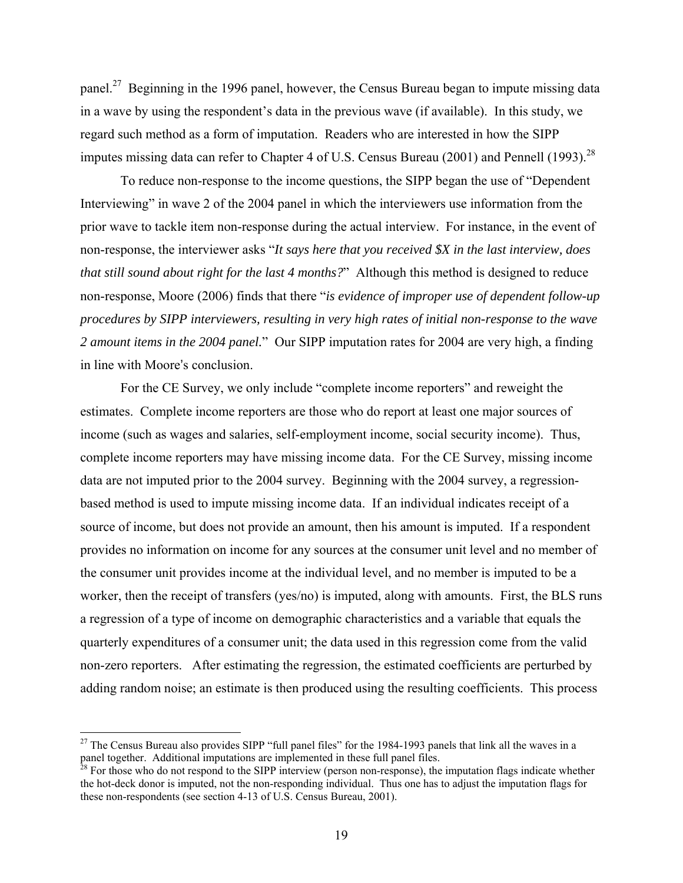panel.<sup>27</sup> Beginning in the 1996 panel, however, the Census Bureau began to impute missing data in a wave by using the respondent's data in the previous wave (if available). In this study, we regard such method as a form of imputation. Readers who are interested in how the SIPP imputes missing data can refer to Chapter 4 of U.S. Census Bureau (2001) and Pennell (1993).<sup>28</sup>

 To reduce non-response to the income questions, the SIPP began the use of "Dependent Interviewing" in wave 2 of the 2004 panel in which the interviewers use information from the prior wave to tackle item non-response during the actual interview. For instance, in the event of non-response, the interviewer asks "*It says here that you received \$X in the last interview, does that still sound about right for the last 4 months?*" Although this method is designed to reduce non-response, Moore (2006) finds that there "*is evidence of improper use of dependent follow-up procedures by SIPP interviewers, resulting in very high rates of initial non-response to the wave 2 amount items in the 2004 panel.*" Our SIPP imputation rates for 2004 are very high, a finding in line with Moore's conclusion.

 For the CE Survey, we only include "complete income reporters" and reweight the estimates. Complete income reporters are those who do report at least one major sources of income (such as wages and salaries, self-employment income, social security income). Thus, complete income reporters may have missing income data. For the CE Survey, missing income data are not imputed prior to the 2004 survey. Beginning with the 2004 survey, a regressionbased method is used to impute missing income data. If an individual indicates receipt of a source of income, but does not provide an amount, then his amount is imputed. If a respondent provides no information on income for any sources at the consumer unit level and no member of the consumer unit provides income at the individual level, and no member is imputed to be a worker, then the receipt of transfers (yes/no) is imputed, along with amounts. First, the BLS runs a regression of a type of income on demographic characteristics and a variable that equals the quarterly expenditures of a consumer unit; the data used in this regression come from the valid non-zero reporters. After estimating the regression, the estimated coefficients are perturbed by adding random noise; an estimate is then produced using the resulting coefficients. This process

<sup>&</sup>lt;sup>27</sup> The Census Bureau also provides SIPP "full panel files" for the 1984-1993 panels that link all the waves in a panel together. Additional imputations are implemented in these full panel files.

 $28$  For those who do not respond to the SIPP interview (person non-response), the imputation flags indicate whether the hot-deck donor is imputed, not the non-responding individual. Thus one has to adjust the imputation flags for these non-respondents (see section 4-13 of U.S. Census Bureau, 2001).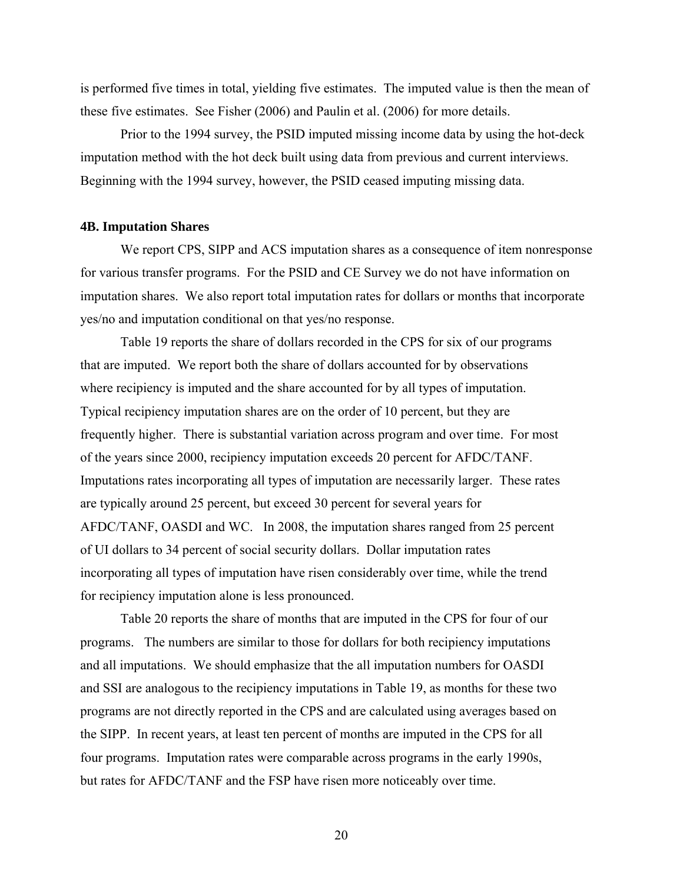is performed five times in total, yielding five estimates. The imputed value is then the mean of these five estimates. See Fisher (2006) and Paulin et al. (2006) for more details.

 Prior to the 1994 survey, the PSID imputed missing income data by using the hot-deck imputation method with the hot deck built using data from previous and current interviews. Beginning with the 1994 survey, however, the PSID ceased imputing missing data.

### **4B. Imputation Shares**

We report CPS, SIPP and ACS imputation shares as a consequence of item nonresponse for various transfer programs. For the PSID and CE Survey we do not have information on imputation shares. We also report total imputation rates for dollars or months that incorporate yes/no and imputation conditional on that yes/no response.

 Table 19 reports the share of dollars recorded in the CPS for six of our programs that are imputed. We report both the share of dollars accounted for by observations where recipiency is imputed and the share accounted for by all types of imputation. Typical recipiency imputation shares are on the order of 10 percent, but they are frequently higher. There is substantial variation across program and over time. For most of the years since 2000, recipiency imputation exceeds 20 percent for AFDC/TANF. Imputations rates incorporating all types of imputation are necessarily larger. These rates are typically around 25 percent, but exceed 30 percent for several years for AFDC/TANF, OASDI and WC. In 2008, the imputation shares ranged from 25 percent of UI dollars to 34 percent of social security dollars. Dollar imputation rates incorporating all types of imputation have risen considerably over time, while the trend for recipiency imputation alone is less pronounced.

 Table 20 reports the share of months that are imputed in the CPS for four of our programs. The numbers are similar to those for dollars for both recipiency imputations and all imputations. We should emphasize that the all imputation numbers for OASDI and SSI are analogous to the recipiency imputations in Table 19, as months for these two programs are not directly reported in the CPS and are calculated using averages based on the SIPP. In recent years, at least ten percent of months are imputed in the CPS for all four programs. Imputation rates were comparable across programs in the early 1990s, but rates for AFDC/TANF and the FSP have risen more noticeably over time.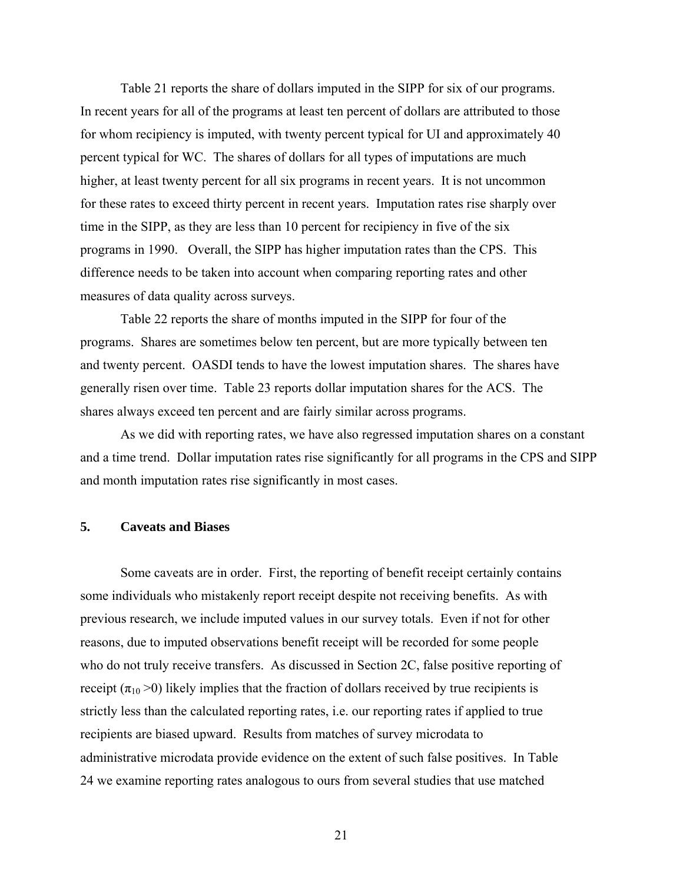Table 21 reports the share of dollars imputed in the SIPP for six of our programs. In recent years for all of the programs at least ten percent of dollars are attributed to those for whom recipiency is imputed, with twenty percent typical for UI and approximately 40 percent typical for WC. The shares of dollars for all types of imputations are much higher, at least twenty percent for all six programs in recent years. It is not uncommon for these rates to exceed thirty percent in recent years. Imputation rates rise sharply over time in the SIPP, as they are less than 10 percent for recipiency in five of the six programs in 1990. Overall, the SIPP has higher imputation rates than the CPS. This difference needs to be taken into account when comparing reporting rates and other measures of data quality across surveys.

 Table 22 reports the share of months imputed in the SIPP for four of the programs. Shares are sometimes below ten percent, but are more typically between ten and twenty percent. OASDI tends to have the lowest imputation shares. The shares have generally risen over time. Table 23 reports dollar imputation shares for the ACS. The shares always exceed ten percent and are fairly similar across programs.

 As we did with reporting rates, we have also regressed imputation shares on a constant and a time trend. Dollar imputation rates rise significantly for all programs in the CPS and SIPP and month imputation rates rise significantly in most cases.

### **5. Caveats and Biases**

 Some caveats are in order. First, the reporting of benefit receipt certainly contains some individuals who mistakenly report receipt despite not receiving benefits. As with previous research, we include imputed values in our survey totals. Even if not for other reasons, due to imputed observations benefit receipt will be recorded for some people who do not truly receive transfers. As discussed in Section 2C, false positive reporting of receipt ( $\pi_{10}$  >0) likely implies that the fraction of dollars received by true recipients is strictly less than the calculated reporting rates, i.e. our reporting rates if applied to true recipients are biased upward. Results from matches of survey microdata to administrative microdata provide evidence on the extent of such false positives. In Table 24 we examine reporting rates analogous to ours from several studies that use matched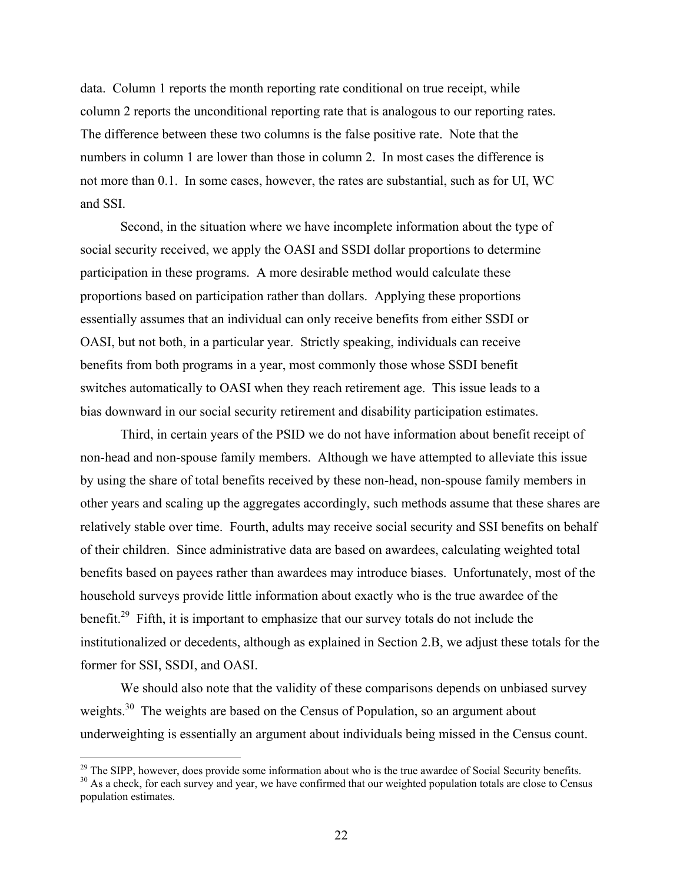data. Column 1 reports the month reporting rate conditional on true receipt, while column 2 reports the unconditional reporting rate that is analogous to our reporting rates. The difference between these two columns is the false positive rate. Note that the numbers in column 1 are lower than those in column 2. In most cases the difference is not more than 0.1. In some cases, however, the rates are substantial, such as for UI, WC and SSI.

 Second, in the situation where we have incomplete information about the type of social security received, we apply the OASI and SSDI dollar proportions to determine participation in these programs. A more desirable method would calculate these proportions based on participation rather than dollars. Applying these proportions essentially assumes that an individual can only receive benefits from either SSDI or OASI, but not both, in a particular year. Strictly speaking, individuals can receive benefits from both programs in a year, most commonly those whose SSDI benefit switches automatically to OASI when they reach retirement age. This issue leads to a bias downward in our social security retirement and disability participation estimates.

 Third, in certain years of the PSID we do not have information about benefit receipt of non-head and non-spouse family members. Although we have attempted to alleviate this issue by using the share of total benefits received by these non-head, non-spouse family members in other years and scaling up the aggregates accordingly, such methods assume that these shares are relatively stable over time. Fourth, adults may receive social security and SSI benefits on behalf of their children. Since administrative data are based on awardees, calculating weighted total benefits based on payees rather than awardees may introduce biases. Unfortunately, most of the household surveys provide little information about exactly who is the true awardee of the benefit.<sup>29</sup> Fifth, it is important to emphasize that our survey totals do not include the institutionalized or decedents, although as explained in Section 2.B, we adjust these totals for the former for SSI, SSDI, and OASI.

 We should also note that the validity of these comparisons depends on unbiased survey weights.<sup>30</sup> The weights are based on the Census of Population, so an argument about underweighting is essentially an argument about individuals being missed in the Census count.

<sup>&</sup>lt;sup>29</sup> The SIPP, however, does provide some information about who is the true awardee of Social Security benefits.<br><sup>30</sup> As a check, for each survey and year, we have confirmed that our weighted population totals are close t

population estimates.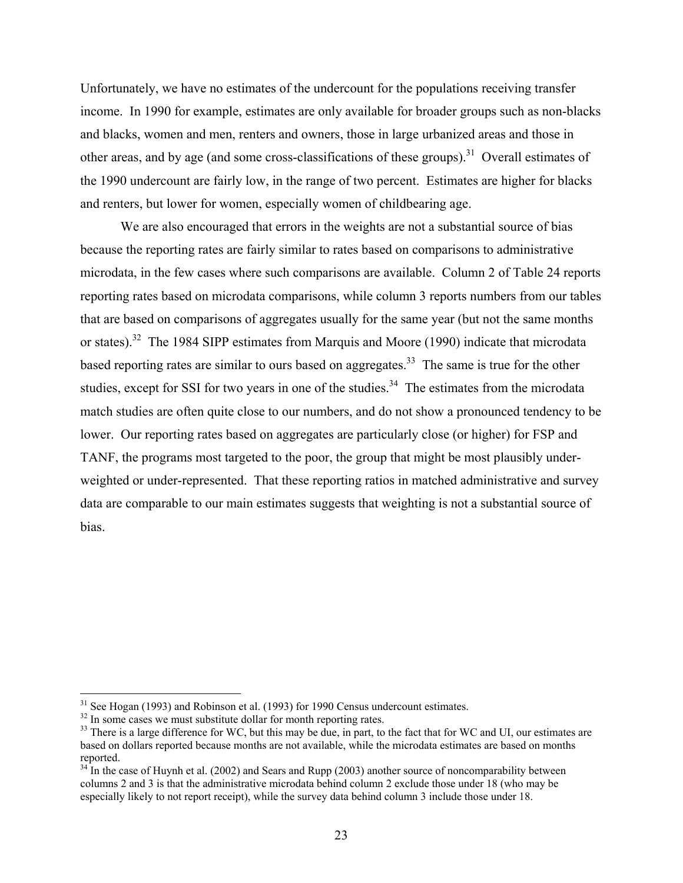Unfortunately, we have no estimates of the undercount for the populations receiving transfer income. In 1990 for example, estimates are only available for broader groups such as non-blacks and blacks, women and men, renters and owners, those in large urbanized areas and those in other areas, and by age (and some cross-classifications of these groups).<sup>31</sup> Overall estimates of the 1990 undercount are fairly low, in the range of two percent. Estimates are higher for blacks and renters, but lower for women, especially women of childbearing age.

 We are also encouraged that errors in the weights are not a substantial source of bias because the reporting rates are fairly similar to rates based on comparisons to administrative microdata, in the few cases where such comparisons are available. Column 2 of Table 24 reports reporting rates based on microdata comparisons, while column 3 reports numbers from our tables that are based on comparisons of aggregates usually for the same year (but not the same months or states).<sup>32</sup> The 1984 SIPP estimates from Marquis and Moore (1990) indicate that microdata based reporting rates are similar to ours based on aggregates.<sup>33</sup> The same is true for the other studies, except for SSI for two years in one of the studies.<sup>34</sup> The estimates from the microdata match studies are often quite close to our numbers, and do not show a pronounced tendency to be lower. Our reporting rates based on aggregates are particularly close (or higher) for FSP and TANF, the programs most targeted to the poor, the group that might be most plausibly underweighted or under-represented. That these reporting ratios in matched administrative and survey data are comparable to our main estimates suggests that weighting is not a substantial source of bias.

<sup>&</sup>lt;sup>31</sup> See Hogan (1993) and Robinson et al. (1993) for 1990 Census undercount estimates.

 $32$  In some cases we must substitute dollar for month reporting rates.

 $33$  There is a large difference for WC, but this may be due, in part, to the fact that for WC and UI, our estimates are based on dollars reported because months are not available, while the microdata estimates are based on months reported.

 $34$  In the case of Huynh et al. (2002) and Sears and Rupp (2003) another source of noncomparability between columns 2 and 3 is that the administrative microdata behind column 2 exclude those under 18 (who may be especially likely to not report receipt), while the survey data behind column 3 include those under 18.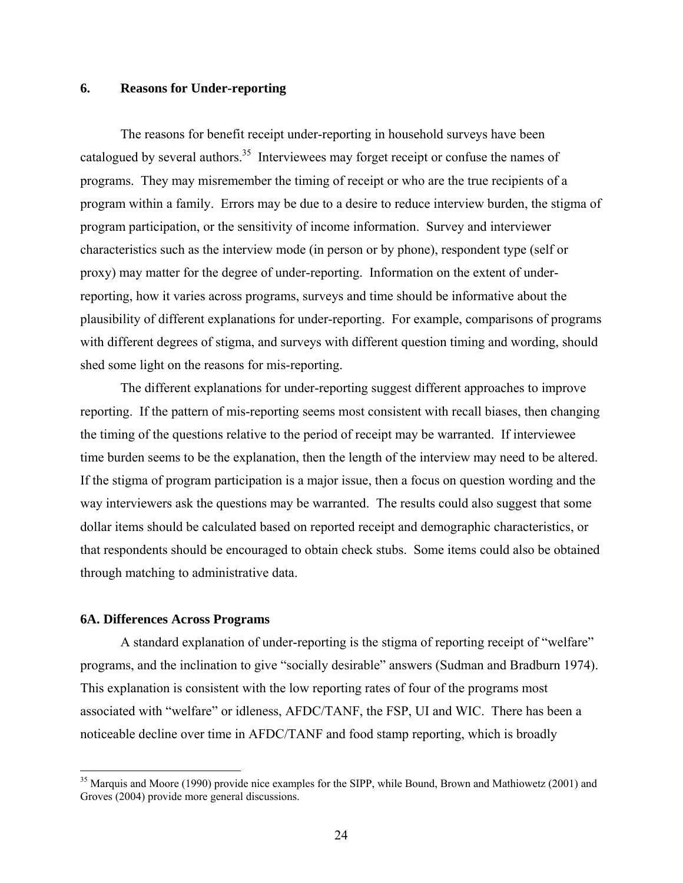# **6. Reasons for Under-reporting**

 The reasons for benefit receipt under-reporting in household surveys have been catalogued by several authors.<sup>35</sup> Interviewees may forget receipt or confuse the names of programs. They may misremember the timing of receipt or who are the true recipients of a program within a family. Errors may be due to a desire to reduce interview burden, the stigma of program participation, or the sensitivity of income information. Survey and interviewer characteristics such as the interview mode (in person or by phone), respondent type (self or proxy) may matter for the degree of under-reporting. Information on the extent of underreporting, how it varies across programs, surveys and time should be informative about the plausibility of different explanations for under-reporting. For example, comparisons of programs with different degrees of stigma, and surveys with different question timing and wording, should shed some light on the reasons for mis-reporting.

 The different explanations for under-reporting suggest different approaches to improve reporting. If the pattern of mis-reporting seems most consistent with recall biases, then changing the timing of the questions relative to the period of receipt may be warranted. If interviewee time burden seems to be the explanation, then the length of the interview may need to be altered. If the stigma of program participation is a major issue, then a focus on question wording and the way interviewers ask the questions may be warranted. The results could also suggest that some dollar items should be calculated based on reported receipt and demographic characteristics, or that respondents should be encouraged to obtain check stubs. Some items could also be obtained through matching to administrative data.

# **6A. Differences Across Programs**

 $\overline{a}$ 

 A standard explanation of under-reporting is the stigma of reporting receipt of "welfare" programs, and the inclination to give "socially desirable" answers (Sudman and Bradburn 1974). This explanation is consistent with the low reporting rates of four of the programs most associated with "welfare" or idleness, AFDC/TANF, the FSP, UI and WIC. There has been a noticeable decline over time in AFDC/TANF and food stamp reporting, which is broadly

<sup>&</sup>lt;sup>35</sup> Marquis and Moore (1990) provide nice examples for the SIPP, while Bound, Brown and Mathiowetz (2001) and Groves (2004) provide more general discussions.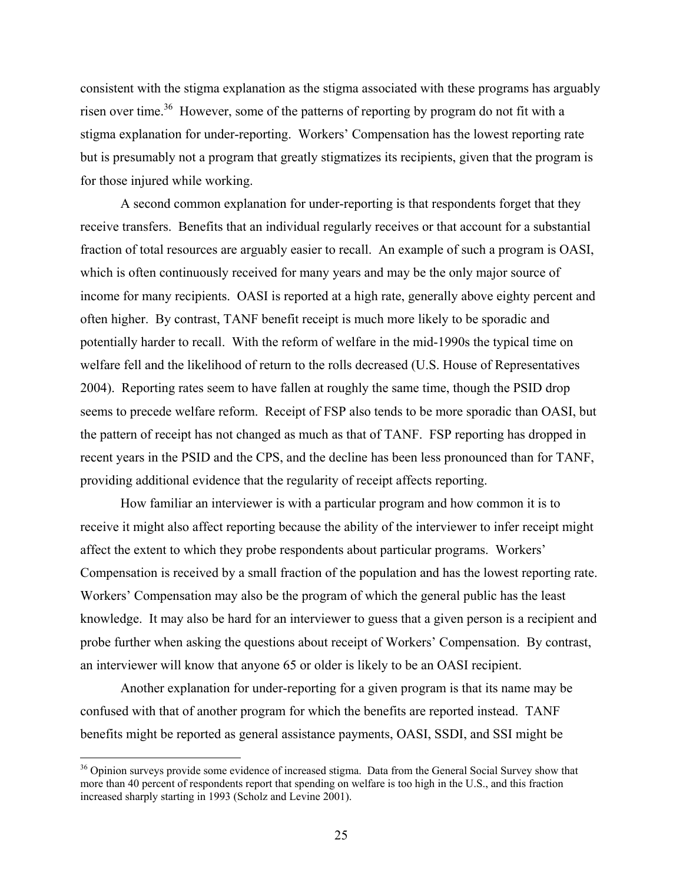consistent with the stigma explanation as the stigma associated with these programs has arguably risen over time.<sup>36</sup> However, some of the patterns of reporting by program do not fit with a stigma explanation for under-reporting. Workers' Compensation has the lowest reporting rate but is presumably not a program that greatly stigmatizes its recipients, given that the program is for those injured while working.

 A second common explanation for under-reporting is that respondents forget that they receive transfers. Benefits that an individual regularly receives or that account for a substantial fraction of total resources are arguably easier to recall. An example of such a program is OASI, which is often continuously received for many years and may be the only major source of income for many recipients. OASI is reported at a high rate, generally above eighty percent and often higher. By contrast, TANF benefit receipt is much more likely to be sporadic and potentially harder to recall. With the reform of welfare in the mid-1990s the typical time on welfare fell and the likelihood of return to the rolls decreased (U.S. House of Representatives 2004). Reporting rates seem to have fallen at roughly the same time, though the PSID drop seems to precede welfare reform. Receipt of FSP also tends to be more sporadic than OASI, but the pattern of receipt has not changed as much as that of TANF. FSP reporting has dropped in recent years in the PSID and the CPS, and the decline has been less pronounced than for TANF, providing additional evidence that the regularity of receipt affects reporting.

 How familiar an interviewer is with a particular program and how common it is to receive it might also affect reporting because the ability of the interviewer to infer receipt might affect the extent to which they probe respondents about particular programs. Workers' Compensation is received by a small fraction of the population and has the lowest reporting rate. Workers' Compensation may also be the program of which the general public has the least knowledge. It may also be hard for an interviewer to guess that a given person is a recipient and probe further when asking the questions about receipt of Workers' Compensation. By contrast, an interviewer will know that anyone 65 or older is likely to be an OASI recipient.

 Another explanation for under-reporting for a given program is that its name may be confused with that of another program for which the benefits are reported instead. TANF benefits might be reported as general assistance payments, OASI, SSDI, and SSI might be

<sup>&</sup>lt;sup>36</sup> Opinion surveys provide some evidence of increased stigma. Data from the General Social Survey show that more than 40 percent of respondents report that spending on welfare is too high in the U.S., and this fraction increased sharply starting in 1993 (Scholz and Levine 2001).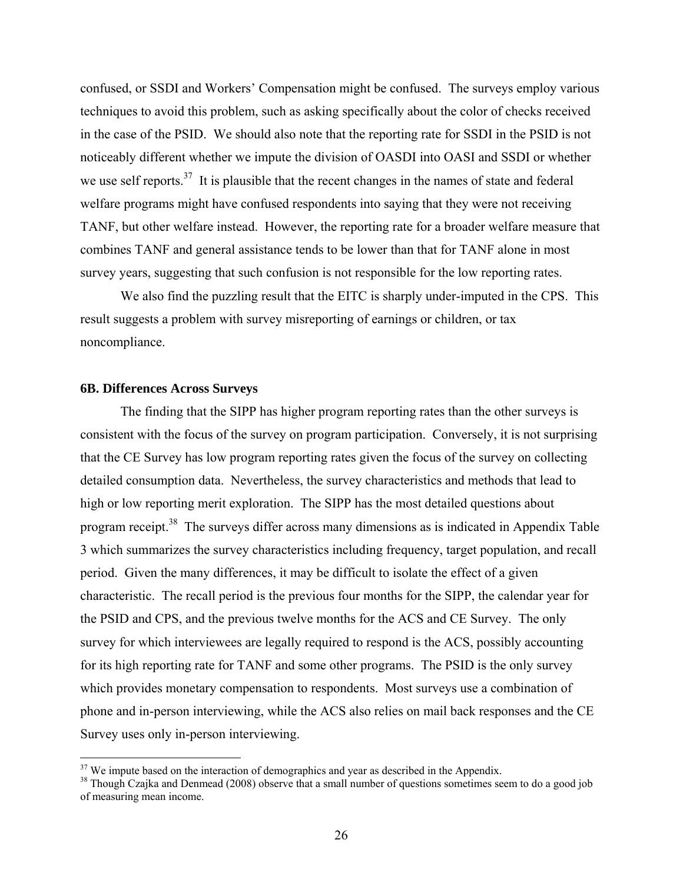confused, or SSDI and Workers' Compensation might be confused. The surveys employ various techniques to avoid this problem, such as asking specifically about the color of checks received in the case of the PSID. We should also note that the reporting rate for SSDI in the PSID is not noticeably different whether we impute the division of OASDI into OASI and SSDI or whether we use self reports.<sup>37</sup> It is plausible that the recent changes in the names of state and federal welfare programs might have confused respondents into saying that they were not receiving TANF, but other welfare instead. However, the reporting rate for a broader welfare measure that combines TANF and general assistance tends to be lower than that for TANF alone in most survey years, suggesting that such confusion is not responsible for the low reporting rates.

 We also find the puzzling result that the EITC is sharply under-imputed in the CPS. This result suggests a problem with survey misreporting of earnings or children, or tax noncompliance.

## **6B. Differences Across Surveys**

 $\overline{a}$ 

 The finding that the SIPP has higher program reporting rates than the other surveys is consistent with the focus of the survey on program participation. Conversely, it is not surprising that the CE Survey has low program reporting rates given the focus of the survey on collecting detailed consumption data. Nevertheless, the survey characteristics and methods that lead to high or low reporting merit exploration. The SIPP has the most detailed questions about program receipt.<sup>38</sup> The surveys differ across many dimensions as is indicated in Appendix Table 3 which summarizes the survey characteristics including frequency, target population, and recall period. Given the many differences, it may be difficult to isolate the effect of a given characteristic. The recall period is the previous four months for the SIPP, the calendar year for the PSID and CPS, and the previous twelve months for the ACS and CE Survey. The only survey for which interviewees are legally required to respond is the ACS, possibly accounting for its high reporting rate for TANF and some other programs. The PSID is the only survey which provides monetary compensation to respondents. Most surveys use a combination of phone and in-person interviewing, while the ACS also relies on mail back responses and the CE Survey uses only in-person interviewing.

 $37$  We impute based on the interaction of demographics and year as described in the Appendix.

<sup>&</sup>lt;sup>38</sup> Though Czajka and Denmead (2008) observe that a small number of questions sometimes seem to do a good job of measuring mean income.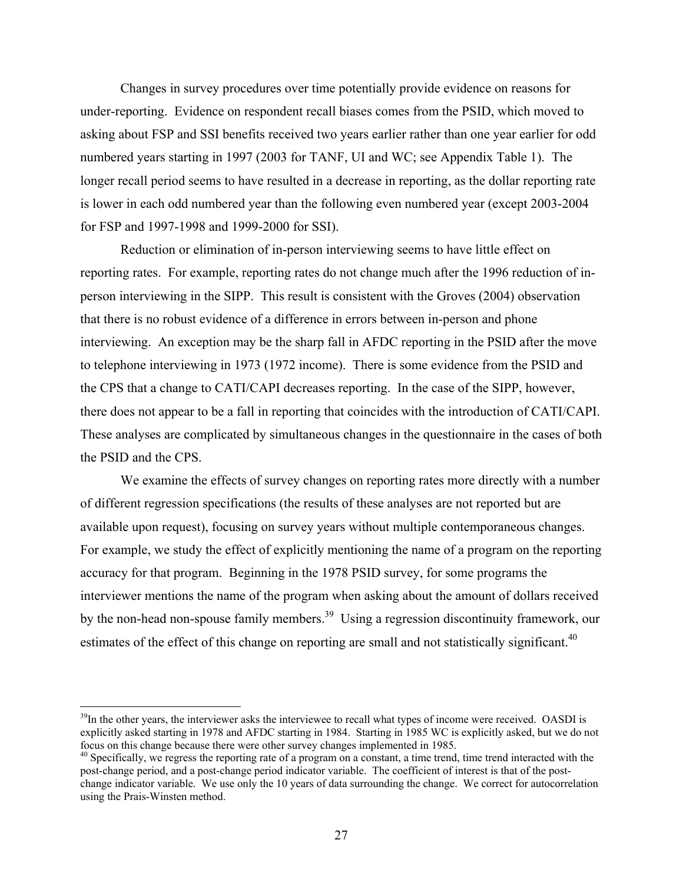Changes in survey procedures over time potentially provide evidence on reasons for under-reporting. Evidence on respondent recall biases comes from the PSID, which moved to asking about FSP and SSI benefits received two years earlier rather than one year earlier for odd numbered years starting in 1997 (2003 for TANF, UI and WC; see Appendix Table 1). The longer recall period seems to have resulted in a decrease in reporting, as the dollar reporting rate is lower in each odd numbered year than the following even numbered year (except 2003-2004 for FSP and 1997-1998 and 1999-2000 for SSI).

 Reduction or elimination of in-person interviewing seems to have little effect on reporting rates. For example, reporting rates do not change much after the 1996 reduction of inperson interviewing in the SIPP. This result is consistent with the Groves (2004) observation that there is no robust evidence of a difference in errors between in-person and phone interviewing. An exception may be the sharp fall in AFDC reporting in the PSID after the move to telephone interviewing in 1973 (1972 income). There is some evidence from the PSID and the CPS that a change to CATI/CAPI decreases reporting. In the case of the SIPP, however, there does not appear to be a fall in reporting that coincides with the introduction of CATI/CAPI. These analyses are complicated by simultaneous changes in the questionnaire in the cases of both the PSID and the CPS.

We examine the effects of survey changes on reporting rates more directly with a number of different regression specifications (the results of these analyses are not reported but are available upon request), focusing on survey years without multiple contemporaneous changes. For example, we study the effect of explicitly mentioning the name of a program on the reporting accuracy for that program. Beginning in the 1978 PSID survey, for some programs the interviewer mentions the name of the program when asking about the amount of dollars received by the non-head non-spouse family members.<sup>39</sup> Using a regression discontinuity framework, our estimates of the effect of this change on reporting are small and not statistically significant.<sup>40</sup>

<u>.</u>

 $39$ In the other years, the interviewer asks the interviewee to recall what types of income were received. OASDI is explicitly asked starting in 1978 and AFDC starting in 1984. Starting in 1985 WC is explicitly asked, but we do not focus on this change because there were other survey changes implemented in 1985.<br><sup>40</sup> Specifically, we regress the reporting rate of a program on a constant, a time trend, time trend interacted with the

post-change period, and a post-change period indicator variable. The coefficient of interest is that of the postchange indicator variable. We use only the 10 years of data surrounding the change. We correct for autocorrelation using the Prais-Winsten method.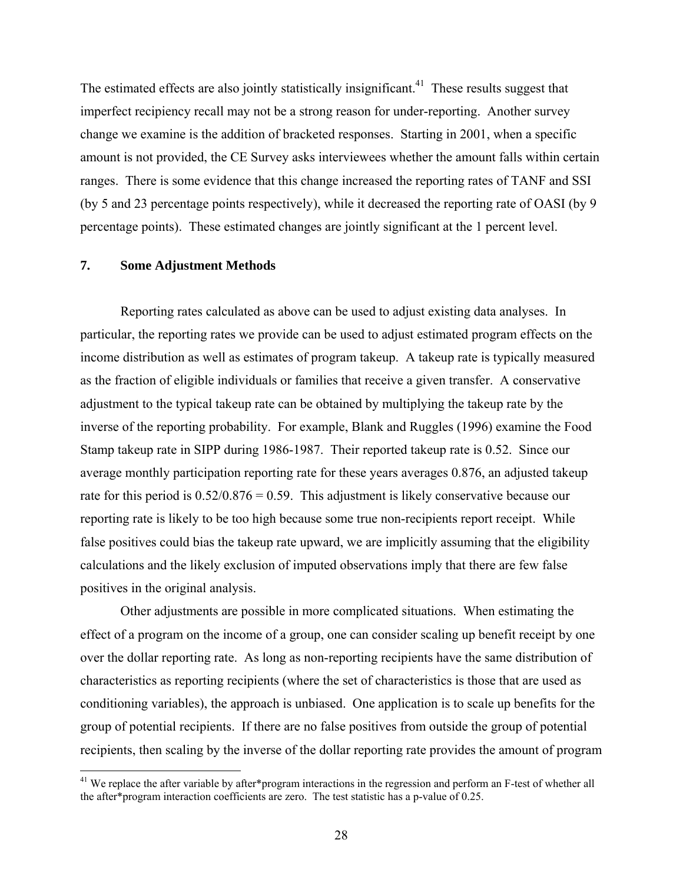The estimated effects are also jointly statistically insignificant.<sup>41</sup> These results suggest that imperfect recipiency recall may not be a strong reason for under-reporting. Another survey change we examine is the addition of bracketed responses. Starting in 2001, when a specific amount is not provided, the CE Survey asks interviewees whether the amount falls within certain ranges. There is some evidence that this change increased the reporting rates of TANF and SSI (by 5 and 23 percentage points respectively), while it decreased the reporting rate of OASI (by 9 percentage points). These estimated changes are jointly significant at the 1 percent level.

# **7. Some Adjustment Methods**

 $\overline{a}$ 

 Reporting rates calculated as above can be used to adjust existing data analyses. In particular, the reporting rates we provide can be used to adjust estimated program effects on the income distribution as well as estimates of program takeup. A takeup rate is typically measured as the fraction of eligible individuals or families that receive a given transfer. A conservative adjustment to the typical takeup rate can be obtained by multiplying the takeup rate by the inverse of the reporting probability. For example, Blank and Ruggles (1996) examine the Food Stamp takeup rate in SIPP during 1986-1987. Their reported takeup rate is 0.52. Since our average monthly participation reporting rate for these years averages 0.876, an adjusted takeup rate for this period is  $0.52/0.876 = 0.59$ . This adjustment is likely conservative because our reporting rate is likely to be too high because some true non-recipients report receipt. While false positives could bias the takeup rate upward, we are implicitly assuming that the eligibility calculations and the likely exclusion of imputed observations imply that there are few false positives in the original analysis.

Other adjustments are possible in more complicated situations. When estimating the effect of a program on the income of a group, one can consider scaling up benefit receipt by one over the dollar reporting rate. As long as non-reporting recipients have the same distribution of characteristics as reporting recipients (where the set of characteristics is those that are used as conditioning variables), the approach is unbiased. One application is to scale up benefits for the group of potential recipients. If there are no false positives from outside the group of potential recipients, then scaling by the inverse of the dollar reporting rate provides the amount of program

<sup>&</sup>lt;sup>41</sup> We replace the after variable by after\*program interactions in the regression and perform an F-test of whether all the after\*program interaction coefficients are zero. The test statistic has a p-value of 0.25.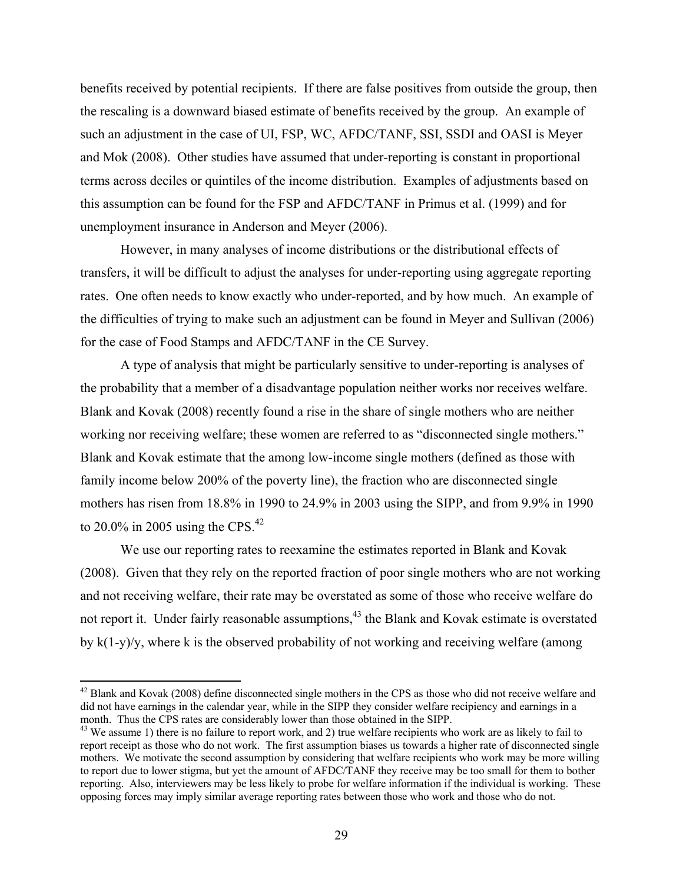benefits received by potential recipients. If there are false positives from outside the group, then the rescaling is a downward biased estimate of benefits received by the group. An example of such an adjustment in the case of UI, FSP, WC, AFDC/TANF, SSI, SSDI and OASI is Meyer and Mok (2008). Other studies have assumed that under-reporting is constant in proportional terms across deciles or quintiles of the income distribution. Examples of adjustments based on this assumption can be found for the FSP and AFDC/TANF in Primus et al. (1999) and for unemployment insurance in Anderson and Meyer (2006).

 However, in many analyses of income distributions or the distributional effects of transfers, it will be difficult to adjust the analyses for under-reporting using aggregate reporting rates. One often needs to know exactly who under-reported, and by how much. An example of the difficulties of trying to make such an adjustment can be found in Meyer and Sullivan (2006) for the case of Food Stamps and AFDC/TANF in the CE Survey.

 A type of analysis that might be particularly sensitive to under-reporting is analyses of the probability that a member of a disadvantage population neither works nor receives welfare. Blank and Kovak (2008) recently found a rise in the share of single mothers who are neither working nor receiving welfare; these women are referred to as "disconnected single mothers." Blank and Kovak estimate that the among low-income single mothers (defined as those with family income below 200% of the poverty line), the fraction who are disconnected single mothers has risen from 18.8% in 1990 to 24.9% in 2003 using the SIPP, and from 9.9% in 1990 to 20.0% in 2005 using the CPS. $^{42}$ 

 We use our reporting rates to reexamine the estimates reported in Blank and Kovak (2008). Given that they rely on the reported fraction of poor single mothers who are not working and not receiving welfare, their rate may be overstated as some of those who receive welfare do not report it. Under fairly reasonable assumptions,<sup>43</sup> the Blank and Kovak estimate is overstated by  $k(1-y)/y$ , where k is the observed probability of not working and receiving welfare (among

 $42$  Blank and Kovak (2008) define disconnected single mothers in the CPS as those who did not receive welfare and did not have earnings in the calendar year, while in the SIPP they consider welfare recipiency and earnings in a month. Thus the CPS rates are considerably lower than those obtained in the SIPP.

 $43$  We assume 1) there is no failure to report work, and 2) true welfare recipients who work are as likely to fail to report receipt as those who do not work. The first assumption biases us towards a higher rate of disconnected single mothers. We motivate the second assumption by considering that welfare recipients who work may be more willing to report due to lower stigma, but yet the amount of AFDC/TANF they receive may be too small for them to bother reporting. Also, interviewers may be less likely to probe for welfare information if the individual is working. These opposing forces may imply similar average reporting rates between those who work and those who do not.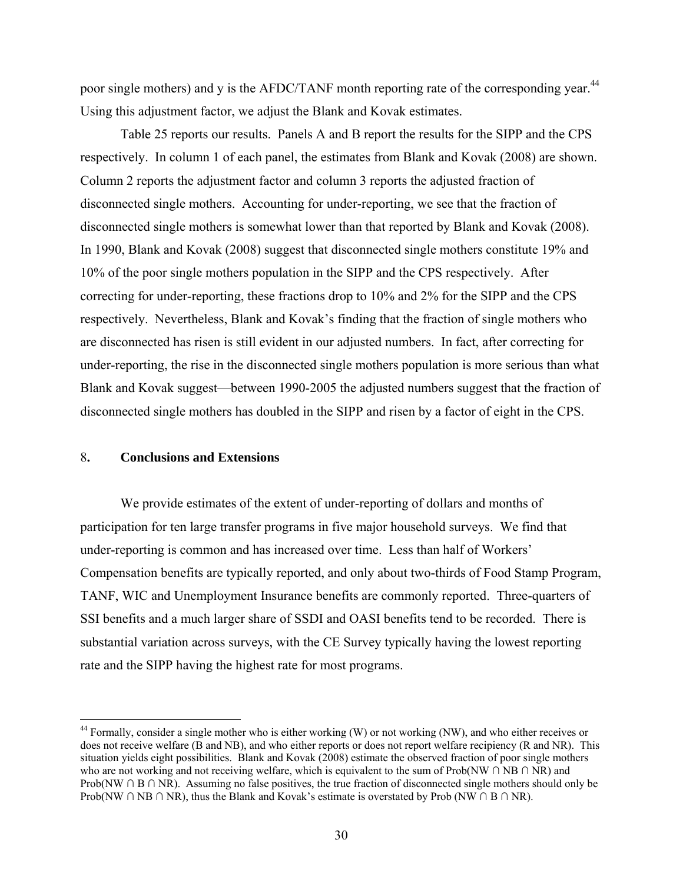poor single mothers) and y is the AFDC/TANF month reporting rate of the corresponding year.<sup>44</sup> Using this adjustment factor, we adjust the Blank and Kovak estimates.

 Table 25 reports our results. Panels A and B report the results for the SIPP and the CPS respectively. In column 1 of each panel, the estimates from Blank and Kovak (2008) are shown. Column 2 reports the adjustment factor and column 3 reports the adjusted fraction of disconnected single mothers. Accounting for under-reporting, we see that the fraction of disconnected single mothers is somewhat lower than that reported by Blank and Kovak (2008). In 1990, Blank and Kovak (2008) suggest that disconnected single mothers constitute 19% and 10% of the poor single mothers population in the SIPP and the CPS respectively. After correcting for under-reporting, these fractions drop to 10% and 2% for the SIPP and the CPS respectively. Nevertheless, Blank and Kovak's finding that the fraction of single mothers who are disconnected has risen is still evident in our adjusted numbers. In fact, after correcting for under-reporting, the rise in the disconnected single mothers population is more serious than what Blank and Kovak suggest—between 1990-2005 the adjusted numbers suggest that the fraction of disconnected single mothers has doubled in the SIPP and risen by a factor of eight in the CPS.

# 8**. Conclusions and Extensions**

 $\overline{a}$ 

We provide estimates of the extent of under-reporting of dollars and months of participation for ten large transfer programs in five major household surveys. We find that under-reporting is common and has increased over time. Less than half of Workers' Compensation benefits are typically reported, and only about two-thirds of Food Stamp Program, TANF, WIC and Unemployment Insurance benefits are commonly reported. Three-quarters of SSI benefits and a much larger share of SSDI and OASI benefits tend to be recorded. There is substantial variation across surveys, with the CE Survey typically having the lowest reporting rate and the SIPP having the highest rate for most programs.

<sup>&</sup>lt;sup>44</sup> Formally, consider a single mother who is either working (W) or not working (NW), and who either receives or does not receive welfare (B and NB), and who either reports or does not report welfare recipiency (R and NR). This situation yields eight possibilities. Blank and Kovak (2008) estimate the observed fraction of poor single mothers who are not working and not receiving welfare, which is equivalent to the sum of Prob(NW ∩ NB ∩ NR) and Prob(NW ∩ B ∩ NR). Assuming no false positives, the true fraction of disconnected single mothers should only be Prob(NW ∩ NB ∩ NR), thus the Blank and Kovak's estimate is overstated by Prob (NW ∩ B ∩ NR).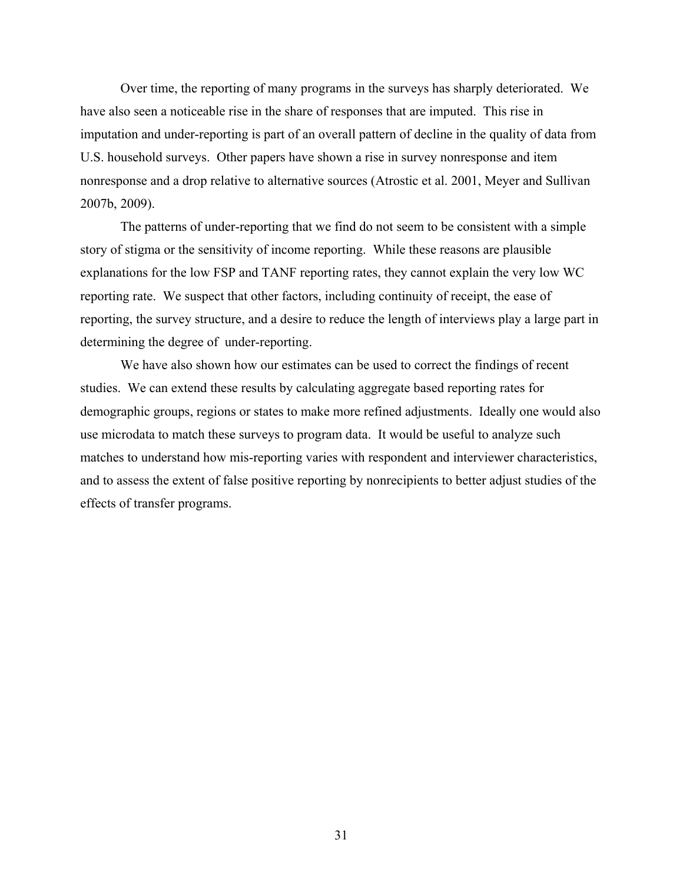Over time, the reporting of many programs in the surveys has sharply deteriorated. We have also seen a noticeable rise in the share of responses that are imputed. This rise in imputation and under-reporting is part of an overall pattern of decline in the quality of data from U.S. household surveys. Other papers have shown a rise in survey nonresponse and item nonresponse and a drop relative to alternative sources (Atrostic et al. 2001, Meyer and Sullivan 2007b, 2009).

The patterns of under-reporting that we find do not seem to be consistent with a simple story of stigma or the sensitivity of income reporting. While these reasons are plausible explanations for the low FSP and TANF reporting rates, they cannot explain the very low WC reporting rate. We suspect that other factors, including continuity of receipt, the ease of reporting, the survey structure, and a desire to reduce the length of interviews play a large part in determining the degree of under-reporting.

We have also shown how our estimates can be used to correct the findings of recent studies. We can extend these results by calculating aggregate based reporting rates for demographic groups, regions or states to make more refined adjustments. Ideally one would also use microdata to match these surveys to program data. It would be useful to analyze such matches to understand how mis-reporting varies with respondent and interviewer characteristics, and to assess the extent of false positive reporting by nonrecipients to better adjust studies of the effects of transfer programs.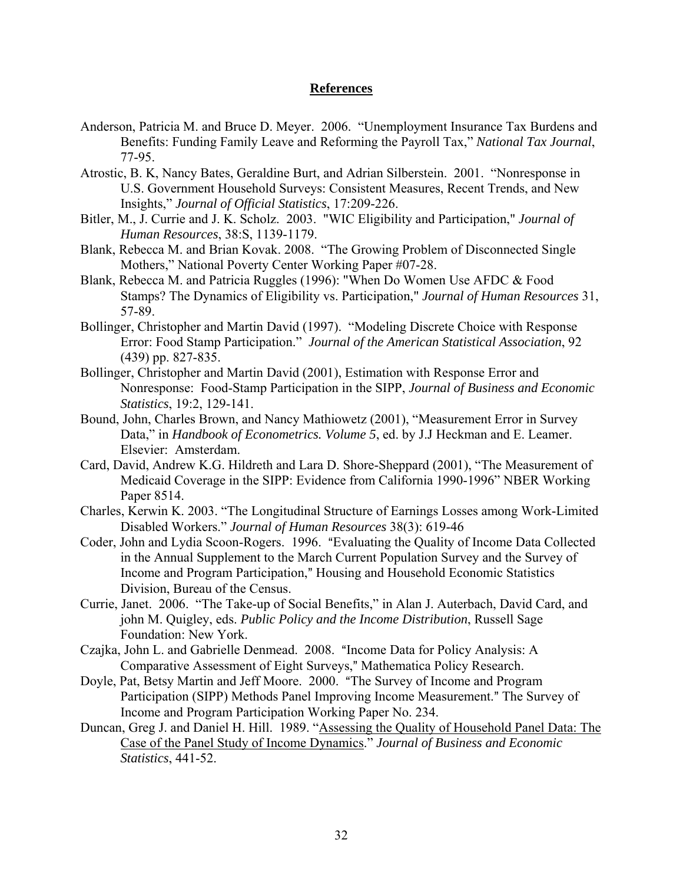# **References**

- Anderson, Patricia M. and Bruce D. Meyer. 2006. "Unemployment Insurance Tax Burdens and Benefits: Funding Family Leave and Reforming the Payroll Tax," *National Tax Journal*, 77-95.
- Atrostic, B. K, Nancy Bates, Geraldine Burt, and Adrian Silberstein. 2001. "Nonresponse in U.S. Government Household Surveys: Consistent Measures, Recent Trends, and New Insights," *Journal of Official Statistics*, 17:209-226.
- Bitler, M., J. Currie and J. K. Scholz. 2003. "WIC Eligibility and Participation," *Journal of Human Resources*, 38:S, 1139-1179.
- Blank, Rebecca M. and Brian Kovak. 2008. "The Growing Problem of Disconnected Single Mothers," National Poverty Center Working Paper #07-28.
- Blank, Rebecca M. and Patricia Ruggles (1996): "When Do Women Use AFDC & Food Stamps? The Dynamics of Eligibility vs. Participation," *Journal of Human Resources* 31, 57-89.
- Bollinger, Christopher and Martin David (1997). "Modeling Discrete Choice with Response Error: Food Stamp Participation." *Journal of the American Statistical Association*, 92 (439) pp. 827-835.
- Bollinger, Christopher and Martin David (2001), Estimation with Response Error and Nonresponse: Food-Stamp Participation in the SIPP, *Journal of Business and Economic Statistics*, 19:2, 129-141.
- Bound, John, Charles Brown, and Nancy Mathiowetz (2001), "Measurement Error in Survey Data," in *Handbook of Econometrics. Volume 5*, ed. by J.J Heckman and E. Leamer. Elsevier: Amsterdam.
- Card, David, Andrew K.G. Hildreth and Lara D. Shore-Sheppard (2001), "The Measurement of Medicaid Coverage in the SIPP: Evidence from California 1990-1996" NBER Working Paper 8514.
- Charles, Kerwin K. 2003. "The Longitudinal Structure of Earnings Losses among Work-Limited Disabled Workers." *Journal of Human Resources* 38(3): 619-46
- Coder, John and Lydia Scoon-Rogers. 1996. "Evaluating the Quality of Income Data Collected in the Annual Supplement to the March Current Population Survey and the Survey of Income and Program Participation," Housing and Household Economic Statistics Division, Bureau of the Census.
- Currie, Janet. 2006. "The Take-up of Social Benefits," in Alan J. Auterbach, David Card, and john M. Quigley, eds. *Public Policy and the Income Distribution*, Russell Sage Foundation: New York.
- Czajka, John L. and Gabrielle Denmead. 2008. "Income Data for Policy Analysis: A Comparative Assessment of Eight Surveys," Mathematica Policy Research.
- Doyle, Pat, Betsy Martin and Jeff Moore. 2000. "The Survey of Income and Program Participation (SIPP) Methods Panel Improving Income Measurement." The Survey of Income and Program Participation Working Paper No. 234.
- Duncan, Greg J. and Daniel H. Hill. 1989. "Assessing the Quality of Household Panel Data: The Case of the Panel Study of Income Dynamics." *Journal of Business and Economic Statistics*, 441-52.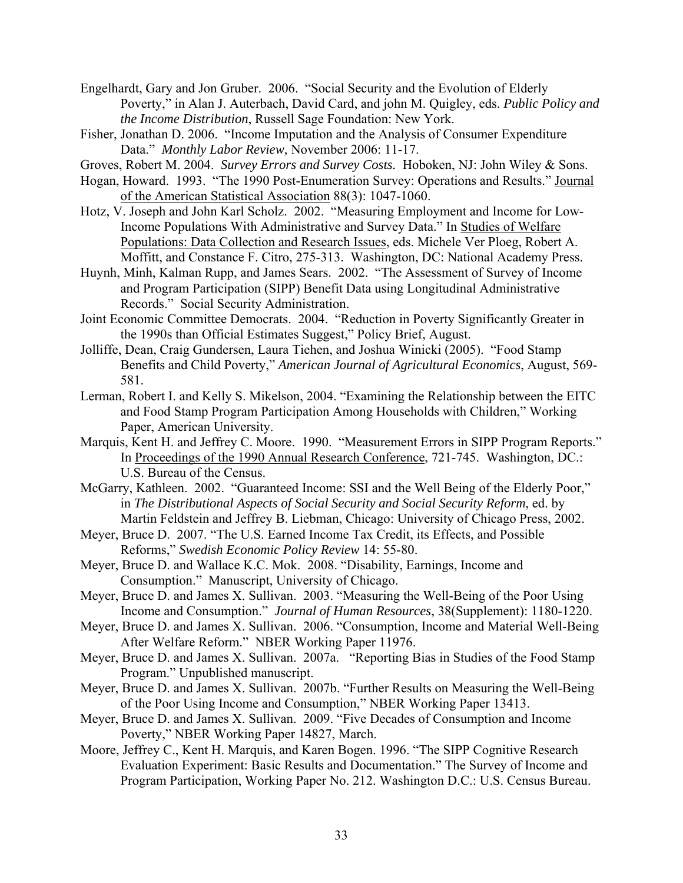Engelhardt, Gary and Jon Gruber. 2006. "Social Security and the Evolution of Elderly Poverty," in Alan J. Auterbach, David Card, and john M. Quigley, eds. *Public Policy and the Income Distribution*, Russell Sage Foundation: New York.

Fisher, Jonathan D. 2006. "Income Imputation and the Analysis of Consumer Expenditure Data." *Monthly Labor Review,* November 2006: 11-17.

Groves, Robert M. 2004. *Survey Errors and Survey Costs.* Hoboken, NJ: John Wiley & Sons.

- Hogan, Howard. 1993. "The 1990 Post-Enumeration Survey: Operations and Results." Journal of the American Statistical Association 88(3): 1047-1060.
- Hotz, V. Joseph and John Karl Scholz. 2002. "Measuring Employment and Income for Low-Income Populations With Administrative and Survey Data." In Studies of Welfare Populations: Data Collection and Research Issues, eds. Michele Ver Ploeg, Robert A. Moffitt, and Constance F. Citro, 275-313. Washington, DC: National Academy Press.
- Huynh, Minh, Kalman Rupp, and James Sears. 2002. "The Assessment of Survey of Income and Program Participation (SIPP) Benefit Data using Longitudinal Administrative Records." Social Security Administration.
- Joint Economic Committee Democrats. 2004. "Reduction in Poverty Significantly Greater in the 1990s than Official Estimates Suggest," Policy Brief, August.
- Jolliffe, Dean, Craig Gundersen, Laura Tiehen, and Joshua Winicki (2005). "Food Stamp Benefits and Child Poverty," *American Journal of Agricultural Economics*, August, 569- 581.
- Lerman, Robert I. and Kelly S. Mikelson, 2004. "Examining the Relationship between the EITC and Food Stamp Program Participation Among Households with Children," Working Paper, American University.
- Marquis, Kent H. and Jeffrey C. Moore. 1990. "Measurement Errors in SIPP Program Reports." In Proceedings of the 1990 Annual Research Conference, 721-745. Washington, DC.: U.S. Bureau of the Census.
- McGarry, Kathleen. 2002. "Guaranteed Income: SSI and the Well Being of the Elderly Poor," in *The Distributional Aspects of Social Security and Social Security Reform*, ed. by Martin Feldstein and Jeffrey B. Liebman, Chicago: University of Chicago Press, 2002.
- Meyer, Bruce D. 2007. "The U.S. Earned Income Tax Credit, its Effects, and Possible Reforms," *Swedish Economic Policy Review* 14: 55-80.
- Meyer, Bruce D. and Wallace K.C. Mok. 2008. "Disability, Earnings, Income and Consumption." Manuscript, University of Chicago.
- Meyer, Bruce D. and James X. Sullivan. 2003. "Measuring the Well-Being of the Poor Using Income and Consumption." *Journal of Human Resources*, 38(Supplement): 1180-1220.
- Meyer, Bruce D. and James X. Sullivan. 2006. "Consumption, Income and Material Well-Being After Welfare Reform." NBER Working Paper 11976.
- Meyer, Bruce D. and James X. Sullivan. 2007a. "Reporting Bias in Studies of the Food Stamp Program." Unpublished manuscript.
- Meyer, Bruce D. and James X. Sullivan. 2007b. "Further Results on Measuring the Well-Being of the Poor Using Income and Consumption," NBER Working Paper 13413.
- Meyer, Bruce D. and James X. Sullivan. 2009. "Five Decades of Consumption and Income Poverty," NBER Working Paper 14827, March.
- Moore, Jeffrey C., Kent H. Marquis, and Karen Bogen. 1996. "The SIPP Cognitive Research Evaluation Experiment: Basic Results and Documentation." The Survey of Income and Program Participation, Working Paper No. 212. Washington D.C.: U.S. Census Bureau.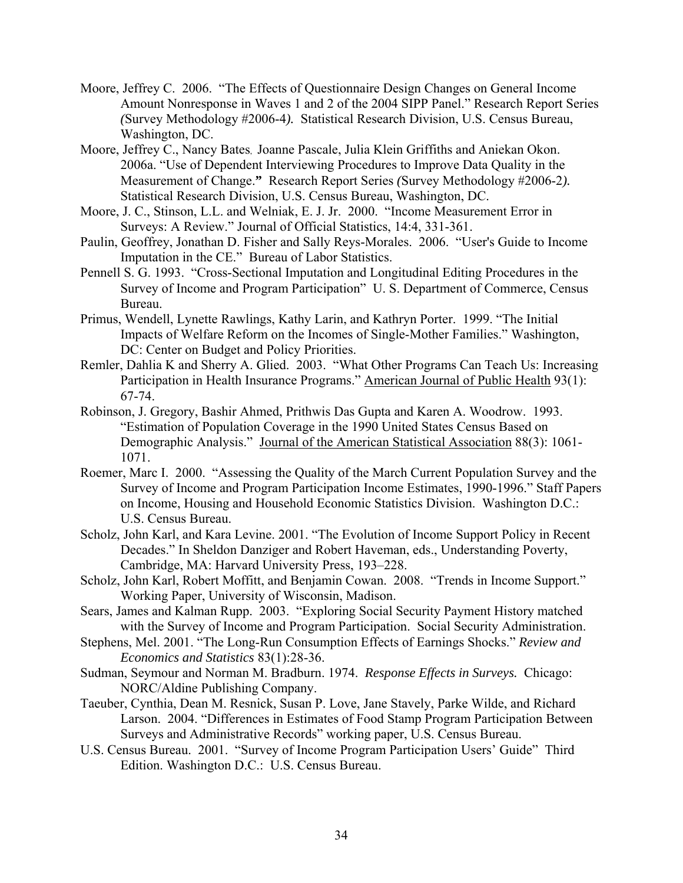- Moore, Jeffrey C. 2006. "The Effects of Questionnaire Design Changes on General Income Amount Nonresponse in Waves 1 and 2 of the 2004 SIPP Panel." Research Report Series *(*Survey Methodology #2006-4*).* Statistical Research Division, U.S. Census Bureau, Washington, DC.
- Moore, Jeffrey C., Nancy Bates, Joanne Pascale, Julia Klein Griffiths and Aniekan Okon. 2006a. "Use of Dependent Interviewing Procedures to Improve Data Quality in the Measurement of Change.**"** Research Report Series *(*Survey Methodology #2006-2*).*  Statistical Research Division, U.S. Census Bureau, Washington, DC.
- Moore, J. C., Stinson, L.L. and Welniak, E. J. Jr. 2000. "Income Measurement Error in Surveys: A Review." Journal of Official Statistics, 14:4, 331-361.
- Paulin, Geoffrey, Jonathan D. Fisher and Sally Reys-Morales. 2006. "User's Guide to Income Imputation in the CE." Bureau of Labor Statistics.
- Pennell S. G. 1993. "Cross-Sectional Imputation and Longitudinal Editing Procedures in the Survey of Income and Program Participation" U. S. Department of Commerce, Census Bureau.
- Primus, Wendell, Lynette Rawlings, Kathy Larin, and Kathryn Porter. 1999. "The Initial Impacts of Welfare Reform on the Incomes of Single-Mother Families." Washington, DC: Center on Budget and Policy Priorities.
- Remler, Dahlia K and Sherry A. Glied. 2003. "What Other Programs Can Teach Us: Increasing Participation in Health Insurance Programs." American Journal of Public Health 93(1): 67-74.
- Robinson, J. Gregory, Bashir Ahmed, Prithwis Das Gupta and Karen A. Woodrow. 1993. "Estimation of Population Coverage in the 1990 United States Census Based on Demographic Analysis." Journal of the American Statistical Association 88(3): 1061- 1071.
- Roemer, Marc I. 2000. "Assessing the Quality of the March Current Population Survey and the Survey of Income and Program Participation Income Estimates, 1990-1996." Staff Papers on Income, Housing and Household Economic Statistics Division. Washington D.C.: U.S. Census Bureau.
- Scholz, John Karl, and Kara Levine. 2001. "The Evolution of Income Support Policy in Recent Decades." In Sheldon Danziger and Robert Haveman, eds., Understanding Poverty, Cambridge, MA: Harvard University Press, 193–228.
- Scholz, John Karl, Robert Moffitt, and Benjamin Cowan. 2008. "Trends in Income Support." Working Paper, University of Wisconsin, Madison.
- Sears, James and Kalman Rupp. 2003. "Exploring Social Security Payment History matched with the Survey of Income and Program Participation. Social Security Administration.
- Stephens, Mel. 2001. "The Long-Run Consumption Effects of Earnings Shocks." *Review and Economics and Statistics* 83(1):28-36.
- Sudman, Seymour and Norman M. Bradburn. 1974. *Response Effects in Surveys.* Chicago: NORC/Aldine Publishing Company.
- Taeuber, Cynthia, Dean M. Resnick, Susan P. Love, Jane Stavely, Parke Wilde, and Richard Larson. 2004. "Differences in Estimates of Food Stamp Program Participation Between Surveys and Administrative Records" working paper, U.S. Census Bureau.
- U.S. Census Bureau. 2001. "Survey of Income Program Participation Users' Guide" Third Edition. Washington D.C.: U.S. Census Bureau.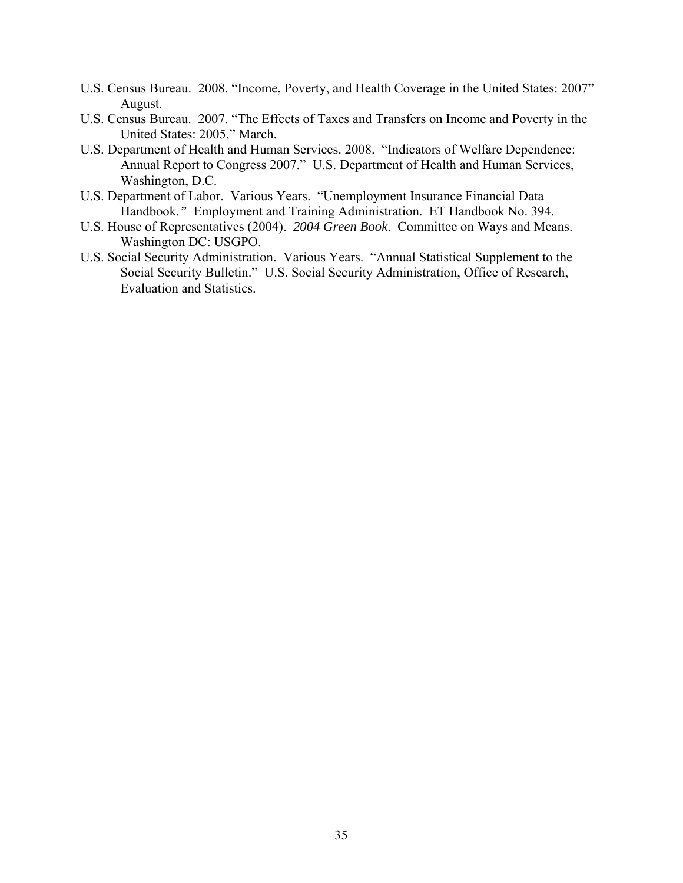- U.S. Census Bureau. 2008. "Income, Poverty, and Health Coverage in the United States: 2007" August.
- U.S. Census Bureau. 2007. "The Effects of Taxes and Transfers on Income and Poverty in the United States: 2005," March.
- U.S. Department of Health and Human Services. 2008. "Indicators of Welfare Dependence: Annual Report to Congress 2007." U.S. Department of Health and Human Services, Washington, D.C.
- U.S. Department of Labor. Various Years. "Unemployment Insurance Financial Data Handbook*."* Employment and Training Administration. ET Handbook No. 394.
- U.S. House of Representatives (2004). *2004 Green Book*. Committee on Ways and Means. Washington DC: USGPO.
- U.S. Social Security Administration. Various Years. "Annual Statistical Supplement to the Social Security Bulletin." U.S. Social Security Administration, Office of Research, Evaluation and Statistics.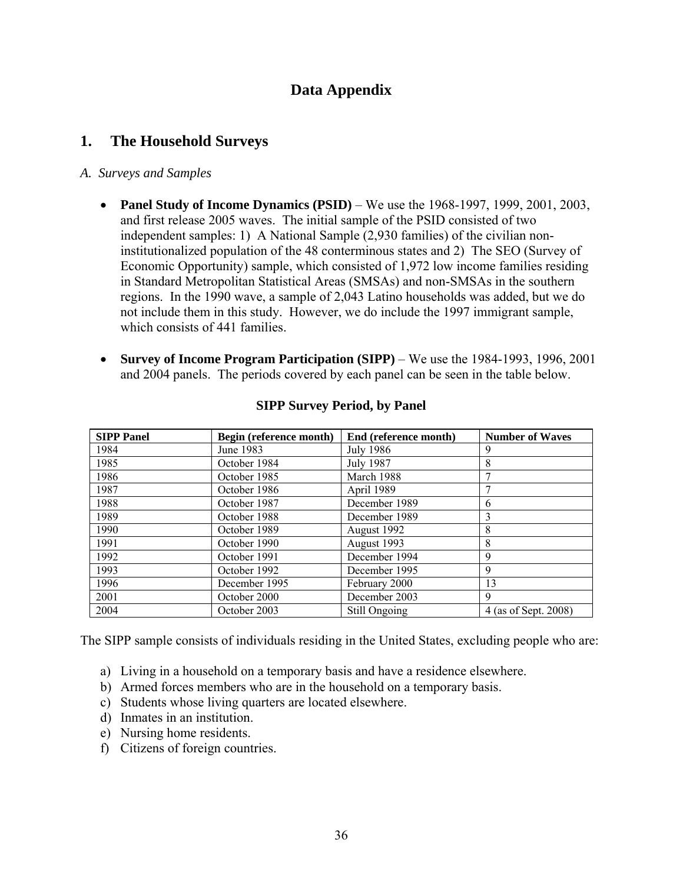# **Data Appendix**

# **1. The Household Surveys**

#### *A. Surveys and Samples*

- **Panel Study of Income Dynamics (PSID)** We use the 1968-1997, 1999, 2001, 2003, and first release 2005 waves. The initial sample of the PSID consisted of two independent samples: 1) A National Sample (2,930 families) of the civilian noninstitutionalized population of the 48 conterminous states and 2) The SEO (Survey of Economic Opportunity) sample, which consisted of 1,972 low income families residing in Standard Metropolitan Statistical Areas (SMSAs) and non-SMSAs in the southern regions. In the 1990 wave, a sample of 2,043 Latino households was added, but we do not include them in this study. However, we do include the 1997 immigrant sample, which consists of 441 families.
- **Survey of Income Program Participation (SIPP)** We use the 1984-1993, 1996, 2001 and 2004 panels. The periods covered by each panel can be seen in the table below.

| <b>SIPP Panel</b> | Begin (reference month) | End (reference month) | <b>Number of Waves</b> |
|-------------------|-------------------------|-----------------------|------------------------|
| 1984              | June 1983               | July 1986             |                        |
| 1985              | October 1984            | <b>July 1987</b>      | 8                      |
| 1986              | October 1985            | March 1988            |                        |
| 1987              | October 1986            | April 1989            |                        |
| 1988              | October 1987            | December 1989         | 6                      |
| 1989              | October 1988            | December 1989         | 3                      |
| 1990              | October 1989            | August 1992           | 8                      |
| 1991              | October 1990            | August 1993           | 8                      |
| 1992              | October 1991            | December 1994         | 9                      |
| 1993              | October 1992            | December 1995         | 9                      |
| 1996              | December 1995           | February 2000         | 13                     |
| 2001              | October 2000            | December 2003         | 9                      |
| 2004              | October 2003            | Still Ongoing         | 4 (as of Sept. 2008)   |

#### **SIPP Survey Period, by Panel**

The SIPP sample consists of individuals residing in the United States, excluding people who are:

- a) Living in a household on a temporary basis and have a residence elsewhere.
- b) Armed forces members who are in the household on a temporary basis.
- c) Students whose living quarters are located elsewhere.
- d) Inmates in an institution.
- e) Nursing home residents.
- f) Citizens of foreign countries.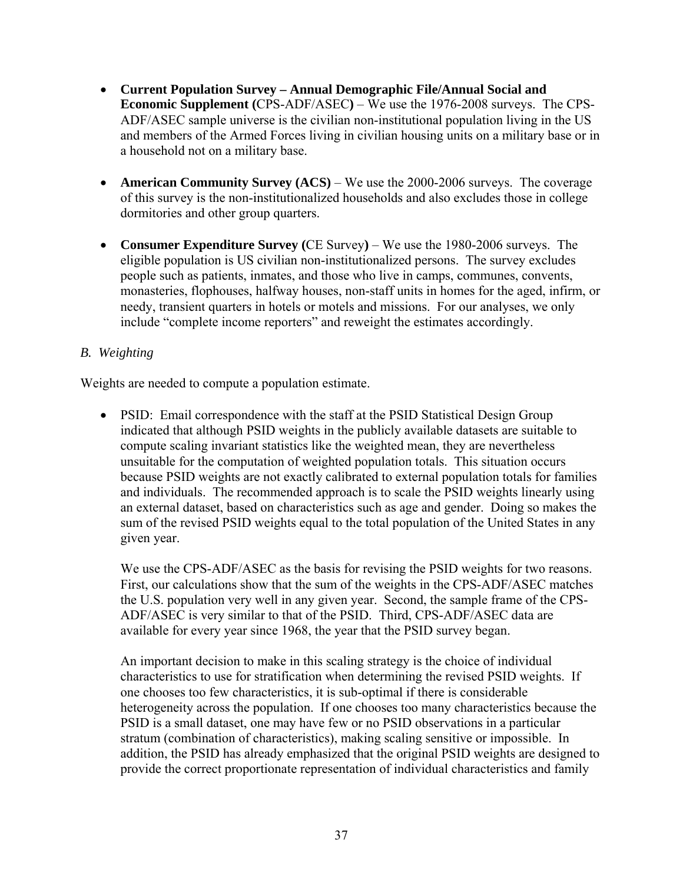- **Current Population Survey Annual Demographic File/Annual Social and Economic Supplement (**CPS-ADF/ASEC**)** – We use the 1976-2008 surveys. The CPS-ADF/ASEC sample universe is the civilian non-institutional population living in the US and members of the Armed Forces living in civilian housing units on a military base or in a household not on a military base.
- **American Community Survey (ACS)** We use the 2000-2006 surveys. The coverage of this survey is the non-institutionalized households and also excludes those in college dormitories and other group quarters.
- **Consumer Expenditure Survey (**CE Survey**)** We use the 1980-2006 surveys. The eligible population is US civilian non-institutionalized persons. The survey excludes people such as patients, inmates, and those who live in camps, communes, convents, monasteries, flophouses, halfway houses, non-staff units in homes for the aged, infirm, or needy, transient quarters in hotels or motels and missions. For our analyses, we only include "complete income reporters" and reweight the estimates accordingly.

# *B. Weighting*

Weights are needed to compute a population estimate.

• PSID: Email correspondence with the staff at the PSID Statistical Design Group indicated that although PSID weights in the publicly available datasets are suitable to compute scaling invariant statistics like the weighted mean, they are nevertheless unsuitable for the computation of weighted population totals. This situation occurs because PSID weights are not exactly calibrated to external population totals for families and individuals. The recommended approach is to scale the PSID weights linearly using an external dataset, based on characteristics such as age and gender. Doing so makes the sum of the revised PSID weights equal to the total population of the United States in any given year.

We use the CPS-ADF/ASEC as the basis for revising the PSID weights for two reasons. First, our calculations show that the sum of the weights in the CPS-ADF/ASEC matches the U.S. population very well in any given year. Second, the sample frame of the CPS-ADF/ASEC is very similar to that of the PSID. Third, CPS-ADF/ASEC data are available for every year since 1968, the year that the PSID survey began.

An important decision to make in this scaling strategy is the choice of individual characteristics to use for stratification when determining the revised PSID weights. If one chooses too few characteristics, it is sub-optimal if there is considerable heterogeneity across the population. If one chooses too many characteristics because the PSID is a small dataset, one may have few or no PSID observations in a particular stratum (combination of characteristics), making scaling sensitive or impossible. In addition, the PSID has already emphasized that the original PSID weights are designed to provide the correct proportionate representation of individual characteristics and family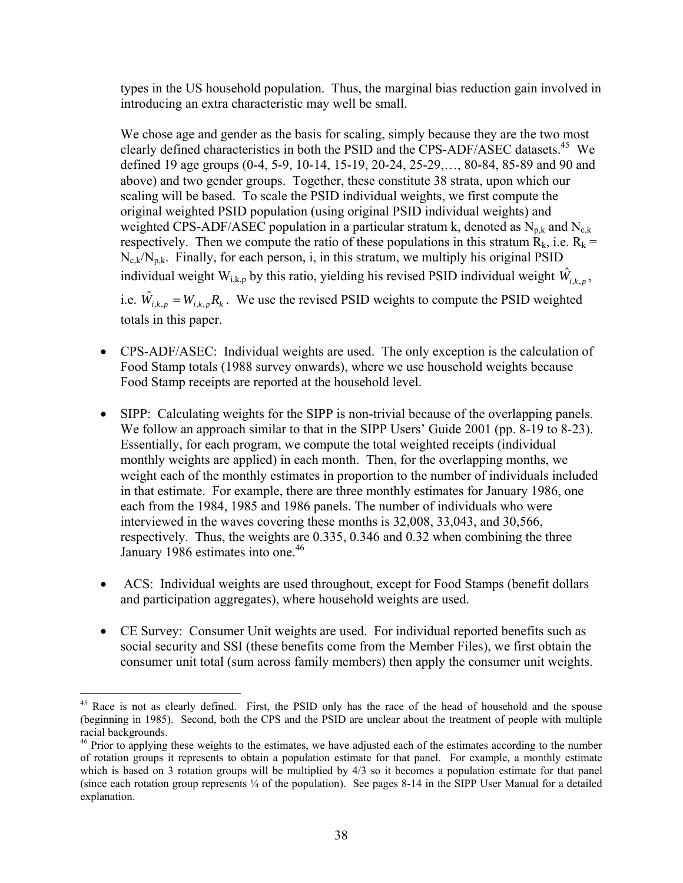types in the US household population. Thus, the marginal bias reduction gain involved in introducing an extra characteristic may well be small.

We chose age and gender as the basis for scaling, simply because they are the two most clearly defined characteristics in both the PSID and the CPS-ADF/ASEC datasets.<sup>45</sup> We defined 19 age groups (0-4, 5-9, 10-14, 15-19, 20-24, 25-29,…, 80-84, 85-89 and 90 and above) and two gender groups. Together, these constitute 38 strata, upon which our scaling will be based. To scale the PSID individual weights, we first compute the original weighted PSID population (using original PSID individual weights) and weighted CPS-ADF/ASEC population in a particular stratum k, denoted as  $N_{p,k}$  and  $N_{q,k}$ respectively. Then we compute the ratio of these populations in this stratum  $\overline{R}_k$ , i.e.  $\overline{R}_k =$  $N_{c,k}/N_{p,k}$ . Finally, for each person, i, in this stratum, we multiply his original PSID individual weight  $W_{i,k,p}$  by this ratio, yielding his revised PSID individual weight  $\hat{W}_{i,k,p}$ ,

i.e.  $\hat{W}_{i,k,p} = W_{i,k,p} R_{k}$ . We use the revised PSID weights to compute the PSID weighted totals in this paper.

- CPS-ADF/ASEC: Individual weights are used. The only exception is the calculation of Food Stamp totals (1988 survey onwards), where we use household weights because Food Stamp receipts are reported at the household level.
- SIPP: Calculating weights for the SIPP is non-trivial because of the overlapping panels. We follow an approach similar to that in the SIPP Users' Guide 2001 (pp. 8-19 to 8-23). Essentially, for each program, we compute the total weighted receipts (individual monthly weights are applied) in each month. Then, for the overlapping months, we weight each of the monthly estimates in proportion to the number of individuals included in that estimate. For example, there are three monthly estimates for January 1986, one each from the 1984, 1985 and 1986 panels. The number of individuals who were interviewed in the waves covering these months is 32,008, 33,043, and 30,566, respectively. Thus, the weights are 0.335, 0.346 and 0.32 when combining the three January 1986 estimates into one.<sup>46</sup>
- ACS: Individual weights are used throughout, except for Food Stamps (benefit dollars and participation aggregates), where household weights are used.
- CE Survey: Consumer Unit weights are used. For individual reported benefits such as social security and SSI (these benefits come from the Member Files), we first obtain the consumer unit total (sum across family members) then apply the consumer unit weights.

 $\overline{a}$ 

<sup>&</sup>lt;sup>45</sup> Race is not as clearly defined. First, the PSID only has the race of the head of household and the spouse (beginning in 1985). Second, both the CPS and the PSID are unclear about the treatment of people with multiple racial backgrounds.

<sup>&</sup>lt;sup>46</sup> Prior to applying these weights to the estimates, we have adjusted each of the estimates according to the number of rotation groups it represents to obtain a population estimate for that panel. For example, a monthly estimate which is based on 3 rotation groups will be multiplied by  $4/3$  so it becomes a population estimate for that panel (since each rotation group represents ¼ of the population). See pages 8-14 in the SIPP User Manual for a detailed explanation.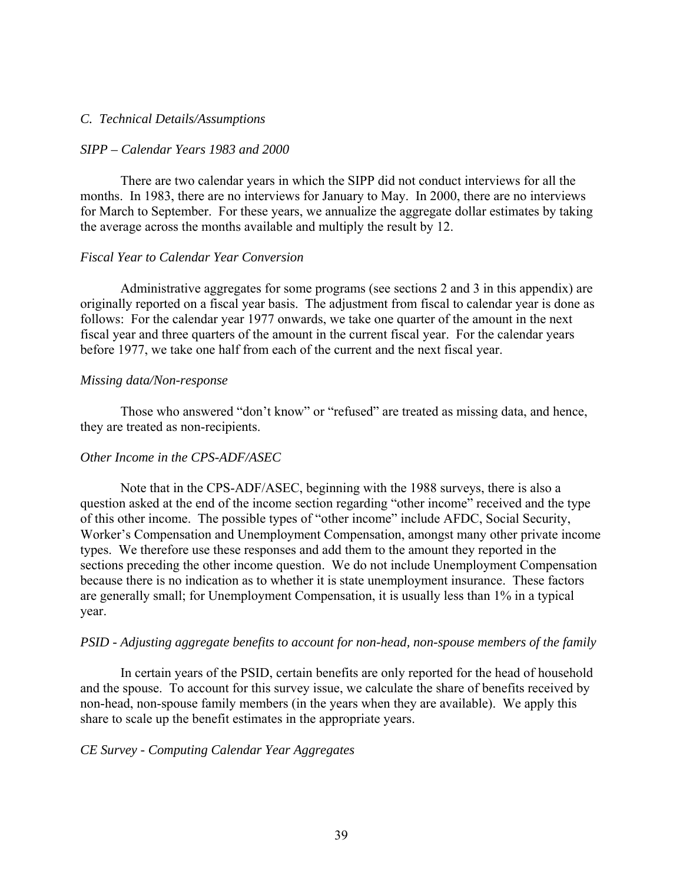#### *C. Technical Details/Assumptions*

#### *SIPP – Calendar Years 1983 and 2000*

 There are two calendar years in which the SIPP did not conduct interviews for all the months. In 1983, there are no interviews for January to May. In 2000, there are no interviews for March to September. For these years, we annualize the aggregate dollar estimates by taking the average across the months available and multiply the result by 12.

#### *Fiscal Year to Calendar Year Conversion*

 Administrative aggregates for some programs (see sections 2 and 3 in this appendix) are originally reported on a fiscal year basis. The adjustment from fiscal to calendar year is done as follows: For the calendar year 1977 onwards, we take one quarter of the amount in the next fiscal year and three quarters of the amount in the current fiscal year. For the calendar years before 1977, we take one half from each of the current and the next fiscal year.

#### *Missing data/Non-response*

 Those who answered "don't know" or "refused" are treated as missing data, and hence, they are treated as non-recipients.

#### *Other Income in the CPS-ADF/ASEC*

 Note that in the CPS-ADF/ASEC, beginning with the 1988 surveys, there is also a question asked at the end of the income section regarding "other income" received and the type of this other income. The possible types of "other income" include AFDC, Social Security, Worker's Compensation and Unemployment Compensation, amongst many other private income types. We therefore use these responses and add them to the amount they reported in the sections preceding the other income question. We do not include Unemployment Compensation because there is no indication as to whether it is state unemployment insurance. These factors are generally small; for Unemployment Compensation, it is usually less than 1% in a typical year.

#### *PSID - Adjusting aggregate benefits to account for non-head, non-spouse members of the family*

 In certain years of the PSID, certain benefits are only reported for the head of household and the spouse. To account for this survey issue, we calculate the share of benefits received by non-head, non-spouse family members (in the years when they are available). We apply this share to scale up the benefit estimates in the appropriate years.

#### *CE Survey - Computing Calendar Year Aggregates*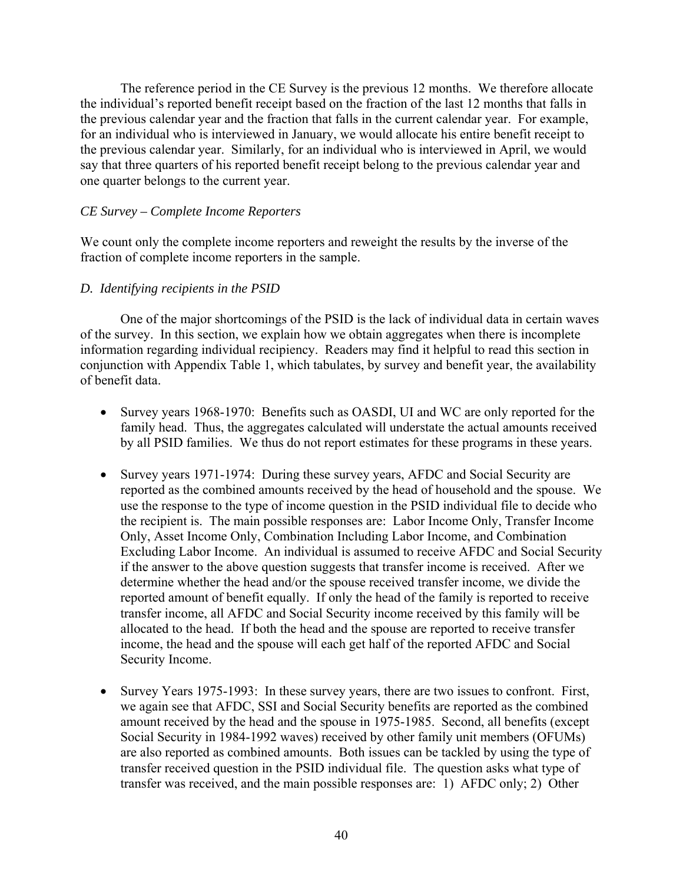The reference period in the CE Survey is the previous 12 months. We therefore allocate the individual's reported benefit receipt based on the fraction of the last 12 months that falls in the previous calendar year and the fraction that falls in the current calendar year. For example, for an individual who is interviewed in January, we would allocate his entire benefit receipt to the previous calendar year. Similarly, for an individual who is interviewed in April, we would say that three quarters of his reported benefit receipt belong to the previous calendar year and one quarter belongs to the current year.

#### *CE Survey – Complete Income Reporters*

We count only the complete income reporters and reweight the results by the inverse of the fraction of complete income reporters in the sample.

#### *D. Identifying recipients in the PSID*

One of the major shortcomings of the PSID is the lack of individual data in certain waves of the survey. In this section, we explain how we obtain aggregates when there is incomplete information regarding individual recipiency. Readers may find it helpful to read this section in conjunction with Appendix Table 1, which tabulates, by survey and benefit year, the availability of benefit data.

- Survey years 1968-1970: Benefits such as OASDI, UI and WC are only reported for the family head. Thus, the aggregates calculated will understate the actual amounts received by all PSID families. We thus do not report estimates for these programs in these years.
- Survey years 1971-1974: During these survey years, AFDC and Social Security are reported as the combined amounts received by the head of household and the spouse. We use the response to the type of income question in the PSID individual file to decide who the recipient is. The main possible responses are: Labor Income Only, Transfer Income Only, Asset Income Only, Combination Including Labor Income, and Combination Excluding Labor Income. An individual is assumed to receive AFDC and Social Security if the answer to the above question suggests that transfer income is received. After we determine whether the head and/or the spouse received transfer income, we divide the reported amount of benefit equally. If only the head of the family is reported to receive transfer income, all AFDC and Social Security income received by this family will be allocated to the head. If both the head and the spouse are reported to receive transfer income, the head and the spouse will each get half of the reported AFDC and Social Security Income.
- Survey Years 1975-1993: In these survey years, there are two issues to confront. First, we again see that AFDC, SSI and Social Security benefits are reported as the combined amount received by the head and the spouse in 1975-1985. Second, all benefits (except Social Security in 1984-1992 waves) received by other family unit members (OFUMs) are also reported as combined amounts. Both issues can be tackled by using the type of transfer received question in the PSID individual file. The question asks what type of transfer was received, and the main possible responses are: 1) AFDC only; 2) Other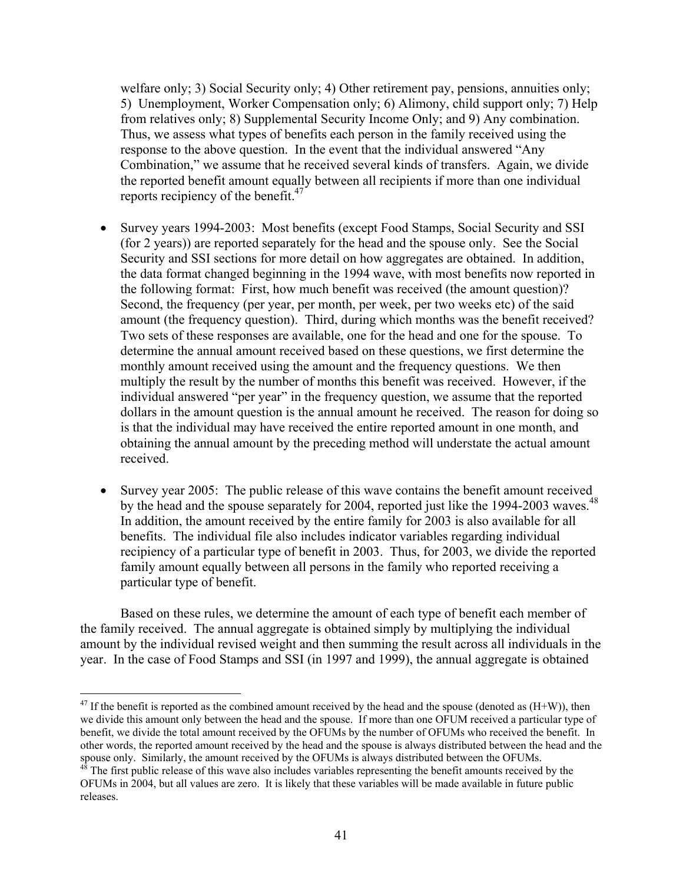welfare only; 3) Social Security only; 4) Other retirement pay, pensions, annuities only; 5) Unemployment, Worker Compensation only; 6) Alimony, child support only; 7) Help from relatives only; 8) Supplemental Security Income Only; and 9) Any combination. Thus, we assess what types of benefits each person in the family received using the response to the above question. In the event that the individual answered "Any Combination," we assume that he received several kinds of transfers. Again, we divide the reported benefit amount equally between all recipients if more than one individual reports recipiency of the benefit. $47$ 

- Survey years 1994-2003: Most benefits (except Food Stamps, Social Security and SSI (for 2 years)) are reported separately for the head and the spouse only. See the Social Security and SSI sections for more detail on how aggregates are obtained. In addition, the data format changed beginning in the 1994 wave, with most benefits now reported in the following format: First, how much benefit was received (the amount question)? Second, the frequency (per year, per month, per week, per two weeks etc) of the said amount (the frequency question). Third, during which months was the benefit received? Two sets of these responses are available, one for the head and one for the spouse. To determine the annual amount received based on these questions, we first determine the monthly amount received using the amount and the frequency questions. We then multiply the result by the number of months this benefit was received. However, if the individual answered "per year" in the frequency question, we assume that the reported dollars in the amount question is the annual amount he received. The reason for doing so is that the individual may have received the entire reported amount in one month, and obtaining the annual amount by the preceding method will understate the actual amount received.
- Survey year 2005: The public release of this wave contains the benefit amount received by the head and the spouse separately for 2004, reported just like the 1994-2003 waves. $^{48}$ In addition, the amount received by the entire family for 2003 is also available for all benefits. The individual file also includes indicator variables regarding individual recipiency of a particular type of benefit in 2003. Thus, for 2003, we divide the reported family amount equally between all persons in the family who reported receiving a particular type of benefit.

Based on these rules, we determine the amount of each type of benefit each member of the family received. The annual aggregate is obtained simply by multiplying the individual amount by the individual revised weight and then summing the result across all individuals in the year. In the case of Food Stamps and SSI (in 1997 and 1999), the annual aggregate is obtained

1

 $47$  If the benefit is reported as the combined amount received by the head and the spouse (denoted as  $(H+W)$ ), then we divide this amount only between the head and the spouse. If more than one OFUM received a particular type of benefit, we divide the total amount received by the OFUMs by the number of OFUMs who received the benefit. In other words, the reported amount received by the head and the spouse is always distributed between the head and the spouse only. Similarly, the amount received by the OFUMs is always distributed between the OFUMs.<br><sup>48</sup> The first public release of this wave also includes variables representing the benefit amounts received by the

OFUMs in 2004, but all values are zero. It is likely that these variables will be made available in future public releases.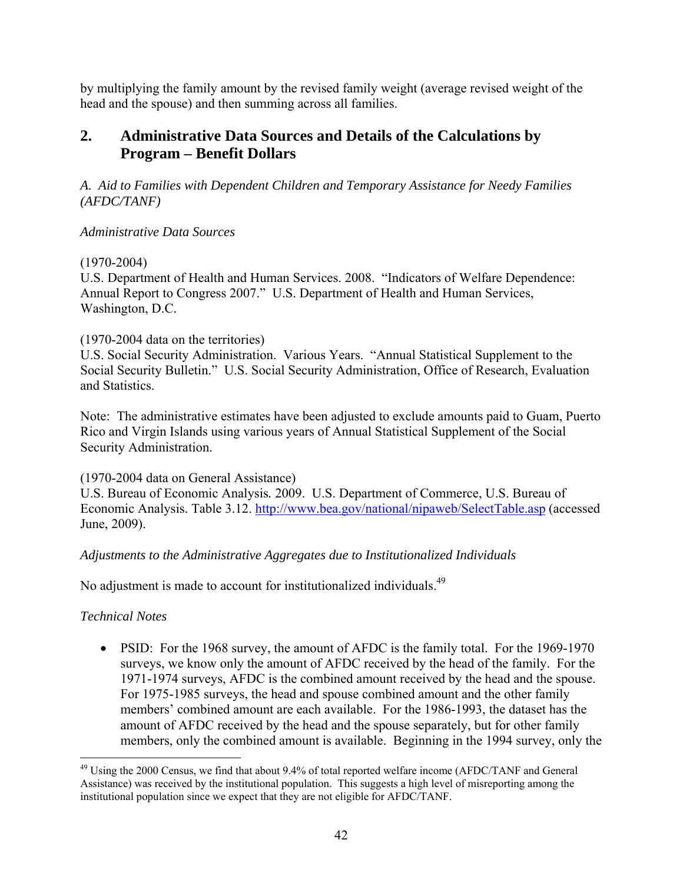by multiplying the family amount by the revised family weight (average revised weight of the head and the spouse) and then summing across all families.

# **2. Administrative Data Sources and Details of the Calculations by Program – Benefit Dollars**

*A. Aid to Families with Dependent Children and Temporary Assistance for Needy Families (AFDC/TANF)* 

# *Administrative Data Sources*

# (1970-2004)

U.S. Department of Health and Human Services. 2008. "Indicators of Welfare Dependence: Annual Report to Congress 2007." U.S. Department of Health and Human Services, Washington, D.C.

# (1970-2004 data on the territories)

U.S. Social Security Administration. Various Years. "Annual Statistical Supplement to the Social Security Bulletin." U.S. Social Security Administration, Office of Research, Evaluation and Statistics.

Note: The administrative estimates have been adjusted to exclude amounts paid to Guam, Puerto Rico and Virgin Islands using various years of Annual Statistical Supplement of the Social Security Administration.

# (1970-2004 data on General Assistance)

U.S. Bureau of Economic Analysis*.* 2009. U.S. Department of Commerce, U.S. Bureau of Economic Analysis. Table 3.12. http://www.bea.gov/national/nipaweb/SelectTable.asp (accessed June, 2009).

# *Adjustments to the Administrative Aggregates due to Institutionalized Individuals*

No adjustment is made to account for institutionalized individuals.<sup>49</sup>

# *Technical Notes*

• PSID: For the 1968 survey, the amount of AFDC is the family total. For the 1969-1970 surveys, we know only the amount of AFDC received by the head of the family. For the 1971-1974 surveys, AFDC is the combined amount received by the head and the spouse. For 1975-1985 surveys, the head and spouse combined amount and the other family members' combined amount are each available. For the 1986-1993, the dataset has the amount of AFDC received by the head and the spouse separately, but for other family members, only the combined amount is available. Beginning in the 1994 survey, only the

 $\overline{a}$  $49$  Using the 2000 Census, we find that about 9.4% of total reported welfare income (AFDC/TANF and General Assistance) was received by the institutional population. This suggests a high level of misreporting among the institutional population since we expect that they are not eligible for AFDC/TANF.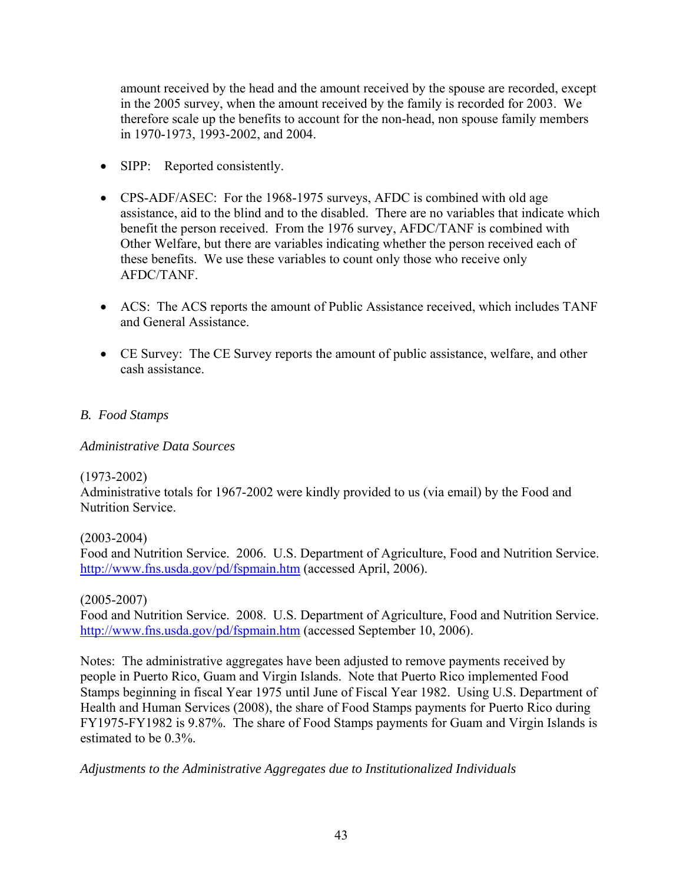amount received by the head and the amount received by the spouse are recorded, except in the 2005 survey, when the amount received by the family is recorded for 2003. We therefore scale up the benefits to account for the non-head, non spouse family members in 1970-1973, 1993-2002, and 2004.

- SIPP: Reported consistently.
- CPS-ADF/ASEC: For the 1968-1975 surveys, AFDC is combined with old age assistance, aid to the blind and to the disabled. There are no variables that indicate which benefit the person received. From the 1976 survey, AFDC/TANF is combined with Other Welfare, but there are variables indicating whether the person received each of these benefits. We use these variables to count only those who receive only AFDC/TANF.
- ACS: The ACS reports the amount of Public Assistance received, which includes TANF and General Assistance.
- CE Survey: The CE Survey reports the amount of public assistance, welfare, and other cash assistance.

### *B. Food Stamps*

*Administrative Data Sources* 

#### (1973-2002)

Administrative totals for 1967-2002 were kindly provided to us (via email) by the Food and Nutrition Service.

# (2003-2004)

Food and Nutrition Service. 2006. U.S. Department of Agriculture, Food and Nutrition Service. http://www.fns.usda.gov/pd/fspmain.htm (accessed April, 2006).

#### (2005-2007)

Food and Nutrition Service. 2008. U.S. Department of Agriculture, Food and Nutrition Service. http://www.fns.usda.gov/pd/fspmain.htm (accessed September 10, 2006).

Notes: The administrative aggregates have been adjusted to remove payments received by people in Puerto Rico, Guam and Virgin Islands. Note that Puerto Rico implemented Food Stamps beginning in fiscal Year 1975 until June of Fiscal Year 1982. Using U.S. Department of Health and Human Services (2008), the share of Food Stamps payments for Puerto Rico during FY1975-FY1982 is 9.87%. The share of Food Stamps payments for Guam and Virgin Islands is estimated to be 0.3%.

*Adjustments to the Administrative Aggregates due to Institutionalized Individuals*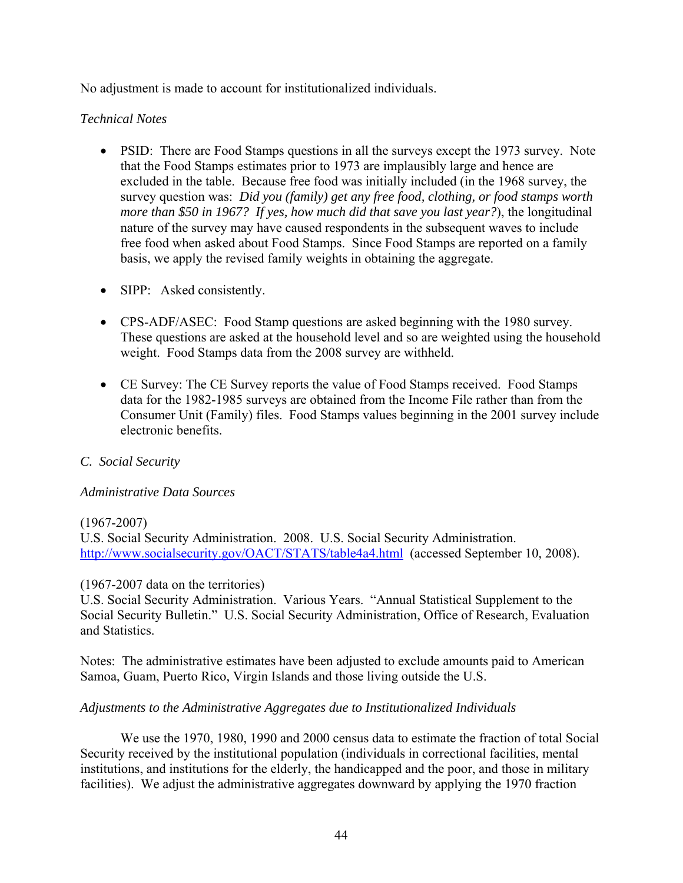No adjustment is made to account for institutionalized individuals.

### *Technical Notes*

- PSID: There are Food Stamps questions in all the surveys except the 1973 survey. Note that the Food Stamps estimates prior to 1973 are implausibly large and hence are excluded in the table. Because free food was initially included (in the 1968 survey, the survey question was: *Did you (family) get any free food, clothing, or food stamps worth more than \$50 in 1967? If yes, how much did that save you last year?*), the longitudinal nature of the survey may have caused respondents in the subsequent waves to include free food when asked about Food Stamps. Since Food Stamps are reported on a family basis, we apply the revised family weights in obtaining the aggregate.
- SIPP: Asked consistently.
- CPS-ADF/ASEC: Food Stamp questions are asked beginning with the 1980 survey. These questions are asked at the household level and so are weighted using the household weight. Food Stamps data from the 2008 survey are withheld.
- CE Survey: The CE Survey reports the value of Food Stamps received. Food Stamps data for the 1982-1985 surveys are obtained from the Income File rather than from the Consumer Unit (Family) files. Food Stamps values beginning in the 2001 survey include electronic benefits.

# *C. Social Security*

#### *Administrative Data Sources*

(1967-2007)

U.S. Social Security Administration. 2008. U.S. Social Security Administration. http://www.socialsecurity.gov/OACT/STATS/table4a4.html (accessed September 10, 2008).

#### (1967-2007 data on the territories)

U.S. Social Security Administration. Various Years. "Annual Statistical Supplement to the Social Security Bulletin." U.S. Social Security Administration, Office of Research, Evaluation and Statistics.

Notes: The administrative estimates have been adjusted to exclude amounts paid to American Samoa, Guam, Puerto Rico, Virgin Islands and those living outside the U.S.

#### *Adjustments to the Administrative Aggregates due to Institutionalized Individuals*

 We use the 1970, 1980, 1990 and 2000 census data to estimate the fraction of total Social Security received by the institutional population (individuals in correctional facilities, mental institutions, and institutions for the elderly, the handicapped and the poor, and those in military facilities). We adjust the administrative aggregates downward by applying the 1970 fraction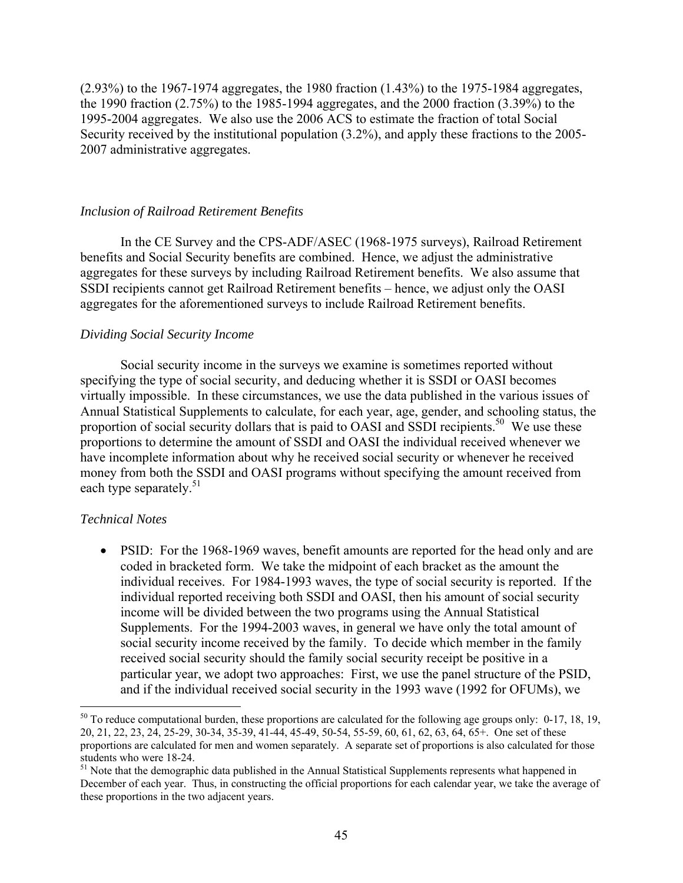(2.93%) to the 1967-1974 aggregates, the 1980 fraction (1.43%) to the 1975-1984 aggregates, the 1990 fraction (2.75%) to the 1985-1994 aggregates, and the 2000 fraction (3.39%) to the 1995-2004 aggregates. We also use the 2006 ACS to estimate the fraction of total Social Security received by the institutional population (3.2%), and apply these fractions to the 2005- 2007 administrative aggregates.

#### *Inclusion of Railroad Retirement Benefits*

 In the CE Survey and the CPS-ADF/ASEC (1968-1975 surveys), Railroad Retirement benefits and Social Security benefits are combined. Hence, we adjust the administrative aggregates for these surveys by including Railroad Retirement benefits. We also assume that SSDI recipients cannot get Railroad Retirement benefits – hence, we adjust only the OASI aggregates for the aforementioned surveys to include Railroad Retirement benefits.

#### *Dividing Social Security Income*

 Social security income in the surveys we examine is sometimes reported without specifying the type of social security, and deducing whether it is SSDI or OASI becomes virtually impossible. In these circumstances, we use the data published in the various issues of Annual Statistical Supplements to calculate, for each year, age, gender, and schooling status, the proportion of social security dollars that is paid to OASI and SSDI recipients.<sup>50</sup> We use these proportions to determine the amount of SSDI and OASI the individual received whenever we have incomplete information about why he received social security or whenever he received money from both the SSDI and OASI programs without specifying the amount received from each type separately.<sup>51</sup>

#### *Technical Notes*

 $\overline{a}$ 

• PSID: For the 1968-1969 waves, benefit amounts are reported for the head only and are coded in bracketed form. We take the midpoint of each bracket as the amount the individual receives. For 1984-1993 waves, the type of social security is reported. If the individual reported receiving both SSDI and OASI, then his amount of social security income will be divided between the two programs using the Annual Statistical Supplements. For the 1994-2003 waves, in general we have only the total amount of social security income received by the family. To decide which member in the family received social security should the family social security receipt be positive in a particular year, we adopt two approaches: First, we use the panel structure of the PSID, and if the individual received social security in the 1993 wave (1992 for OFUMs), we

 $50$  To reduce computational burden, these proportions are calculated for the following age groups only:  $0-17$ ,  $18$ ,  $19$ , 20, 21, 22, 23, 24, 25-29, 30-34, 35-39, 41-44, 45-49, 50-54, 55-59, 60, 61, 62, 63, 64, 65+. One set of these proportions are calculated for men and women separately. A separate set of proportions is also calculated for those students who were 18-24.

<sup>&</sup>lt;sup>51</sup> Note that the demographic data published in the Annual Statistical Supplements represents what happened in December of each year. Thus, in constructing the official proportions for each calendar year, we take the average of these proportions in the two adjacent years.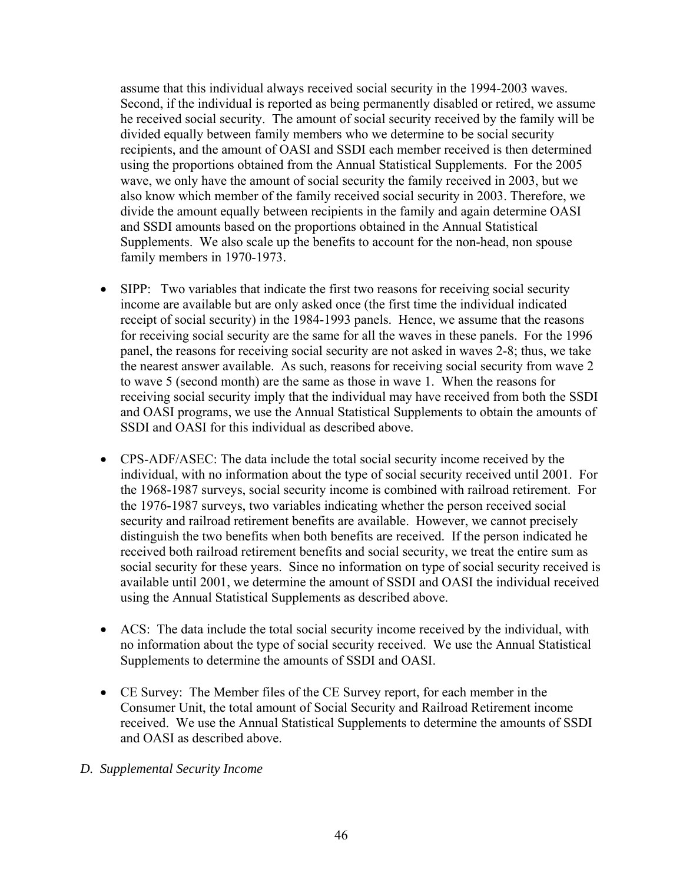assume that this individual always received social security in the 1994-2003 waves. Second, if the individual is reported as being permanently disabled or retired, we assume he received social security. The amount of social security received by the family will be divided equally between family members who we determine to be social security recipients, and the amount of OASI and SSDI each member received is then determined using the proportions obtained from the Annual Statistical Supplements. For the 2005 wave, we only have the amount of social security the family received in 2003, but we also know which member of the family received social security in 2003. Therefore, we divide the amount equally between recipients in the family and again determine OASI and SSDI amounts based on the proportions obtained in the Annual Statistical Supplements. We also scale up the benefits to account for the non-head, non spouse family members in 1970-1973.

- SIPP: Two variables that indicate the first two reasons for receiving social security income are available but are only asked once (the first time the individual indicated receipt of social security) in the 1984-1993 panels. Hence, we assume that the reasons for receiving social security are the same for all the waves in these panels. For the 1996 panel, the reasons for receiving social security are not asked in waves 2-8; thus, we take the nearest answer available. As such, reasons for receiving social security from wave 2 to wave 5 (second month) are the same as those in wave 1. When the reasons for receiving social security imply that the individual may have received from both the SSDI and OASI programs, we use the Annual Statistical Supplements to obtain the amounts of SSDI and OASI for this individual as described above.
- CPS-ADF/ASEC: The data include the total social security income received by the individual, with no information about the type of social security received until 2001. For the 1968-1987 surveys, social security income is combined with railroad retirement. For the 1976-1987 surveys, two variables indicating whether the person received social security and railroad retirement benefits are available. However, we cannot precisely distinguish the two benefits when both benefits are received. If the person indicated he received both railroad retirement benefits and social security, we treat the entire sum as social security for these years. Since no information on type of social security received is available until 2001, we determine the amount of SSDI and OASI the individual received using the Annual Statistical Supplements as described above.
- ACS: The data include the total social security income received by the individual, with no information about the type of social security received. We use the Annual Statistical Supplements to determine the amounts of SSDI and OASI.
- CE Survey: The Member files of the CE Survey report, for each member in the Consumer Unit, the total amount of Social Security and Railroad Retirement income received. We use the Annual Statistical Supplements to determine the amounts of SSDI and OASI as described above.

# *D. Supplemental Security Income*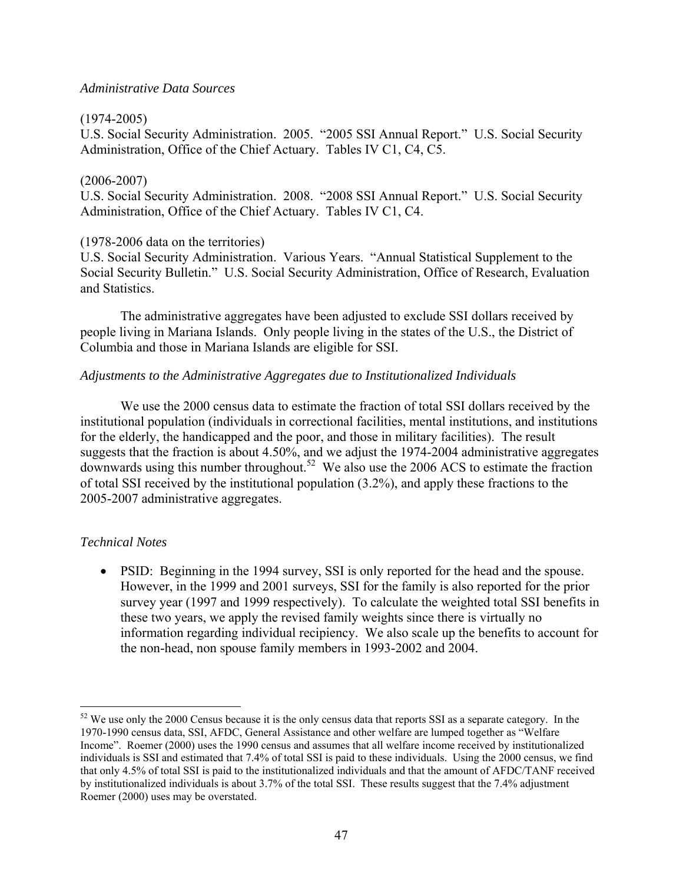#### *Administrative Data Sources*

#### (1974-2005)

U.S. Social Security Administration. 2005. "2005 SSI Annual Report." U.S. Social Security Administration, Office of the Chief Actuary. Tables IV C1, C4, C5.

#### (2006-2007)

U.S. Social Security Administration. 2008. "2008 SSI Annual Report." U.S. Social Security Administration, Office of the Chief Actuary. Tables IV C1, C4.

#### (1978-2006 data on the territories)

U.S. Social Security Administration. Various Years. "Annual Statistical Supplement to the Social Security Bulletin." U.S. Social Security Administration, Office of Research, Evaluation and Statistics.

 The administrative aggregates have been adjusted to exclude SSI dollars received by people living in Mariana Islands. Only people living in the states of the U.S., the District of Columbia and those in Mariana Islands are eligible for SSI.

#### *Adjustments to the Administrative Aggregates due to Institutionalized Individuals*

 We use the 2000 census data to estimate the fraction of total SSI dollars received by the institutional population (individuals in correctional facilities, mental institutions, and institutions for the elderly, the handicapped and the poor, and those in military facilities). The result suggests that the fraction is about 4.50%, and we adjust the 1974-2004 administrative aggregates downwards using this number throughout.<sup>52</sup> We also use the 2006 ACS to estimate the fraction of total SSI received by the institutional population (3.2%), and apply these fractions to the 2005-2007 administrative aggregates.

#### *Technical Notes*

 $\overline{a}$ 

• PSID: Beginning in the 1994 survey. SSI is only reported for the head and the spouse. However, in the 1999 and 2001 surveys, SSI for the family is also reported for the prior survey year (1997 and 1999 respectively). To calculate the weighted total SSI benefits in these two years, we apply the revised family weights since there is virtually no information regarding individual recipiency. We also scale up the benefits to account for the non-head, non spouse family members in 1993-2002 and 2004.

 $52$  We use only the 2000 Census because it is the only census data that reports SSI as a separate category. In the 1970-1990 census data, SSI, AFDC, General Assistance and other welfare are lumped together as "Welfare Income". Roemer (2000) uses the 1990 census and assumes that all welfare income received by institutionalized individuals is SSI and estimated that 7.4% of total SSI is paid to these individuals. Using the 2000 census, we find that only 4.5% of total SSI is paid to the institutionalized individuals and that the amount of AFDC/TANF received by institutionalized individuals is about 3.7% of the total SSI. These results suggest that the 7.4% adjustment Roemer (2000) uses may be overstated.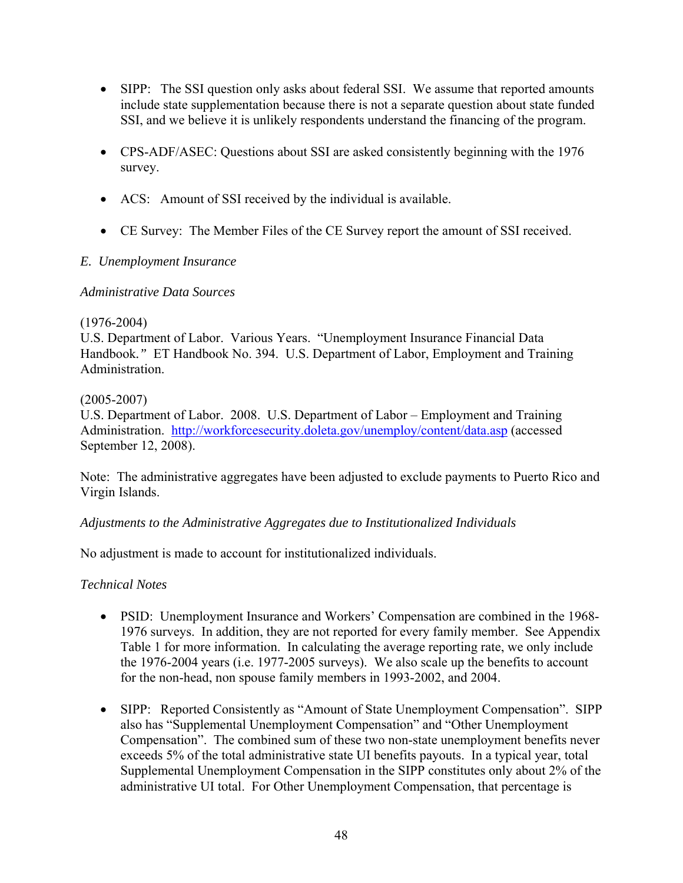- SIPP: The SSI question only asks about federal SSI. We assume that reported amounts include state supplementation because there is not a separate question about state funded SSI, and we believe it is unlikely respondents understand the financing of the program.
- CPS-ADF/ASEC: Questions about SSI are asked consistently beginning with the 1976 survey.
- ACS: Amount of SSI received by the individual is available.
- CE Survey: The Member Files of the CE Survey report the amount of SSI received.

# *E. Unemployment Insurance*

### *Administrative Data Sources*

### (1976-2004)

U.S. Department of Labor. Various Years. "Unemployment Insurance Financial Data Handbook*."* ET Handbook No. 394. U.S. Department of Labor, Employment and Training Administration.

### (2005-2007)

U.S. Department of Labor. 2008. U.S. Department of Labor – Employment and Training Administration. http://workforcesecurity.doleta.gov/unemploy/content/data.asp (accessed September 12, 2008).

Note: The administrative aggregates have been adjusted to exclude payments to Puerto Rico and Virgin Islands.

# *Adjustments to the Administrative Aggregates due to Institutionalized Individuals*

No adjustment is made to account for institutionalized individuals.

# *Technical Notes*

- PSID: Unemployment Insurance and Workers' Compensation are combined in the 1968- 1976 surveys. In addition, they are not reported for every family member. See Appendix Table 1 for more information. In calculating the average reporting rate, we only include the 1976-2004 years (i.e. 1977-2005 surveys). We also scale up the benefits to account for the non-head, non spouse family members in 1993-2002, and 2004.
- SIPP: Reported Consistently as "Amount of State Unemployment Compensation". SIPP also has "Supplemental Unemployment Compensation" and "Other Unemployment Compensation". The combined sum of these two non-state unemployment benefits never exceeds 5% of the total administrative state UI benefits payouts. In a typical year, total Supplemental Unemployment Compensation in the SIPP constitutes only about 2% of the administrative UI total. For Other Unemployment Compensation, that percentage is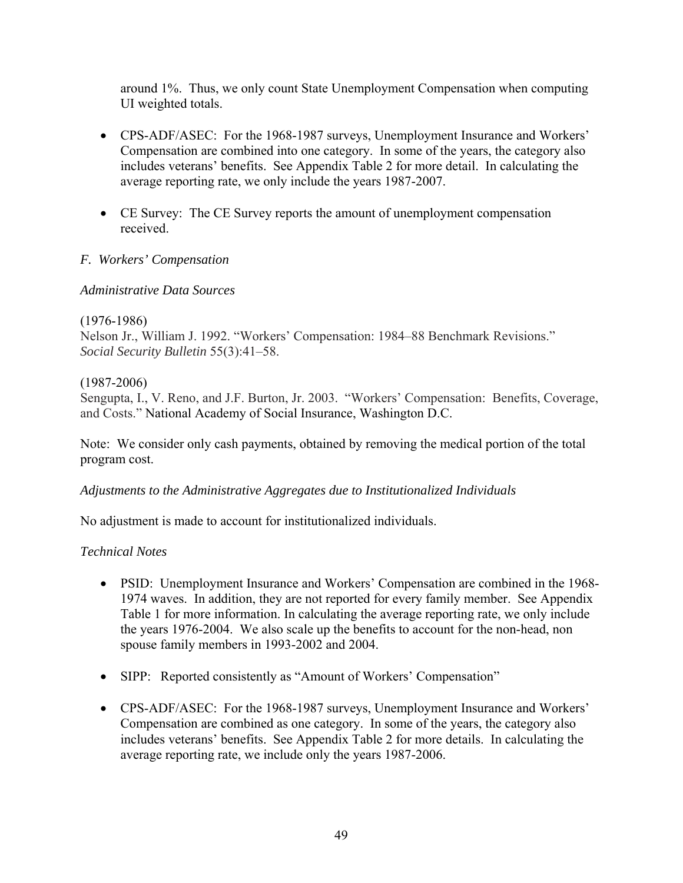around 1%. Thus, we only count State Unemployment Compensation when computing UI weighted totals.

- CPS-ADF/ASEC: For the 1968-1987 surveys, Unemployment Insurance and Workers' Compensation are combined into one category. In some of the years, the category also includes veterans' benefits. See Appendix Table 2 for more detail. In calculating the average reporting rate, we only include the years 1987-2007.
- CE Survey: The CE Survey reports the amount of unemployment compensation received.

# *F. Workers' Compensation*

### *Administrative Data Sources*

# (1976-1986) Nelson Jr., William J. 1992. "Workers' Compensation: 1984–88 Benchmark Revisions." *Social Security Bulletin* 55(3):41–58.

### (1987-2006)

Sengupta, I., V. Reno, and J.F. Burton, Jr. 2003. "Workers' Compensation: Benefits, Coverage, and Costs." National Academy of Social Insurance, Washington D.C.

Note: We consider only cash payments, obtained by removing the medical portion of the total program cost.

# *Adjustments to the Administrative Aggregates due to Institutionalized Individuals*

No adjustment is made to account for institutionalized individuals.

# *Technical Notes*

- PSID: Unemployment Insurance and Workers' Compensation are combined in the 1968- 1974 waves. In addition, they are not reported for every family member. See Appendix Table 1 for more information. In calculating the average reporting rate, we only include the years 1976-2004. We also scale up the benefits to account for the non-head, non spouse family members in 1993-2002 and 2004.
- SIPP: Reported consistently as "Amount of Workers' Compensation"
- CPS-ADF/ASEC: For the 1968-1987 surveys, Unemployment Insurance and Workers' Compensation are combined as one category. In some of the years, the category also includes veterans' benefits. See Appendix Table 2 for more details. In calculating the average reporting rate, we include only the years 1987-2006.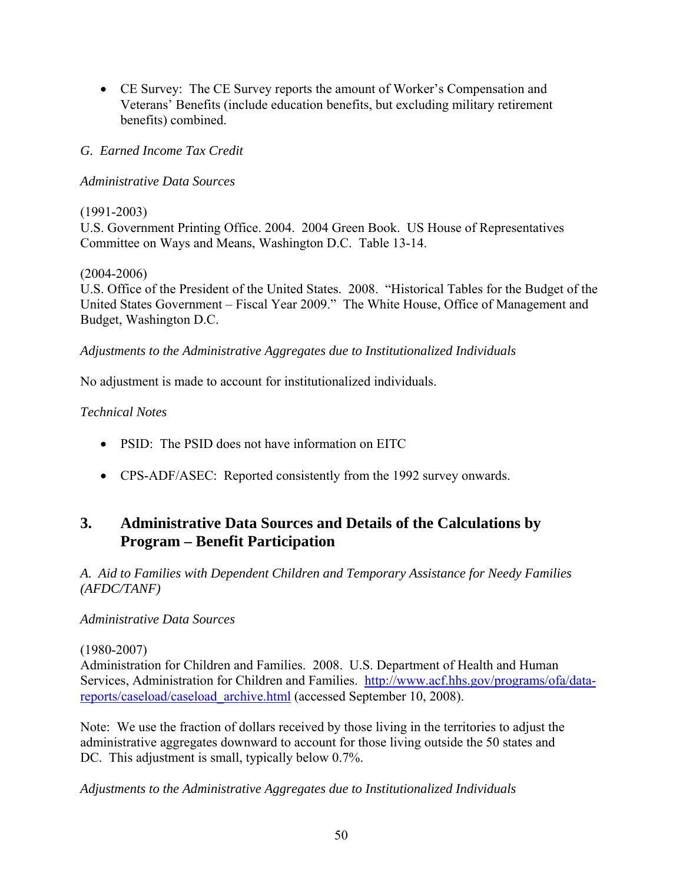• CE Survey: The CE Survey reports the amount of Worker's Compensation and Veterans' Benefits (include education benefits, but excluding military retirement benefits) combined.

# *G. Earned Income Tax Credit*

# *Administrative Data Sources*

# (1991-2003)

U.S. Government Printing Office. 2004. 2004 Green Book. US House of Representatives Committee on Ways and Means, Washington D.C. Table 13-14.

# (2004-2006)

U.S. Office of the President of the United States. 2008. "Historical Tables for the Budget of the United States Government – Fiscal Year 2009." The White House, Office of Management and Budget, Washington D.C.

# *Adjustments to the Administrative Aggregates due to Institutionalized Individuals*

No adjustment is made to account for institutionalized individuals.

# *Technical Notes*

- PSID: The PSID does not have information on EITC
- CPS-ADF/ASEC: Reported consistently from the 1992 survey onwards.

# **3. Administrative Data Sources and Details of the Calculations by Program – Benefit Participation**

*A. Aid to Families with Dependent Children and Temporary Assistance for Needy Families (AFDC/TANF)* 

# *Administrative Data Sources*

# (1980-2007)

Administration for Children and Families. 2008. U.S. Department of Health and Human Services, Administration for Children and Families. http://www.acf.hhs.gov/programs/ofa/datareports/caseload/caseload\_archive.html (accessed September 10, 2008).

Note: We use the fraction of dollars received by those living in the territories to adjust the administrative aggregates downward to account for those living outside the 50 states and DC. This adjustment is small, typically below 0.7%.

*Adjustments to the Administrative Aggregates due to Institutionalized Individuals*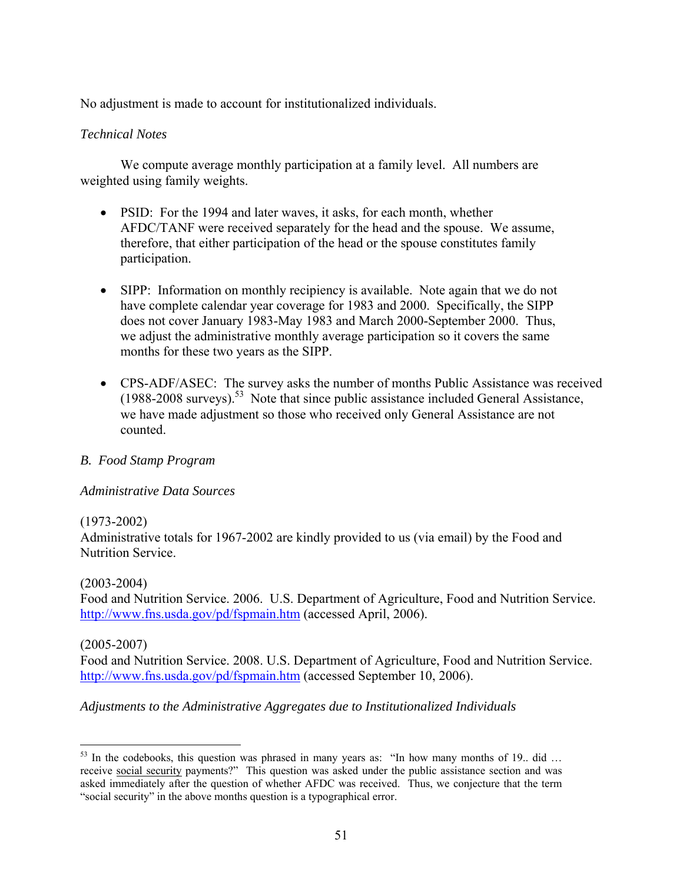No adjustment is made to account for institutionalized individuals.

## *Technical Notes*

 We compute average monthly participation at a family level. All numbers are weighted using family weights.

- PSID: For the 1994 and later waves, it asks, for each month, whether AFDC/TANF were received separately for the head and the spouse. We assume, therefore, that either participation of the head or the spouse constitutes family participation.
- SIPP: Information on monthly recipiency is available. Note again that we do not have complete calendar year coverage for 1983 and 2000. Specifically, the SIPP does not cover January 1983-May 1983 and March 2000-September 2000. Thus, we adjust the administrative monthly average participation so it covers the same months for these two years as the SIPP.
- CPS-ADF/ASEC: The survey asks the number of months Public Assistance was received  $(1988-2008$  surveys).<sup>53</sup> Note that since public assistance included General Assistance, we have made adjustment so those who received only General Assistance are not counted.

# *B. Food Stamp Program*

#### *Administrative Data Sources*

#### (1973-2002)

Administrative totals for 1967-2002 are kindly provided to us (via email) by the Food and Nutrition Service.

#### (2003-2004)

Food and Nutrition Service. 2006. U.S. Department of Agriculture, Food and Nutrition Service. http://www.fns.usda.gov/pd/fspmain.htm (accessed April, 2006).

#### (2005-2007)

Food and Nutrition Service. 2008. U.S. Department of Agriculture, Food and Nutrition Service. http://www.fns.usda.gov/pd/fspmain.htm (accessed September 10, 2006).

# *Adjustments to the Administrative Aggregates due to Institutionalized Individuals*

 $\overline{a}$  $53$  In the codebooks, this question was phrased in many years as: "In how many months of 19.. did ... receive social security payments?" This question was asked under the public assistance section and was asked immediately after the question of whether AFDC was received. Thus, we conjecture that the term "social security" in the above months question is a typographical error.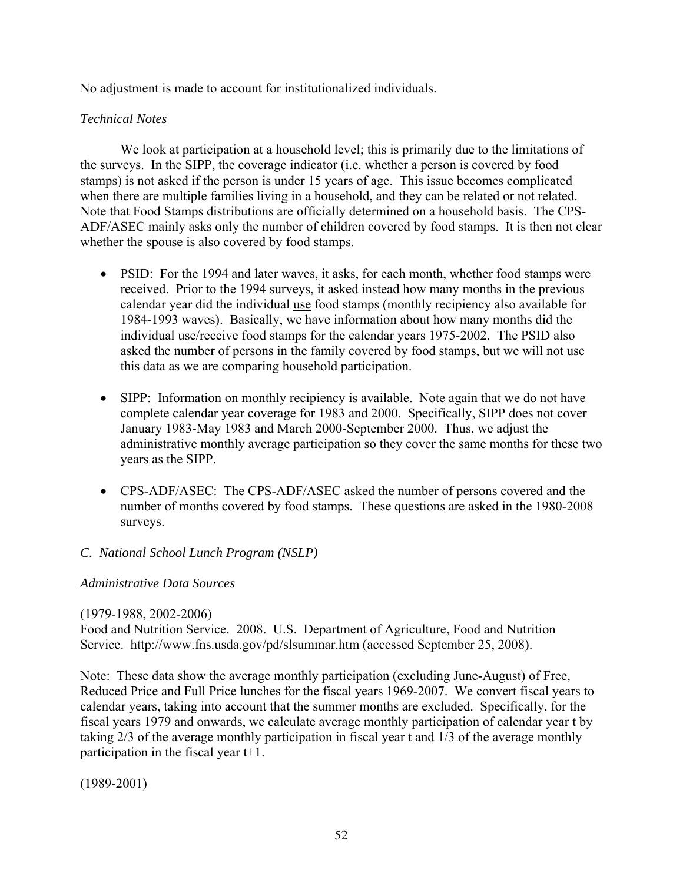No adjustment is made to account for institutionalized individuals.

## *Technical Notes*

 We look at participation at a household level; this is primarily due to the limitations of the surveys. In the SIPP, the coverage indicator (i.e. whether a person is covered by food stamps) is not asked if the person is under 15 years of age. This issue becomes complicated when there are multiple families living in a household, and they can be related or not related. Note that Food Stamps distributions are officially determined on a household basis. The CPS-ADF/ASEC mainly asks only the number of children covered by food stamps. It is then not clear whether the spouse is also covered by food stamps.

- PSID: For the 1994 and later waves, it asks, for each month, whether food stamps were received. Prior to the 1994 surveys, it asked instead how many months in the previous calendar year did the individual use food stamps (monthly recipiency also available for 1984-1993 waves). Basically, we have information about how many months did the individual use/receive food stamps for the calendar years 1975-2002. The PSID also asked the number of persons in the family covered by food stamps, but we will not use this data as we are comparing household participation.
- SIPP: Information on monthly recipiency is available. Note again that we do not have complete calendar year coverage for 1983 and 2000. Specifically, SIPP does not cover January 1983-May 1983 and March 2000-September 2000. Thus, we adjust the administrative monthly average participation so they cover the same months for these two years as the SIPP.
- CPS-ADF/ASEC: The CPS-ADF/ASEC asked the number of persons covered and the number of months covered by food stamps. These questions are asked in the 1980-2008 surveys.

# *C. National School Lunch Program (NSLP)*

#### *Administrative Data Sources*

#### (1979-1988, 2002-2006)

Food and Nutrition Service. 2008. U.S. Department of Agriculture, Food and Nutrition Service. http://www.fns.usda.gov/pd/slsummar.htm (accessed September 25, 2008).

Note: These data show the average monthly participation (excluding June-August) of Free, Reduced Price and Full Price lunches for the fiscal years 1969-2007. We convert fiscal years to calendar years, taking into account that the summer months are excluded. Specifically, for the fiscal years 1979 and onwards, we calculate average monthly participation of calendar year t by taking 2/3 of the average monthly participation in fiscal year t and 1/3 of the average monthly participation in the fiscal year t+1.

(1989-2001)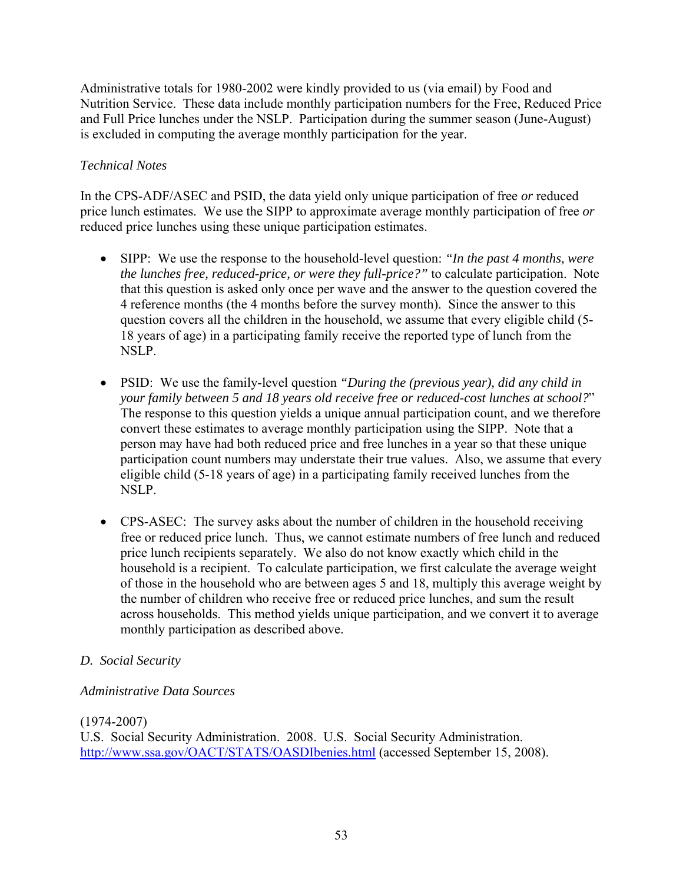Administrative totals for 1980-2002 were kindly provided to us (via email) by Food and Nutrition Service. These data include monthly participation numbers for the Free, Reduced Price and Full Price lunches under the NSLP. Participation during the summer season (June-August) is excluded in computing the average monthly participation for the year.

# *Technical Notes*

In the CPS-ADF/ASEC and PSID, the data yield only unique participation of free *or* reduced price lunch estimates. We use the SIPP to approximate average monthly participation of free *or* reduced price lunches using these unique participation estimates.

- SIPP: We use the response to the household-level question: *"In the past 4 months, were the lunches free, reduced-price, or were they full-price?"* to calculate participation. Note that this question is asked only once per wave and the answer to the question covered the 4 reference months (the 4 months before the survey month). Since the answer to this question covers all the children in the household, we assume that every eligible child (5- 18 years of age) in a participating family receive the reported type of lunch from the NSLP.
- PSID: We use the family-level question *"During the (previous year), did any child in your family between 5 and 18 years old receive free or reduced-cost lunches at school?*" The response to this question yields a unique annual participation count, and we therefore convert these estimates to average monthly participation using the SIPP. Note that a person may have had both reduced price and free lunches in a year so that these unique participation count numbers may understate their true values. Also, we assume that every eligible child (5-18 years of age) in a participating family received lunches from the NSLP.
- CPS-ASEC: The survey asks about the number of children in the household receiving free or reduced price lunch. Thus, we cannot estimate numbers of free lunch and reduced price lunch recipients separately. We also do not know exactly which child in the household is a recipient. To calculate participation, we first calculate the average weight of those in the household who are between ages 5 and 18, multiply this average weight by the number of children who receive free or reduced price lunches, and sum the result across households. This method yields unique participation, and we convert it to average monthly participation as described above.

# *D. Social Security*

# *Administrative Data Sources*

# (1974-2007)

U.S. Social Security Administration. 2008. U.S. Social Security Administration. http://www.ssa.gov/OACT/STATS/OASDIbenies.html (accessed September 15, 2008).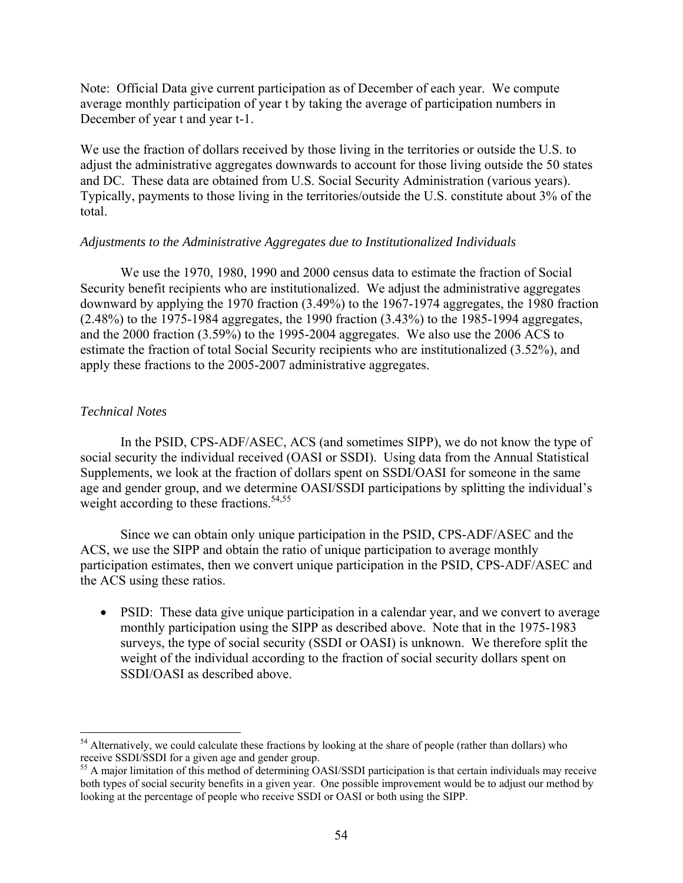Note: Official Data give current participation as of December of each year. We compute average monthly participation of year t by taking the average of participation numbers in December of year t and year t-1.

We use the fraction of dollars received by those living in the territories or outside the U.S. to adjust the administrative aggregates downwards to account for those living outside the 50 states and DC. These data are obtained from U.S. Social Security Administration (various years). Typically, payments to those living in the territories/outside the U.S. constitute about 3% of the total.

#### *Adjustments to the Administrative Aggregates due to Institutionalized Individuals*

 We use the 1970, 1980, 1990 and 2000 census data to estimate the fraction of Social Security benefit recipients who are institutionalized. We adjust the administrative aggregates downward by applying the 1970 fraction (3.49%) to the 1967-1974 aggregates, the 1980 fraction (2.48%) to the 1975-1984 aggregates, the 1990 fraction (3.43%) to the 1985-1994 aggregates, and the 2000 fraction (3.59%) to the 1995-2004 aggregates. We also use the 2006 ACS to estimate the fraction of total Social Security recipients who are institutionalized (3.52%), and apply these fractions to the 2005-2007 administrative aggregates.

#### *Technical Notes*

1

 In the PSID, CPS-ADF/ASEC, ACS (and sometimes SIPP), we do not know the type of social security the individual received (OASI or SSDI). Using data from the Annual Statistical Supplements, we look at the fraction of dollars spent on SSDI/OASI for someone in the same age and gender group, and we determine OASI/SSDI participations by splitting the individual's weight according to these fractions.<sup>54,55</sup>

 Since we can obtain only unique participation in the PSID, CPS-ADF/ASEC and the ACS, we use the SIPP and obtain the ratio of unique participation to average monthly participation estimates, then we convert unique participation in the PSID, CPS-ADF/ASEC and the ACS using these ratios.

• PSID: These data give unique participation in a calendar year, and we convert to average monthly participation using the SIPP as described above. Note that in the 1975-1983 surveys, the type of social security (SSDI or OASI) is unknown. We therefore split the weight of the individual according to the fraction of social security dollars spent on SSDI/OASI as described above.

<sup>&</sup>lt;sup>54</sup> Alternatively, we could calculate these fractions by looking at the share of people (rather than dollars) who receive SSDI/SSDI for a given age and gender group.<br><sup>55</sup> A major limitation of this method of determining OASI/SSDI participation is that certain individuals may receive

both types of social security benefits in a given year. One possible improvement would be to adjust our method by looking at the percentage of people who receive SSDI or OASI or both using the SIPP.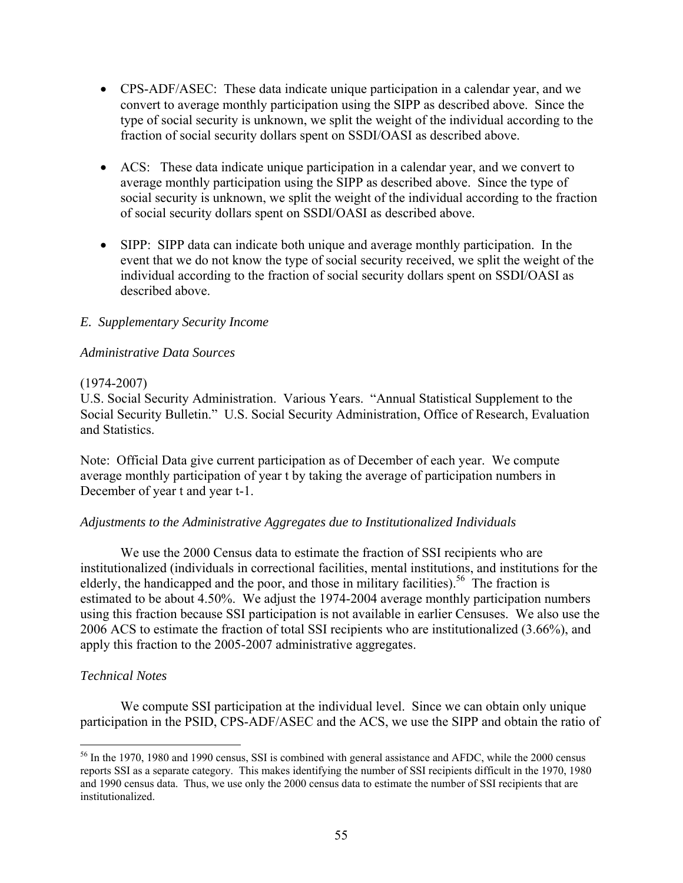- CPS-ADF/ASEC: These data indicate unique participation in a calendar year, and we convert to average monthly participation using the SIPP as described above. Since the type of social security is unknown, we split the weight of the individual according to the fraction of social security dollars spent on SSDI/OASI as described above.
- ACS: These data indicate unique participation in a calendar year, and we convert to average monthly participation using the SIPP as described above. Since the type of social security is unknown, we split the weight of the individual according to the fraction of social security dollars spent on SSDI/OASI as described above.
- SIPP: SIPP data can indicate both unique and average monthly participation. In the event that we do not know the type of social security received, we split the weight of the individual according to the fraction of social security dollars spent on SSDI/OASI as described above.

# *E. Supplementary Security Income*

### *Administrative Data Sources*

### (1974-2007)

U.S. Social Security Administration. Various Years. "Annual Statistical Supplement to the Social Security Bulletin." U.S. Social Security Administration, Office of Research, Evaluation and Statistics.

Note: Official Data give current participation as of December of each year. We compute average monthly participation of year t by taking the average of participation numbers in December of year t and year t-1.

#### *Adjustments to the Administrative Aggregates due to Institutionalized Individuals*

 We use the 2000 Census data to estimate the fraction of SSI recipients who are institutionalized (individuals in correctional facilities, mental institutions, and institutions for the elderly, the handicapped and the poor, and those in military facilities).<sup>56</sup> The fraction is estimated to be about 4.50%. We adjust the 1974-2004 average monthly participation numbers using this fraction because SSI participation is not available in earlier Censuses. We also use the 2006 ACS to estimate the fraction of total SSI recipients who are institutionalized (3.66%), and apply this fraction to the 2005-2007 administrative aggregates.

# *Technical Notes*

 $\overline{a}$ 

 We compute SSI participation at the individual level. Since we can obtain only unique participation in the PSID, CPS-ADF/ASEC and the ACS, we use the SIPP and obtain the ratio of

<sup>&</sup>lt;sup>56</sup> In the 1970, 1980 and 1990 census, SSI is combined with general assistance and AFDC, while the 2000 census reports SSI as a separate category. This makes identifying the number of SSI recipients difficult in the 1970, 1980 and 1990 census data. Thus, we use only the 2000 census data to estimate the number of SSI recipients that are institutionalized.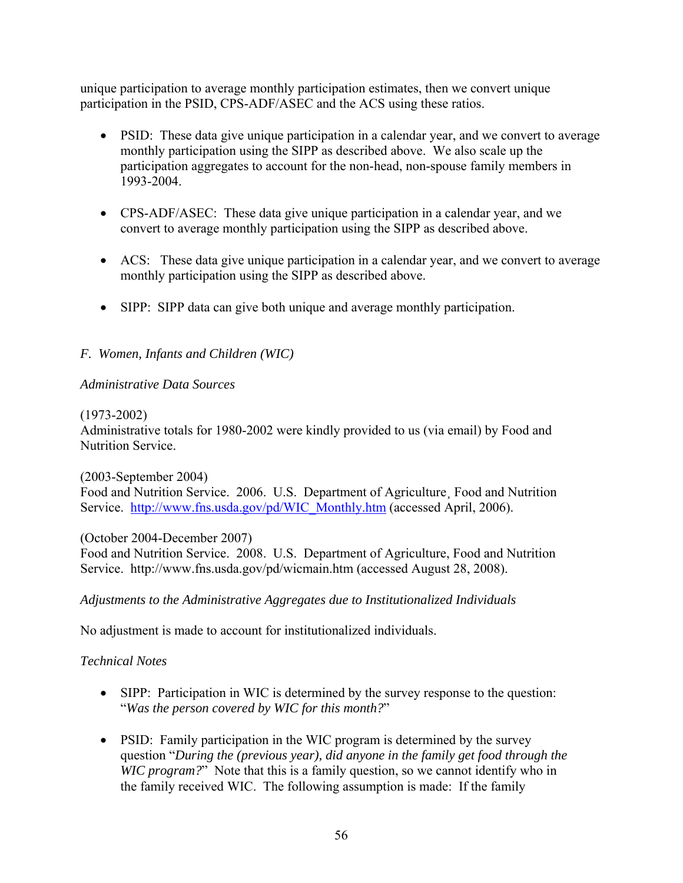unique participation to average monthly participation estimates, then we convert unique participation in the PSID, CPS-ADF/ASEC and the ACS using these ratios.

- PSID: These data give unique participation in a calendar year, and we convert to average monthly participation using the SIPP as described above. We also scale up the participation aggregates to account for the non-head, non-spouse family members in 1993-2004.
- CPS-ADF/ASEC: These data give unique participation in a calendar year, and we convert to average monthly participation using the SIPP as described above.
- ACS: These data give unique participation in a calendar year, and we convert to average monthly participation using the SIPP as described above.
- SIPP: SIPP data can give both unique and average monthly participation.

# *F. Women, Infants and Children (WIC)*

### *Administrative Data Sources*

#### (1973-2002)

Administrative totals for 1980-2002 were kindly provided to us (via email) by Food and Nutrition Service.

(2003-September 2004)

Food and Nutrition Service. 2006. U.S. Department of Agriculture¸ Food and Nutrition Service. http://www.fns.usda.gov/pd/WIC\_Monthly.htm (accessed April, 2006).

(October 2004-December 2007)

Food and Nutrition Service. 2008. U.S. Department of Agriculture, Food and Nutrition Service. http://www.fns.usda.gov/pd/wicmain.htm (accessed August 28, 2008).

# *Adjustments to the Administrative Aggregates due to Institutionalized Individuals*

No adjustment is made to account for institutionalized individuals.

# *Technical Notes*

- SIPP: Participation in WIC is determined by the survey response to the question: "*Was the person covered by WIC for this month?*"
- PSID: Family participation in the WIC program is determined by the survey question "*During the (previous year), did anyone in the family get food through the WIC program?*" Note that this is a family question, so we cannot identify who in the family received WIC. The following assumption is made: If the family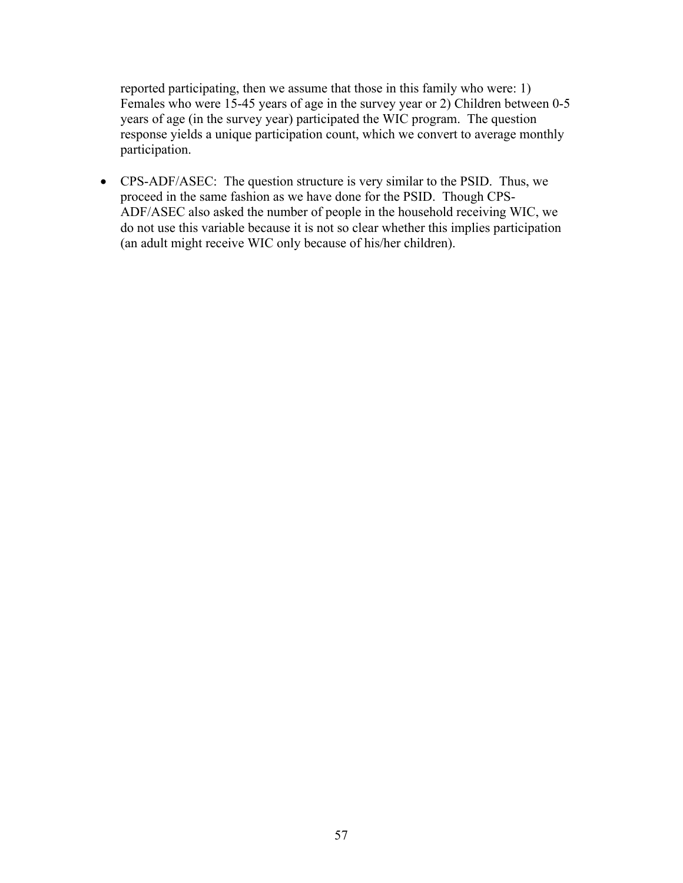reported participating, then we assume that those in this family who were: 1) Females who were 15-45 years of age in the survey year or 2) Children between 0-5 years of age (in the survey year) participated the WIC program. The question response yields a unique participation count, which we convert to average monthly participation.

• CPS-ADF/ASEC: The question structure is very similar to the PSID. Thus, we proceed in the same fashion as we have done for the PSID. Though CPS-ADF/ASEC also asked the number of people in the household receiving WIC, we do not use this variable because it is not so clear whether this implies participation (an adult might receive WIC only because of his/her children).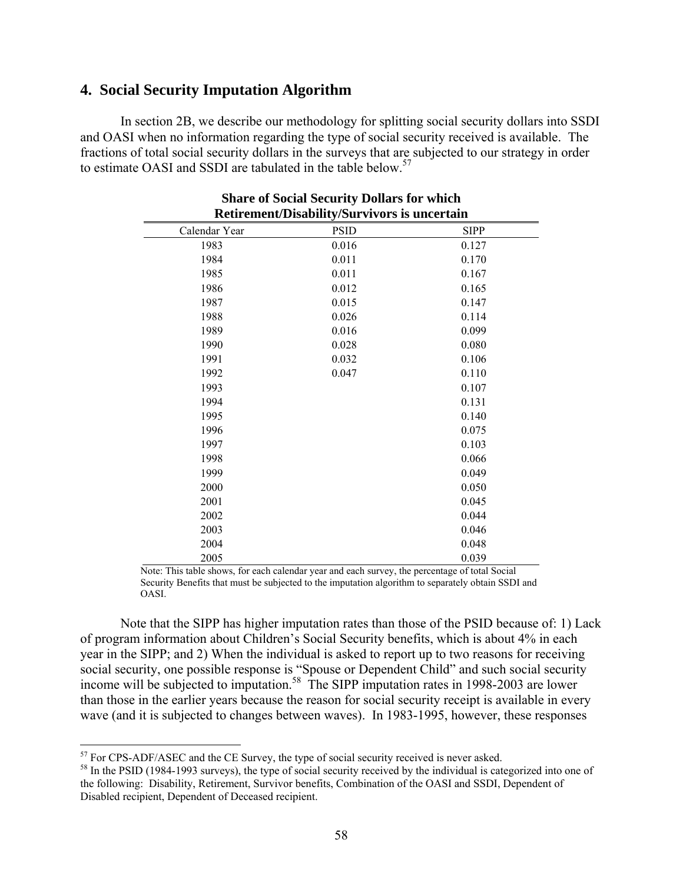# **4. Social Security Imputation Algorithm**

 In section 2B, we describe our methodology for splitting social security dollars into SSDI and OASI when no information regarding the type of social security received is available. The fractions of total social security dollars in the surveys that are subjected to our strategy in order to estimate OASI and SSDI are tabulated in the table below.<sup>57</sup>

| <b>Retirement/Disability/Survivors is uncertain</b> |             |             |  |  |  |  |  |  |  |  |  |
|-----------------------------------------------------|-------------|-------------|--|--|--|--|--|--|--|--|--|
| Calendar Year                                       | <b>PSID</b> | <b>SIPP</b> |  |  |  |  |  |  |  |  |  |
| 1983                                                | 0.016       | 0.127       |  |  |  |  |  |  |  |  |  |
| 1984                                                | 0.011       | 0.170       |  |  |  |  |  |  |  |  |  |
| 1985                                                | 0.011       | 0.167       |  |  |  |  |  |  |  |  |  |
| 1986                                                | 0.012       | 0.165       |  |  |  |  |  |  |  |  |  |
| 1987                                                | 0.015       | 0.147       |  |  |  |  |  |  |  |  |  |
| 1988                                                | 0.026       | 0.114       |  |  |  |  |  |  |  |  |  |
| 1989                                                | 0.016       | 0.099       |  |  |  |  |  |  |  |  |  |
| 1990                                                | 0.028       | 0.080       |  |  |  |  |  |  |  |  |  |
| 1991                                                | 0.032       | 0.106       |  |  |  |  |  |  |  |  |  |
| 1992                                                | 0.047       | 0.110       |  |  |  |  |  |  |  |  |  |
| 1993                                                |             | 0.107       |  |  |  |  |  |  |  |  |  |
| 1994                                                |             | 0.131       |  |  |  |  |  |  |  |  |  |
| 1995                                                |             | 0.140       |  |  |  |  |  |  |  |  |  |
| 1996                                                |             | 0.075       |  |  |  |  |  |  |  |  |  |
| 1997                                                |             | 0.103       |  |  |  |  |  |  |  |  |  |
| 1998                                                |             | 0.066       |  |  |  |  |  |  |  |  |  |
| 1999                                                |             | 0.049       |  |  |  |  |  |  |  |  |  |
| 2000                                                |             | 0.050       |  |  |  |  |  |  |  |  |  |
| 2001                                                |             | 0.045       |  |  |  |  |  |  |  |  |  |
| 2002                                                |             | 0.044       |  |  |  |  |  |  |  |  |  |
| 2003                                                |             | 0.046       |  |  |  |  |  |  |  |  |  |
| 2004                                                |             | 0.048       |  |  |  |  |  |  |  |  |  |
| 2005                                                |             | 0.039       |  |  |  |  |  |  |  |  |  |

# **Share of Social Security Dollars for which**

Note: This table shows, for each calendar year and each survey, the percentage of total Social Security Benefits that must be subjected to the imputation algorithm to separately obtain SSDI and OASI.

 Note that the SIPP has higher imputation rates than those of the PSID because of: 1) Lack of program information about Children's Social Security benefits, which is about 4% in each year in the SIPP; and 2) When the individual is asked to report up to two reasons for receiving social security, one possible response is "Spouse or Dependent Child" and such social security income will be subjected to imputation.<sup>58</sup> The SIPP imputation rates in 1998-2003 are lower than those in the earlier years because the reason for social security receipt is available in every wave (and it is subjected to changes between waves). In 1983-1995, however, these responses

<sup>&</sup>lt;sup>57</sup> For CPS-ADF/ASEC and the CE Survey, the type of social security received is never asked.

<sup>&</sup>lt;sup>58</sup> In the PSID (1984-1993 surveys), the type of social security received by the individual is categorized into one of the following: Disability, Retirement, Survivor benefits, Combination of the OASI and SSDI, Dependent of Disabled recipient, Dependent of Deceased recipient.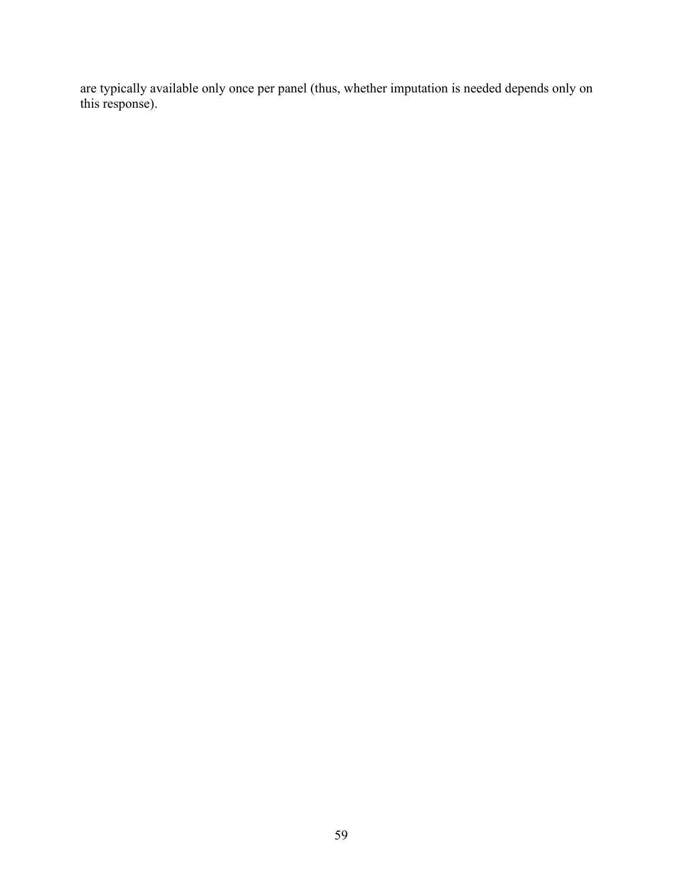are typically available only once per panel (thus, whether imputation is needed depends only on this response).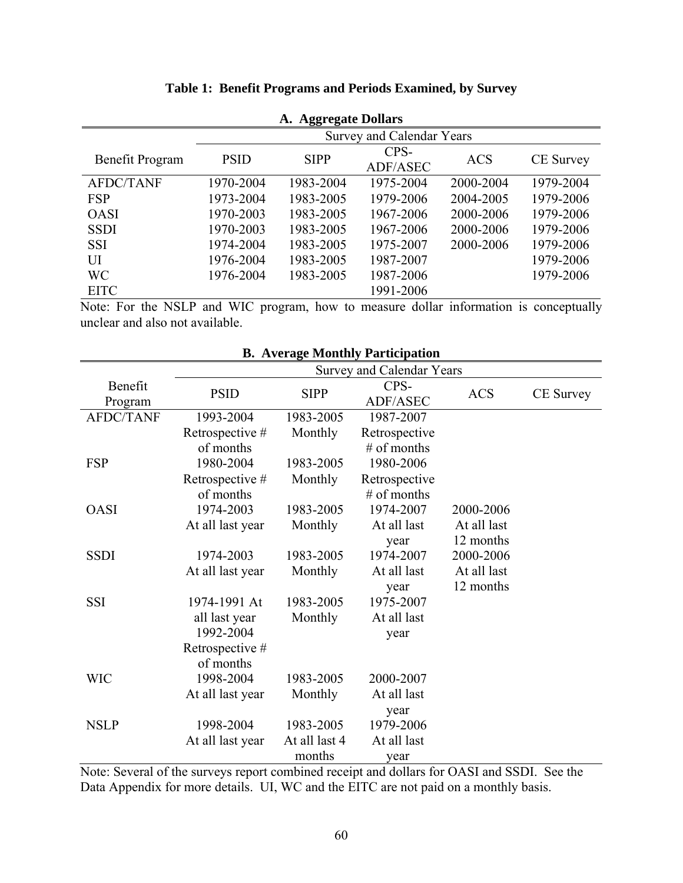| A. Aggregate Dollars |             |             |                                  |            |                  |  |  |  |  |  |  |
|----------------------|-------------|-------------|----------------------------------|------------|------------------|--|--|--|--|--|--|
|                      |             |             | <b>Survey and Calendar Years</b> |            |                  |  |  |  |  |  |  |
| Benefit Program      | <b>PSID</b> | <b>SIPP</b> | CPS-<br>ADF/ASEC                 | <b>ACS</b> | <b>CE</b> Survey |  |  |  |  |  |  |
| <b>AFDC/TANF</b>     | 1970-2004   | 1983-2004   | 1975-2004                        | 2000-2004  | 1979-2004        |  |  |  |  |  |  |
| <b>FSP</b>           | 1973-2004   | 1983-2005   | 1979-2006                        | 2004-2005  | 1979-2006        |  |  |  |  |  |  |
| <b>OASI</b>          | 1970-2003   | 1983-2005   | 1967-2006                        | 2000-2006  | 1979-2006        |  |  |  |  |  |  |
| <b>SSDI</b>          | 1970-2003   | 1983-2005   | 1967-2006                        | 2000-2006  | 1979-2006        |  |  |  |  |  |  |
| <b>SSI</b>           | 1974-2004   | 1983-2005   | 1975-2007                        | 2000-2006  | 1979-2006        |  |  |  |  |  |  |
| UІ                   | 1976-2004   | 1983-2005   | 1987-2007                        |            | 1979-2006        |  |  |  |  |  |  |
| <b>WC</b>            | 1976-2004   | 1983-2005   | 1987-2006                        |            | 1979-2006        |  |  |  |  |  |  |
| <b>EITC</b>          |             |             | 1991-2006                        |            |                  |  |  |  |  |  |  |

# **Table 1: Benefit Programs and Periods Examined, by Survey**

Note: For the NSLP and WIC program, how to measure dollar information is conceptually unclear and also not available.

|                    |                  |               | D. Average Monthly I al ticipation |             |                  |
|--------------------|------------------|---------------|------------------------------------|-------------|------------------|
|                    |                  |               | <b>Survey and Calendar Years</b>   |             |                  |
| Benefit<br>Program | <b>PSID</b>      | <b>SIPP</b>   | CPS-<br>ADF/ASEC                   | <b>ACS</b>  | <b>CE</b> Survey |
| <b>AFDC/TANF</b>   | 1993-2004        | 1983-2005     | 1987-2007                          |             |                  |
|                    | Retrospective #  | Monthly       | Retrospective                      |             |                  |
|                    | of months        |               | $#$ of months                      |             |                  |
| <b>FSP</b>         | 1980-2004        | 1983-2005     | 1980-2006                          |             |                  |
|                    | Retrospective #  | Monthly       | Retrospective                      |             |                  |
|                    | of months        |               | $#$ of months                      |             |                  |
| <b>OASI</b>        | 1974-2003        | 1983-2005     | 1974-2007                          | 2000-2006   |                  |
|                    | At all last year | Monthly       | At all last                        | At all last |                  |
|                    |                  |               | year                               | 12 months   |                  |
| <b>SSDI</b>        | 1974-2003        | 1983-2005     | 1974-2007                          | 2000-2006   |                  |
|                    | At all last year | Monthly       | At all last                        | At all last |                  |
|                    |                  |               | year                               | 12 months   |                  |
| <b>SSI</b>         | 1974-1991 At     | 1983-2005     | 1975-2007                          |             |                  |
|                    | all last year    | Monthly       | At all last                        |             |                  |
|                    | 1992-2004        |               | year                               |             |                  |
|                    | Retrospective #  |               |                                    |             |                  |
|                    | of months        |               |                                    |             |                  |
| <b>WIC</b>         | 1998-2004        | 1983-2005     | 2000-2007                          |             |                  |
|                    | At all last year | Monthly       | At all last                        |             |                  |
|                    |                  |               | year                               |             |                  |
| <b>NSLP</b>        | 1998-2004        | 1983-2005     | 1979-2006                          |             |                  |
|                    | At all last year | At all last 4 | At all last                        |             |                  |
|                    |                  | months        | year                               |             |                  |

**B. Average Monthly Participation** 

Note: Several of the surveys report combined receipt and dollars for OASI and SSDI. See the Data Appendix for more details. UI, WC and the EITC are not paid on a monthly basis.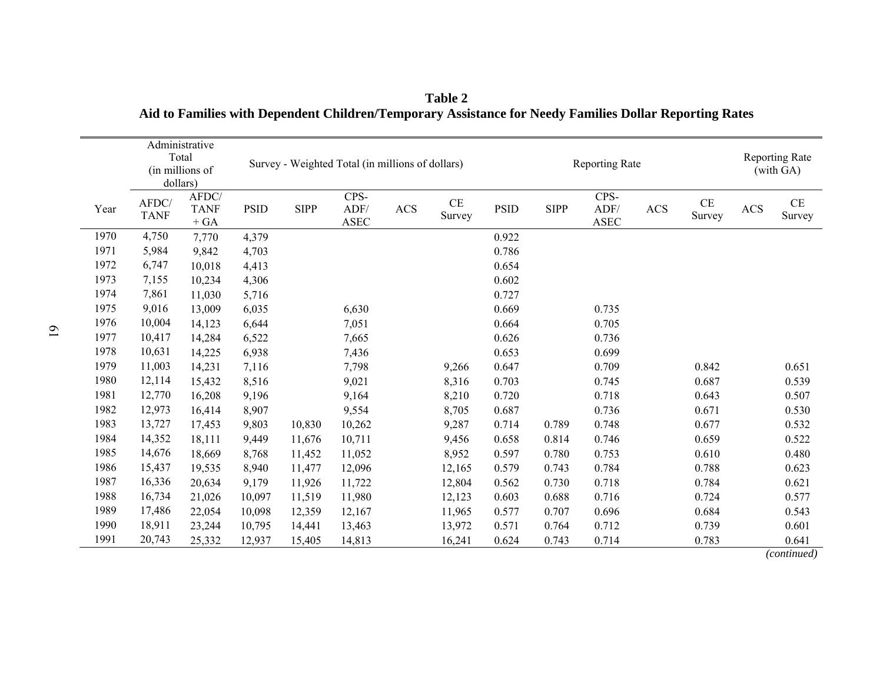|      | dollars)             | Administrative<br>Total<br>(in millions of |             | Survey - Weighted Total (in millions of dollars)<br>CPS- |                     |            |              |             | <b>Reporting Rate</b> |                                       |     |                    | <b>Reporting Rate</b><br>(with GA) |                    |
|------|----------------------|--------------------------------------------|-------------|----------------------------------------------------------|---------------------|------------|--------------|-------------|-----------------------|---------------------------------------|-----|--------------------|------------------------------------|--------------------|
| Year | AFDC/<br><b>TANF</b> | AFDC/<br><b>TANF</b><br>$+ GA$             | <b>PSID</b> | <b>SIPP</b>                                              | ADF/<br><b>ASEC</b> | <b>ACS</b> | CE<br>Survey | <b>PSID</b> | <b>SIPP</b>           | CPS-<br>ADF/<br>$\operatorname{ASEC}$ | ACS | $\rm CE$<br>Survey | <b>ACS</b>                         | $\rm CE$<br>Survey |
| 1970 | 4,750                | 7,770                                      | 4,379       |                                                          |                     |            |              | 0.922       |                       |                                       |     |                    |                                    |                    |
| 1971 | 5,984                | 9,842                                      | 4,703       |                                                          |                     |            |              | 0.786       |                       |                                       |     |                    |                                    |                    |
| 1972 | 6,747                | 10,018                                     | 4,413       |                                                          |                     |            |              | 0.654       |                       |                                       |     |                    |                                    |                    |
| 1973 | 7,155                | 10,234                                     | 4,306       |                                                          |                     |            |              | 0.602       |                       |                                       |     |                    |                                    |                    |
| 1974 | 7,861                | 11,030                                     | 5,716       |                                                          |                     |            |              | 0.727       |                       |                                       |     |                    |                                    |                    |
| 1975 | 9,016                | 13,009                                     | 6,035       |                                                          | 6,630               |            |              | 0.669       |                       | 0.735                                 |     |                    |                                    |                    |
| 1976 | 10,004               | 14,123                                     | 6,644       |                                                          | 7,051               |            |              | 0.664       |                       | 0.705                                 |     |                    |                                    |                    |
| 1977 | 10,417               | 14,284                                     | 6,522       |                                                          | 7,665               |            |              | 0.626       |                       | 0.736                                 |     |                    |                                    |                    |
| 1978 | 10,631               | 14,225                                     | 6,938       |                                                          | 7,436               |            |              | 0.653       |                       | 0.699                                 |     |                    |                                    |                    |
| 1979 | 11,003               | 14,231                                     | 7,116       |                                                          | 7,798               |            | 9,266        | 0.647       |                       | 0.709                                 |     | 0.842              |                                    | 0.651              |
| 1980 | 12,114               | 15,432                                     | 8,516       |                                                          | 9,021               |            | 8,316        | 0.703       |                       | 0.745                                 |     | 0.687              |                                    | 0.539              |
| 1981 | 12,770               | 16,208                                     | 9,196       |                                                          | 9,164               |            | 8,210        | 0.720       |                       | 0.718                                 |     | 0.643              |                                    | 0.507              |
| 1982 | 12,973               | 16,414                                     | 8,907       |                                                          | 9,554               |            | 8,705        | 0.687       |                       | 0.736                                 |     | 0.671              |                                    | 0.530              |
| 1983 | 13,727               | 17,453                                     | 9,803       | 10,830                                                   | 10,262              |            | 9,287        | 0.714       | 0.789                 | 0.748                                 |     | 0.677              |                                    | 0.532              |
| 1984 | 14,352               | 18,111                                     | 9,449       | 11,676                                                   | 10,711              |            | 9,456        | 0.658       | 0.814                 | 0.746                                 |     | 0.659              |                                    | 0.522              |
| 1985 | 14,676               | 18,669                                     | 8,768       | 11,452                                                   | 11,052              |            | 8,952        | 0.597       | 0.780                 | 0.753                                 |     | 0.610              |                                    | 0.480              |
| 1986 | 15,437               | 19,535                                     | 8,940       | 11,477                                                   | 12,096              |            | 12,165       | 0.579       | 0.743                 | 0.784                                 |     | 0.788              |                                    | 0.623              |
| 1987 | 16,336               | 20,634                                     | 9,179       | 11,926                                                   | 11,722              |            | 12,804       | 0.562       | 0.730                 | 0.718                                 |     | 0.784              |                                    | 0.621              |
| 1988 | 16,734               | 21,026                                     | 10,097      | 11,519                                                   | 11,980              |            | 12,123       | 0.603       | 0.688                 | 0.716                                 |     | 0.724              |                                    | 0.577              |
| 1989 | 17,486               | 22,054                                     | 10,098      | 12,359                                                   | 12,167              |            | 11,965       | 0.577       | 0.707                 | 0.696                                 |     | 0.684              |                                    | 0.543              |
| 1990 | 18,911               | 23,244                                     | 10,795      | 14,441                                                   | 13,463              |            | 13,972       | 0.571       | 0.764                 | 0.712                                 |     | 0.739              |                                    | 0.601              |
| 1991 | 20,743               | 25,332                                     | 12,937      | 15,405                                                   | 14,813              |            | 16,241       | 0.624       | 0.743                 | 0.714                                 |     | 0.783              |                                    | 0.641              |

**Table 2 Aid to Families with Dependent Children/Temporary Assistance for Needy Families Dollar Reporting Rates** 

*(continued)*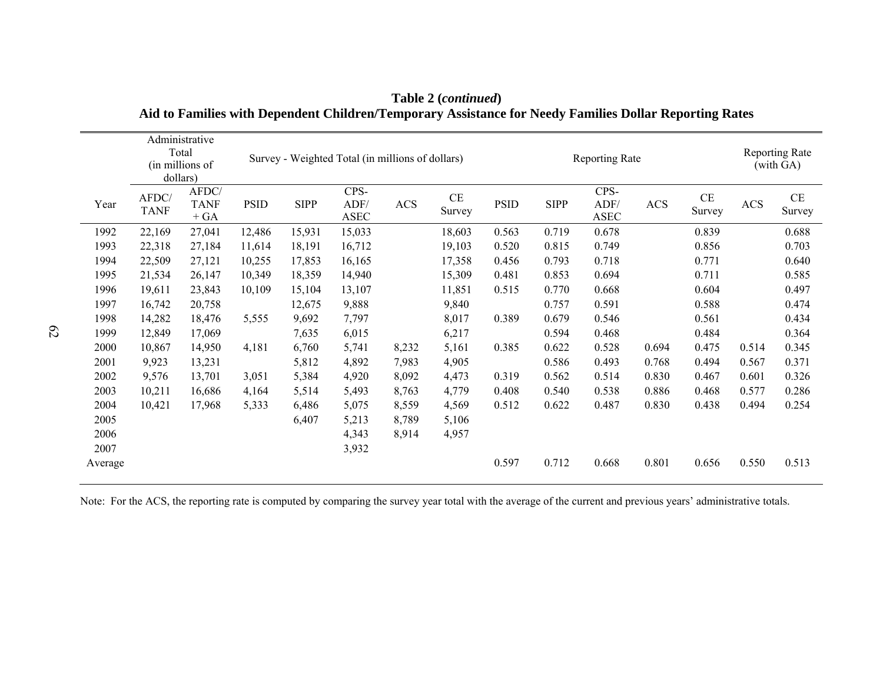|         | dollars)             | Administrative<br>Total<br>(in millions of |             |             | Survey - Weighted Total (in millions of dollars) |            |                    |             | Reporting Rate |                             |            |              |            | <b>Reporting Rate</b><br>(with GA) |  |
|---------|----------------------|--------------------------------------------|-------------|-------------|--------------------------------------------------|------------|--------------------|-------------|----------------|-----------------------------|------------|--------------|------------|------------------------------------|--|
| Year    | AFDC/<br><b>TANF</b> | AFDC/<br><b>TANF</b><br>$+ GA$             | <b>PSID</b> | <b>SIPP</b> | CPS-<br>ADF/<br><b>ASEC</b>                      | <b>ACS</b> | $\rm CE$<br>Survey | <b>PSID</b> | <b>SIPP</b>    | CPS-<br>ADF/<br><b>ASEC</b> | <b>ACS</b> | CE<br>Survey | <b>ACS</b> | CE<br>Survey                       |  |
| 1992    | 22,169               | 27,041                                     | 12,486      | 15,931      | 15,033                                           |            | 18,603             | 0.563       | 0.719          | 0.678                       |            | 0.839        |            | 0.688                              |  |
| 1993    | 22,318               | 27,184                                     | 11,614      | 18,191      | 16,712                                           |            | 19,103             | 0.520       | 0.815          | 0.749                       |            | 0.856        |            | 0.703                              |  |
| 1994    | 22,509               | 27,121                                     | 10,255      | 17,853      | 16,165                                           |            | 17,358             | 0.456       | 0.793          | 0.718                       |            | 0.771        |            | 0.640                              |  |
| 1995    | 21,534               | 26,147                                     | 10,349      | 18,359      | 14,940                                           |            | 15,309             | 0.481       | 0.853          | 0.694                       |            | 0.711        |            | 0.585                              |  |
| 1996    | 19,611               | 23,843                                     | 10,109      | 15,104      | 13,107                                           |            | 11,851             | 0.515       | 0.770          | 0.668                       |            | 0.604        |            | 0.497                              |  |
| 1997    | 16,742               | 20,758                                     |             | 12,675      | 9,888                                            |            | 9,840              |             | 0.757          | 0.591                       |            | 0.588        |            | 0.474                              |  |
| 1998    | 14,282               | 18,476                                     | 5,555       | 9,692       | 7,797                                            |            | 8,017              | 0.389       | 0.679          | 0.546                       |            | 0.561        |            | 0.434                              |  |
| 1999    | 12,849               | 17,069                                     |             | 7,635       | 6,015                                            |            | 6,217              |             | 0.594          | 0.468                       |            | 0.484        |            | 0.364                              |  |
| 2000    | 10,867               | 14,950                                     | 4,181       | 6,760       | 5,741                                            | 8,232      | 5,161              | 0.385       | 0.622          | 0.528                       | 0.694      | 0.475        | 0.514      | 0.345                              |  |
| 2001    | 9,923                | 13,231                                     |             | 5,812       | 4,892                                            | 7,983      | 4,905              |             | 0.586          | 0.493                       | 0.768      | 0.494        | 0.567      | 0.371                              |  |
| 2002    | 9,576                | 13,701                                     | 3,051       | 5,384       | 4,920                                            | 8,092      | 4,473              | 0.319       | 0.562          | 0.514                       | 0.830      | 0.467        | 0.601      | 0.326                              |  |
| 2003    | 10,211               | 16,686                                     | 4,164       | 5,514       | 5,493                                            | 8,763      | 4,779              | 0.408       | 0.540          | 0.538                       | 0.886      | 0.468        | 0.577      | 0.286                              |  |
| 2004    | 10,421               | 17,968                                     | 5,333       | 6,486       | 5,075                                            | 8,559      | 4,569              | 0.512       | 0.622          | 0.487                       | 0.830      | 0.438        | 0.494      | 0.254                              |  |
| 2005    |                      |                                            |             | 6,407       | 5,213                                            | 8,789      | 5,106              |             |                |                             |            |              |            |                                    |  |
| 2006    |                      |                                            |             |             | 4,343                                            | 8,914      | 4,957              |             |                |                             |            |              |            |                                    |  |
| 2007    |                      |                                            |             |             | 3,932                                            |            |                    |             |                |                             |            |              |            |                                    |  |
| Average |                      |                                            |             |             |                                                  |            |                    | 0.597       | 0.712          | 0.668                       | 0.801      | 0.656        | 0.550      | 0.513                              |  |

**Table 2 (***continued***) Aid to Families with Dependent Children/Temporary Assistance for Needy Families Dollar Reporting Rates** 

Note: For the ACS, the reporting rate is computed by comparing the survey year total with the average of the current and previous years' administrative totals.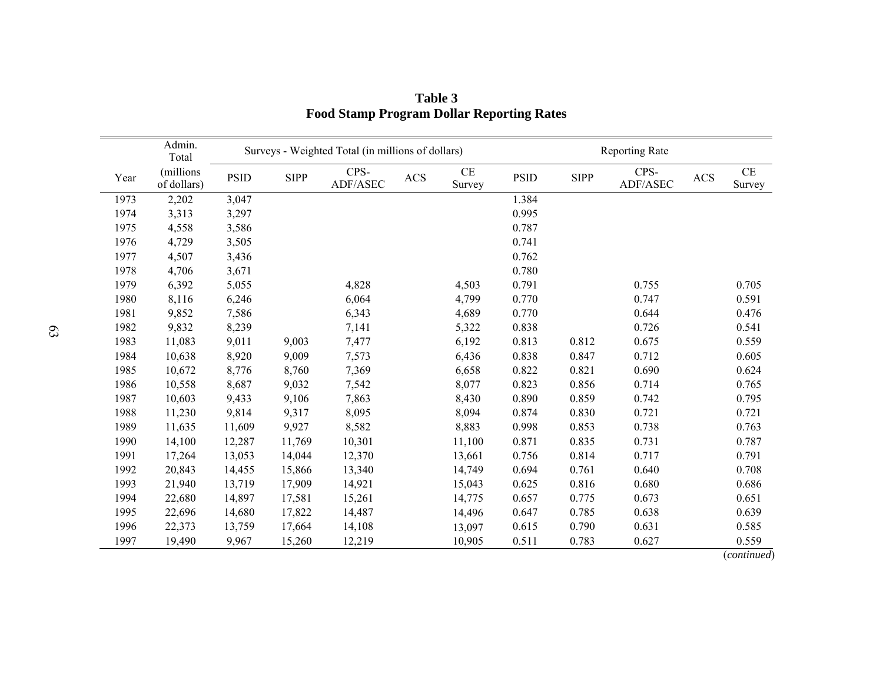|      | Admin.<br>Total          |             |             | Surveys - Weighted Total (in millions of dollars) |            |              | <b>Reporting Rate</b> |             |                  |     |              |
|------|--------------------------|-------------|-------------|---------------------------------------------------|------------|--------------|-----------------------|-------------|------------------|-----|--------------|
| Year | (millions<br>of dollars) | <b>PSID</b> | <b>SIPP</b> | CPS-<br>ADF/ASEC                                  | <b>ACS</b> | CE<br>Survey | <b>PSID</b>           | <b>SIPP</b> | CPS-<br>ADF/ASEC | ACS | CE<br>Survey |
| 1973 | 2,202                    | 3,047       |             |                                                   |            |              | 1.384                 |             |                  |     |              |
| 1974 | 3,313                    | 3,297       |             |                                                   |            |              | 0.995                 |             |                  |     |              |
| 1975 | 4,558                    | 3,586       |             |                                                   |            |              | 0.787                 |             |                  |     |              |
| 1976 | 4,729                    | 3,505       |             |                                                   |            |              | 0.741                 |             |                  |     |              |
| 1977 | 4,507                    | 3,436       |             |                                                   |            |              | 0.762                 |             |                  |     |              |
| 1978 | 4,706                    | 3,671       |             |                                                   |            |              | 0.780                 |             |                  |     |              |
| 1979 | 6,392                    | 5,055       |             | 4,828                                             |            | 4,503        | 0.791                 |             | 0.755            |     | 0.705        |
| 1980 | 8,116                    | 6,246       |             | 6,064                                             |            | 4,799        | 0.770                 |             | 0.747            |     | 0.591        |
| 1981 | 9,852                    | 7,586       |             | 6,343                                             |            | 4,689        | 0.770                 |             | 0.644            |     | 0.476        |
| 1982 | 9,832                    | 8,239       |             | 7,141                                             |            | 5,322        | 0.838                 |             | 0.726            |     | 0.541        |
| 1983 | 11,083                   | 9,011       | 9,003       | 7,477                                             |            | 6,192        | 0.813                 | 0.812       | 0.675            |     | 0.559        |
| 1984 | 10,638                   | 8,920       | 9,009       | 7,573                                             |            | 6,436        | 0.838                 | 0.847       | 0.712            |     | 0.605        |
| 1985 | 10,672                   | 8,776       | 8,760       | 7,369                                             |            | 6,658        | 0.822                 | 0.821       | 0.690            |     | 0.624        |
| 1986 | 10,558                   | 8,687       | 9,032       | 7,542                                             |            | 8,077        | 0.823                 | 0.856       | 0.714            |     | 0.765        |
| 1987 | 10,603                   | 9,433       | 9,106       | 7,863                                             |            | 8,430        | 0.890                 | 0.859       | 0.742            |     | 0.795        |
| 1988 | 11,230                   | 9,814       | 9,317       | 8,095                                             |            | 8,094        | 0.874                 | 0.830       | 0.721            |     | 0.721        |
| 1989 | 11,635                   | 11,609      | 9,927       | 8,582                                             |            | 8,883        | 0.998                 | 0.853       | 0.738            |     | 0.763        |
| 1990 | 14,100                   | 12,287      | 11,769      | 10,301                                            |            | 11,100       | 0.871                 | 0.835       | 0.731            |     | 0.787        |
| 1991 | 17,264                   | 13,053      | 14,044      | 12,370                                            |            | 13,661       | 0.756                 | 0.814       | 0.717            |     | 0.791        |
| 1992 | 20,843                   | 14,455      | 15,866      | 13,340                                            |            | 14,749       | 0.694                 | 0.761       | 0.640            |     | 0.708        |
| 1993 | 21,940                   | 13,719      | 17,909      | 14,921                                            |            | 15,043       | 0.625                 | 0.816       | 0.680            |     | 0.686        |
| 1994 | 22,680                   | 14,897      | 17,581      | 15,261                                            |            | 14,775       | 0.657                 | 0.775       | 0.673            |     | 0.651        |
| 1995 | 22,696                   | 14,680      | 17,822      | 14,487                                            |            | 14,496       | 0.647                 | 0.785       | 0.638            |     | 0.639        |
| 1996 | 22,373                   | 13,759      | 17,664      | 14,108                                            |            | 13,097       | 0.615                 | 0.790       | 0.631            |     | 0.585        |
| 1997 | 19,490                   | 9,967       | 15,260      | 12,219                                            |            | 10,905       | 0.511                 | 0.783       | 0.627            |     | 0.559        |

**Table 3 Food Stamp Program Dollar Reporting Rates** 

(*continued*)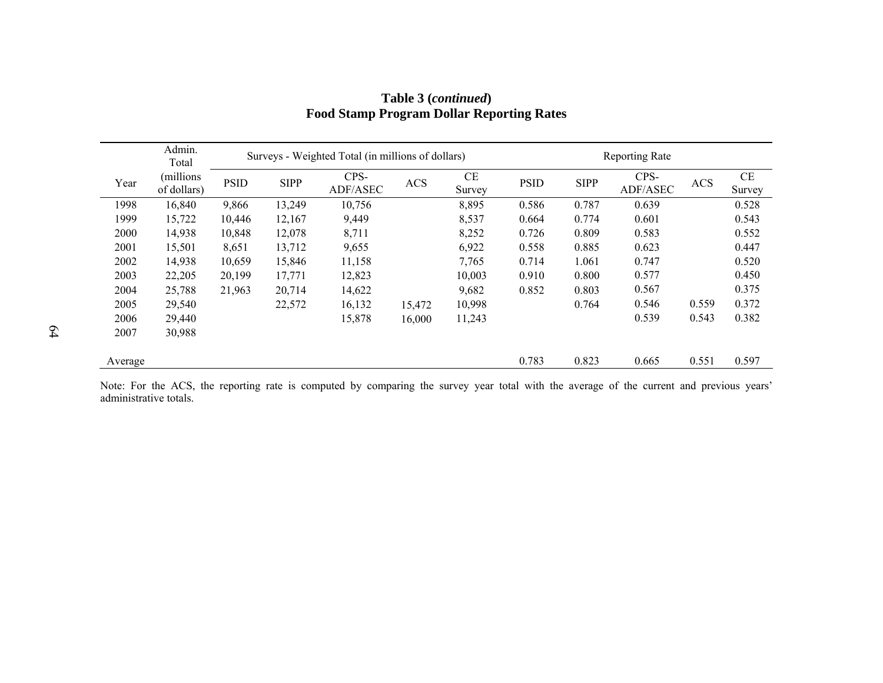|         | Admin.<br>Total           |             |             | Surveys - Weighted Total (in millions of dollars) |            |              | <b>Reporting Rate</b> |             |                  |            |              |  |  |
|---------|---------------------------|-------------|-------------|---------------------------------------------------|------------|--------------|-----------------------|-------------|------------------|------------|--------------|--|--|
| Year    | (millions)<br>of dollars) | <b>PSID</b> | <b>SIPP</b> | CPS-<br>ADF/ASEC                                  | <b>ACS</b> | CE<br>Survey | <b>PSID</b>           | <b>SIPP</b> | CPS-<br>ADF/ASEC | <b>ACS</b> | CE<br>Survey |  |  |
| 1998    | 16,840                    | 9,866       | 13,249      | 10,756                                            |            | 8,895        | 0.586                 | 0.787       | 0.639            |            | 0.528        |  |  |
| 1999    | 15,722                    | 10,446      | 12,167      | 9,449                                             |            | 8,537        | 0.664                 | 0.774       | 0.601            |            | 0.543        |  |  |
| 2000    | 14,938                    | 10,848      | 12,078      | 8,711                                             |            | 8,252        | 0.726                 | 0.809       | 0.583            |            | 0.552        |  |  |
| 2001    | 15,501                    | 8,651       | 13,712      | 9,655                                             |            | 6,922        | 0.558                 | 0.885       | 0.623            |            | 0.447        |  |  |
| 2002    | 14,938                    | 10,659      | 15,846      | 11,158                                            |            | 7,765        | 0.714                 | 1.061       | 0.747            |            | 0.520        |  |  |
| 2003    | 22,205                    | 20,199      | 17,771      | 12,823                                            |            | 10,003       | 0.910                 | 0.800       | 0.577            |            | 0.450        |  |  |
| 2004    | 25,788                    | 21,963      | 20,714      | 14,622                                            |            | 9,682        | 0.852                 | 0.803       | 0.567            |            | 0.375        |  |  |
| 2005    | 29,540                    |             | 22,572      | 16,132                                            | 15,472     | 10,998       |                       | 0.764       | 0.546            | 0.559      | 0.372        |  |  |
| 2006    | 29,440                    |             |             | 15,878                                            | 16,000     | 11,243       |                       |             | 0.539            | 0.543      | 0.382        |  |  |
| 2007    | 30,988                    |             |             |                                                   |            |              |                       |             |                  |            |              |  |  |
| Average |                           |             |             |                                                   |            |              | 0.783                 | 0.823       | 0.665            | 0.551      | 0.597        |  |  |

# **Table 3 (***continued***) Food Stamp Program Dollar Reporting Rates**

Note: For the ACS, the reporting rate is computed by comparing the survey year total with the average of the current and previous years' administrative totals.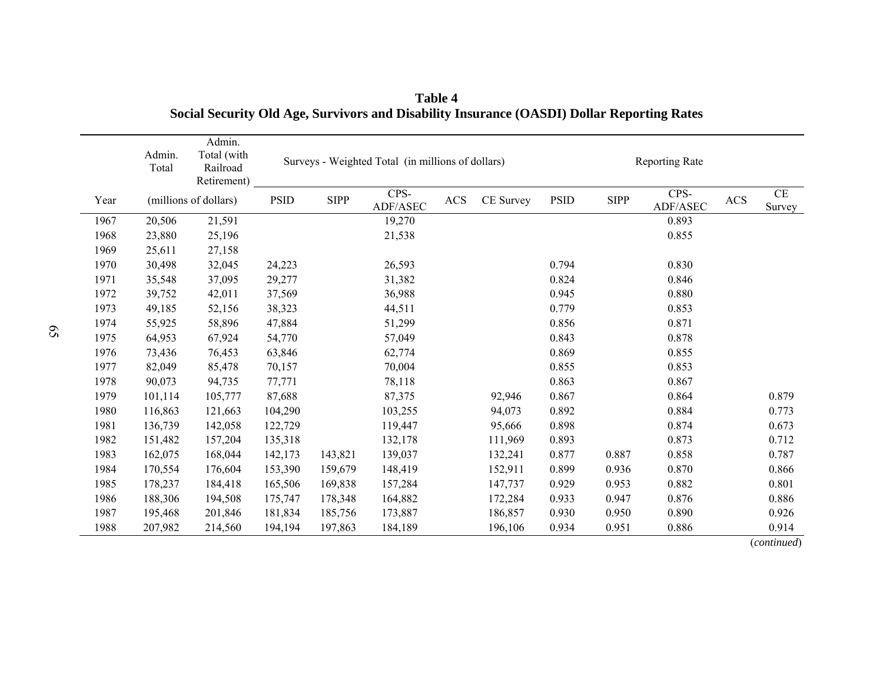|      | Admin.<br>Total | Admin.<br>Total (with<br>Railroad<br>Retirement) |             | Surveys - Weighted Total (in millions of dollars) |                  |            |           |             |             | <b>Reporting Rate</b> |            |                    |  |  |
|------|-----------------|--------------------------------------------------|-------------|---------------------------------------------------|------------------|------------|-----------|-------------|-------------|-----------------------|------------|--------------------|--|--|
| Year |                 | (millions of dollars)                            | <b>PSID</b> | <b>SIPP</b>                                       | CPS-<br>ADF/ASEC | <b>ACS</b> | CE Survey | <b>PSID</b> | <b>SIPP</b> | CPS-<br>ADF/ASEC      | <b>ACS</b> | $\rm CE$<br>Survey |  |  |
| 1967 | 20,506          | 21,591                                           |             |                                                   | 19,270           |            |           |             |             | 0.893                 |            |                    |  |  |
| 1968 | 23,880          | 25,196                                           |             |                                                   | 21,538           |            |           |             |             | 0.855                 |            |                    |  |  |
| 1969 | 25,611          | 27,158                                           |             |                                                   |                  |            |           |             |             |                       |            |                    |  |  |
| 1970 | 30,498          | 32,045                                           | 24,223      |                                                   | 26,593           |            |           | 0.794       |             | 0.830                 |            |                    |  |  |
| 1971 | 35,548          | 37,095                                           | 29,277      |                                                   | 31,382           |            |           | 0.824       |             | 0.846                 |            |                    |  |  |
| 1972 | 39,752          | 42,011                                           | 37,569      |                                                   | 36,988           |            |           | 0.945       |             | 0.880                 |            |                    |  |  |
| 1973 | 49,185          | 52,156                                           | 38,323      |                                                   | 44,511           |            |           | 0.779       |             | 0.853                 |            |                    |  |  |
| 1974 | 55,925          | 58,896                                           | 47,884      |                                                   | 51,299           |            |           | 0.856       |             | 0.871                 |            |                    |  |  |
| 1975 | 64,953          | 67,924                                           | 54,770      |                                                   | 57,049           |            |           | 0.843       |             | 0.878                 |            |                    |  |  |
| 1976 | 73,436          | 76,453                                           | 63,846      |                                                   | 62,774           |            |           | 0.869       |             | 0.855                 |            |                    |  |  |
| 1977 | 82,049          | 85,478                                           | 70,157      |                                                   | 70,004           |            |           | 0.855       |             | 0.853                 |            |                    |  |  |
| 1978 | 90,073          | 94,735                                           | 77,771      |                                                   | 78,118           |            |           | 0.863       |             | 0.867                 |            |                    |  |  |
| 1979 | 101,114         | 105,777                                          | 87,688      |                                                   | 87,375           |            | 92,946    | 0.867       |             | 0.864                 |            | 0.879              |  |  |
| 1980 | 116,863         | 121,663                                          | 104,290     |                                                   | 103,255          |            | 94,073    | 0.892       |             | 0.884                 |            | 0.773              |  |  |
| 1981 | 136,739         | 142,058                                          | 122,729     |                                                   | 119,447          |            | 95,666    | 0.898       |             | 0.874                 |            | 0.673              |  |  |
| 1982 | 151,482         | 157,204                                          | 135,318     |                                                   | 132,178          |            | 111,969   | 0.893       |             | 0.873                 |            | 0.712              |  |  |
| 1983 | 162,075         | 168,044                                          | 142,173     | 143,821                                           | 139,037          |            | 132,241   | 0.877       | 0.887       | 0.858                 |            | 0.787              |  |  |
| 1984 | 170,554         | 176,604                                          | 153,390     | 159,679                                           | 148,419          |            | 152,911   | 0.899       | 0.936       | 0.870                 |            | 0.866              |  |  |
| 1985 | 178,237         | 184,418                                          | 165,506     | 169,838                                           | 157,284          |            | 147,737   | 0.929       | 0.953       | 0.882                 |            | 0.801              |  |  |
| 1986 | 188,306         | 194,508                                          | 175,747     | 178,348                                           | 164,882          |            | 172,284   | 0.933       | 0.947       | 0.876                 |            | 0.886              |  |  |
| 1987 | 195,468         | 201,846                                          | 181,834     | 185,756                                           | 173,887          |            | 186,857   | 0.930       | 0.950       | 0.890                 |            | 0.926              |  |  |
| 1988 | 207,982         | 214,560                                          | 194,194     | 197,863                                           | 184,189          |            | 196,106   | 0.934       | 0.951       | 0.886                 |            | 0.914              |  |  |
|      |                 |                                                  |             |                                                   |                  |            |           |             |             |                       |            | (continued)        |  |  |

**Table 4 Social Security Old Age, Survivors and Disability Insurance (OASDI) Dollar Reporting Rates**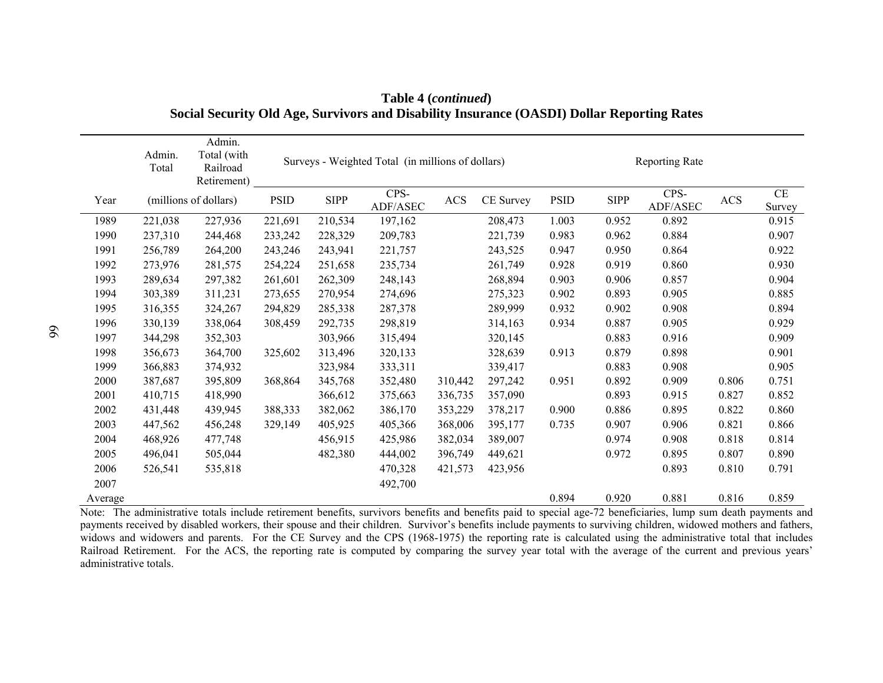|         | Admin.<br>Total | Admin.<br>Total (with<br>Railroad<br>Retirement) |             |             | Surveys - Weighted Total (in millions of dollars) |            |           | <b>Reporting Rate</b> |             |                                   |       |                    |
|---------|-----------------|--------------------------------------------------|-------------|-------------|---------------------------------------------------|------------|-----------|-----------------------|-------------|-----------------------------------|-------|--------------------|
| Year    |                 | (millions of dollars)                            | <b>PSID</b> | <b>SIPP</b> | CPS-<br>ADF/ASEC                                  | <b>ACS</b> | CE Survey | <b>PSID</b>           | <b>SIPP</b> | CPS-<br>$\operatorname{ADF/ASEC}$ | ACS   | $\rm CE$<br>Survey |
| 1989    | 221,038         | 227,936                                          | 221,691     | 210,534     | 197,162                                           |            | 208,473   | 1.003                 | 0.952       | 0.892                             |       | 0.915              |
| 1990    | 237,310         | 244,468                                          | 233,242     | 228,329     | 209,783                                           |            | 221,739   | 0.983                 | 0.962       | 0.884                             |       | 0.907              |
| 1991    | 256,789         | 264,200                                          | 243,246     | 243,941     | 221,757                                           |            | 243,525   | 0.947                 | 0.950       | 0.864                             |       | 0.922              |
| 1992    | 273,976         | 281,575                                          | 254,224     | 251,658     | 235,734                                           |            | 261,749   | 0.928                 | 0.919       | 0.860                             |       | 0.930              |
| 1993    | 289,634         | 297,382                                          | 261,601     | 262,309     | 248,143                                           |            | 268,894   | 0.903                 | 0.906       | 0.857                             |       | 0.904              |
| 1994    | 303,389         | 311,231                                          | 273,655     | 270,954     | 274,696                                           |            | 275,323   | 0.902                 | 0.893       | 0.905                             |       | 0.885              |
| 1995    | 316,355         | 324,267                                          | 294,829     | 285,338     | 287,378                                           |            | 289,999   | 0.932                 | 0.902       | 0.908                             |       | 0.894              |
| 1996    | 330,139         | 338,064                                          | 308,459     | 292,735     | 298,819                                           |            | 314,163   | 0.934                 | 0.887       | 0.905                             |       | 0.929              |
| 1997    | 344,298         | 352,303                                          |             | 303,966     | 315,494                                           |            | 320,145   |                       | 0.883       | 0.916                             |       | 0.909              |
| 1998    | 356,673         | 364,700                                          | 325,602     | 313,496     | 320,133                                           |            | 328,639   | 0.913                 | 0.879       | 0.898                             |       | 0.901              |
| 1999    | 366,883         | 374,932                                          |             | 323,984     | 333,311                                           |            | 339,417   |                       | 0.883       | 0.908                             |       | 0.905              |
| 2000    | 387,687         | 395,809                                          | 368,864     | 345,768     | 352,480                                           | 310,442    | 297,242   | 0.951                 | 0.892       | 0.909                             | 0.806 | 0.751              |
| 2001    | 410,715         | 418,990                                          |             | 366,612     | 375,663                                           | 336,735    | 357,090   |                       | 0.893       | 0.915                             | 0.827 | 0.852              |
| 2002    | 431,448         | 439,945                                          | 388,333     | 382,062     | 386,170                                           | 353,229    | 378,217   | 0.900                 | 0.886       | 0.895                             | 0.822 | 0.860              |
| 2003    | 447,562         | 456,248                                          | 329,149     | 405,925     | 405,366                                           | 368,006    | 395,177   | 0.735                 | 0.907       | 0.906                             | 0.821 | 0.866              |
| 2004    | 468,926         | 477,748                                          |             | 456,915     | 425,986                                           | 382,034    | 389,007   |                       | 0.974       | 0.908                             | 0.818 | 0.814              |
| 2005    | 496,041         | 505,044                                          |             | 482,380     | 444,002                                           | 396,749    | 449,621   |                       | 0.972       | 0.895                             | 0.807 | 0.890              |
| 2006    | 526,541         | 535,818                                          |             |             | 470,328                                           | 421,573    | 423,956   |                       |             | 0.893                             | 0.810 | 0.791              |
| 2007    |                 |                                                  |             |             | 492,700                                           |            |           |                       |             |                                   |       |                    |
| Average |                 |                                                  |             |             |                                                   |            |           | 0.894                 | 0.920       | 0.881                             | 0.816 | 0.859              |

**Table 4 (***continued***) Social Security Old Age, Survivors and Disability Insurance (OASDI) Dollar Reporting Rates** 

Note: The administrative totals include retirement benefits, survivors benefits and benefits paid to special age-72 beneficiaries, lump sum death payments and payments received by disabled workers, their spouse and their children. Survivor's benefits include payments to surviving children, widowed mothers and fathers, widows and widowers and parents. For the CE Survey and the CPS (1968-1975) the reporting rate is calculated using the administrative total that includes Railroad Retirement. For the ACS, the reporting rate is computed by comparing the survey year total with the average of the current and previous years' administrative totals.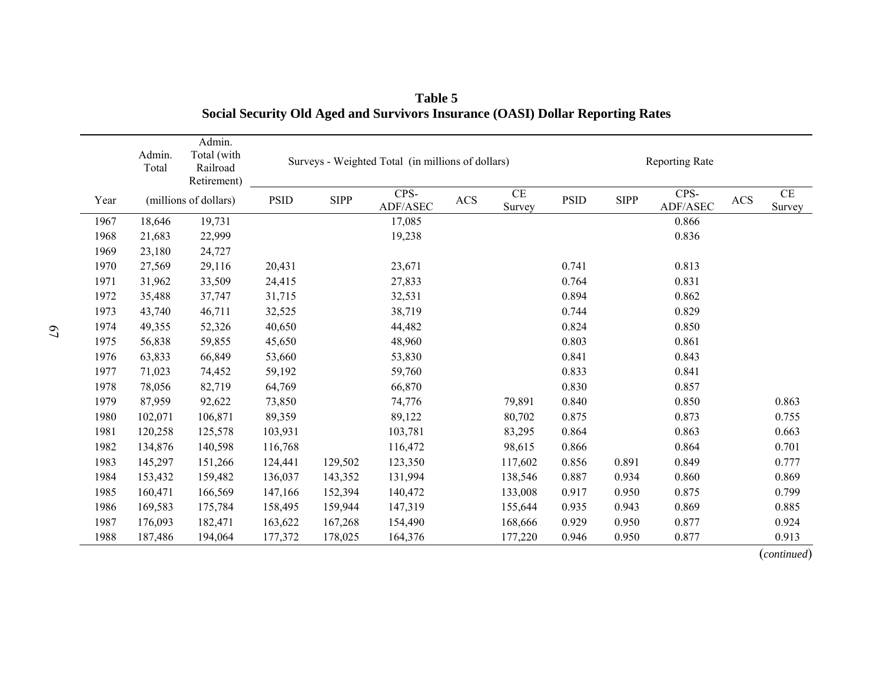|      | Admin.<br>Total | Admin.<br>Total (with<br>Railroad<br>Retirement) |             |             | Surveys - Weighted Total (in millions of dollars) | <b>Reporting Rate</b> |                    |             |             |                                   |           |              |
|------|-----------------|--------------------------------------------------|-------------|-------------|---------------------------------------------------|-----------------------|--------------------|-------------|-------------|-----------------------------------|-----------|--------------|
| Year |                 | (millions of dollars)                            | <b>PSID</b> | <b>SIPP</b> | CPS-<br>ADF/ASEC                                  | $\rm ACS$             | $\rm CE$<br>Survey | <b>PSID</b> | <b>SIPP</b> | CPS-<br>$\operatorname{ADF/ASEC}$ | $\rm ACS$ | CE<br>Survey |
| 1967 | 18,646          | 19,731                                           |             |             | 17,085                                            |                       |                    |             |             | 0.866                             |           |              |
| 1968 | 21,683          | 22,999                                           |             |             | 19,238                                            |                       |                    |             |             | 0.836                             |           |              |
| 1969 | 23,180          | 24,727                                           |             |             |                                                   |                       |                    |             |             |                                   |           |              |
| 1970 | 27,569          | 29,116                                           | 20,431      |             | 23,671                                            |                       |                    | 0.741       |             | 0.813                             |           |              |
| 1971 | 31,962          | 33,509                                           | 24,415      |             | 27,833                                            |                       |                    | 0.764       |             | 0.831                             |           |              |
| 1972 | 35,488          | 37,747                                           | 31,715      |             | 32,531                                            |                       |                    | 0.894       |             | 0.862                             |           |              |
| 1973 | 43,740          | 46,711                                           | 32,525      |             | 38,719                                            |                       |                    | 0.744       |             | 0.829                             |           |              |
| 1974 | 49,355          | 52,326                                           | 40,650      |             | 44,482                                            |                       |                    | 0.824       |             | 0.850                             |           |              |
| 1975 | 56,838          | 59,855                                           | 45,650      |             | 48,960                                            |                       |                    | 0.803       |             | 0.861                             |           |              |
| 1976 | 63,833          | 66,849                                           | 53,660      |             | 53,830                                            |                       |                    | 0.841       |             | 0.843                             |           |              |
| 1977 | 71,023          | 74,452                                           | 59,192      |             | 59,760                                            |                       |                    | 0.833       |             | 0.841                             |           |              |
| 1978 | 78,056          | 82,719                                           | 64,769      |             | 66,870                                            |                       |                    | 0.830       |             | 0.857                             |           |              |
| 1979 | 87,959          | 92,622                                           | 73,850      |             | 74,776                                            |                       | 79,891             | 0.840       |             | 0.850                             |           | 0.863        |
| 1980 | 102,071         | 106,871                                          | 89,359      |             | 89,122                                            |                       | 80,702             | 0.875       |             | 0.873                             |           | 0.755        |
| 1981 | 120,258         | 125,578                                          | 103,931     |             | 103,781                                           |                       | 83,295             | 0.864       |             | 0.863                             |           | 0.663        |
| 1982 | 134,876         | 140,598                                          | 116,768     |             | 116,472                                           |                       | 98,615             | 0.866       |             | 0.864                             |           | 0.701        |
| 1983 | 145,297         | 151,266                                          | 124,441     | 129,502     | 123,350                                           |                       | 117,602            | 0.856       | 0.891       | 0.849                             |           | 0.777        |
| 1984 | 153,432         | 159,482                                          | 136,037     | 143,352     | 131,994                                           |                       | 138,546            | 0.887       | 0.934       | 0.860                             |           | 0.869        |
| 1985 | 160,471         | 166,569                                          | 147,166     | 152,394     | 140,472                                           |                       | 133,008            | 0.917       | 0.950       | 0.875                             |           | 0.799        |
| 1986 | 169,583         | 175,784                                          | 158,495     | 159,944     | 147,319                                           |                       | 155,644            | 0.935       | 0.943       | 0.869                             |           | 0.885        |
| 1987 | 176,093         | 182,471                                          | 163,622     | 167,268     | 154,490                                           |                       | 168,666            | 0.929       | 0.950       | 0.877                             |           | 0.924        |
| 1988 | 187,486         | 194,064                                          | 177,372     | 178,025     | 164,376                                           |                       | 177,220            | 0.946       | 0.950       | 0.877                             |           | 0.913        |

**Table 5 Social Security Old Aged and Survivors Insurance (OASI) Dollar Reporting Rates**

(*continued*)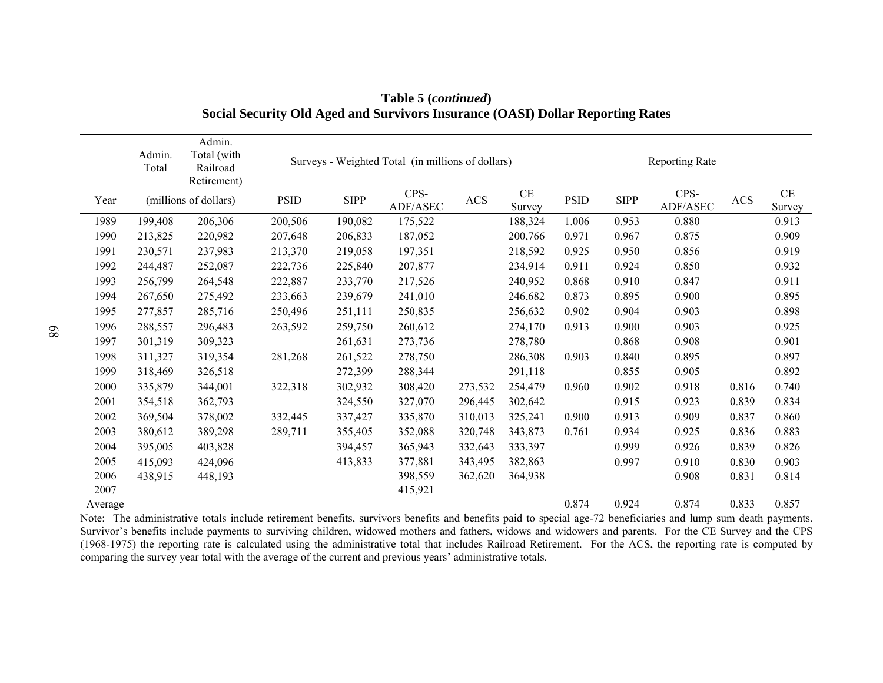|         | Admin.<br>Total | Admin.<br>Total (with<br>Railroad<br>Retirement) |         |             | Surveys - Weighted Total (in millions of dollars) | <b>Reporting Rate</b> |                    |             |             |                  |            |              |
|---------|-----------------|--------------------------------------------------|---------|-------------|---------------------------------------------------|-----------------------|--------------------|-------------|-------------|------------------|------------|--------------|
| Year    |                 | (millions of dollars)                            | PSID    | <b>SIPP</b> | CPS-<br>ADF/ASEC                                  | <b>ACS</b>            | $\rm CE$<br>Survey | <b>PSID</b> | <b>SIPP</b> | CPS-<br>ADF/ASEC | <b>ACS</b> | CE<br>Survey |
| 1989    | 199,408         | 206,306                                          | 200,506 | 190,082     | 175,522                                           |                       | 188,324            | 1.006       | 0.953       | 0.880            |            | 0.913        |
| 1990    | 213,825         | 220,982                                          | 207,648 | 206,833     | 187,052                                           |                       | 200,766            | 0.971       | 0.967       | 0.875            |            | 0.909        |
| 1991    | 230,571         | 237,983                                          | 213,370 | 219,058     | 197,351                                           |                       | 218,592            | 0.925       | 0.950       | 0.856            |            | 0.919        |
| 1992    | 244,487         | 252,087                                          | 222,736 | 225,840     | 207,877                                           |                       | 234,914            | 0.911       | 0.924       | 0.850            |            | 0.932        |
| 1993    | 256,799         | 264,548                                          | 222,887 | 233,770     | 217,526                                           |                       | 240,952            | 0.868       | 0.910       | 0.847            |            | 0.911        |
| 1994    | 267,650         | 275,492                                          | 233,663 | 239,679     | 241,010                                           |                       | 246,682            | 0.873       | 0.895       | 0.900            |            | 0.895        |
| 1995    | 277,857         | 285,716                                          | 250,496 | 251,111     | 250,835                                           |                       | 256,632            | 0.902       | 0.904       | 0.903            |            | 0.898        |
| 1996    | 288,557         | 296,483                                          | 263,592 | 259,750     | 260,612                                           |                       | 274,170            | 0.913       | 0.900       | 0.903            |            | 0.925        |
| 1997    | 301,319         | 309,323                                          |         | 261,631     | 273,736                                           |                       | 278,780            |             | 0.868       | 0.908            |            | 0.901        |
| 1998    | 311,327         | 319,354                                          | 281,268 | 261,522     | 278,750                                           |                       | 286,308            | 0.903       | 0.840       | 0.895            |            | 0.897        |
| 1999    | 318,469         | 326,518                                          |         | 272,399     | 288,344                                           |                       | 291,118            |             | 0.855       | 0.905            |            | 0.892        |
| 2000    | 335,879         | 344,001                                          | 322,318 | 302,932     | 308,420                                           | 273,532               | 254,479            | 0.960       | 0.902       | 0.918            | 0.816      | 0.740        |
| 2001    | 354,518         | 362,793                                          |         | 324,550     | 327,070                                           | 296,445               | 302,642            |             | 0.915       | 0.923            | 0.839      | 0.834        |
| 2002    | 369,504         | 378,002                                          | 332,445 | 337,427     | 335,870                                           | 310,013               | 325,241            | 0.900       | 0.913       | 0.909            | 0.837      | 0.860        |
| 2003    | 380,612         | 389,298                                          | 289,711 | 355,405     | 352,088                                           | 320,748               | 343,873            | 0.761       | 0.934       | 0.925            | 0.836      | 0.883        |
| 2004    | 395,005         | 403,828                                          |         | 394,457     | 365,943                                           | 332,643               | 333,397            |             | 0.999       | 0.926            | 0.839      | 0.826        |
| 2005    | 415,093         | 424,096                                          |         | 413,833     | 377,881                                           | 343,495               | 382,863            |             | 0.997       | 0.910            | 0.830      | 0.903        |
| 2006    | 438,915         | 448,193                                          |         |             | 398,559                                           | 362,620               | 364,938            |             |             | 0.908            | 0.831      | 0.814        |
| 2007    |                 |                                                  |         |             | 415,921                                           |                       |                    |             |             |                  |            |              |
| Average |                 |                                                  |         |             |                                                   |                       |                    | 0.874       | 0.924       | 0.874            | 0.833      | 0.857        |

**Table 5 (***continued***) Social Security Old Aged and Survivors Insurance (OASI) Dollar Reporting Rates**

Note: The administrative totals include retirement benefits, survivors benefits and benefits paid to special age-72 beneficiaries and lump sum death payments. Survivor's benefits include payments to surviving children, widowed mothers and fathers, widows and widowers and parents. For the CE Survey and the CPS (1968-1975) the reporting rate is calculated using the administrative total that includes Railroad Retirement. For the ACS, the reporting rate is computed by comparing the survey year total with the average of the current and previous years' administrative totals.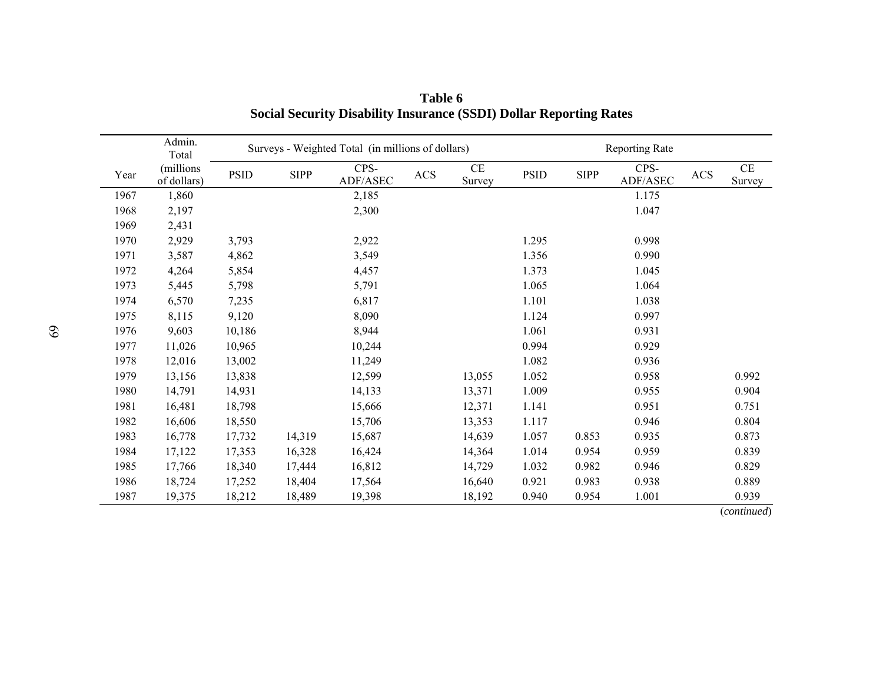|      | Admin.<br>Total          | Surveys - Weighted Total (in millions of dollars) |             |                  |           |                    |             |             | Reporting Rate   |            |                     |  |
|------|--------------------------|---------------------------------------------------|-------------|------------------|-----------|--------------------|-------------|-------------|------------------|------------|---------------------|--|
| Year | (millions<br>of dollars) | <b>PSID</b>                                       | <b>SIPP</b> | CPS-<br>ADF/ASEC | $\rm ACS$ | $\rm CE$<br>Survey | <b>PSID</b> | <b>SIPP</b> | CPS-<br>ADF/ASEC | <b>ACS</b> | $\!$ $\!$<br>Survey |  |
| 1967 | 1,860                    |                                                   |             | 2,185            |           |                    |             |             | 1.175            |            |                     |  |
| 1968 | 2,197                    |                                                   |             | 2,300            |           |                    |             |             | 1.047            |            |                     |  |
| 1969 | 2,431                    |                                                   |             |                  |           |                    |             |             |                  |            |                     |  |
| 1970 | 2,929                    | 3,793                                             |             | 2,922            |           |                    | 1.295       |             | 0.998            |            |                     |  |
| 1971 | 3,587                    | 4,862                                             |             | 3,549            |           |                    | 1.356       |             | 0.990            |            |                     |  |
| 1972 | 4,264                    | 5,854                                             |             | 4,457            |           |                    | 1.373       |             | 1.045            |            |                     |  |
| 1973 | 5,445                    | 5,798                                             |             | 5,791            |           |                    | 1.065       |             | 1.064            |            |                     |  |
| 1974 | 6,570                    | 7,235                                             |             | 6,817            |           |                    | 1.101       |             | 1.038            |            |                     |  |
| 1975 | 8,115                    | 9,120                                             |             | 8,090            |           |                    | 1.124       |             | 0.997            |            |                     |  |
| 1976 | 9,603                    | 10,186                                            |             | 8,944            |           |                    | 1.061       |             | 0.931            |            |                     |  |
| 1977 | 11,026                   | 10,965                                            |             | 10,244           |           |                    | 0.994       |             | 0.929            |            |                     |  |
| 1978 | 12,016                   | 13,002                                            |             | 11,249           |           |                    | 1.082       |             | 0.936            |            |                     |  |
| 1979 | 13,156                   | 13,838                                            |             | 12,599           |           | 13,055             | 1.052       |             | 0.958            |            | 0.992               |  |
| 1980 | 14,791                   | 14,931                                            |             | 14,133           |           | 13,371             | 1.009       |             | 0.955            |            | 0.904               |  |
| 1981 | 16,481                   | 18,798                                            |             | 15,666           |           | 12,371             | 1.141       |             | 0.951            |            | 0.751               |  |
| 1982 | 16,606                   | 18,550                                            |             | 15,706           |           | 13,353             | 1.117       |             | 0.946            |            | 0.804               |  |
| 1983 | 16,778                   | 17,732                                            | 14,319      | 15,687           |           | 14,639             | 1.057       | 0.853       | 0.935            |            | 0.873               |  |
| 1984 | 17,122                   | 17,353                                            | 16,328      | 16,424           |           | 14,364             | 1.014       | 0.954       | 0.959            |            | 0.839               |  |
| 1985 | 17,766                   | 18,340                                            | 17,444      | 16,812           |           | 14,729             | 1.032       | 0.982       | 0.946            |            | 0.829               |  |
| 1986 | 18,724                   | 17,252                                            | 18,404      | 17,564           |           | 16,640             | 0.921       | 0.983       | 0.938            |            | 0.889               |  |
| 1987 | 19,375                   | 18,212                                            | 18,489      | 19,398           |           | 18,192             | 0.940       | 0.954       | 1.001            |            | 0.939               |  |
|      |                          |                                                   |             |                  |           |                    |             |             |                  |            | (continued)         |  |

**Table 6 Social Security Disability Insurance (SSDI) Dollar Reporting Rates**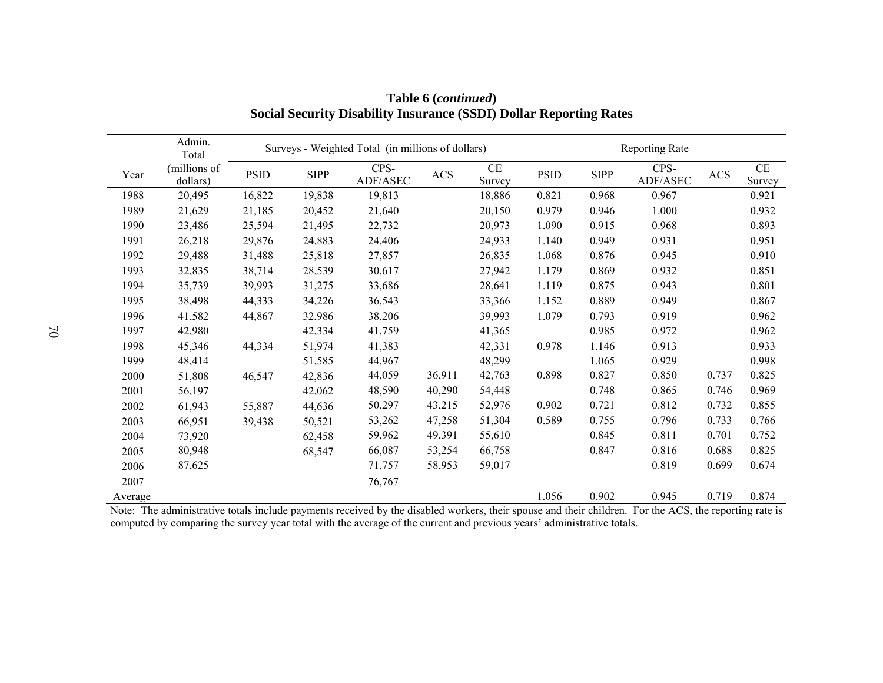|         | Admin.<br>Total          | Surveys - Weighted Total (in millions of dollars) |             |                  |        |                    |             | <b>Reporting Rate</b> |                  |            |                     |  |
|---------|--------------------------|---------------------------------------------------|-------------|------------------|--------|--------------------|-------------|-----------------------|------------------|------------|---------------------|--|
| Year    | (millions of<br>dollars) | <b>PSID</b>                                       | <b>SIPP</b> | CPS-<br>ADF/ASEC | ACS    | $\rm CE$<br>Survey | <b>PSID</b> | <b>SIPP</b>           | CPS-<br>ADF/ASEC | <b>ACS</b> | $\!$ $\!$<br>Survey |  |
| 1988    | 20,495                   | 16,822                                            | 19,838      | 19,813           |        | 18,886             | 0.821       | 0.968                 | 0.967            |            | 0.921               |  |
| 1989    | 21,629                   | 21,185                                            | 20,452      | 21,640           |        | 20,150             | 0.979       | 0.946                 | 1.000            |            | 0.932               |  |
| 1990    | 23,486                   | 25,594                                            | 21,495      | 22,732           |        | 20,973             | 1.090       | 0.915                 | 0.968            |            | 0.893               |  |
| 1991    | 26,218                   | 29,876                                            | 24,883      | 24,406           |        | 24,933             | 1.140       | 0.949                 | 0.931            |            | 0.951               |  |
| 1992    | 29,488                   | 31,488                                            | 25,818      | 27,857           |        | 26,835             | 1.068       | 0.876                 | 0.945            |            | 0.910               |  |
| 1993    | 32,835                   | 38,714                                            | 28,539      | 30,617           |        | 27,942             | 1.179       | 0.869                 | 0.932            |            | 0.851               |  |
| 1994    | 35,739                   | 39,993                                            | 31,275      | 33,686           |        | 28,641             | 1.119       | 0.875                 | 0.943            |            | 0.801               |  |
| 1995    | 38,498                   | 44,333                                            | 34,226      | 36,543           |        | 33,366             | 1.152       | 0.889                 | 0.949            |            | 0.867               |  |
| 1996    | 41,582                   | 44,867                                            | 32,986      | 38,206           |        | 39,993             | 1.079       | 0.793                 | 0.919            |            | 0.962               |  |
| 1997    | 42,980                   |                                                   | 42,334      | 41,759           |        | 41,365             |             | 0.985                 | 0.972            |            | 0.962               |  |
| 1998    | 45,346                   | 44,334                                            | 51,974      | 41,383           |        | 42,331             | 0.978       | 1.146                 | 0.913            |            | 0.933               |  |
| 1999    | 48,414                   |                                                   | 51,585      | 44,967           |        | 48,299             |             | 1.065                 | 0.929            |            | 0.998               |  |
| 2000    | 51,808                   | 46,547                                            | 42,836      | 44,059           | 36,911 | 42,763             | 0.898       | 0.827                 | 0.850            | 0.737      | 0.825               |  |
| 2001    | 56,197                   |                                                   | 42,062      | 48,590           | 40,290 | 54,448             |             | 0.748                 | 0.865            | 0.746      | 0.969               |  |
| 2002    | 61,943                   | 55,887                                            | 44,636      | 50,297           | 43,215 | 52,976             | 0.902       | 0.721                 | 0.812            | 0.732      | 0.855               |  |
| 2003    | 66,951                   | 39,438                                            | 50,521      | 53,262           | 47,258 | 51,304             | 0.589       | 0.755                 | 0.796            | 0.733      | 0.766               |  |
| 2004    | 73,920                   |                                                   | 62,458      | 59,962           | 49,391 | 55,610             |             | 0.845                 | 0.811            | 0.701      | 0.752               |  |
| 2005    | 80,948                   |                                                   | 68,547      | 66,087           | 53,254 | 66,758             |             | 0.847                 | 0.816            | 0.688      | 0.825               |  |
| 2006    | 87,625                   |                                                   |             | 71,757           | 58,953 | 59,017             |             |                       | 0.819            | 0.699      | 0.674               |  |
| 2007    |                          |                                                   |             | 76,767           |        |                    |             |                       |                  |            |                     |  |
| Average |                          |                                                   |             |                  |        |                    | 1.056       | 0.902                 | 0.945            | 0.719      | 0.874               |  |

**Table 6 (***continued***) Social Security Disability Insurance (SSDI) Dollar Reporting Rates** 

Note: The administrative totals include payments received by the disabled workers, their spouse and their children. For the ACS, the reporting rate is computed by comparing the survey year total with the average of the current and previous years' administrative totals.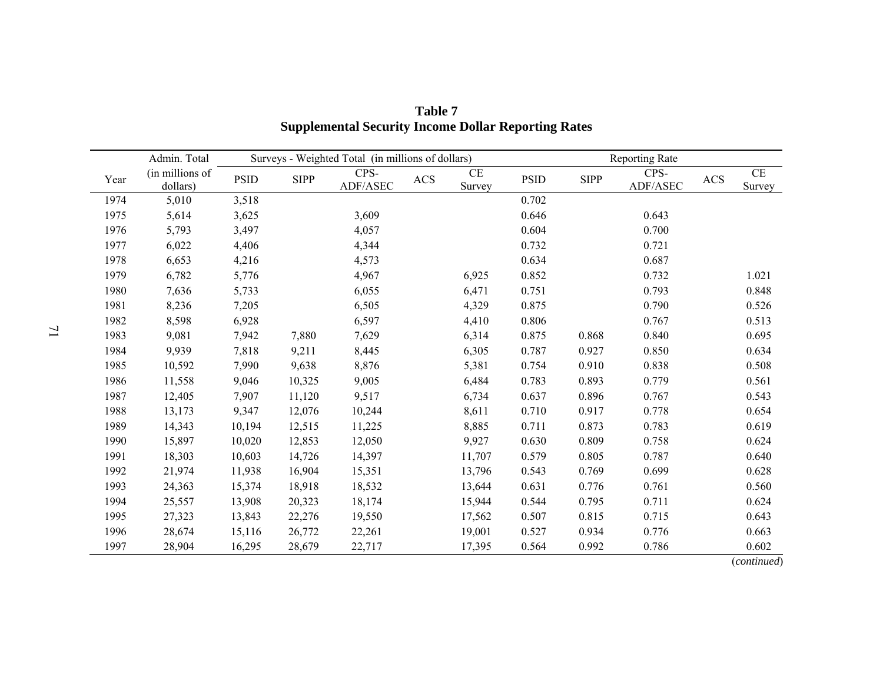|      | Admin. Total                | Surveys - Weighted Total (in millions of dollars) |             |                  |     |              | Reporting Rate |             |                  |            |                            |  |
|------|-----------------------------|---------------------------------------------------|-------------|------------------|-----|--------------|----------------|-------------|------------------|------------|----------------------------|--|
| Year | (in millions of<br>dollars) | <b>PSID</b>                                       | <b>SIPP</b> | CPS-<br>ADF/ASEC | ACS | CE<br>Survey | <b>PSID</b>    | <b>SIPP</b> | CPS-<br>ADF/ASEC | <b>ACS</b> | <b>CE</b><br><b>Survey</b> |  |
| 1974 | 5,010                       | 3,518                                             |             |                  |     |              | 0.702          |             |                  |            |                            |  |
| 1975 | 5,614                       | 3,625                                             |             | 3,609            |     |              | 0.646          |             | 0.643            |            |                            |  |
| 1976 | 5,793                       | 3,497                                             |             | 4,057            |     |              | 0.604          |             | 0.700            |            |                            |  |
| 1977 | 6,022                       | 4,406                                             |             | 4,344            |     |              | 0.732          |             | 0.721            |            |                            |  |
| 1978 | 6,653                       | 4,216                                             |             | 4,573            |     |              | 0.634          |             | 0.687            |            |                            |  |
| 1979 | 6,782                       | 5,776                                             |             | 4,967            |     | 6,925        | 0.852          |             | 0.732            |            | 1.021                      |  |
| 1980 | 7,636                       | 5,733                                             |             | 6,055            |     | 6,471        | 0.751          |             | 0.793            |            | 0.848                      |  |
| 1981 | 8,236                       | 7,205                                             |             | 6,505            |     | 4,329        | 0.875          |             | 0.790            |            | 0.526                      |  |
| 1982 | 8,598                       | 6,928                                             |             | 6,597            |     | 4,410        | 0.806          |             | 0.767            |            | 0.513                      |  |
| 1983 | 9,081                       | 7,942                                             | 7,880       | 7,629            |     | 6,314        | 0.875          | 0.868       | 0.840            |            | 0.695                      |  |
| 1984 | 9,939                       | 7,818                                             | 9,211       | 8,445            |     | 6,305        | 0.787          | 0.927       | 0.850            |            | 0.634                      |  |
| 1985 | 10,592                      | 7,990                                             | 9,638       | 8,876            |     | 5,381        | 0.754          | 0.910       | 0.838            |            | 0.508                      |  |
| 1986 | 11,558                      | 9,046                                             | 10,325      | 9,005            |     | 6,484        | 0.783          | 0.893       | 0.779            |            | 0.561                      |  |
| 1987 | 12,405                      | 7,907                                             | 11,120      | 9,517            |     | 6,734        | 0.637          | 0.896       | 0.767            |            | 0.543                      |  |
| 1988 | 13,173                      | 9,347                                             | 12,076      | 10,244           |     | 8,611        | 0.710          | 0.917       | 0.778            |            | 0.654                      |  |
| 1989 | 14,343                      | 10,194                                            | 12,515      | 11,225           |     | 8,885        | 0.711          | 0.873       | 0.783            |            | 0.619                      |  |
| 1990 | 15,897                      | 10,020                                            | 12,853      | 12,050           |     | 9,927        | 0.630          | 0.809       | 0.758            |            | 0.624                      |  |
| 1991 | 18,303                      | 10,603                                            | 14,726      | 14,397           |     | 11,707       | 0.579          | 0.805       | 0.787            |            | 0.640                      |  |
| 1992 | 21,974                      | 11,938                                            | 16,904      | 15,351           |     | 13,796       | 0.543          | 0.769       | 0.699            |            | 0.628                      |  |
| 1993 | 24,363                      | 15,374                                            | 18,918      | 18,532           |     | 13,644       | 0.631          | 0.776       | 0.761            |            | 0.560                      |  |
| 1994 | 25,557                      | 13,908                                            | 20,323      | 18,174           |     | 15,944       | 0.544          | 0.795       | 0.711            |            | 0.624                      |  |
| 1995 | 27,323                      | 13,843                                            | 22,276      | 19,550           |     | 17,562       | 0.507          | 0.815       | 0.715            |            | 0.643                      |  |
| 1996 | 28,674                      | 15,116                                            | 26,772      | 22,261           |     | 19,001       | 0.527          | 0.934       | 0.776            |            | 0.663                      |  |
| 1997 | 28,904                      | 16,295                                            | 28,679      | 22,717           |     | 17,395       | 0.564          | 0.992       | 0.786            |            | 0.602                      |  |

**Table 7 Supplemental Security Income Dollar Reporting Rates** 

(*continued*)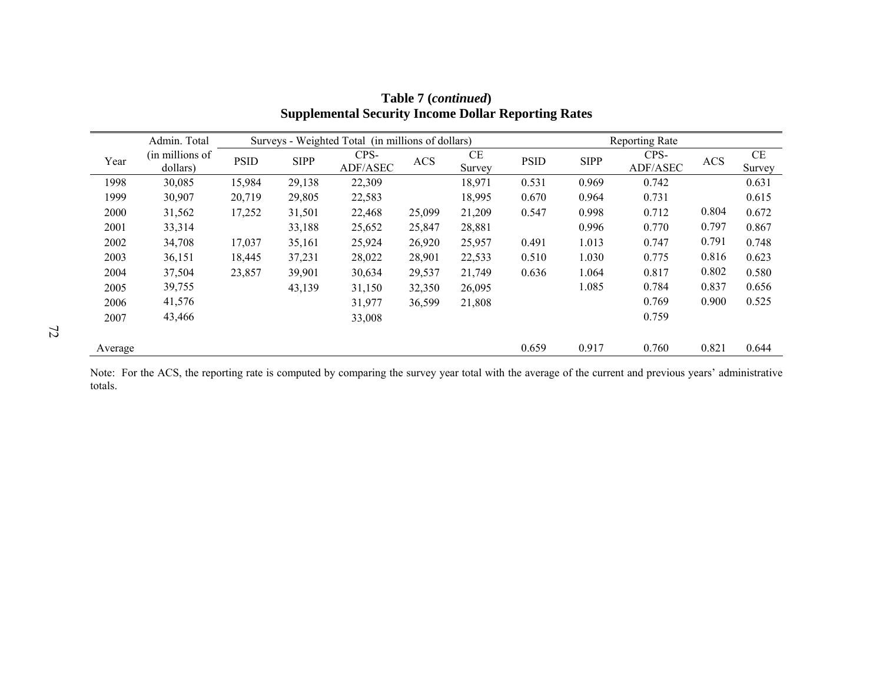|         | Admin. Total                |             |             | Surveys - Weighted Total (in millions of dollars) |            |              | <b>Reporting Rate</b> |             |                  |            |              |
|---------|-----------------------------|-------------|-------------|---------------------------------------------------|------------|--------------|-----------------------|-------------|------------------|------------|--------------|
| Year    | (in millions of<br>dollars) | <b>PSID</b> | <b>SIPP</b> | CPS-<br>ADF/ASEC                                  | <b>ACS</b> | CE<br>Survey | <b>PSID</b>           | <b>SIPP</b> | CPS-<br>ADF/ASEC | <b>ACS</b> | CE<br>Survey |
| 1998    | 30,085                      | 15,984      | 29,138      | 22,309                                            |            | 18,971       | 0.531                 | 0.969       | 0.742            |            | 0.631        |
| 1999    | 30,907                      | 20,719      | 29,805      | 22,583                                            |            | 18,995       | 0.670                 | 0.964       | 0.731            |            | 0.615        |
| 2000    | 31,562                      | 17,252      | 31,501      | 22,468                                            | 25,099     | 21,209       | 0.547                 | 0.998       | 0.712            | 0.804      | 0.672        |
| 2001    | 33,314                      |             | 33,188      | 25,652                                            | 25,847     | 28,881       |                       | 0.996       | 0.770            | 0.797      | 0.867        |
| 2002    | 34,708                      | 17,037      | 35,161      | 25,924                                            | 26,920     | 25,957       | 0.491                 | 1.013       | 0.747            | 0.791      | 0.748        |
| 2003    | 36,151                      | 18,445      | 37,231      | 28,022                                            | 28,901     | 22,533       | 0.510                 | 1.030       | 0.775            | 0.816      | 0.623        |
| 2004    | 37,504                      | 23,857      | 39,901      | 30,634                                            | 29,537     | 21,749       | 0.636                 | 1.064       | 0.817            | 0.802      | 0.580        |
| 2005    | 39,755                      |             | 43,139      | 31,150                                            | 32,350     | 26,095       |                       | 1.085       | 0.784            | 0.837      | 0.656        |
| 2006    | 41,576                      |             |             | 31,977                                            | 36,599     | 21,808       |                       |             | 0.769            | 0.900      | 0.525        |
| 2007    | 43,466                      |             |             | 33,008                                            |            |              |                       |             | 0.759            |            |              |
| Average |                             |             |             |                                                   |            |              | 0.659                 | 0.917       | 0.760            | 0.821      | 0.644        |

**Table 7 (***continued***) Supplemental Security Income Dollar Reporting Rates**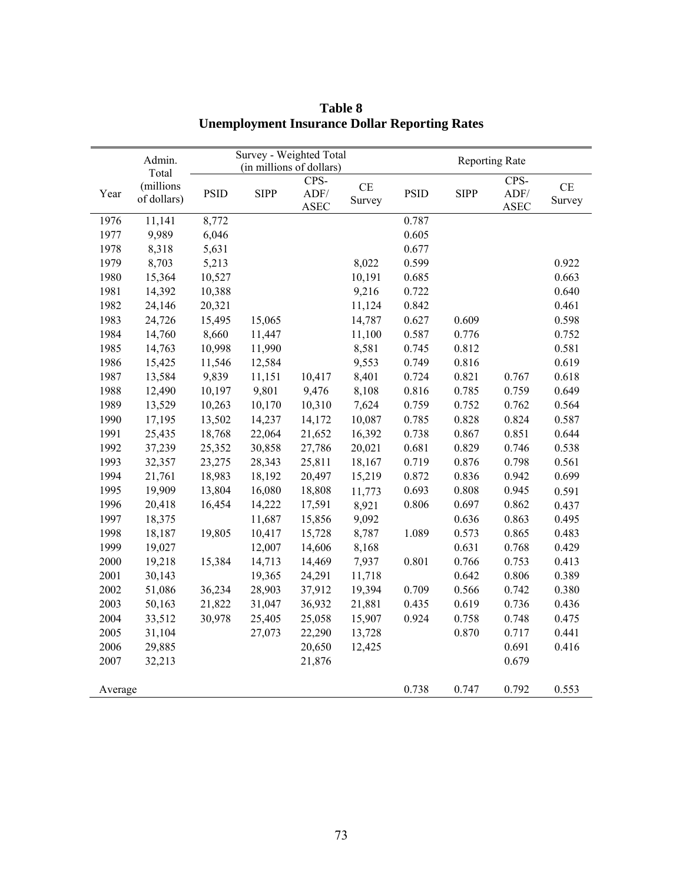|         | Admin.      | Survey - Weighted Total<br>(in millions of dollars) |             |                     |          | <b>Reporting Rate</b> |             |                     |                |  |
|---------|-------------|-----------------------------------------------------|-------------|---------------------|----------|-----------------------|-------------|---------------------|----------------|--|
|         | Total       |                                                     |             |                     |          |                       |             |                     |                |  |
|         | (millions   |                                                     |             | CPS-                | $\rm CE$ |                       |             | CPS-                | $\!$ $\!$ $\!$ |  |
| Year    | of dollars) | <b>PSID</b>                                         | <b>SIPP</b> | ADF/<br><b>ASEC</b> | Survey   | <b>PSID</b>           | <b>SIPP</b> | ADF/<br><b>ASEC</b> | Survey         |  |
| 1976    | 11,141      | 8,772                                               |             |                     |          | 0.787                 |             |                     |                |  |
| 1977    | 9,989       | 6,046                                               |             |                     |          | 0.605                 |             |                     |                |  |
| 1978    | 8,318       | 5,631                                               |             |                     |          | 0.677                 |             |                     |                |  |
| 1979    | 8,703       | 5,213                                               |             |                     | 8,022    | 0.599                 |             |                     | 0.922          |  |
| 1980    | 15,364      | 10,527                                              |             |                     | 10,191   | 0.685                 |             |                     | 0.663          |  |
| 1981    | 14,392      | 10,388                                              |             |                     | 9,216    | 0.722                 |             |                     | 0.640          |  |
| 1982    | 24,146      | 20,321                                              |             |                     | 11,124   | 0.842                 |             |                     | 0.461          |  |
| 1983    | 24,726      | 15,495                                              | 15,065      |                     | 14,787   | 0.627                 | 0.609       |                     | 0.598          |  |
| 1984    | 14,760      | 8,660                                               | 11,447      |                     | 11,100   | 0.587                 | 0.776       |                     | 0.752          |  |
| 1985    | 14,763      | 10,998                                              | 11,990      |                     | 8,581    | 0.745                 | 0.812       |                     | 0.581          |  |
| 1986    | 15,425      | 11,546                                              | 12,584      |                     | 9,553    | 0.749                 | 0.816       |                     | 0.619          |  |
| 1987    | 13,584      | 9,839                                               | 11,151      | 10,417              | 8,401    | 0.724                 | 0.821       | 0.767               | 0.618          |  |
| 1988    | 12,490      | 10,197                                              | 9,801       | 9,476               | 8,108    | 0.816                 | 0.785       | 0.759               | 0.649          |  |
| 1989    | 13,529      | 10,263                                              | 10,170      | 10,310              | 7,624    | 0.759                 | 0.752       | 0.762               | 0.564          |  |
| 1990    | 17,195      | 13,502                                              | 14,237      | 14,172              | 10,087   | 0.785                 | 0.828       | 0.824               | 0.587          |  |
| 1991    | 25,435      | 18,768                                              | 22,064      | 21,652              | 16,392   | 0.738                 | 0.867       | 0.851               | 0.644          |  |
| 1992    | 37,239      | 25,352                                              | 30,858      | 27,786              | 20,021   | 0.681                 | 0.829       | 0.746               | 0.538          |  |
| 1993    | 32,357      | 23,275                                              | 28,343      | 25,811              | 18,167   | 0.719                 | 0.876       | 0.798               | 0.561          |  |
| 1994    | 21,761      | 18,983                                              | 18,192      | 20,497              | 15,219   | 0.872                 | 0.836       | 0.942               | 0.699          |  |
| 1995    | 19,909      | 13,804                                              | 16,080      | 18,808              | 11,773   | 0.693                 | 0.808       | 0.945               | 0.591          |  |
| 1996    | 20,418      | 16,454                                              | 14,222      | 17,591              | 8,921    | 0.806                 | 0.697       | 0.862               | 0.437          |  |
| 1997    | 18,375      |                                                     | 11,687      | 15,856              | 9,092    |                       | 0.636       | 0.863               | 0.495          |  |
| 1998    | 18,187      | 19,805                                              | 10,417      | 15,728              | 8,787    | 1.089                 | 0.573       | 0.865               | 0.483          |  |
| 1999    | 19,027      |                                                     | 12,007      | 14,606              | 8,168    |                       | 0.631       | 0.768               | 0.429          |  |
| 2000    | 19,218      | 15,384                                              | 14,713      | 14,469              | 7,937    | 0.801                 | 0.766       | 0.753               | 0.413          |  |
| 2001    | 30,143      |                                                     | 19,365      | 24,291              | 11,718   |                       | 0.642       | 0.806               | 0.389          |  |
| 2002    | 51,086      | 36,234                                              | 28,903      | 37,912              | 19,394   | 0.709                 | 0.566       | 0.742               | 0.380          |  |
| 2003    | 50,163      | 21,822                                              | 31,047      | 36,932              | 21,881   | 0.435                 | 0.619       | 0.736               | 0.436          |  |
| 2004    | 33,512      | 30,978                                              | 25,405      | 25,058              | 15,907   | 0.924                 | 0.758       | 0.748               | 0.475          |  |
| 2005    | 31,104      |                                                     | 27,073      | 22,290              | 13,728   |                       | 0.870       | 0.717               | 0.441          |  |
| 2006    | 29,885      |                                                     |             | 20,650              | 12,425   |                       |             | 0.691               | 0.416          |  |
| 2007    | 32,213      |                                                     |             | 21,876              |          |                       |             | 0.679               |                |  |
| Average |             |                                                     |             |                     |          | 0.738                 | 0.747       | 0.792               | 0.553          |  |

**Table 8 Unemployment Insurance Dollar Reporting Rates**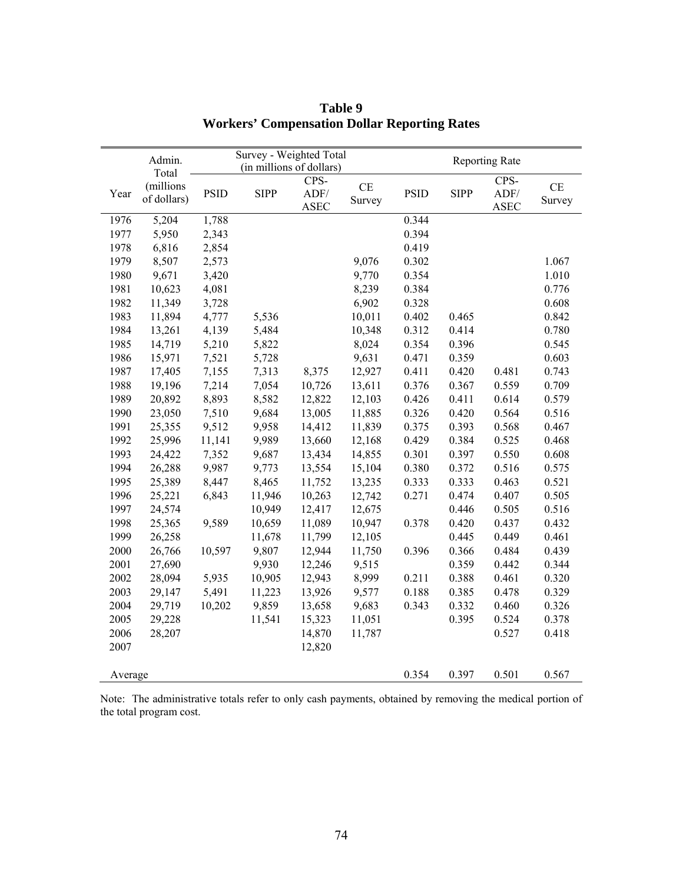|         | Admin.                   | Survey - Weighted Total<br>(in millions of dollars) |             |                     |                          |             | <b>Reporting Rate</b> |                     |                     |  |  |  |
|---------|--------------------------|-----------------------------------------------------|-------------|---------------------|--------------------------|-------------|-----------------------|---------------------|---------------------|--|--|--|
|         | Total                    |                                                     |             | CPS-                |                          |             |                       | CPS-                |                     |  |  |  |
| Year    | (millions<br>of dollars) | <b>PSID</b>                                         | <b>SIPP</b> | ADF/<br><b>ASEC</b> | $\!$ $\!$ $\!$<br>Survey | <b>PSID</b> | <b>SIPP</b>           | ADF/<br><b>ASEC</b> | $\!$ $\!$<br>Survey |  |  |  |
| 1976    | 5,204                    | 1,788                                               |             |                     |                          | 0.344       |                       |                     |                     |  |  |  |
| 1977    | 5,950                    | 2,343                                               |             |                     |                          | 0.394       |                       |                     |                     |  |  |  |
| 1978    | 6,816                    | 2,854                                               |             |                     |                          | 0.419       |                       |                     |                     |  |  |  |
| 1979    | 8,507                    | 2,573                                               |             |                     | 9,076                    | 0.302       |                       |                     | 1.067               |  |  |  |
| 1980    | 9,671                    | 3,420                                               |             |                     | 9,770                    | 0.354       |                       |                     | 1.010               |  |  |  |
| 1981    | 10,623                   | 4,081                                               |             |                     | 8,239                    | 0.384       |                       |                     | 0.776               |  |  |  |
| 1982    | 11,349                   | 3,728                                               |             |                     | 6,902                    | 0.328       |                       |                     | 0.608               |  |  |  |
| 1983    | 11,894                   | 4,777                                               | 5,536       |                     | 10,011                   | 0.402       | 0.465                 |                     | 0.842               |  |  |  |
| 1984    | 13,261                   | 4,139                                               | 5,484       |                     | 10,348                   | 0.312       | 0.414                 |                     | 0.780               |  |  |  |
| 1985    | 14,719                   | 5,210                                               | 5,822       |                     | 8,024                    | 0.354       | 0.396                 |                     | 0.545               |  |  |  |
| 1986    | 15,971                   | 7,521                                               | 5,728       |                     | 9,631                    | 0.471       | 0.359                 |                     | 0.603               |  |  |  |
| 1987    | 17,405                   | 7,155                                               | 7,313       | 8,375               | 12,927                   | 0.411       | 0.420                 | 0.481               | 0.743               |  |  |  |
| 1988    | 19,196                   | 7,214                                               | 7,054       | 10,726              | 13,611                   | 0.376       | 0.367                 | 0.559               | 0.709               |  |  |  |
| 1989    | 20,892                   | 8,893                                               | 8,582       | 12,822              | 12,103                   | 0.426       | 0.411                 | 0.614               | 0.579               |  |  |  |
| 1990    | 23,050                   | 7,510                                               | 9,684       | 13,005              | 11,885                   | 0.326       | 0.420                 | 0.564               | 0.516               |  |  |  |
| 1991    | 25,355                   | 9,512                                               | 9,958       | 14,412              | 11,839                   | 0.375       | 0.393                 | 0.568               | 0.467               |  |  |  |
| 1992    | 25,996                   | 11,141                                              | 9,989       | 13,660              | 12,168                   | 0.429       | 0.384                 | 0.525               | 0.468               |  |  |  |
| 1993    | 24,422                   | 7,352                                               | 9,687       | 13,434              | 14,855                   | 0.301       | 0.397                 | 0.550               | 0.608               |  |  |  |
| 1994    | 26,288                   | 9,987                                               | 9,773       | 13,554              | 15,104                   | 0.380       | 0.372                 | 0.516               | 0.575               |  |  |  |
| 1995    | 25,389                   | 8,447                                               | 8,465       | 11,752              | 13,235                   | 0.333       | 0.333                 | 0.463               | 0.521               |  |  |  |
| 1996    | 25,221                   | 6,843                                               | 11,946      | 10,263              | 12,742                   | 0.271       | 0.474                 | 0.407               | 0.505               |  |  |  |
| 1997    | 24,574                   |                                                     | 10,949      | 12,417              | 12,675                   |             | 0.446                 | 0.505               | 0.516               |  |  |  |
| 1998    | 25,365                   | 9,589                                               | 10,659      | 11,089              | 10,947                   | 0.378       | 0.420                 | 0.437               | 0.432               |  |  |  |
| 1999    | 26,258                   |                                                     | 11,678      | 11,799              | 12,105                   |             | 0.445                 | 0.449               | 0.461               |  |  |  |
| 2000    | 26,766                   | 10,597                                              | 9,807       | 12,944              | 11,750                   | 0.396       | 0.366                 | 0.484               | 0.439               |  |  |  |
| 2001    | 27,690                   |                                                     | 9,930       | 12,246              | 9,515                    |             | 0.359                 | 0.442               | 0.344               |  |  |  |
| 2002    | 28,094                   | 5,935                                               | 10,905      | 12,943              | 8,999                    | 0.211       | 0.388                 | 0.461               | 0.320               |  |  |  |
| 2003    | 29,147                   | 5,491                                               | 11,223      | 13,926              | 9,577                    | 0.188       | 0.385                 | 0.478               | 0.329               |  |  |  |
| 2004    | 29,719                   | 10,202                                              | 9,859       | 13,658              | 9,683                    | 0.343       | 0.332                 | 0.460               | 0.326               |  |  |  |
| 2005    | 29,228                   |                                                     | 11,541      | 15,323              | 11,051                   |             | 0.395                 | 0.524               | 0.378               |  |  |  |
| 2006    | 28,207                   |                                                     |             | 14,870              | 11,787                   |             |                       | 0.527               | 0.418               |  |  |  |
| 2007    |                          |                                                     |             | 12,820              |                          |             |                       |                     |                     |  |  |  |
| Average |                          |                                                     |             |                     |                          | 0.354       | 0.397                 | 0.501               | 0.567               |  |  |  |

**Table 9 Workers' Compensation Dollar Reporting Rates** 

Note: The administrative totals refer to only cash payments, obtained by removing the medical portion of the total program cost.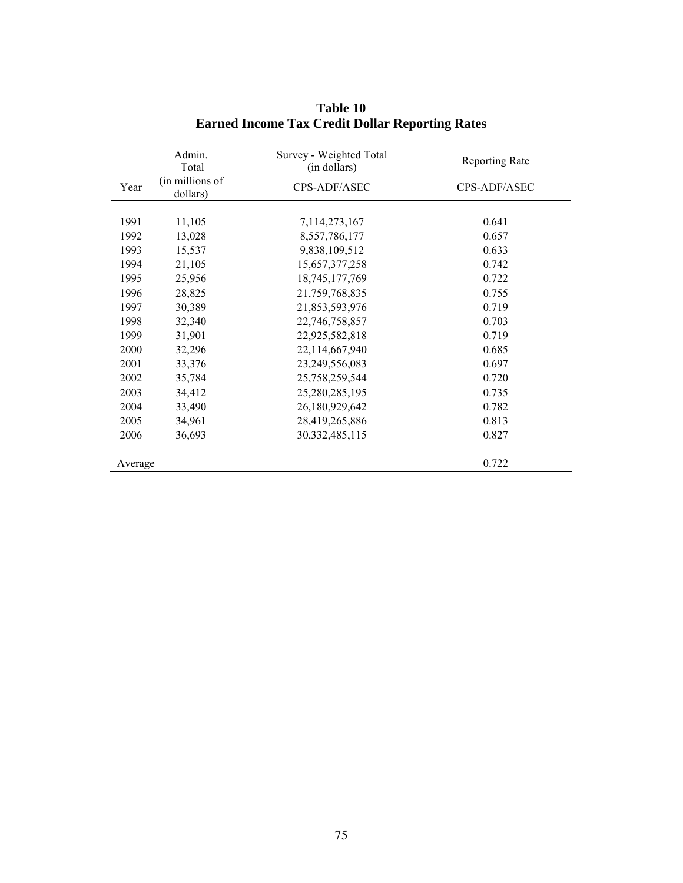|         | Admin.<br>Total             | Survey - Weighted Total<br>(in dollars) | <b>Reporting Rate</b> |
|---------|-----------------------------|-----------------------------------------|-----------------------|
| Year    | (in millions of<br>dollars) | CPS-ADF/ASEC                            | CPS-ADF/ASEC          |
|         |                             |                                         |                       |
| 1991    | 11,105                      | 7,114,273,167                           | 0.641                 |
| 1992    | 13,028                      | 8,557,786,177                           | 0.657                 |
| 1993    | 15,537                      | 9,838,109,512                           | 0.633                 |
| 1994    | 21,105                      | 15,657,377,258                          | 0.742                 |
| 1995    | 25,956                      | 18,745,177,769                          | 0.722                 |
| 1996    | 28,825                      | 21,759,768,835                          | 0.755                 |
| 1997    | 30,389                      | 21,853,593,976                          | 0.719                 |
| 1998    | 32,340                      | 22,746,758,857                          | 0.703                 |
| 1999    | 31,901                      | 22,925,582,818                          | 0.719                 |
| 2000    | 32,296                      | 22,114,667,940                          | 0.685                 |
| 2001    | 33,376                      | 23,249,556,083                          | 0.697                 |
| 2002    | 35,784                      | 25,758,259,544                          | 0.720                 |
| 2003    | 34,412                      | 25,280,285,195                          | 0.735                 |
| 2004    | 33,490                      | 26,180,929,642                          | 0.782                 |
| 2005    | 34,961                      | 28,419,265,886                          | 0.813                 |
| 2006    | 36,693                      | 30, 332, 485, 115                       | 0.827                 |
| Average |                             |                                         | 0.722                 |

**Table 10 Earned Income Tax Credit Dollar Reporting Rates**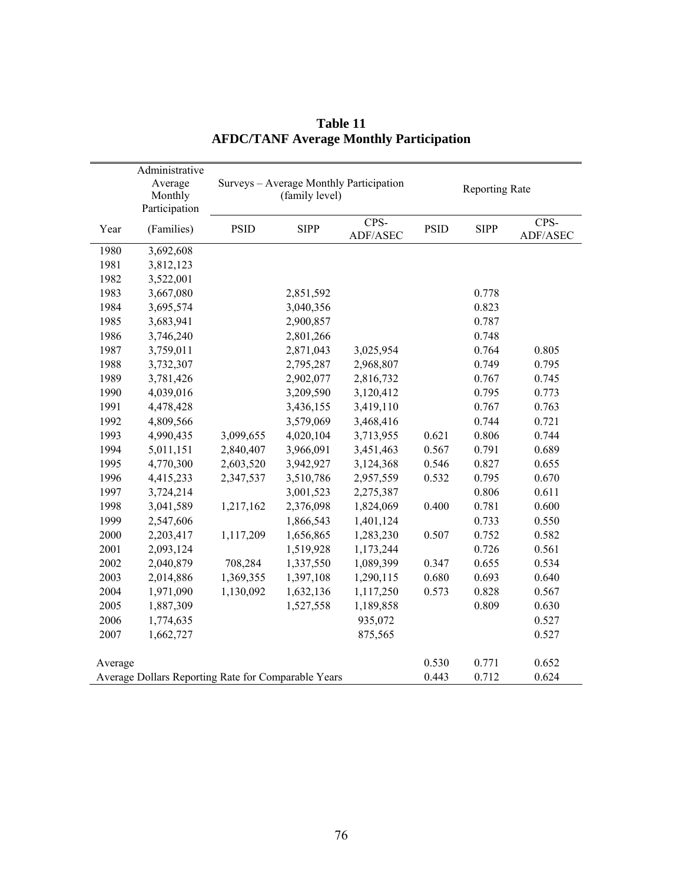|         | Administrative<br>Average<br>Monthly<br>Participation |             | (family level) | Surveys - Average Monthly Participation | <b>Reporting Rate</b> |             |                  |  |  |
|---------|-------------------------------------------------------|-------------|----------------|-----------------------------------------|-----------------------|-------------|------------------|--|--|
| Year    | (Families)                                            | <b>PSID</b> | <b>SIPP</b>    | CPS-<br>ADF/ASEC                        | <b>PSID</b>           | <b>SIPP</b> | CPS-<br>ADF/ASEC |  |  |
| 1980    | 3,692,608                                             |             |                |                                         |                       |             |                  |  |  |
| 1981    | 3,812,123                                             |             |                |                                         |                       |             |                  |  |  |
| 1982    | 3,522,001                                             |             |                |                                         |                       |             |                  |  |  |
| 1983    | 3,667,080                                             |             | 2,851,592      |                                         |                       | 0.778       |                  |  |  |
| 1984    | 3,695,574                                             |             | 3,040,356      |                                         |                       | 0.823       |                  |  |  |
| 1985    | 3,683,941                                             |             | 2,900,857      |                                         |                       | 0.787       |                  |  |  |
| 1986    | 3,746,240                                             |             | 2,801,266      |                                         |                       | 0.748       |                  |  |  |
| 1987    | 3,759,011                                             |             | 2,871,043      | 3,025,954                               |                       | 0.764       | 0.805            |  |  |
| 1988    | 3,732,307                                             |             | 2,795,287      | 2,968,807                               |                       | 0.749       | 0.795            |  |  |
| 1989    | 3,781,426                                             |             | 2,902,077      | 2,816,732                               |                       | 0.767       | 0.745            |  |  |
| 1990    | 4,039,016                                             |             | 3,209,590      | 3,120,412                               |                       | 0.795       | 0.773            |  |  |
| 1991    | 4,478,428                                             |             | 3,436,155      | 3,419,110                               |                       | 0.767       | 0.763            |  |  |
| 1992    | 4,809,566                                             |             | 3,579,069      | 3,468,416                               |                       | 0.744       | 0.721            |  |  |
| 1993    | 4,990,435                                             | 3,099,655   | 4,020,104      | 3,713,955                               | 0.621                 | 0.806       | 0.744            |  |  |
| 1994    | 5,011,151                                             | 2,840,407   | 3,966,091      | 3,451,463                               | 0.567                 | 0.791       | 0.689            |  |  |
| 1995    | 4,770,300                                             | 2,603,520   | 3,942,927      | 3,124,368                               | 0.546                 | 0.827       | 0.655            |  |  |
| 1996    | 4,415,233                                             | 2,347,537   | 3,510,786      | 2,957,559                               | 0.532                 | 0.795       | 0.670            |  |  |
| 1997    | 3,724,214                                             |             | 3,001,523      | 2,275,387                               |                       | 0.806       | 0.611            |  |  |
| 1998    | 3,041,589                                             | 1,217,162   | 2,376,098      | 1,824,069                               | 0.400                 | 0.781       | 0.600            |  |  |
| 1999    | 2,547,606                                             |             | 1,866,543      | 1,401,124                               |                       | 0.733       | 0.550            |  |  |
| 2000    | 2,203,417                                             | 1,117,209   | 1,656,865      | 1,283,230                               | 0.507                 | 0.752       | 0.582            |  |  |
| 2001    | 2,093,124                                             |             | 1,519,928      | 1,173,244                               |                       | 0.726       | 0.561            |  |  |
| 2002    | 2,040,879                                             | 708,284     | 1,337,550      | 1,089,399                               | 0.347                 | 0.655       | 0.534            |  |  |
| 2003    | 2,014,886                                             | 1,369,355   | 1,397,108      | 1,290,115                               | 0.680                 | 0.693       | 0.640            |  |  |
| 2004    | 1,971,090                                             | 1,130,092   | 1,632,136      | 1,117,250                               | 0.573                 | 0.828       | 0.567            |  |  |
| 2005    | 1,887,309                                             |             | 1,527,558      | 1,189,858                               |                       | 0.809       | 0.630            |  |  |
| 2006    | 1,774,635                                             |             |                | 935,072                                 |                       |             | 0.527            |  |  |
| 2007    | 1,662,727                                             |             |                | 875,565                                 |                       |             | 0.527            |  |  |
| Average |                                                       |             |                |                                         | 0.530                 | 0.771       | 0.652            |  |  |
|         | Average Dollars Reporting Rate for Comparable Years   |             |                | 0.443                                   | 0.712                 | 0.624       |                  |  |  |

**Table 11 AFDC/TANF Average Monthly Participation**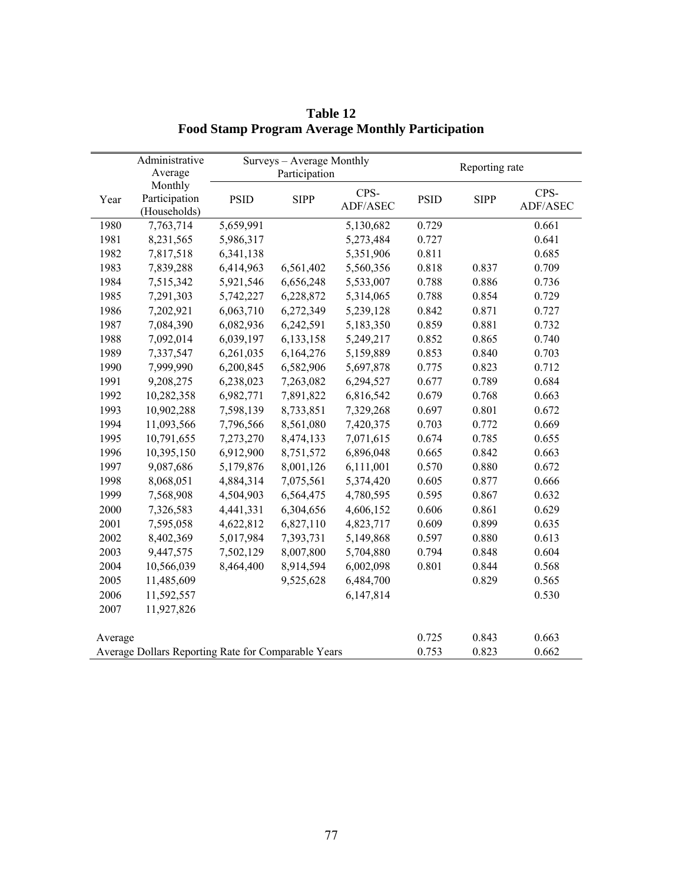|                                                     | Administrative<br>Average |             | Surveys - Average Monthly<br>Participation |                  |                | Reporting rate |                  |
|-----------------------------------------------------|---------------------------|-------------|--------------------------------------------|------------------|----------------|----------------|------------------|
|                                                     | Monthly                   |             |                                            |                  |                |                |                  |
| Year                                                | Participation             | <b>PSID</b> | <b>SIPP</b>                                | CPS-<br>ADF/ASEC | <b>PSID</b>    | <b>SIPP</b>    | CPS-<br>ADF/ASEC |
| 1980                                                | (Households)<br>7,763,714 | 5,659,991   |                                            | 5,130,682        | 0.729          |                | 0.661            |
| 1981                                                | 8,231,565                 | 5,986,317   |                                            | 5,273,484        | 0.727          |                | 0.641            |
| 1982                                                | 7,817,518                 | 6,341,138   |                                            | 5,351,906        | 0.811          |                | 0.685            |
| 1983                                                | 7,839,288                 | 6,414,963   | 6,561,402                                  | 5,560,356        | 0.818          | 0.837          | 0.709            |
| 1984                                                | 7,515,342                 | 5,921,546   | 6,656,248                                  | 5,533,007        | 0.788          | 0.886          | 0.736            |
| 1985                                                | 7,291,303                 | 5,742,227   | 6,228,872                                  | 5,314,065        | 0.788          | 0.854          | 0.729            |
|                                                     |                           |             |                                            |                  |                | 0.871          |                  |
| 1986<br>1987                                        | 7,202,921<br>7,084,390    | 6,063,710   | 6,272,349<br>6,242,591                     | 5,239,128        | 0.842<br>0.859 | 0.881          | 0.727<br>0.732   |
|                                                     |                           | 6,082,936   |                                            | 5,183,350        |                |                |                  |
| 1988                                                | 7,092,014                 | 6,039,197   | 6,133,158                                  | 5,249,217        | 0.852          | 0.865          | 0.740            |
| 1989                                                | 7,337,547                 | 6,261,035   | 6,164,276                                  | 5,159,889        | 0.853          | 0.840          | 0.703            |
| 1990                                                | 7,999,990                 | 6,200,845   | 6,582,906                                  | 5,697,878        | 0.775          | 0.823          | 0.712            |
| 1991                                                | 9,208,275                 | 6,238,023   | 7,263,082                                  | 6,294,527        | 0.677          | 0.789          | 0.684            |
| 1992                                                | 10,282,358                | 6,982,771   | 7,891,822                                  | 6,816,542        | 0.679          | 0.768          | 0.663            |
| 1993                                                | 10,902,288                | 7,598,139   | 8,733,851                                  | 7,329,268        | 0.697          | 0.801          | 0.672            |
| 1994                                                | 11,093,566                | 7,796,566   | 8,561,080                                  | 7,420,375        | 0.703          | 0.772          | 0.669            |
| 1995                                                | 10,791,655                | 7,273,270   | 8,474,133                                  | 7,071,615        | 0.674          | 0.785          | 0.655            |
| 1996                                                | 10,395,150                | 6,912,900   | 8,751,572                                  | 6,896,048        | 0.665          | 0.842          | 0.663            |
| 1997                                                | 9,087,686                 | 5,179,876   | 8,001,126                                  | 6,111,001        | 0.570          | 0.880          | 0.672            |
| 1998                                                | 8,068,051                 | 4,884,314   | 7,075,561                                  | 5,374,420        | 0.605          | 0.877          | 0.666            |
| 1999                                                | 7,568,908                 | 4,504,903   | 6,564,475                                  | 4,780,595        | 0.595          | 0.867          | 0.632            |
| 2000                                                | 7,326,583                 | 4,441,331   | 6,304,656                                  | 4,606,152        | 0.606          | 0.861          | 0.629            |
| 2001                                                | 7,595,058                 | 4,622,812   | 6,827,110                                  | 4,823,717        | 0.609          | 0.899          | 0.635            |
| 2002                                                | 8,402,369                 | 5,017,984   | 7,393,731                                  | 5,149,868        | 0.597          | 0.880          | 0.613            |
| 2003                                                | 9,447,575                 | 7,502,129   | 8,007,800                                  | 5,704,880        | 0.794          | 0.848          | 0.604            |
| 2004                                                | 10,566,039                | 8,464,400   | 8,914,594                                  | 6,002,098        | 0.801          | 0.844          | 0.568            |
| 2005                                                | 11,485,609                |             | 9,525,628                                  | 6,484,700        |                | 0.829          | 0.565            |
| 2006                                                | 11,592,557                |             |                                            | 6,147,814        |                |                | 0.530            |
| 2007                                                | 11,927,826                |             |                                            |                  |                |                |                  |
| Average                                             |                           |             |                                            |                  | 0.725          | 0.843          | 0.663            |
| Average Dollars Reporting Rate for Comparable Years |                           |             |                                            |                  | 0.753          | 0.823          | 0.662            |

**Table 12 Food Stamp Program Average Monthly Participation**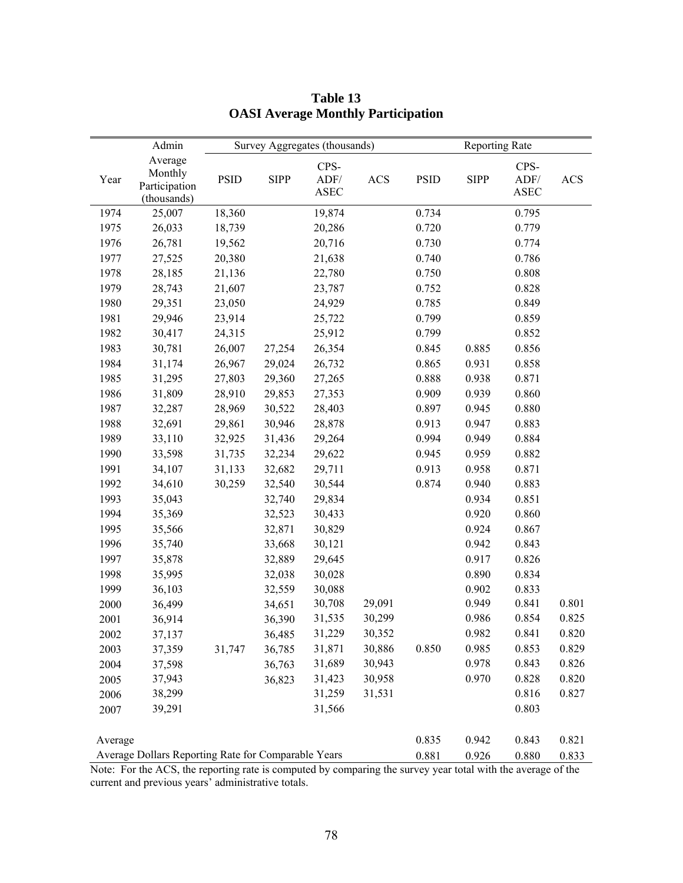|         | Admin                                               |             |             | Survey Aggregates (thousands) |            |             | <b>Reporting Rate</b> |                             |            |
|---------|-----------------------------------------------------|-------------|-------------|-------------------------------|------------|-------------|-----------------------|-----------------------------|------------|
| Year    | Average<br>Monthly<br>Participation<br>(thousands)  | <b>PSID</b> | <b>SIPP</b> | CPS-<br>ADF/<br><b>ASEC</b>   | <b>ACS</b> | <b>PSID</b> | <b>SIPP</b>           | CPS-<br>ADF/<br><b>ASEC</b> | <b>ACS</b> |
| 1974    | 25,007                                              | 18,360      |             | 19,874                        |            | 0.734       |                       | 0.795                       |            |
| 1975    | 26,033                                              | 18,739      |             | 20,286                        |            | 0.720       |                       | 0.779                       |            |
| 1976    | 26,781                                              | 19,562      |             | 20,716                        |            | 0.730       |                       | 0.774                       |            |
| 1977    | 27,525                                              | 20,380      |             | 21,638                        |            | 0.740       |                       | 0.786                       |            |
| 1978    | 28,185                                              | 21,136      |             | 22,780                        |            | 0.750       |                       | 0.808                       |            |
| 1979    | 28,743                                              | 21,607      |             | 23,787                        |            | 0.752       |                       | 0.828                       |            |
| 1980    | 29,351                                              | 23,050      |             | 24,929                        |            | 0.785       |                       | 0.849                       |            |
| 1981    | 29,946                                              | 23,914      |             | 25,722                        |            | 0.799       |                       | 0.859                       |            |
| 1982    | 30,417                                              | 24,315      |             | 25,912                        |            | 0.799       |                       | 0.852                       |            |
| 1983    | 30,781                                              | 26,007      | 27,254      | 26,354                        |            | 0.845       | 0.885                 | 0.856                       |            |
| 1984    | 31,174                                              | 26,967      | 29,024      | 26,732                        |            | 0.865       | 0.931                 | 0.858                       |            |
| 1985    | 31,295                                              | 27,803      | 29,360      | 27,265                        |            | 0.888       | 0.938                 | 0.871                       |            |
| 1986    | 31,809                                              | 28,910      | 29,853      | 27,353                        |            | 0.909       | 0.939                 | 0.860                       |            |
| 1987    | 32,287                                              | 28,969      | 30,522      | 28,403                        |            | 0.897       | 0.945                 | 0.880                       |            |
| 1988    | 32,691                                              | 29,861      | 30,946      | 28,878                        |            | 0.913       | 0.947                 | 0.883                       |            |
| 1989    | 33,110                                              | 32,925      | 31,436      | 29,264                        |            | 0.994       | 0.949                 | 0.884                       |            |
| 1990    | 33,598                                              | 31,735      | 32,234      | 29,622                        |            | 0.945       | 0.959                 | 0.882                       |            |
| 1991    | 34,107                                              | 31,133      | 32,682      | 29,711                        |            | 0.913       | 0.958                 | 0.871                       |            |
| 1992    | 34,610                                              | 30,259      | 32,540      | 30,544                        |            | 0.874       | 0.940                 | 0.883                       |            |
| 1993    | 35,043                                              |             | 32,740      | 29,834                        |            |             | 0.934                 | 0.851                       |            |
| 1994    | 35,369                                              |             | 32,523      | 30,433                        |            |             | 0.920                 | 0.860                       |            |
| 1995    | 35,566                                              |             | 32,871      | 30,829                        |            |             | 0.924                 | 0.867                       |            |
| 1996    | 35,740                                              |             | 33,668      | 30,121                        |            |             | 0.942                 | 0.843                       |            |
| 1997    | 35,878                                              |             | 32,889      | 29,645                        |            |             | 0.917                 | 0.826                       |            |
| 1998    | 35,995                                              |             | 32,038      | 30,028                        |            |             | 0.890                 | 0.834                       |            |
| 1999    | 36,103                                              |             | 32,559      | 30,088                        |            |             | 0.902                 | 0.833                       |            |
| 2000    | 36,499                                              |             | 34,651      | 30,708                        | 29,091     |             | 0.949                 | 0.841                       | 0.801      |
| 2001    | 36,914                                              |             | 36,390      | 31,535                        | 30,299     |             | 0.986                 | 0.854                       | 0.825      |
| 2002    | 37,137                                              |             | 36,485      | 31,229                        | 30,352     |             | 0.982                 | 0.841                       | 0.820      |
| 2003    | 37,359                                              | 31,747      | 36,785      | 31,871                        | 30,886     | 0.850       | 0.985                 | 0.853                       | 0.829      |
| 2004    | 37,598                                              |             | 36,763      | 31,689                        | 30,943     |             | 0.978                 | 0.843                       | 0.826      |
| 2005    | 37,943                                              |             | 36,823      | 31,423                        | 30,958     |             | 0.970                 | 0.828                       | 0.820      |
| 2006    | 38,299                                              |             |             | 31,259                        | 31,531     |             |                       | 0.816                       | 0.827      |
| 2007    | 39,291                                              |             |             | 31,566                        |            |             |                       | 0.803                       |            |
|         |                                                     |             |             |                               |            |             |                       |                             |            |
| Average |                                                     |             |             |                               |            | 0.835       | 0.942                 | 0.843                       | 0.821      |
|         | Average Dollars Reporting Rate for Comparable Years |             |             |                               |            | 0.881       | 0.926                 | 0.880                       | 0.833      |

# **Table 13 OASI Average Monthly Participation**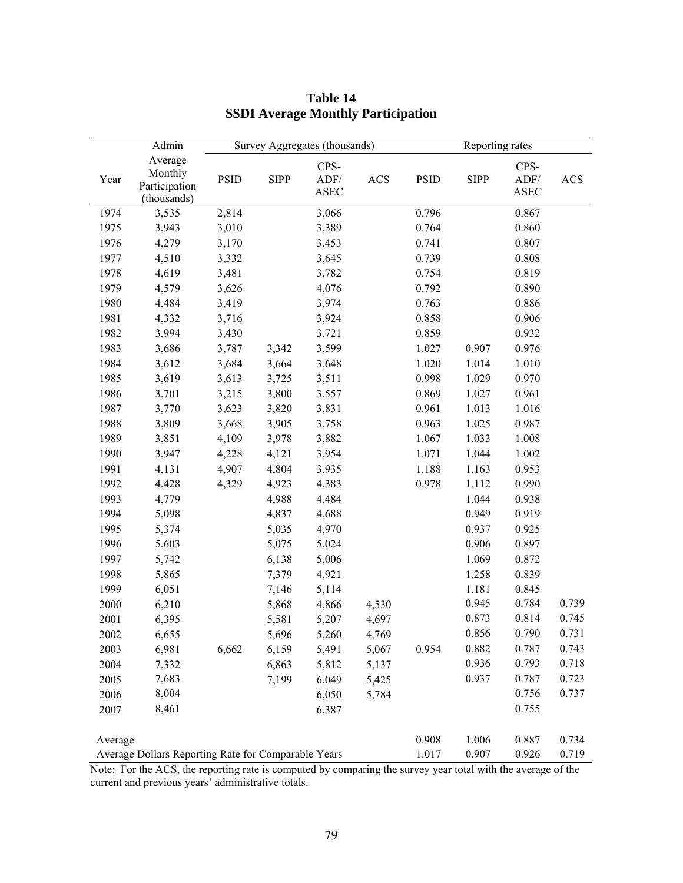|         | Admin                                               | Survey Aggregates (thousands)<br>Reporting rates |             |                             |            |             |                |                             |            |
|---------|-----------------------------------------------------|--------------------------------------------------|-------------|-----------------------------|------------|-------------|----------------|-----------------------------|------------|
| Year    | Average<br>Monthly<br>Participation<br>(thousands)  | <b>PSID</b>                                      | <b>SIPP</b> | CPS-<br>ADF/<br><b>ASEC</b> | <b>ACS</b> | <b>PSID</b> | <b>SIPP</b>    | CPS-<br>ADF/<br><b>ASEC</b> | <b>ACS</b> |
| 1974    | 3,535                                               | 2,814                                            |             | 3,066                       |            | 0.796       |                | 0.867                       |            |
| 1975    | 3,943                                               | 3,010                                            |             | 3,389                       |            | 0.764       |                | 0.860                       |            |
| 1976    | 4,279                                               | 3,170                                            |             | 3,453                       |            | 0.741       |                | 0.807                       |            |
| 1977    | 4,510                                               | 3,332                                            |             | 3,645                       |            | 0.739       |                | 0.808                       |            |
| 1978    | 4,619                                               | 3,481                                            |             | 3,782                       |            | 0.754       |                | 0.819                       |            |
| 1979    | 4,579                                               | 3,626                                            |             | 4,076                       |            | 0.792       |                | 0.890                       |            |
| 1980    | 4,484                                               | 3,419                                            |             | 3,974                       |            | 0.763       |                | 0.886                       |            |
| 1981    | 4,332                                               | 3,716                                            |             | 3,924                       |            | 0.858       |                | 0.906                       |            |
| 1982    | 3,994                                               | 3,430                                            |             | 3,721                       |            | 0.859       |                | 0.932                       |            |
| 1983    | 3,686                                               | 3,787                                            | 3,342       | 3,599                       |            | 1.027       | 0.907          | 0.976                       |            |
| 1984    | 3,612                                               | 3,684                                            | 3,664       | 3,648                       |            | 1.020       | 1.014          | 1.010                       |            |
| 1985    | 3,619                                               | 3,613                                            | 3,725       | 3,511                       |            | 0.998       | 1.029          | 0.970                       |            |
| 1986    | 3,701                                               | 3,215                                            | 3,800       | 3,557                       |            | 0.869       | 1.027          | 0.961                       |            |
| 1987    | 3,770                                               | 3,623                                            | 3,820       | 3,831                       |            | 0.961       | 1.013          | 1.016                       |            |
| 1988    | 3,809                                               | 3,668                                            | 3,905       | 3,758                       |            | 0.963       | 1.025          | 0.987                       |            |
| 1989    | 3,851                                               | 4,109                                            | 3,978       | 3,882                       |            | 1.067       | 1.033          | 1.008                       |            |
| 1990    | 3,947                                               | 4,228                                            | 4,121       | 3,954                       |            | 1.071       | 1.044          | 1.002                       |            |
| 1991    | 4,131                                               | 4,907                                            | 4,804       | 3,935                       |            | 1.188       | 1.163          | 0.953                       |            |
| 1992    | 4,428                                               | 4,329                                            | 4,923       | 4,383                       |            | 0.978       | 1.112          | 0.990                       |            |
| 1993    | 4,779                                               |                                                  | 4,988       | 4,484                       |            |             | 1.044          | 0.938                       |            |
| 1994    | 5,098                                               |                                                  | 4,837       | 4,688                       |            |             | 0.949          | 0.919                       |            |
| 1995    | 5,374                                               |                                                  | 5,035       | 4,970                       |            |             | 0.937          | 0.925                       |            |
| 1996    | 5,603                                               |                                                  | 5,075       | 5,024                       |            |             | 0.906          | 0.897                       |            |
| 1997    | 5,742                                               |                                                  | 6,138       | 5,006                       |            |             | 1.069          | 0.872                       |            |
| 1998    | 5,865                                               |                                                  | 7,379       | 4,921                       |            |             | 1.258          | 0.839                       |            |
| 1999    | 6,051                                               |                                                  | 7,146       | 5,114                       |            |             | 1.181          | 0.845                       |            |
| 2000    | 6,210                                               |                                                  | 5,868       | 4,866                       | 4,530      |             | 0.945          | 0.784                       | 0.739      |
| 2001    | 6,395                                               |                                                  | 5,581       | 5,207                       | 4,697      |             | 0.873          | 0.814                       | 0.745      |
| 2002    | 6,655                                               |                                                  | 5,696       | 5,260                       | 4,769      |             | 0.856          | 0.790                       | 0.731      |
| 2003    | 6,981                                               | 6,662                                            | 6,159       | 5,491                       | 5,067      | 0.954       | 0.882          | 0.787                       | 0.743      |
| 2004    | 7,332                                               |                                                  | 6,863       | 5,812                       | 5,137      |             | 0.936          | 0.793                       | 0.718      |
| 2005    | 7,683                                               |                                                  | 7,199       | 6,049                       | 5,425      |             | 0.937          | 0.787                       | 0.723      |
| 2006    | 8,004                                               |                                                  |             | 6,050                       | 5,784      |             |                | 0.756                       | 0.737      |
| 2007    | 8,461                                               |                                                  |             | 6,387                       |            |             |                | 0.755                       |            |
|         |                                                     |                                                  |             |                             |            |             |                |                             |            |
| Average |                                                     |                                                  |             |                             |            | 0.908       | 1.006<br>0.907 | 0.887                       | 0.734      |
|         | Average Dollars Reporting Rate for Comparable Years |                                                  |             |                             |            | 1.017       |                | 0.926                       | 0.719      |

# **Table 14 SSDI Average Monthly Participation**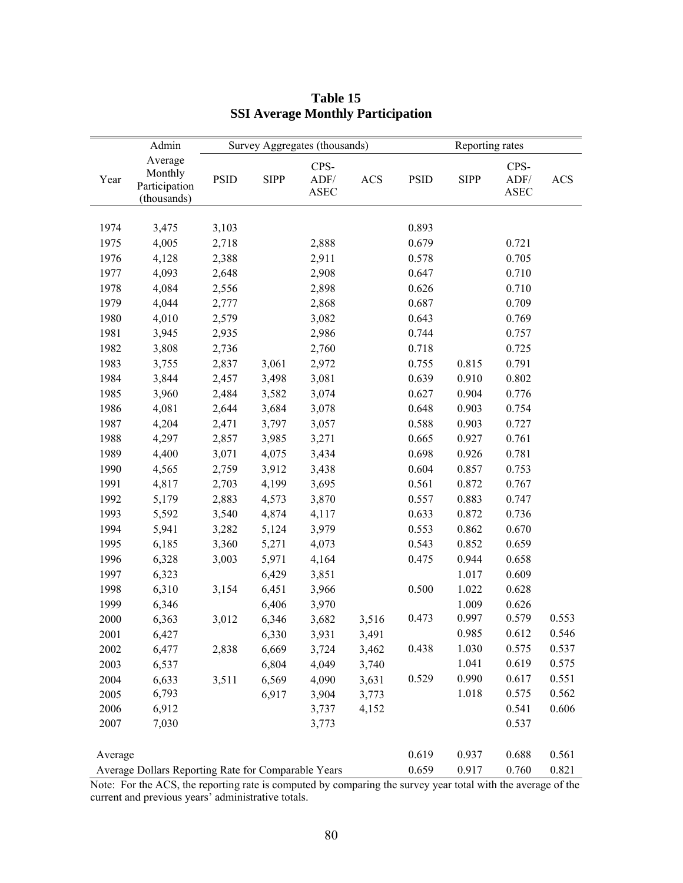|         | Admin                                               |             |             | Survey Aggregates (thousands) |            | Reporting rates |             |                             |            |  |  |
|---------|-----------------------------------------------------|-------------|-------------|-------------------------------|------------|-----------------|-------------|-----------------------------|------------|--|--|
| Year    | Average<br>Monthly<br>Participation<br>(thousands)  | <b>PSID</b> | <b>SIPP</b> | CPS-<br>ADF/<br><b>ASEC</b>   | <b>ACS</b> | <b>PSID</b>     | <b>SIPP</b> | CPS-<br>ADF/<br><b>ASEC</b> | <b>ACS</b> |  |  |
|         |                                                     |             |             |                               |            |                 |             |                             |            |  |  |
| 1974    | 3,475                                               | 3,103       |             |                               |            | 0.893           |             |                             |            |  |  |
| 1975    | 4,005                                               | 2,718       |             | 2,888                         |            | 0.679           |             | 0.721                       |            |  |  |
| 1976    | 4,128                                               | 2,388       |             | 2,911                         |            | 0.578           |             | 0.705                       |            |  |  |
| 1977    | 4,093                                               | 2,648       |             | 2,908                         |            | 0.647           |             | 0.710                       |            |  |  |
| 1978    | 4,084                                               | 2,556       |             | 2,898                         |            | 0.626           |             | 0.710                       |            |  |  |
| 1979    | 4,044                                               | 2,777       |             | 2,868                         |            | 0.687           |             | 0.709                       |            |  |  |
| 1980    | 4,010                                               | 2,579       |             | 3,082                         |            | 0.643           |             | 0.769                       |            |  |  |
| 1981    | 3,945                                               | 2,935       |             | 2,986                         |            | 0.744           |             | 0.757                       |            |  |  |
| 1982    | 3,808                                               | 2,736       |             | 2,760                         |            | 0.718           |             | 0.725                       |            |  |  |
| 1983    | 3,755                                               | 2,837       | 3,061       | 2,972                         |            | 0.755           | 0.815       | 0.791                       |            |  |  |
| 1984    | 3,844                                               | 2,457       | 3,498       | 3,081                         |            | 0.639           | 0.910       | 0.802                       |            |  |  |
| 1985    | 3,960                                               | 2,484       | 3,582       | 3,074                         |            | 0.627           | 0.904       | 0.776                       |            |  |  |
| 1986    | 4,081                                               | 2,644       | 3,684       | 3,078                         |            | 0.648           | 0.903       | 0.754                       |            |  |  |
| 1987    | 4,204                                               | 2,471       | 3,797       | 3,057                         |            | 0.588           | 0.903       | 0.727                       |            |  |  |
| 1988    | 4,297                                               | 2,857       | 3,985       | 3,271                         |            | 0.665           | 0.927       | 0.761                       |            |  |  |
| 1989    | 4,400                                               | 3,071       | 4,075       | 3,434                         |            | 0.698           | 0.926       | 0.781                       |            |  |  |
| 1990    | 4,565                                               | 2,759       | 3,912       | 3,438                         |            | 0.604           | 0.857       | 0.753                       |            |  |  |
| 1991    | 4,817                                               | 2,703       | 4,199       | 3,695                         |            | 0.561           | 0.872       | 0.767                       |            |  |  |
| 1992    | 5,179                                               | 2,883       | 4,573       | 3,870                         |            | 0.557           | 0.883       | 0.747                       |            |  |  |
| 1993    | 5,592                                               | 3,540       | 4,874       | 4,117                         |            | 0.633           | 0.872       | 0.736                       |            |  |  |
| 1994    | 5,941                                               | 3,282       | 5,124       | 3,979                         |            | 0.553           | 0.862       | 0.670                       |            |  |  |
| 1995    | 6,185                                               | 3,360       | 5,271       | 4,073                         |            | 0.543           | 0.852       | 0.659                       |            |  |  |
| 1996    | 6,328                                               | 3,003       | 5,971       | 4,164                         |            | 0.475           | 0.944       | 0.658                       |            |  |  |
| 1997    | 6,323                                               |             | 6,429       | 3,851                         |            |                 | 1.017       | 0.609                       |            |  |  |
| 1998    | 6,310                                               | 3,154       | 6,451       | 3,966                         |            | 0.500           | 1.022       | 0.628                       |            |  |  |
| 1999    | 6,346                                               |             | 6,406       | 3,970                         |            |                 | 1.009       | 0.626                       |            |  |  |
| 2000    | 6,363                                               | 3,012       | 6,346       | 3,682                         | 3,516      | 0.473           | 0.997       | 0.579                       | 0.553      |  |  |
| 2001    | 6,427                                               |             | 6,330       | 3,931                         | 3,491      |                 | 0.985       | 0.612                       | 0.546      |  |  |
| 2002    | 6,477                                               | 2,838       | 6,669       | 3,724                         | 3,462      | 0.438           | 1.030       | 0.575                       | 0.537      |  |  |
| 2003    | 6,537                                               |             | 6,804       | 4,049                         | 3,740      |                 | 1.041       | 0.619                       | 0.575      |  |  |
| 2004    | 6,633                                               | 3,511       | 6,569       | 4,090                         | 3,631      | 0.529           | 0.990       | 0.617                       | 0.551      |  |  |
| 2005    | 6,793                                               |             | 6,917       | 3,904                         | 3,773      |                 | 1.018       | 0.575                       | 0.562      |  |  |
| 2006    | 6,912                                               |             |             | 3,737                         | 4,152      |                 |             | 0.541                       | 0.606      |  |  |
| 2007    | 7,030                                               |             |             | 3,773                         |            |                 |             | 0.537                       |            |  |  |
| Average |                                                     |             |             |                               |            | 0.619           | 0.937       | 0.688                       | 0.561      |  |  |
|         | Average Dollars Reporting Rate for Comparable Years |             |             |                               |            | 0.659           | 0.917       | 0.760                       | 0.821      |  |  |

# **Table 15 SSI Average Monthly Participation**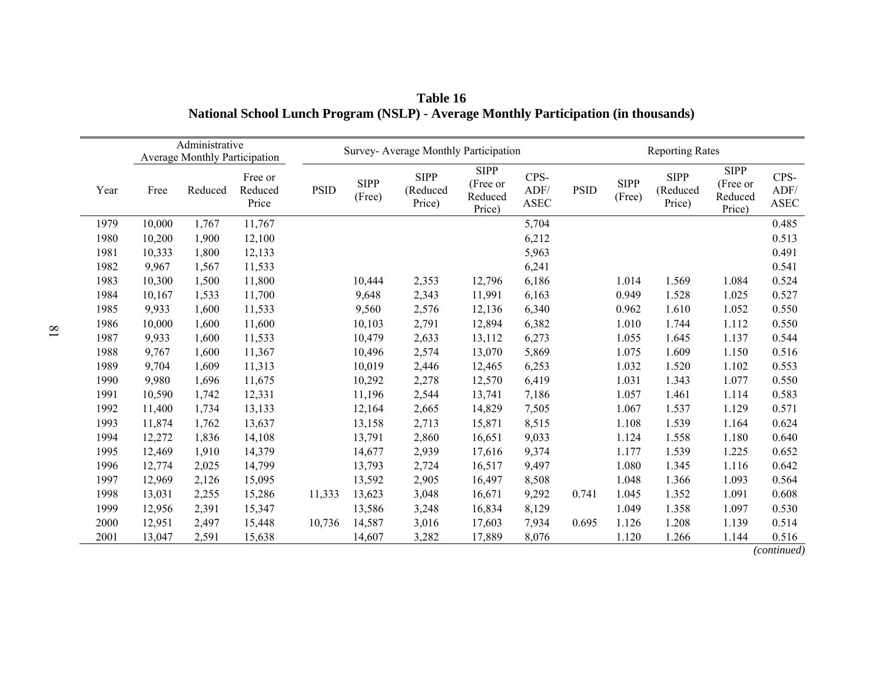|      | Administrative<br><b>Average Monthly Participation</b> |         |                             | Survey- Average Monthly Participation |                       |                                   |                                              |                              | <b>Reporting Rates</b> |                       |                                   |                                              |                      |
|------|--------------------------------------------------------|---------|-----------------------------|---------------------------------------|-----------------------|-----------------------------------|----------------------------------------------|------------------------------|------------------------|-----------------------|-----------------------------------|----------------------------------------------|----------------------|
| Year | Free                                                   | Reduced | Free or<br>Reduced<br>Price | <b>PSID</b>                           | <b>SIPP</b><br>(Free) | <b>SIPP</b><br>(Reduced<br>Price) | <b>SIPP</b><br>(Free or<br>Reduced<br>Price) | CPS-<br>ADF/<br>${\bf ASEC}$ | <b>PSID</b>            | <b>SIPP</b><br>(Free) | <b>SIPP</b><br>(Reduced<br>Price) | <b>SIPP</b><br>(Free or<br>Reduced<br>Price) | CPS-<br>ADF/<br>ASEC |
| 1979 | 10,000                                                 | 1,767   | 11,767                      |                                       |                       |                                   |                                              | 5,704                        |                        |                       |                                   |                                              | 0.485                |
| 1980 | 10,200                                                 | 1,900   | 12,100                      |                                       |                       |                                   |                                              | 6,212                        |                        |                       |                                   |                                              | 0.513                |
| 1981 | 10,333                                                 | 1,800   | 12,133                      |                                       |                       |                                   |                                              | 5,963                        |                        |                       |                                   |                                              | 0.491                |
| 1982 | 9,967                                                  | 1,567   | 11,533                      |                                       |                       |                                   |                                              | 6,241                        |                        |                       |                                   |                                              | 0.541                |
| 1983 | 10,300                                                 | 1,500   | 11,800                      |                                       | 10,444                | 2,353                             | 12,796                                       | 6,186                        |                        | 1.014                 | 1.569                             | 1.084                                        | 0.524                |
| 1984 | 10,167                                                 | 1,533   | 11,700                      |                                       | 9,648                 | 2,343                             | 11,991                                       | 6,163                        |                        | 0.949                 | 1.528                             | 1.025                                        | 0.527                |
| 1985 | 9,933                                                  | 1,600   | 11,533                      |                                       | 9,560                 | 2,576                             | 12,136                                       | 6,340                        |                        | 0.962                 | 1.610                             | 1.052                                        | 0.550                |
| 1986 | 10,000                                                 | 1,600   | 11,600                      |                                       | 10,103                | 2,791                             | 12,894                                       | 6,382                        |                        | 1.010                 | 1.744                             | 1.112                                        | 0.550                |
| 1987 | 9,933                                                  | 1,600   | 11,533                      |                                       | 10,479                | 2,633                             | 13,112                                       | 6,273                        |                        | 1.055                 | 1.645                             | 1.137                                        | 0.544                |
| 1988 | 9,767                                                  | 1,600   | 11,367                      |                                       | 10,496                | 2,574                             | 13,070                                       | 5,869                        |                        | 1.075                 | 1.609                             | 1.150                                        | 0.516                |
| 1989 | 9,704                                                  | 1,609   | 11,313                      |                                       | 10,019                | 2,446                             | 12,465                                       | 6,253                        |                        | 1.032                 | 1.520                             | 1.102                                        | 0.553                |
| 1990 | 9,980                                                  | 1,696   | 11,675                      |                                       | 10,292                | 2,278                             | 12,570                                       | 6,419                        |                        | 1.031                 | 1.343                             | 1.077                                        | 0.550                |
| 1991 | 10,590                                                 | 1,742   | 12,331                      |                                       | 11,196                | 2,544                             | 13,741                                       | 7,186                        |                        | 1.057                 | 1.461                             | 1.114                                        | 0.583                |
| 1992 | 11,400                                                 | 1,734   | 13,133                      |                                       | 12,164                | 2,665                             | 14,829                                       | 7,505                        |                        | 1.067                 | 1.537                             | 1.129                                        | 0.571                |
| 1993 | 11,874                                                 | 1,762   | 13,637                      |                                       | 13,158                | 2,713                             | 15,871                                       | 8,515                        |                        | 1.108                 | 1.539                             | 1.164                                        | 0.624                |
| 1994 | 12,272                                                 | 1,836   | 14,108                      |                                       | 13,791                | 2,860                             | 16,651                                       | 9,033                        |                        | 1.124                 | 1.558                             | 1.180                                        | 0.640                |
| 1995 | 12,469                                                 | 1,910   | 14,379                      |                                       | 14,677                | 2,939                             | 17,616                                       | 9,374                        |                        | 1.177                 | 1.539                             | 1.225                                        | 0.652                |
| 1996 | 12,774                                                 | 2,025   | 14,799                      |                                       | 13,793                | 2,724                             | 16,517                                       | 9,497                        |                        | 1.080                 | 1.345                             | 1.116                                        | 0.642                |
| 1997 | 12,969                                                 | 2,126   | 15,095                      |                                       | 13,592                | 2,905                             | 16,497                                       | 8,508                        |                        | 1.048                 | 1.366                             | 1.093                                        | 0.564                |
| 1998 | 13,031                                                 | 2,255   | 15,286                      | 11,333                                | 13,623                | 3,048                             | 16,671                                       | 9,292                        | 0.741                  | 1.045                 | 1.352                             | 1.091                                        | 0.608                |
| 1999 | 12,956                                                 | 2,391   | 15,347                      |                                       | 13,586                | 3,248                             | 16,834                                       | 8,129                        |                        | 1.049                 | 1.358                             | 1.097                                        | 0.530                |
| 2000 | 12,951                                                 | 2,497   | 15,448                      | 10,736                                | 14,587                | 3,016                             | 17,603                                       | 7,934                        | 0.695                  | 1.126                 | 1.208                             | 1.139                                        | 0.514                |
| 2001 | 13,047                                                 | 2,591   | 15,638                      |                                       | 14,607                | 3,282                             | 17,889                                       | 8,076                        |                        | 1.120                 | 1.266                             | 1.144                                        | 0.516                |

**Table 16 National School Lunch Program (NSLP) - Average Monthly Participation (in thousands)** 

*(continued)*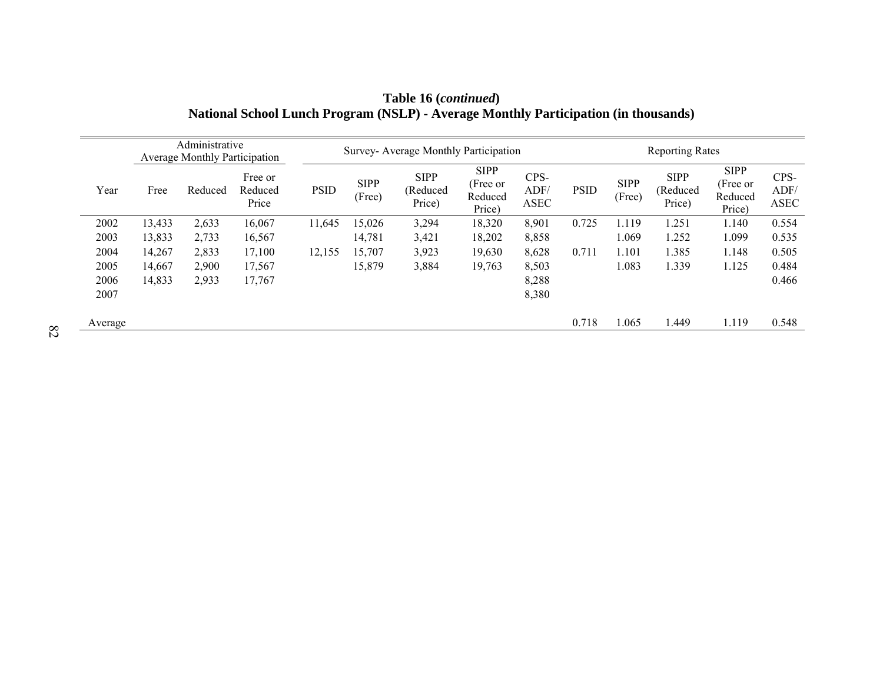| Administrative<br><b>Average Monthly Participation</b> |        |         |                             | Survey- Average Monthly Participation |                       |                                   |                                              |                      |             | <b>Reporting Rates</b> |                                   |                                              |                             |  |
|--------------------------------------------------------|--------|---------|-----------------------------|---------------------------------------|-----------------------|-----------------------------------|----------------------------------------------|----------------------|-------------|------------------------|-----------------------------------|----------------------------------------------|-----------------------------|--|
| Year                                                   | Free   | Reduced | Free or<br>Reduced<br>Price | <b>PSID</b>                           | <b>SIPP</b><br>(Free) | <b>SIPP</b><br>(Reduced<br>Price) | <b>SIPP</b><br>(Free or<br>Reduced<br>Price) | CPS-<br>ADF/<br>ASEC | <b>PSID</b> | <b>SIPP</b><br>(Free)  | <b>SIPP</b><br>(Reduced<br>Price) | <b>SIPP</b><br>(Free or<br>Reduced<br>Price) | CPS-<br>ADF/<br><b>ASEC</b> |  |
| 2002                                                   | 13,433 | 2,633   | 16,067                      | 11,645                                | 15,026                | 3,294                             | 18,320                                       | 8,901                | 0.725       | 1.119                  | 1.251                             | 1.140                                        | 0.554                       |  |
| 2003                                                   | 13,833 | 2,733   | 16,567                      |                                       | 14,781                | 3,421                             | 18,202                                       | 8,858                |             | 1.069                  | 1.252                             | 1.099                                        | 0.535                       |  |
| 2004                                                   | 14,267 | 2,833   | 17,100                      | 12,155                                | 15.707                | 3,923                             | 19,630                                       | 8,628                | 0.711       | 1.101                  | 1.385                             | 1.148                                        | 0.505                       |  |
| 2005                                                   | 14,667 | 2,900   | 17,567                      |                                       | 15,879                | 3,884                             | 19,763                                       | 8,503                |             | 1.083                  | 1.339                             | 1.125                                        | 0.484                       |  |
| 2006                                                   | 14,833 | 2,933   | 17,767                      |                                       |                       |                                   |                                              | 8,288                |             |                        |                                   |                                              | 0.466                       |  |
| 2007                                                   |        |         |                             |                                       |                       |                                   |                                              | 8,380                |             |                        |                                   |                                              |                             |  |
| Average                                                |        |         |                             |                                       |                       |                                   |                                              |                      | 0.718       | 1.065                  | 1.449                             | 1.119                                        | 0.548                       |  |

**Table 16 (***continued***) National School Lunch Program (NSLP) - Average Monthly Participation (in thousands)**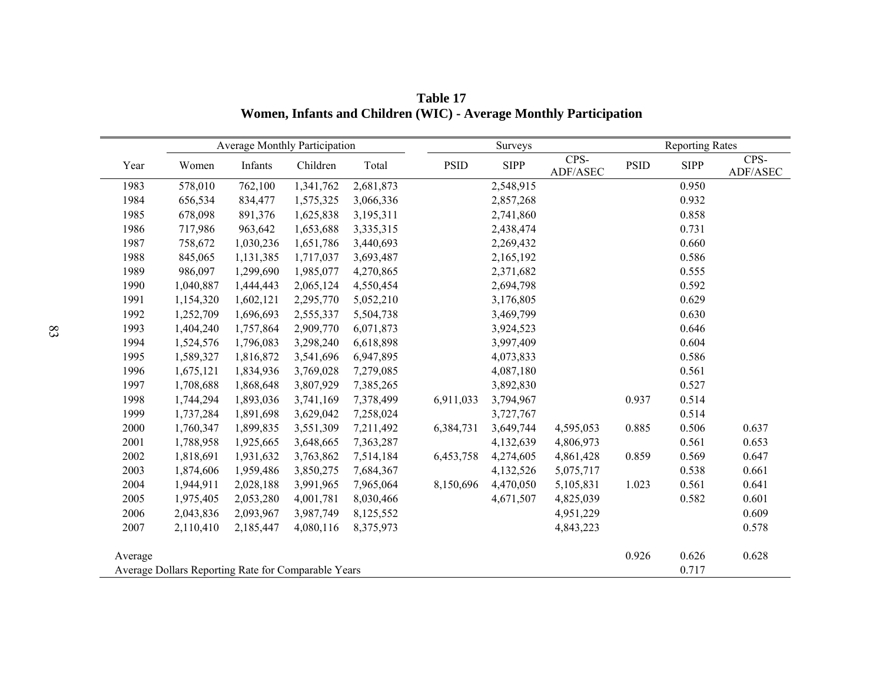|         |                                                     | <b>Average Monthly Participation</b> |           |           |             | Surveys     |                  | <b>Reporting Rates</b> |             |                  |  |
|---------|-----------------------------------------------------|--------------------------------------|-----------|-----------|-------------|-------------|------------------|------------------------|-------------|------------------|--|
| Year    | Women                                               | Infants                              | Children  | Total     | <b>PSID</b> | <b>SIPP</b> | CPS-<br>ADF/ASEC | <b>PSID</b>            | <b>SIPP</b> | CPS-<br>ADF/ASEC |  |
| 1983    | 578,010                                             | 762,100                              | 1,341,762 | 2,681,873 |             | 2,548,915   |                  |                        | 0.950       |                  |  |
| 1984    | 656,534                                             | 834,477                              | 1,575,325 | 3,066,336 |             | 2,857,268   |                  |                        | 0.932       |                  |  |
| 1985    | 678,098                                             | 891,376                              | 1,625,838 | 3,195,311 |             | 2,741,860   |                  |                        | 0.858       |                  |  |
| 1986    | 717,986                                             | 963,642                              | 1,653,688 | 3,335,315 |             | 2,438,474   |                  |                        | 0.731       |                  |  |
| 1987    | 758,672                                             | 1,030,236                            | 1,651,786 | 3,440,693 |             | 2,269,432   |                  |                        | 0.660       |                  |  |
| 1988    | 845,065                                             | 1,131,385                            | 1,717,037 | 3,693,487 |             | 2,165,192   |                  |                        | 0.586       |                  |  |
| 1989    | 986,097                                             | 1,299,690                            | 1,985,077 | 4,270,865 |             | 2,371,682   |                  |                        | 0.555       |                  |  |
| 1990    | 1,040,887                                           | 1,444,443                            | 2,065,124 | 4,550,454 |             | 2,694,798   |                  |                        | 0.592       |                  |  |
| 1991    | 1,154,320                                           | 1,602,121                            | 2,295,770 | 5,052,210 |             | 3,176,805   |                  |                        | 0.629       |                  |  |
| 1992    | 1,252,709                                           | 1,696,693                            | 2,555,337 | 5,504,738 |             | 3,469,799   |                  |                        | 0.630       |                  |  |
| 1993    | 1,404,240                                           | 1,757,864                            | 2,909,770 | 6,071,873 |             | 3,924,523   |                  |                        | 0.646       |                  |  |
| 1994    | 1,524,576                                           | 1,796,083                            | 3,298,240 | 6,618,898 |             | 3,997,409   |                  |                        | 0.604       |                  |  |
| 1995    | 1,589,327                                           | 1,816,872                            | 3,541,696 | 6,947,895 |             | 4,073,833   |                  |                        | 0.586       |                  |  |
| 1996    | 1,675,121                                           | 1,834,936                            | 3,769,028 | 7,279,085 |             | 4,087,180   |                  |                        | 0.561       |                  |  |
| 1997    | 1,708,688                                           | 1,868,648                            | 3,807,929 | 7,385,265 |             | 3,892,830   |                  |                        | 0.527       |                  |  |
| 1998    | 1,744,294                                           | 1,893,036                            | 3,741,169 | 7,378,499 | 6,911,033   | 3,794,967   |                  | 0.937                  | 0.514       |                  |  |
| 1999    | 1,737,284                                           | 1,891,698                            | 3,629,042 | 7,258,024 |             | 3,727,767   |                  |                        | 0.514       |                  |  |
| 2000    | 1,760,347                                           | 1,899,835                            | 3,551,309 | 7,211,492 | 6,384,731   | 3,649,744   | 4,595,053        | 0.885                  | 0.506       | 0.637            |  |
| 2001    | 1,788,958                                           | 1,925,665                            | 3,648,665 | 7,363,287 |             | 4,132,639   | 4,806,973        |                        | 0.561       | 0.653            |  |
| 2002    | 1,818,691                                           | 1,931,632                            | 3,763,862 | 7,514,184 | 6,453,758   | 4,274,605   | 4,861,428        | 0.859                  | 0.569       | 0.647            |  |
| 2003    | 1,874,606                                           | 1,959,486                            | 3,850,275 | 7,684,367 |             | 4,132,526   | 5,075,717        |                        | 0.538       | 0.661            |  |
| 2004    | 1,944,911                                           | 2,028,188                            | 3,991,965 | 7,965,064 | 8,150,696   | 4,470,050   | 5,105,831        | 1.023                  | 0.561       | 0.641            |  |
| 2005    | 1,975,405                                           | 2,053,280                            | 4,001,781 | 8,030,466 |             | 4,671,507   | 4,825,039        |                        | 0.582       | 0.601            |  |
| 2006    | 2,043,836                                           | 2,093,967                            | 3,987,749 | 8,125,552 |             |             | 4,951,229        |                        |             | 0.609            |  |
| 2007    | 2,110,410                                           | 2,185,447                            | 4,080,116 | 8,375,973 |             |             | 4,843,223        |                        |             | 0.578            |  |
| Average |                                                     |                                      |           |           |             |             |                  | 0.926                  | 0.626       | 0.628            |  |
|         | Average Dollars Reporting Rate for Comparable Years |                                      |           |           |             |             |                  |                        | 0.717       |                  |  |

**Table 17 Women, Infants and Children (WIC) - Average Monthly Participation**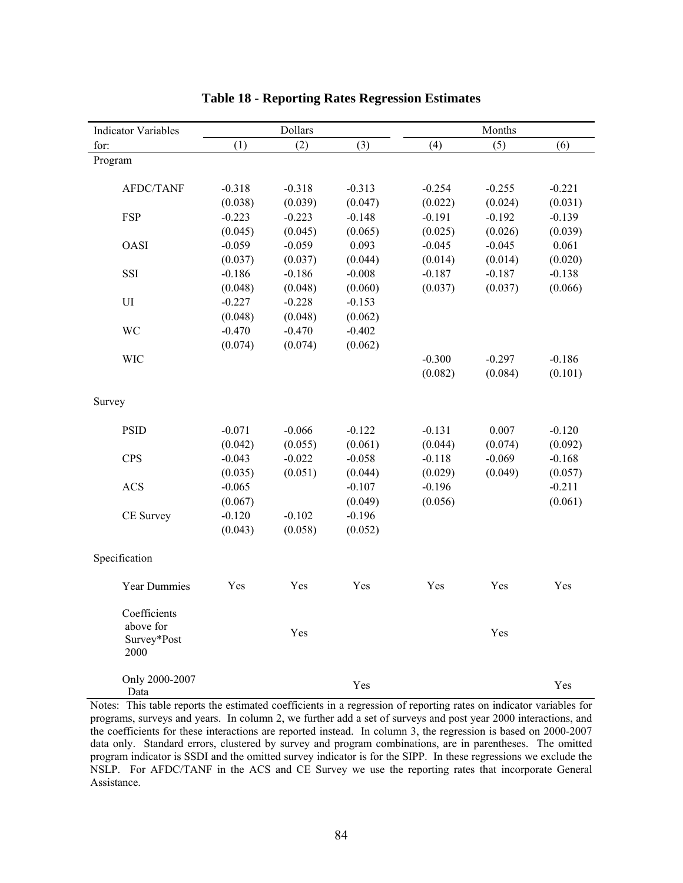| <b>Indicator Variables</b> |          | Dollars  |          |          | Months   |          |
|----------------------------|----------|----------|----------|----------|----------|----------|
| for:                       | (1)      | (2)      | (3)      | (4)      | (5)      | (6)      |
| Program                    |          |          |          |          |          |          |
|                            |          |          |          |          |          |          |
| AFDC/TANF                  | $-0.318$ | $-0.318$ | $-0.313$ | $-0.254$ | $-0.255$ | $-0.221$ |
|                            | (0.038)  | (0.039)  | (0.047)  | (0.022)  | (0.024)  | (0.031)  |
| <b>FSP</b>                 | $-0.223$ | $-0.223$ | $-0.148$ | $-0.191$ | $-0.192$ | $-0.139$ |
|                            | (0.045)  | (0.045)  | (0.065)  | (0.025)  | (0.026)  | (0.039)  |
| <b>OASI</b>                | $-0.059$ | $-0.059$ | 0.093    | $-0.045$ | $-0.045$ | 0.061    |
|                            | (0.037)  | (0.037)  | (0.044)  | (0.014)  | (0.014)  | (0.020)  |
| SSI                        | $-0.186$ | $-0.186$ | $-0.008$ | $-0.187$ | $-0.187$ | $-0.138$ |
|                            | (0.048)  | (0.048)  | (0.060)  | (0.037)  | (0.037)  | (0.066)  |
| $\mathop{\rm UI}\nolimits$ | $-0.227$ | $-0.228$ | $-0.153$ |          |          |          |
|                            | (0.048)  | (0.048)  | (0.062)  |          |          |          |
| WC                         | $-0.470$ | $-0.470$ | $-0.402$ |          |          |          |
|                            | (0.074)  | (0.074)  | (0.062)  |          |          |          |
| <b>WIC</b>                 |          |          |          | $-0.300$ | $-0.297$ | $-0.186$ |
|                            |          |          |          | (0.082)  | (0.084)  | (0.101)  |
|                            |          |          |          |          |          |          |
| Survey                     |          |          |          |          |          |          |
|                            |          |          |          |          |          |          |
| <b>PSID</b>                | $-0.071$ | $-0.066$ | $-0.122$ | $-0.131$ | 0.007    | $-0.120$ |
|                            | (0.042)  | (0.055)  | (0.061)  | (0.044)  | (0.074)  | (0.092)  |
| <b>CPS</b>                 | $-0.043$ | $-0.022$ | $-0.058$ | $-0.118$ | $-0.069$ | $-0.168$ |
|                            | (0.035)  | (0.051)  | (0.044)  | (0.029)  | (0.049)  | (0.057)  |
| <b>ACS</b>                 | $-0.065$ |          | $-0.107$ | $-0.196$ |          | $-0.211$ |
|                            | (0.067)  |          | (0.049)  | (0.056)  |          | (0.061)  |
| CE Survey                  | $-0.120$ | $-0.102$ | $-0.196$ |          |          |          |
|                            | (0.043)  | (0.058)  | (0.052)  |          |          |          |
|                            |          |          |          |          |          |          |
| Specification              |          |          |          |          |          |          |
| <b>Year Dummies</b>        | Yes      | Yes      | Yes      | Yes      | Yes      | Yes      |
|                            |          |          |          |          |          |          |
| Coefficients               |          |          |          |          |          |          |
| above for                  |          | Yes      |          |          | Yes      |          |
| Survey*Post<br>2000        |          |          |          |          |          |          |
|                            |          |          |          |          |          |          |
| Only 2000-2007             |          |          |          |          |          |          |
| Data                       |          |          | Yes      |          |          | Yes      |

# **Table 18 - Reporting Rates Regression Estimates**

Notes: This table reports the estimated coefficients in a regression of reporting rates on indicator variables for programs, surveys and years. In column 2, we further add a set of surveys and post year 2000 interactions, and the coefficients for these interactions are reported instead. In column 3, the regression is based on 2000-2007 data only. Standard errors, clustered by survey and program combinations, are in parentheses. The omitted program indicator is SSDI and the omitted survey indicator is for the SIPP. In these regressions we exclude the NSLP. For AFDC/TANF in the ACS and CE Survey we use the reporting rates that incorporate General Assistance.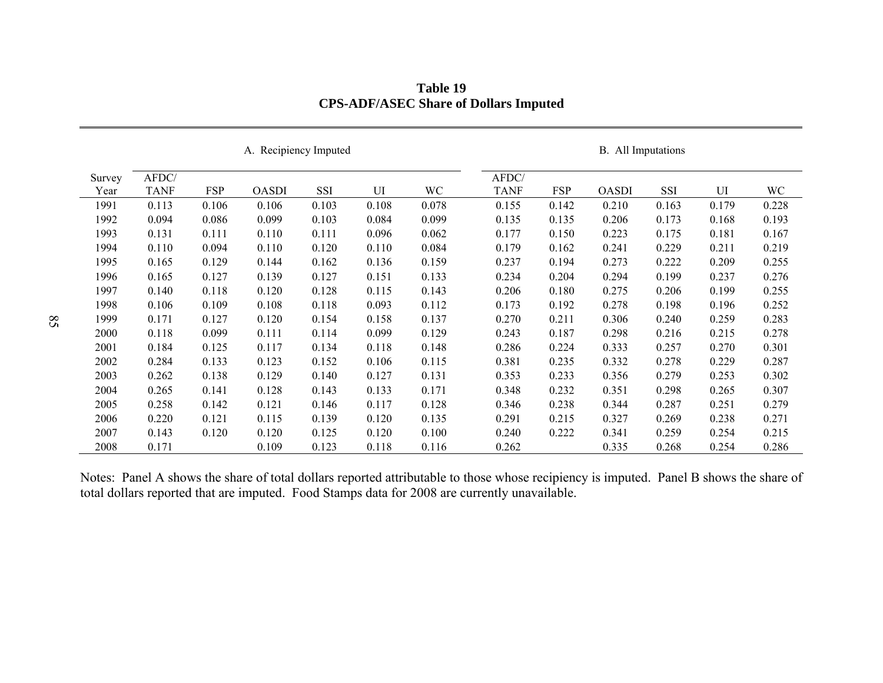|                | A. Recipiency Imputed |            |              |       |       | B. All Imputations |                      |            |              |       |       |       |
|----------------|-----------------------|------------|--------------|-------|-------|--------------------|----------------------|------------|--------------|-------|-------|-------|
| Survey<br>Year | AFDC/<br><b>TANF</b>  | <b>FSP</b> | <b>OASDI</b> | SSI   | UI    | WC                 | AFDC/<br><b>TANF</b> | <b>FSP</b> | <b>OASDI</b> | SSI   | UI    | WC    |
| 1991           | 0.113                 | 0.106      | 0.106        | 0.103 | 0.108 | 0.078              | 0.155                | 0.142      | 0.210        | 0.163 | 0.179 | 0.228 |
| 1992           | 0.094                 | 0.086      | 0.099        | 0.103 | 0.084 | 0.099              | 0.135                | 0.135      | 0.206        | 0.173 | 0.168 | 0.193 |
| 1993           | 0.131                 | 0.111      | 0.110        | 0.111 | 0.096 | 0.062              | 0.177                | 0.150      | 0.223        | 0.175 | 0.181 | 0.167 |
| 1994           | 0.110                 | 0.094      | 0.110        | 0.120 | 0.110 | 0.084              | 0.179                | 0.162      | 0.241        | 0.229 | 0.211 | 0.219 |
| 1995           | 0.165                 | 0.129      | 0.144        | 0.162 | 0.136 | 0.159              | 0.237                | 0.194      | 0.273        | 0.222 | 0.209 | 0.255 |
| 1996           | 0.165                 | 0.127      | 0.139        | 0.127 | 0.151 | 0.133              | 0.234                | 0.204      | 0.294        | 0.199 | 0.237 | 0.276 |
| 1997           | 0.140                 | 0.118      | 0.120        | 0.128 | 0.115 | 0.143              | 0.206                | 0.180      | 0.275        | 0.206 | 0.199 | 0.255 |
| 1998           | 0.106                 | 0.109      | 0.108        | 0.118 | 0.093 | 0.112              | 0.173                | 0.192      | 0.278        | 0.198 | 0.196 | 0.252 |
| 1999           | 0.171                 | 0.127      | 0.120        | 0.154 | 0.158 | 0.137              | 0.270                | 0.211      | 0.306        | 0.240 | 0.259 | 0.283 |
| 2000           | 0.118                 | 0.099      | 0.111        | 0.114 | 0.099 | 0.129              | 0.243                | 0.187      | 0.298        | 0.216 | 0.215 | 0.278 |
| 2001           | 0.184                 | 0.125      | 0.117        | 0.134 | 0.118 | 0.148              | 0.286                | 0.224      | 0.333        | 0.257 | 0.270 | 0.301 |
| 2002           | 0.284                 | 0.133      | 0.123        | 0.152 | 0.106 | 0.115              | 0.381                | 0.235      | 0.332        | 0.278 | 0.229 | 0.287 |
| 2003           | 0.262                 | 0.138      | 0.129        | 0.140 | 0.127 | 0.131              | 0.353                | 0.233      | 0.356        | 0.279 | 0.253 | 0.302 |
| 2004           | 0.265                 | 0.141      | 0.128        | 0.143 | 0.133 | 0.171              | 0.348                | 0.232      | 0.351        | 0.298 | 0.265 | 0.307 |
| 2005           | 0.258                 | 0.142      | 0.121        | 0.146 | 0.117 | 0.128              | 0.346                | 0.238      | 0.344        | 0.287 | 0.251 | 0.279 |
| 2006           | 0.220                 | 0.121      | 0.115        | 0.139 | 0.120 | 0.135              | 0.291                | 0.215      | 0.327        | 0.269 | 0.238 | 0.271 |
| 2007           | 0.143                 | 0.120      | 0.120        | 0.125 | 0.120 | 0.100              | 0.240                | 0.222      | 0.341        | 0.259 | 0.254 | 0.215 |
| 2008           | 0.171                 |            | 0.109        | 0.123 | 0.118 | 0.116              | 0.262                |            | 0.335        | 0.268 | 0.254 | 0.286 |

**Table 19 CPS-ADF/ASEC Share of Dollars Imputed** 

Notes: Panel A shows the share of total dollars reported attributable to those whose recipiency is imputed. Panel B shows the share of total dollars reported that are imputed. Food Stamps data for 2008 are currently unavailable.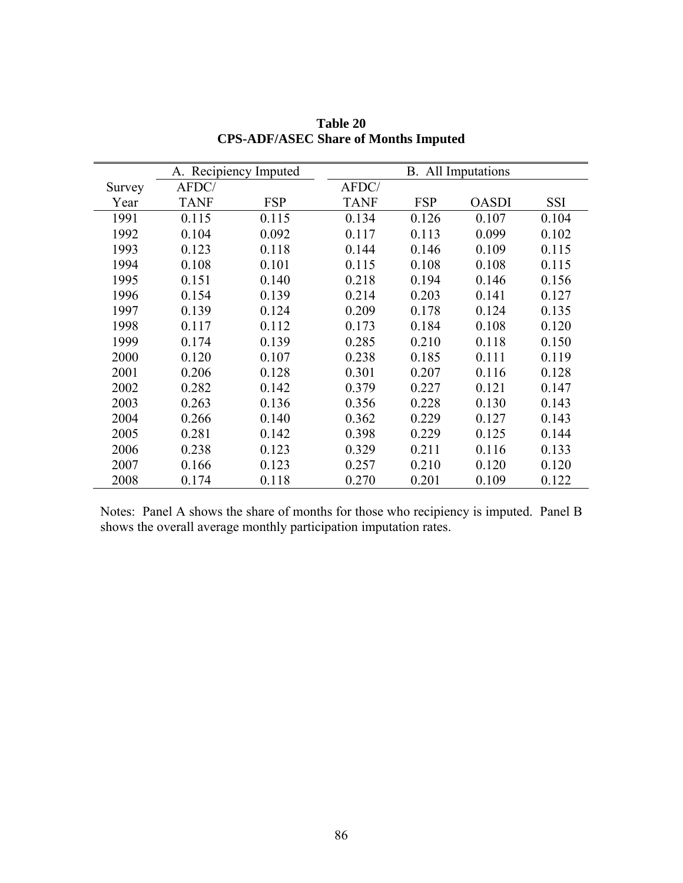|        | A. Recipiency Imputed |            |             |            | <b>B.</b> All Imputations |       |
|--------|-----------------------|------------|-------------|------------|---------------------------|-------|
| Survey | AFDC/                 |            | AFDC/       |            |                           |       |
| Year   | <b>TANF</b>           | <b>FSP</b> | <b>TANF</b> | <b>FSP</b> | <b>OASDI</b>              | SSI   |
| 1991   | 0.115                 | 0.115      | 0.134       | 0.126      | 0.107                     | 0.104 |
| 1992   | 0.104                 | 0.092      | 0.117       | 0.113      | 0.099                     | 0.102 |
| 1993   | 0.123                 | 0.118      | 0.144       | 0.146      | 0.109                     | 0.115 |
| 1994   | 0.108                 | 0.101      | 0.115       | 0.108      | 0.108                     | 0.115 |
| 1995   | 0.151                 | 0.140      | 0.218       | 0.194      | 0.146                     | 0.156 |
| 1996   | 0.154                 | 0.139      | 0.214       | 0.203      | 0.141                     | 0.127 |
| 1997   | 0.139                 | 0.124      | 0.209       | 0.178      | 0.124                     | 0.135 |
| 1998   | 0.117                 | 0.112      | 0.173       | 0.184      | 0.108                     | 0.120 |
| 1999   | 0.174                 | 0.139      | 0.285       | 0.210      | 0.118                     | 0.150 |
| 2000   | 0.120                 | 0.107      | 0.238       | 0.185      | 0.111                     | 0.119 |
| 2001   | 0.206                 | 0.128      | 0.301       | 0.207      | 0.116                     | 0.128 |
| 2002   | 0.282                 | 0.142      | 0.379       | 0.227      | 0.121                     | 0.147 |
| 2003   | 0.263                 | 0.136      | 0.356       | 0.228      | 0.130                     | 0.143 |
| 2004   | 0.266                 | 0.140      | 0.362       | 0.229      | 0.127                     | 0.143 |
| 2005   | 0.281                 | 0.142      | 0.398       | 0.229      | 0.125                     | 0.144 |
| 2006   | 0.238                 | 0.123      | 0.329       | 0.211      | 0.116                     | 0.133 |
| 2007   | 0.166                 | 0.123      | 0.257       | 0.210      | 0.120                     | 0.120 |
| 2008   | 0.174                 | 0.118      | 0.270       | 0.201      | 0.109                     | 0.122 |

**Table 20 CPS-ADF/ASEC Share of Months Imputed** 

Notes: Panel A shows the share of months for those who recipiency is imputed. Panel B shows the overall average monthly participation imputation rates.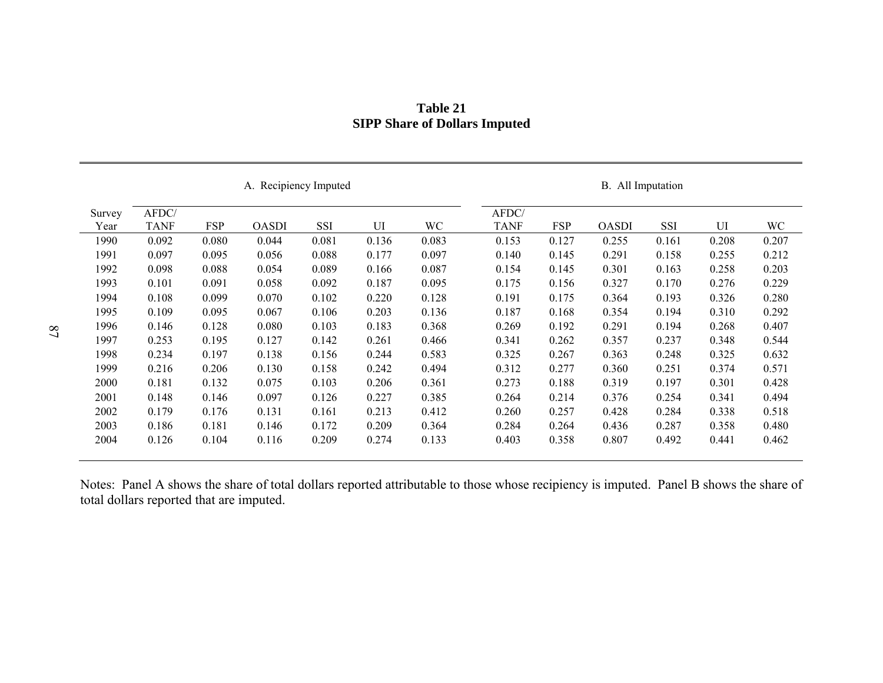|        | A. Recipiency Imputed |            |              |            |       | All Imputation<br><b>B.</b> |             |            |              |            |       |       |
|--------|-----------------------|------------|--------------|------------|-------|-----------------------------|-------------|------------|--------------|------------|-------|-------|
| Survey | AFDC/                 |            |              |            |       |                             | AFDC/       |            |              |            |       |       |
| Year   | <b>TANF</b>           | <b>FSP</b> | <b>OASDI</b> | <b>SSI</b> | UI    | WC                          | <b>TANF</b> | <b>FSP</b> | <b>OASDI</b> | <b>SSI</b> | UI    | WC    |
| 1990   | 0.092                 | 0.080      | 0.044        | 0.081      | 0.136 | 0.083                       | 0.153       | 0.127      | 0.255        | 0.161      | 0.208 | 0.207 |
| 1991   | 0.097                 | 0.095      | 0.056        | 0.088      | 0.177 | 0.097                       | 0.140       | 0.145      | 0.291        | 0.158      | 0.255 | 0.212 |
| 1992   | 0.098                 | 0.088      | 0.054        | 0.089      | 0.166 | 0.087                       | 0.154       | 0.145      | 0.301        | 0.163      | 0.258 | 0.203 |
| 1993   | 0.101                 | 0.091      | 0.058        | 0.092      | 0.187 | 0.095                       | 0.175       | 0.156      | 0.327        | 0.170      | 0.276 | 0.229 |
| 1994   | 0.108                 | 0.099      | 0.070        | 0.102      | 0.220 | 0.128                       | 0.191       | 0.175      | 0.364        | 0.193      | 0.326 | 0.280 |
| 1995   | 0.109                 | 0.095      | 0.067        | 0.106      | 0.203 | 0.136                       | 0.187       | 0.168      | 0.354        | 0.194      | 0.310 | 0.292 |
| 1996   | 0.146                 | 0.128      | 0.080        | 0.103      | 0.183 | 0.368                       | 0.269       | 0.192      | 0.291        | 0.194      | 0.268 | 0.407 |
| 1997   | 0.253                 | 0.195      | 0.127        | 0.142      | 0.261 | 0.466                       | 0.341       | 0.262      | 0.357        | 0.237      | 0.348 | 0.544 |
| 1998   | 0.234                 | 0.197      | 0.138        | 0.156      | 0.244 | 0.583                       | 0.325       | 0.267      | 0.363        | 0.248      | 0.325 | 0.632 |
| 1999   | 0.216                 | 0.206      | 0.130        | 0.158      | 0.242 | 0.494                       | 0.312       | 0.277      | 0.360        | 0.251      | 0.374 | 0.571 |
| 2000   | 0.181                 | 0.132      | 0.075        | 0.103      | 0.206 | 0.361                       | 0.273       | 0.188      | 0.319        | 0.197      | 0.301 | 0.428 |
| 2001   | 0.148                 | 0.146      | 0.097        | 0.126      | 0.227 | 0.385                       | 0.264       | 0.214      | 0.376        | 0.254      | 0.341 | 0.494 |
| 2002   | 0.179                 | 0.176      | 0.131        | 0.161      | 0.213 | 0.412                       | 0.260       | 0.257      | 0.428        | 0.284      | 0.338 | 0.518 |
| 2003   | 0.186                 | 0.181      | 0.146        | 0.172      | 0.209 | 0.364                       | 0.284       | 0.264      | 0.436        | 0.287      | 0.358 | 0.480 |
| 2004   | 0.126                 | 0.104      | 0.116        | 0.209      | 0.274 | 0.133                       | 0.403       | 0.358      | 0.807        | 0.492      | 0.441 | 0.462 |

## **Table 21 SIPP Share of Dollars Imputed**

Notes: Panel A shows the share of total dollars reported attributable to those whose recipiency is imputed. Panel B shows the share of total dollars reported that are imputed.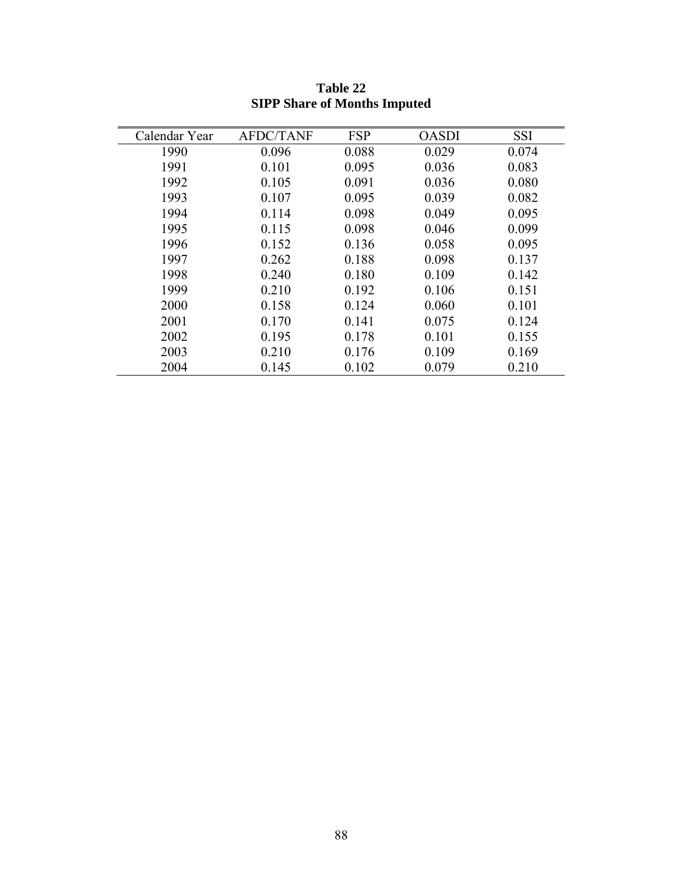| Calendar Year | <b>AFDC/TANF</b> | <b>FSP</b> | <b>OASDI</b> | <b>SSI</b> |
|---------------|------------------|------------|--------------|------------|
| 1990          | 0.096            | 0.088      | 0.029        | 0.074      |
| 1991          | 0.101            | 0.095      | 0.036        | 0.083      |
| 1992          | 0.105            | 0.091      | 0.036        | 0.080      |
| 1993          | 0.107            | 0.095      | 0.039        | 0.082      |
| 1994          | 0.114            | 0.098      | 0.049        | 0.095      |
| 1995          | 0.115            | 0.098      | 0.046        | 0.099      |
| 1996          | 0.152            | 0.136      | 0.058        | 0.095      |
| 1997          | 0.262            | 0.188      | 0.098        | 0.137      |
| 1998          | 0.240            | 0.180      | 0.109        | 0.142      |
| 1999          | 0.210            | 0.192      | 0.106        | 0.151      |
| 2000          | 0.158            | 0.124      | 0.060        | 0.101      |
| 2001          | 0.170            | 0.141      | 0.075        | 0.124      |
| 2002          | 0.195            | 0.178      | 0.101        | 0.155      |
| 2003          | 0.210            | 0.176      | 0.109        | 0.169      |
| 2004          | 0.145            | 0.102      | 0.079        | 0.210      |

**Table 22 SIPP Share of Months Imputed**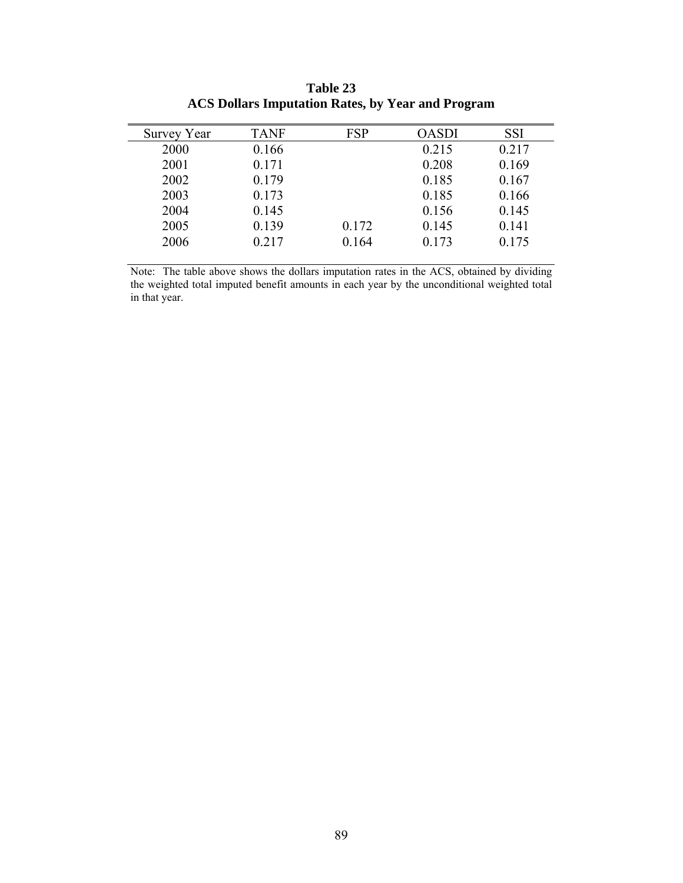| Survey Year | <b>TANF</b> | <b>FSP</b> | <b>OASDI</b> | <b>SSI</b> |
|-------------|-------------|------------|--------------|------------|
| 2000        | 0.166       |            | 0.215        | 0.217      |
| 2001        | 0.171       |            | 0.208        | 0.169      |
| 2002        | 0.179       |            | 0.185        | 0.167      |
| 2003        | 0.173       |            | 0.185        | 0.166      |
| 2004        | 0.145       |            | 0.156        | 0.145      |
| 2005        | 0.139       | 0.172      | 0.145        | 0.141      |
| 2006        | 0.217       | 0.164      | 0.173        | 0.175      |
|             |             |            |              |            |

**Table 23 ACS Dollars Imputation Rates, by Year and Program** 

Note: The table above shows the dollars imputation rates in the ACS, obtained by dividing the weighted total imputed benefit amounts in each year by the unconditional weighted total in that year.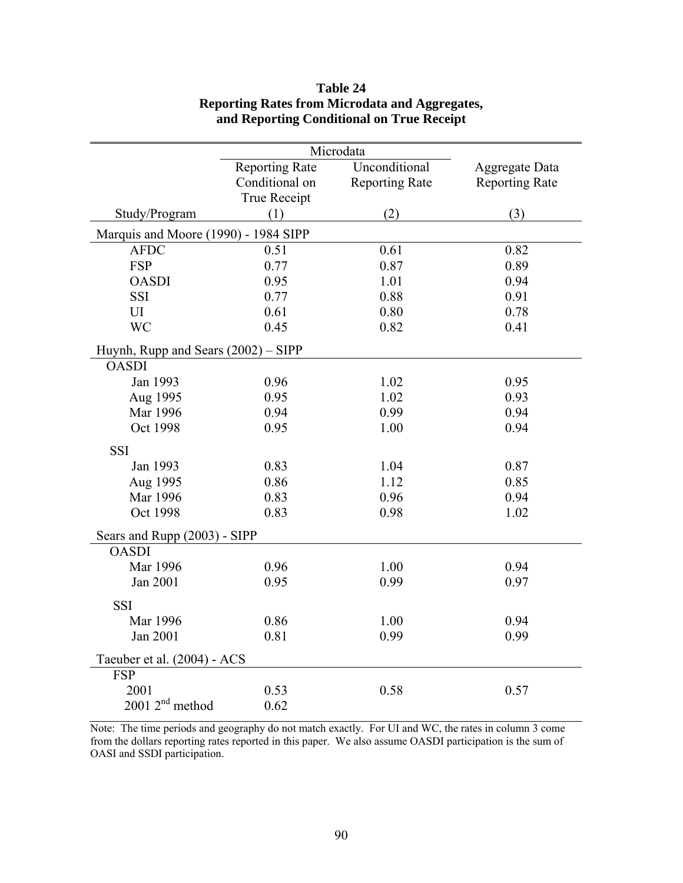| Microdata                            |                       |                       |                       |  |  |  |  |  |
|--------------------------------------|-----------------------|-----------------------|-----------------------|--|--|--|--|--|
|                                      | <b>Reporting Rate</b> | Unconditional         | <b>Aggregate Data</b> |  |  |  |  |  |
|                                      | Conditional on        | <b>Reporting Rate</b> | <b>Reporting Rate</b> |  |  |  |  |  |
|                                      | <b>True Receipt</b>   |                       |                       |  |  |  |  |  |
| Study/Program                        | (1)                   | (2)                   | (3)                   |  |  |  |  |  |
| Marquis and Moore (1990) - 1984 SIPP |                       |                       |                       |  |  |  |  |  |
| <b>AFDC</b>                          | 0.51                  | 0.61                  | 0.82                  |  |  |  |  |  |
| <b>FSP</b>                           | 0.77                  | 0.87                  | 0.89                  |  |  |  |  |  |
| <b>OASDI</b>                         | 0.95                  | 1.01                  | 0.94                  |  |  |  |  |  |
| SSI                                  | 0.77                  | 0.88                  | 0.91                  |  |  |  |  |  |
| UI                                   | 0.61                  | 0.80                  | 0.78                  |  |  |  |  |  |
| <b>WC</b>                            | 0.45                  | 0.82                  | 0.41                  |  |  |  |  |  |
| Huynh, Rupp and Sears (2002) – SIPP  |                       |                       |                       |  |  |  |  |  |
| <b>OASDI</b>                         |                       |                       |                       |  |  |  |  |  |
| Jan 1993                             | 0.96                  | 1.02                  | 0.95                  |  |  |  |  |  |
| Aug 1995                             | 0.95                  | 1.02                  | 0.93                  |  |  |  |  |  |
| Mar 1996                             | 0.94                  | 0.99                  | 0.94                  |  |  |  |  |  |
| Oct 1998                             | 0.95                  | 1.00                  | 0.94                  |  |  |  |  |  |
| <b>SSI</b>                           |                       |                       |                       |  |  |  |  |  |
| Jan 1993                             | 0.83                  | 1.04                  | 0.87                  |  |  |  |  |  |
| Aug 1995                             | 0.86                  | 1.12                  | 0.85                  |  |  |  |  |  |
| Mar 1996                             | 0.83                  | 0.96                  | 0.94                  |  |  |  |  |  |
| Oct 1998                             | 0.83                  | 0.98                  | 1.02                  |  |  |  |  |  |
| Sears and Rupp (2003) - SIPP         |                       |                       |                       |  |  |  |  |  |
| <b>OASDI</b>                         |                       |                       |                       |  |  |  |  |  |
| Mar 1996                             | 0.96                  | 1.00                  | 0.94                  |  |  |  |  |  |
| Jan 2001                             | 0.95                  | 0.99                  | 0.97                  |  |  |  |  |  |
| <b>SSI</b>                           |                       |                       |                       |  |  |  |  |  |
| Mar 1996                             | 0.86                  | 1.00                  | 0.94                  |  |  |  |  |  |
| Jan 2001                             | 0.81                  | 0.99                  | 0.99                  |  |  |  |  |  |
| Taeuber et al. (2004) - ACS          |                       |                       |                       |  |  |  |  |  |
| <b>FSP</b>                           |                       |                       |                       |  |  |  |  |  |
| 2001                                 | 0.53                  | 0.58                  | 0.57                  |  |  |  |  |  |
| 2001 2 <sup>nd</sup> method          | 0.62                  |                       |                       |  |  |  |  |  |

# **Table 24 Reporting Rates from Microdata and Aggregates, and Reporting Conditional on True Receipt**

Note: The time periods and geography do not match exactly. For UI and WC, the rates in column 3 come from the dollars reporting rates reported in this paper. We also assume OASDI participation is the sum of OASI and SSDI participation.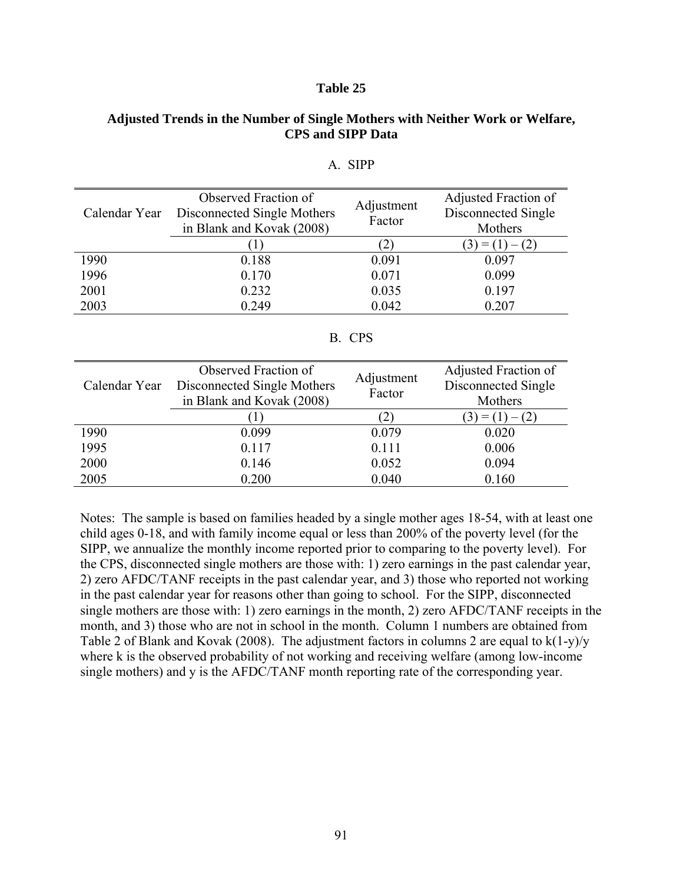#### **Table 25**

## **Adjusted Trends in the Number of Single Mothers with Neither Work or Welfare, CPS and SIPP Data**

|               | Observed Fraction of        |                      | Adjusted Fraction of |  |
|---------------|-----------------------------|----------------------|----------------------|--|
| Calendar Year | Disconnected Single Mothers | Adjustment<br>Factor | Disconnected Single  |  |
|               | in Blank and Kovak (2008)   |                      | Mothers              |  |
|               |                             |                      | $= (1)$              |  |
| 1990          | 0.188                       | 0.091                | 0.097                |  |
| 1996          | 0.170                       | 0.071                | 0.099                |  |
| 2001          | 0.232                       | 0.035                | 0.197                |  |
| 2003          | 0.249                       | 0.042                | 0.207                |  |

## A. SIPP

## B. CPS

| Calendar Year | Observed Fraction of<br>Disconnected Single Mothers<br>in Blank and Kovak (2008) | Adjustment<br>Factor | Adjusted Fraction of<br>Disconnected Single<br>Mothers |  |  |
|---------------|----------------------------------------------------------------------------------|----------------------|--------------------------------------------------------|--|--|
|               |                                                                                  |                      | $- (2)$<br>$\lambda = (1)^n$                           |  |  |
| 1990          | 0.099                                                                            | 0.079                | 0.020                                                  |  |  |
| 1995          | 0.117                                                                            | 0.111                | 0.006                                                  |  |  |
| 2000          | 0.146                                                                            | 0.052                | 0.094                                                  |  |  |
| 2005          | 0.200                                                                            | 0.040                | 0.160                                                  |  |  |

Notes: The sample is based on families headed by a single mother ages 18-54, with at least one child ages 0-18, and with family income equal or less than 200% of the poverty level (for the SIPP, we annualize the monthly income reported prior to comparing to the poverty level). For the CPS, disconnected single mothers are those with: 1) zero earnings in the past calendar year, 2) zero AFDC/TANF receipts in the past calendar year, and 3) those who reported not working in the past calendar year for reasons other than going to school. For the SIPP, disconnected single mothers are those with: 1) zero earnings in the month, 2) zero AFDC/TANF receipts in the month, and 3) those who are not in school in the month. Column 1 numbers are obtained from Table 2 of Blank and Kovak (2008). The adjustment factors in columns 2 are equal to  $k(1-y)/y$ where k is the observed probability of not working and receiving welfare (among low-income single mothers) and y is the AFDC/TANF month reporting rate of the corresponding year.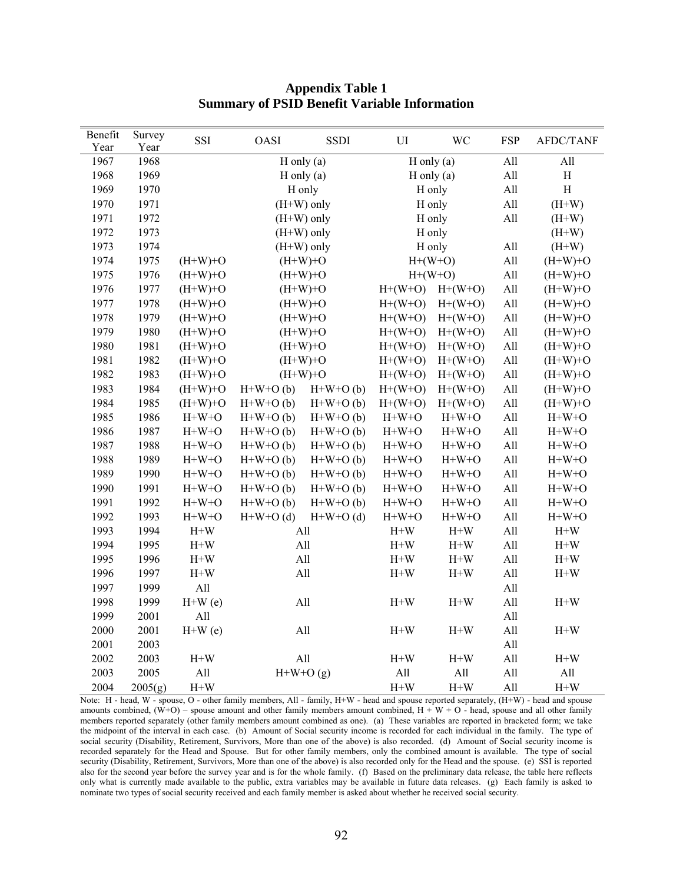| Benefit      | Survey       | SSI            | OASI        | <b>SSDI</b>            | $\mathop{\rm UI}\nolimits$       | WC             | FSP        | <b>AFDC/TANF</b> |
|--------------|--------------|----------------|-------------|------------------------|----------------------------------|----------------|------------|------------------|
| Year<br>1967 | Year<br>1968 |                |             | $H$ only (a)           |                                  |                | All        | All              |
| 1968         | 1969         |                |             |                        | $H$ only $(a)$<br>$H$ only $(a)$ |                | All        | H                |
| 1969         | 1970         |                |             | $H$ only (a)<br>H only |                                  | H only         |            | $\rm H$          |
| 1970         | 1971         |                |             | $(H+W)$ only           |                                  | H only         |            | $(H+W)$          |
| 1971         | 1972         |                |             | $(H+W)$ only           |                                  | H only         | All<br>All | $(H+W)$          |
| 1972         | 1973         |                |             | $(H+W)$ only           |                                  | H only         |            | $(H+W)$          |
| 1973         | 1974         |                |             | $(H+W)$ only           |                                  | H only         | All        | $(H+W)$          |
| 1974         | 1975         | $(H+W)+O$      |             | $(H+W)+O$              |                                  | $H+(W+O)$      | All        | $(H+W)+O$        |
| 1975         | 1976         | $(H+W)+O$      |             | $(H+W)+O$              | $H+(W+O)$                        |                | All        | $(H+W)+O$        |
| 1976         | 1977         | $(H+W)+O$      |             | $(H+W)+O$              | $H+(W+O)$                        | $H+(W+O)$      | All        | $(H+W)+O$        |
| 1977         | 1978         | $(H+W)+O$      |             | $(H+W)+O$              | $H+(W+O)$                        | $H+(W+O)$      | All        | $(H+W)+O$        |
| 1978         | 1979         | $(H+W)+O$      |             | $(H+W)+O$              | $H+(W+O)$                        | $H+(W+O)$      | All        | $(H+W)+O$        |
| 1979         | 1980         | $(H+W)+O$      |             | $(H+W)+O$              | $H+(W+O)$                        | $H+(W+O)$      | All        | $(H+W)+O$        |
| 1980         | 1981         | $(H+W)+O$      |             | $(H+W)+O$              | $H+(W+O)$                        | $H+(W+O)$      | All        | $(H+W)+O$        |
| 1981         | 1982         | $(H+W)+O$      |             | $(H+W)+O$              | $H+(W+O)$                        | $H+(W+O)$      | All        | $(H+W)+O$        |
| 1982         | 1983         | $(H+W)+O$      |             | $(H+W)+O$              | $H+(W+O)$                        | $H+(W+O)$      | All        | $(H+W)+O$        |
| 1983         | 1984         | $(H+W)+O$      | $H+W+O(b)$  | $H+W+O(b)$             | $H+(W+O)$                        | $H+(W+O)$      | All        | $(H+W)+O$        |
| 1984         | 1985         | $(H+W)+O$      | $H+W+O(b)$  | $H+W+O(b)$             | $H+(W+O)$                        | $H+(W+O)$      | All        | $(H+W)+O$        |
| 1985         | 1986         | $H+W+O$        | $H+W+O(b)$  | $H+W+O(b)$             | $H+W+O$                          | $H+W+O$        | All        | $H+W+O$          |
| 1986         | 1987         | $H+W+O$        | $H+W+O(b)$  | $H+W+O(b)$             | $H+W+O$                          | $H+W+O$        | All        | $H+W+O$          |
| 1987         | 1988         | $H+W+O$        | $H+W+O(b)$  | $H+W+O(b)$             | $H+W+O$                          | $H+W+O$        | All        | $H+W+O$          |
| 1988         | 1989         | $H+W+O$        | $H+W+O(b)$  | $H+W+O(b)$             | $H+W+O$                          | $H+W+O$        | All        | $H+W+O$          |
| 1989         | 1990         | $H+W+O$        | $H+W+O(b)$  | $H+W+O(b)$             | $H+W+O$                          | $H+W+O$        | All        | $H+W+O$          |
| 1990         | 1991         | $H+W+O$        | $H+W+O(b)$  | $H+W+O(b)$             | $H+W+O$                          | $H+W+O$        | All        | $H+W+O$          |
| 1991         | 1992         | $H+W+O$        | $H+W+O(b)$  | $H+W+O(b)$             | $H+W+O$                          | $H+W+O$        | All        | $H+W+O$          |
| 1992         | 1993         | $H+W+O$        | $H+W+O$ (d) | $H+W+O$ (d)            | $H+W+O$                          | $H+W+O$        | All        | $H+W+O$          |
| 1993         | 1994         | $H+W$          |             | All                    | $\mathrm{H+W}$                   | $H+W$          | All        | $H+W$            |
| 1994         | 1995         | $\mathrm{H+W}$ |             | All                    | $\mathrm{H+W}$                   | $\mathrm{H+W}$ | All        | $\mathrm{H+W}$   |
| 1995         | 1996         | $H+W$          |             | All                    | $\mathrm{H+W}$                   | $\mathrm{H+W}$ | All        | $\mathrm{H+W}$   |
| 1996         | 1997         | $\mathrm{H+W}$ |             | All                    | $\mathrm{H+W}$                   | $\mathrm{H+W}$ | All        | $\mathrm{H+W}$   |
| 1997         | 1999         | All            |             |                        |                                  |                | All        |                  |
| 1998         | 1999         | $H+W(e)$       |             | All                    | $\mathrm{H+W}$                   | $\mathrm{H+W}$ | All        | $\mathrm{H+W}$   |
| 1999         | 2001         | All            |             |                        |                                  |                | All        |                  |
| 2000         | 2001         | $H+W(e)$       |             | All                    | $H+W$                            | $H+W$          | All        | $\mathrm{H+W}$   |
| 2001         | 2003         |                |             |                        |                                  |                | All        |                  |
| 2002         | 2003         | $H+W$          |             | All                    | $\mathrm{H+W}$                   | $\mathrm{H+W}$ | All        | $\mathrm{H+W}$   |
| 2003         | 2005         | All            |             | $H+W+O(g)$             | All                              | $\mathbf{All}$ | All        | $\mathbf{All}$   |
| 2004         | 2005(g)      | $H+W$          |             |                        | $H+W$                            | $\mathrm{H+W}$ | All        | $\mathrm{H+W}$   |

## **Appendix Table 1 Summary of PSID Benefit Variable Information**

Note: H - head, W - spouse, O - other family members, All - family, H+W - head and spouse reported separately, (H+W) - head and spouse amounts combined,  $(\dot{W}+O)$  – spouse amount and other family members amount combined,  $H + W + O$  - head, spouse and all other family members reported separately (other family members amount combined as one). (a) These variables are reported in bracketed form; we take the midpoint of the interval in each case. (b) Amount of Social security income is recorded for each individual in the family. The type of social security (Disability, Retirement, Survivors, More than one of the above) is also recorded. (d) Amount of Social security income is recorded separately for the Head and Spouse. But for other family members, only the combined amount is available. The type of social security (Disability, Retirement, Survivors, More than one of the above) is also recorded only for the Head and the spouse. (e) SSI is reported also for the second year before the survey year and is for the whole family. (f) Based on the preliminary data release, the table here reflects only what is currently made available to the public, extra variables may be available in future data releases. (g) Each family is asked to nominate two types of social security received and each family member is asked about whether he received social security.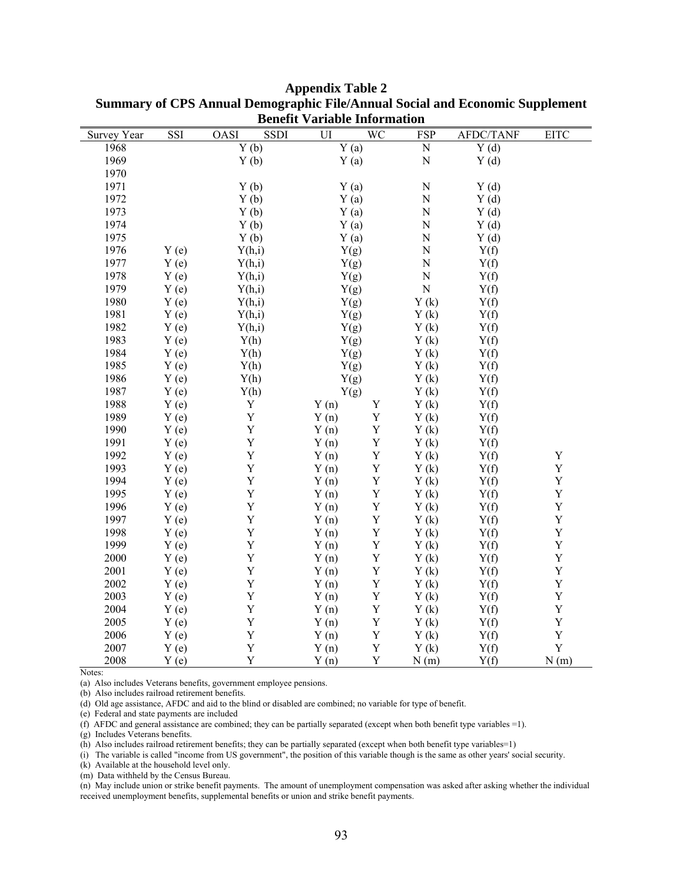|             |      |                    | <u>variable mitorination</u> |             |             |                  |             |
|-------------|------|--------------------|------------------------------|-------------|-------------|------------------|-------------|
| Survey Year | SSI  | SSDI<br>OASI       | UI                           | WC          | <b>FSP</b>  | <b>AFDC/TANF</b> | <b>EITC</b> |
| 1968        |      | $\overline{Y}$ (b) | Y(a)                         |             | ${\bf N}$   | Y(d)             |             |
| 1969        |      | Y(b)               | Y(a)                         |             | $\mathbf N$ | Y(d)             |             |
| 1970        |      |                    |                              |             |             |                  |             |
| 1971        |      | Y(b)               | Y(a)                         |             | ${\bf N}$   | Y(d)             |             |
| 1972        |      | Y(b)               | Y(a)                         |             | $\mathbf N$ | Y(d)             |             |
| 1973        |      | Y(b)               | Y(a)                         |             | $\mathbf N$ | Y(d)             |             |
| 1974        |      | Y(b)               | Y(a)                         |             | ${\bf N}$   | Y(d)             |             |
| 1975        |      | Y(b)               | Y(a)                         |             | ${\bf N}$   | Y(d)             |             |
| 1976        | Y(e) | Y(h,i)             | Y(g)                         |             | ${\bf N}$   | Y(f)             |             |
| 1977        | Y(e) | Y(h,i)             | Y(g)                         |             | $\mathbf N$ | Y(f)             |             |
| 1978        | Y(e) | Y(h,i)             | Y(g)                         |             | ${\bf N}$   | Y(f)             |             |
| 1979        | Y(e) | Y(h,i)             | Y(g)                         |             | ${\bf N}$   | Y(f)             |             |
| 1980        | Y(e) | Y(h,i)             | Y(g)                         |             | Y(k)        | Y(f)             |             |
| 1981        | Y(e) | Y(h,i)             | Y(g)                         |             | Y(k)        | Y(f)             |             |
| 1982        | Y(e) | Y(h,i)             | Y(g)                         |             | Y(k)        | Y(f)             |             |
| 1983        | Y(e) | Y(h)               | Y(g)                         |             | Y(k)        | Y(f)             |             |
| 1984        | Y(e) | Y(h)               | Y(g)                         |             | Y(k)        | Y(f)             |             |
| 1985        | Y(e) | Y(h)               | Y(g)                         |             | Y(k)        | Y(f)             |             |
| 1986        | Y(e) | Y(h)               | Y(g)                         |             | Y(k)        | Y(f)             |             |
| 1987        | Y(e) | Y(h)               | Y(g)                         |             | Y(k)        | Y(f)             |             |
| 1988        | Y(e) | $\mathbf Y$        | Y(n)                         | $\mathbf Y$ | Y(k)        | Y(f)             |             |
| 1989        | Y(e) | $\mathbf Y$        | Y(n)                         | $\mathbf Y$ | Y(k)        | Y(f)             |             |
| 1990        | Y(e) | $\mathbf Y$        | Y(n)                         | $\mathbf Y$ | Y(k)        | Y(f)             |             |
| 1991        | Y(e) | $\mathbf Y$        | Y(n)                         | $\mathbf Y$ | Y(k)        | Y(f)             |             |
| 1992        | Y(e) | Y                  | Y(n)                         | $\mathbf Y$ | Y(k)        | Y(f)             | Y           |
| 1993        | Y(e) | $\mathbf Y$        | Y(n)                         | $\mathbf Y$ | Y(k)        | Y(f)             | $\mathbf Y$ |
| 1994        | Y(e) | $\mathbf Y$        | Y(n)                         | $\mathbf Y$ | Y(k)        | Y(f)             | $\mathbf Y$ |
| 1995        | Y(e) | $\mathbf Y$        | Y(n)                         | $\mathbf Y$ | Y(k)        | Y(f)             | $\mathbf Y$ |
| 1996        | Y(e) | Y                  | Y(n)                         | $\mathbf Y$ | Y(k)        | Y(f)             | Y           |
| 1997        | Y(e) | $\mathbf Y$        | Y(n)                         | $\mathbf Y$ | Y(k)        | Y(f)             | $\mathbf Y$ |
| 1998        | Y(e) | $\mathbf Y$        | Y(n)                         | $\mathbf Y$ | Y(k)        | Y(f)             | $\mathbf Y$ |
| 1999        | Y(e) | $\mathbf Y$        | Y(n)                         | $\mathbf Y$ | Y(k)        | Y(f)             | $\mathbf Y$ |
| 2000        | Y(e) | $\mathbf Y$        | Y(n)                         | $\mathbf Y$ | Y(k)        | Y(f)             | $\mathbf Y$ |
| 2001        | Y(e) | $\mathbf Y$        | Y(n)                         | $\mathbf Y$ | Y(k)        | Y(f)             | Y           |
| 2002        | Y(e) | $\mathbf Y$        | Y(n)                         | $\mathbf Y$ | Y(k)        | Y(f)             | $\mathbf Y$ |
| 2003        | Y(e) | $\mathbf Y$        | Y(n)                         | $\mathbf Y$ | Y(k)        | Y(f)             | $\mathbf Y$ |
| 2004        | Y(e) | $\mathbf Y$        | Y(n)                         | $\mathbf Y$ | Y(k)        | Y(f)             | $\mathbf Y$ |
| 2005        | Y(e) | $\mathbf Y$        | Y(n)                         | $\mathbf Y$ | Y(k)        | Y(f)             | Y           |
| 2006        | Y(e) | $\mathbf Y$        | Y(n)                         | $\mathbf Y$ | Y(k)        | Y(f)             | $\mathbf Y$ |
| 2007        | Y(e) | Y                  | Y(n)                         | $\mathbf Y$ | Y(k)        | Y(f)             | Y           |
| 2008        | Y(e) | Y                  | Y(n)                         | $\mathbf Y$ | N(m)        | Y(f)             | N(m)        |

**Appendix Table 2 Summary of CPS Annual Demographic File/Annual Social and Economic Supplement Benefit Variable Information** 

Notes:

(a) Also includes Veterans benefits, government employee pensions.

(b) Also includes railroad retirement benefits.

(d) Old age assistance, AFDC and aid to the blind or disabled are combined; no variable for type of benefit.

(e) Federal and state payments are included

(f) AFDC and general assistance are combined; they can be partially separated (except when both benefit type variables =1).

(g) Includes Veterans benefits.

(h) Also includes railroad retirement benefits; they can be partially separated (except when both benefit type variables=1)

(i) The variable is called "income from US government", the position of this variable though is the same as other years' social security.

(k) Available at the household level only.

(m) Data withheld by the Census Bureau.

(n) May include union or strike benefit payments. The amount of unemployment compensation was asked after asking whether the individual received unemployment benefits, supplemental benefits or union and strike benefit payments.